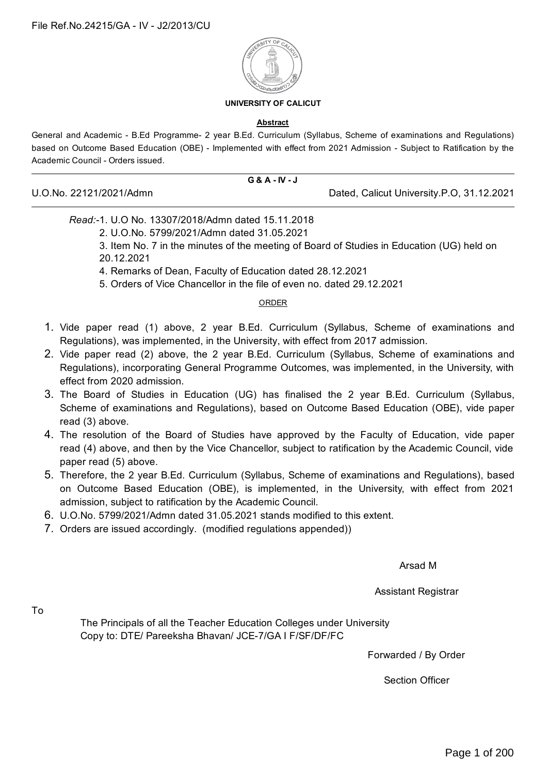

#### **UNIVERSITY OF CALICUT**

#### **Abstract**

General and Academic - B.Ed Programme- 2 year B.Ed. Curriculum (Syllabus, Scheme of examinations and Regulations) based on Outcome Based Education (OBE) - Implemented with effect from 2021 Admission - Subject to Ratification by the Academic Council - Orders issued.

# **G & A - IV - J**

U.O.No. 22121/2021/Admn Dated, Calicut University.P.O, 31.12.2021

#### *Read:-*1. U.O No. 13307/2018/Admn dated 15.11.2018

2. U.O.No. 5799/2021/Admn dated 31.05.2021

3. Item No. 7 in the minutes of the meeting of Board of Studies in Education (UG) held on 20.12.2021

4. Remarks of Dean, Faculty of Education dated 28.12.2021

5. Orders of Vice Chancellor in the file of even no. dated 29.12.2021

#### ORDER

- 1. Vide paper read (1) above, 2 year B.Ed. Curriculum (Syllabus, Scheme of examinations and Regulations), was implemented, in the University, with effect from 2017 admission.
- 2. Vide paper read (2) above, the 2 year B.Ed. Curriculum (Syllabus, Scheme of examinations and Regulations), incorporating General Programme Outcomes, was implemented, in the University, with effect from 2020 admission.
- 3. The Board of Studies in Education (UG) has finalised the 2 year B.Ed. Curriculum (Syllabus, Scheme of examinations and Regulations), based on Outcome Based Education (OBE), vide paper read (3) above.
- 4. The resolution of the Board of Studies have approved by the Faculty of Education, vide paper read (4) above, and then by the Vice Chancellor, subject to ratification by the Academic Council, vide paper read (5) above.
- 5. Therefore, the 2 year B.Ed. Curriculum (Syllabus, Scheme of examinations and Regulations), based on Outcome Based Education (OBE), is implemented, in the University, with effect from 2021 admission, subject to ratification by the Academic Council.
- 6. U.O.No. 5799/2021/Admn dated 31.05.2021 stands modified to this extent.
- 7. Orders are issued accordingly. (modified regulations appended))

Arsad M

Assistant Registrar

To

The Principals of all the Teacher Education Colleges under University Copy to: DTE/ Pareeksha Bhavan/ JCE-7/GA I F/SF/DF/FC

Forwarded / By Order

Section Officer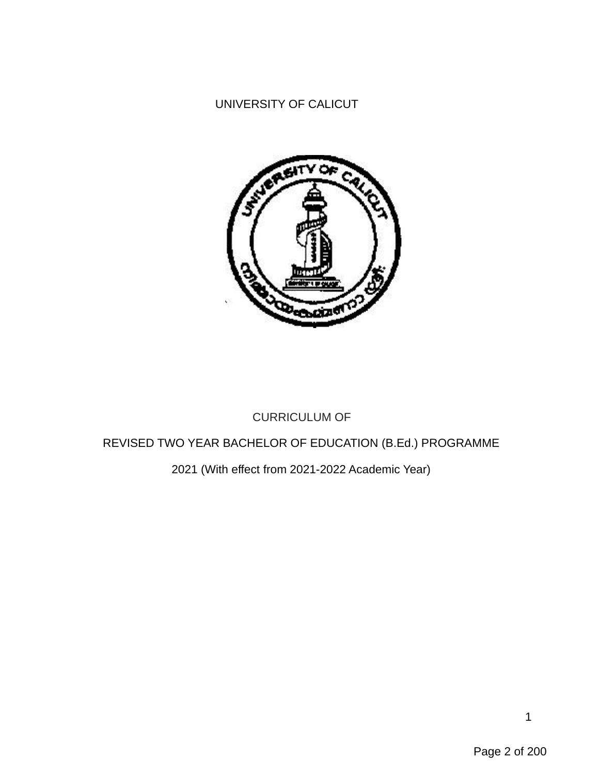# UNIVERSITY OF CALICUT



# CURRICULUM OF

# REVISED TWO YEAR BACHELOR OF EDUCATION (B.Ed.) PROGRAMME

# 2021 (With effect from 2021-2022 Academic Year)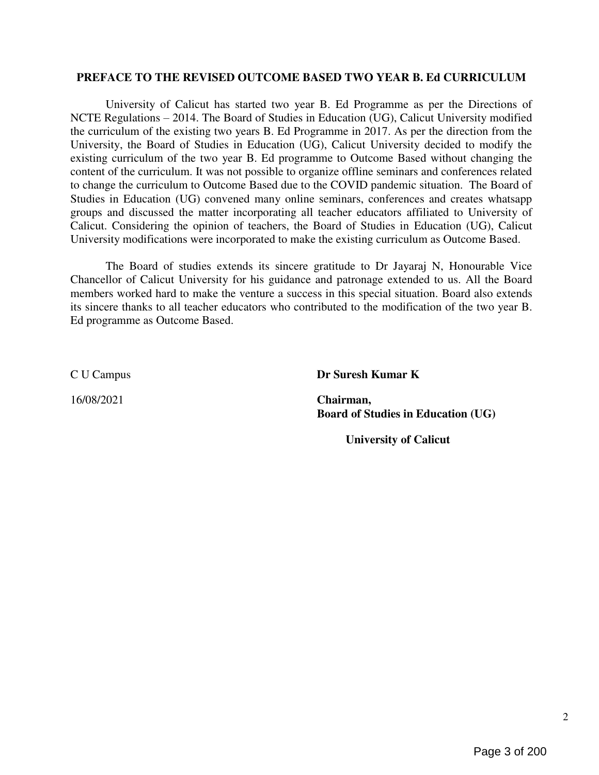#### PREFACE TO THE REVISED OUTCOME BASED TWO YEAR B. Ed CURRICULUM

University of Calicut has started two year B. Ed Programme as per the Directions of NCTE Regulations – 2014. The Board of Studies in Education (UG), Calicut University modified the curriculum of the existing two years B. Ed Programme in 2017. As per the direction from the University, the Board of Studies in Education (UG), Calicut University decided to modify the existing curriculum of the two year B. Ed programme to Outcome Based without changing the content of the curriculum. It was not possible to organize offline seminars and conferences related to change the curriculum to Outcome Based due to the COVID pandemic situation. The Board of Studies in Education (UG) convened many online seminars, conferences and creates whatsapp groups and discussed the matter incorporating all teacher educators affiliated to University of Calicut. Considering the opinion of teachers, the Board of Studies in Education (UG), Calicut University modifications were incorporated to make the existing curriculum as Outcome Based.

The Board of studies extends its sincere gratitude to Dr Jayaraj N, Honourable Vice Chancellor of Calicut University for his guidance and patronage extended to us. All the Board members worked hard to make the venture a success in this special situation. Board also extends its sincere thanks to all teacher educators who contributed to the modification of the two year B. Ed programme as Outcome Based.

C U Campus Dr Suresh Kumar K

16/08/2021 Chairman, Board of Studies in Education (UG)

University of Calicut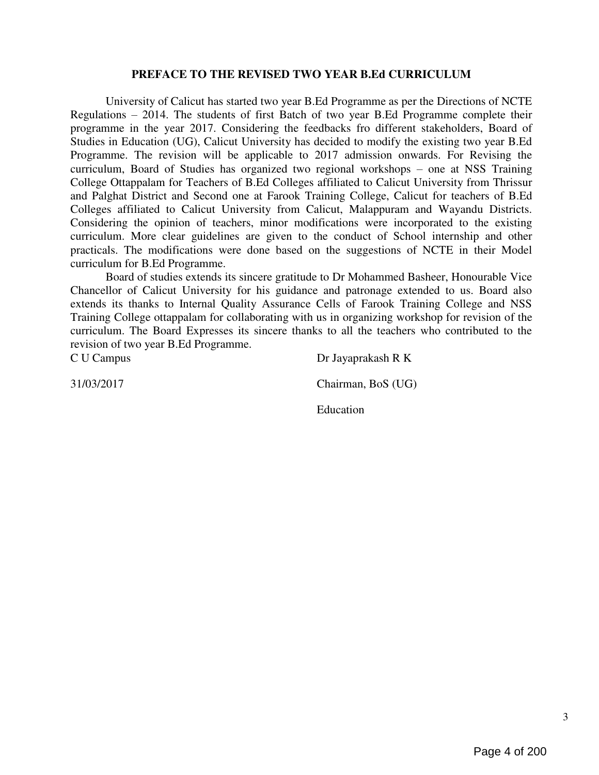#### PREFACE TO THE REVISED TWO YEAR B.Ed CURRICULUM

University of Calicut has started two year B.Ed Programme as per the Directions of NCTE Regulations – 2014. The students of first Batch of two year B.Ed Programme complete their programme in the year 2017. Considering the feedbacks fro different stakeholders, Board of Studies in Education (UG), Calicut University has decided to modify the existing two year B.Ed Programme. The revision will be applicable to 2017 admission onwards. For Revising the curriculum, Board of Studies has organized two regional workshops – one at NSS Training College Ottappalam for Teachers of B.Ed Colleges affiliated to Calicut University from Thrissur and Palghat District and Second one at Farook Training College, Calicut for teachers of B.Ed Colleges affiliated to Calicut University from Calicut, Malappuram and Wayandu Districts. Considering the opinion of teachers, minor modifications were incorporated to the existing curriculum. More clear guidelines are given to the conduct of School internship and other practicals. The modifications were done based on the suggestions of NCTE in their Model curriculum for B.Ed Programme.

Board of studies extends its sincere gratitude to Dr Mohammed Basheer, Honourable Vice Chancellor of Calicut University for his guidance and patronage extended to us. Board also extends its thanks to Internal Quality Assurance Cells of Farook Training College and NSS Training College ottappalam for collaborating with us in organizing workshop for revision of the curriculum. The Board Expresses its sincere thanks to all the teachers who contributed to the revision of two year B.Ed Programme.

C U Campus Dr Jayaprakash R K 31/03/2017 Chairman, BoS (UG) Education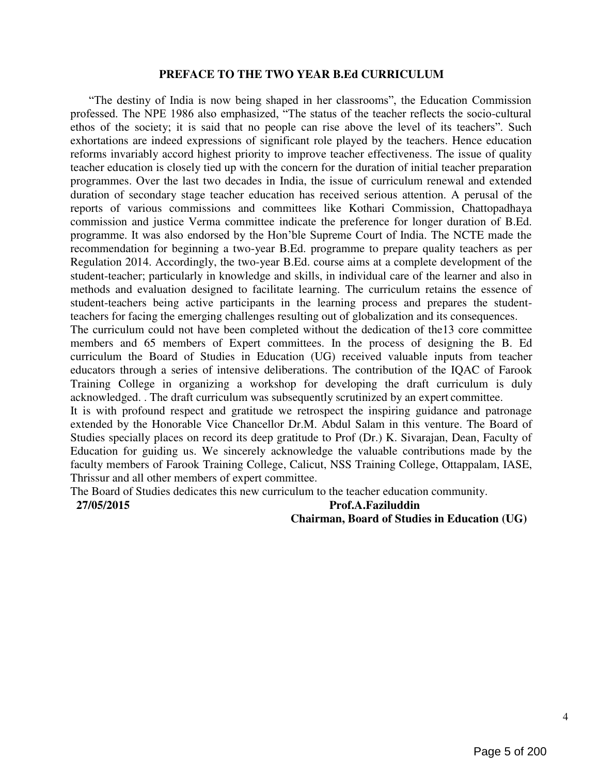#### PREFACE TO THE TWO YEAR B.Ed CURRICULUM

―The destiny of India is now being shaped in her classrooms‖, the Education Commission professed. The NPE 1986 also emphasized, "The status of the teacher reflects the socio-cultural ethos of the society; it is said that no people can rise above the level of its teachers". Such exhortations are indeed expressions of significant role played by the teachers. Hence education reforms invariably accord highest priority to improve teacher effectiveness. The issue of quality teacher education is closely tied up with the concern for the duration of initial teacher preparation programmes. Over the last two decades in India, the issue of curriculum renewal and extended duration of secondary stage teacher education has received serious attention. A perusal of the reports of various commissions and committees like Kothari Commission, Chattopadhaya commission and justice Verma committee indicate the preference for longer duration of B.Ed. programme. It was also endorsed by the Hon'ble Supreme Court of India. The NCTE made the recommendation for beginning a two-year B.Ed. programme to prepare quality teachers as per Regulation 2014. Accordingly, the two-year B.Ed. course aims at a complete development of the student-teacher; particularly in knowledge and skills, in individual care of the learner and also in methods and evaluation designed to facilitate learning. The curriculum retains the essence of student-teachers being active participants in the learning process and prepares the studentteachers for facing the emerging challenges resulting out of globalization and its consequences.

The curriculum could not have been completed without the dedication of the13 core committee members and 65 members of Expert committees. In the process of designing the B. Ed curriculum the Board of Studies in Education (UG) received valuable inputs from teacher educators through a series of intensive deliberations. The contribution of the IQAC of Farook Training College in organizing a workshop for developing the draft curriculum is duly acknowledged. . The draft curriculum was subsequently scrutinized by an expert committee.

It is with profound respect and gratitude we retrospect the inspiring guidance and patronage extended by the Honorable Vice Chancellor Dr.M. Abdul Salam in this venture. The Board of Studies specially places on record its deep gratitude to Prof (Dr.) K. Sivarajan, Dean, Faculty of Education for guiding us. We sincerely acknowledge the valuable contributions made by the faculty members of Farook Training College, Calicut, NSS Training College, Ottappalam, IASE, Thrissur and all other members of expert committee.

The Board of Studies dedicates this new curriculum to the teacher education community.

27/05/2015 Prof.A.Faziluddin Chairman, Board of Studies in Education (UG)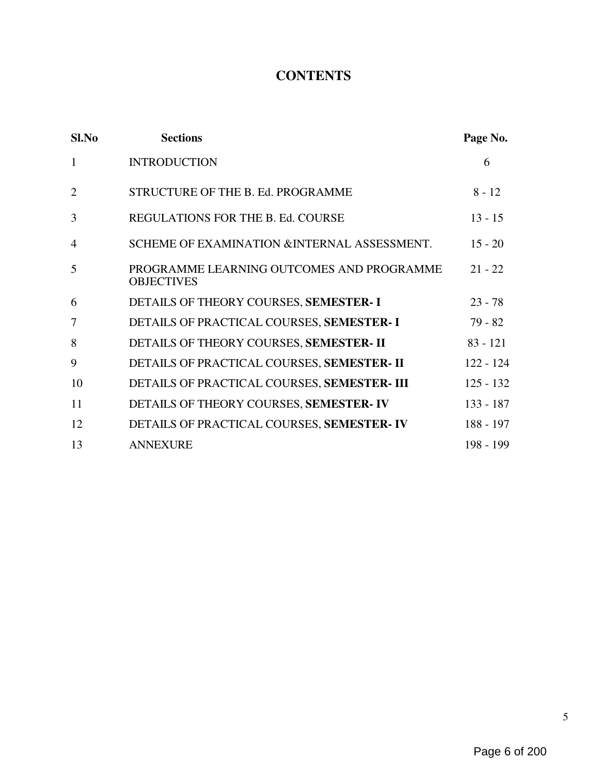# **CONTENTS**

| $SL$ No        | <b>Sections</b>                                                | Page No.    |
|----------------|----------------------------------------------------------------|-------------|
| $\mathbf{1}$   | <b>INTRODUCTION</b>                                            | 6           |
| $\overline{2}$ | STRUCTURE OF THE B. Ed. PROGRAMME                              | $8 - 12$    |
| 3              | REGULATIONS FOR THE B. Ed. COURSE                              | $13 - 15$   |
| $\overline{4}$ | SCHEME OF EXAMINATION & INTERNAL ASSESSMENT.                   | $15 - 20$   |
| 5              | PROGRAMME LEARNING OUTCOMES AND PROGRAMME<br><b>OBJECTIVES</b> | $21 - 22$   |
| 6              | DETAILS OF THEORY COURSES, SEMESTER- I                         | $23 - 78$   |
| 7              | DETAILS OF PRACTICAL COURSES, SEMESTER- I                      | $79 - 82$   |
| 8              | DETAILS OF THEORY COURSES, SEMESTER- II                        | $83 - 121$  |
| 9              | DETAILS OF PRACTICAL COURSES, SEMESTER- II                     | $122 - 124$ |
| 10             | DETAILS OF PRACTICAL COURSES, SEMESTER- III                    | $125 - 132$ |
| 11             | DETAILS OF THEORY COURSES, SEMESTER-IV                         | $133 - 187$ |
| 12             | DETAILS OF PRACTICAL COURSES, SEMESTER-IV                      | 188 - 197   |
| 13             | <b>ANNEXURE</b>                                                | 198 - 199   |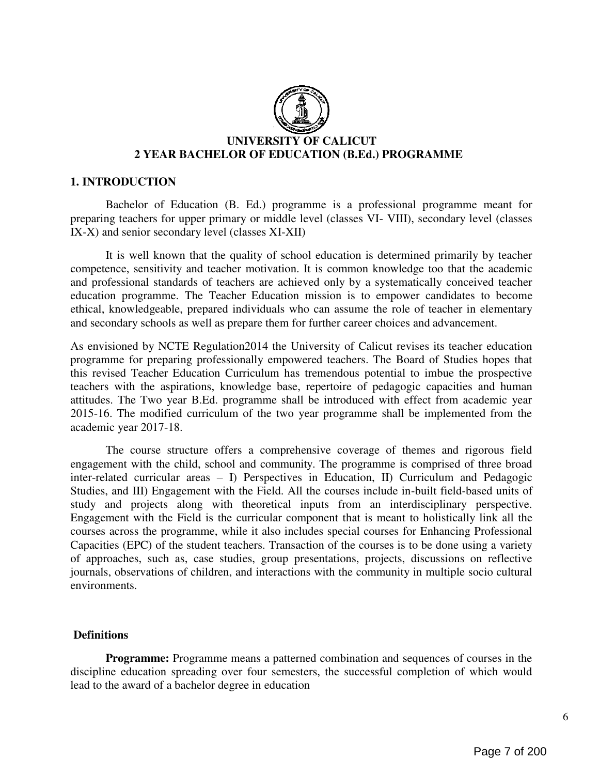

#### 1. INTRODUCTION

Bachelor of Education (B. Ed.) programme is a professional programme meant for preparing teachers for upper primary or middle level (classes VI- VIII), secondary level (classes IX-X) and senior secondary level (classes XI-XII)

It is well known that the quality of school education is determined primarily by teacher competence, sensitivity and teacher motivation. It is common knowledge too that the academic and professional standards of teachers are achieved only by a systematically conceived teacher education programme. The Teacher Education mission is to empower candidates to become ethical, knowledgeable, prepared individuals who can assume the role of teacher in elementary and secondary schools as well as prepare them for further career choices and advancement.

As envisioned by NCTE Regulation2014 the University of Calicut revises its teacher education programme for preparing professionally empowered teachers. The Board of Studies hopes that this revised Teacher Education Curriculum has tremendous potential to imbue the prospective teachers with the aspirations, knowledge base, repertoire of pedagogic capacities and human attitudes. The Two year B.Ed. programme shall be introduced with effect from academic year 2015-16. The modified curriculum of the two year programme shall be implemented from the academic year 2017-18.

The course structure offers a comprehensive coverage of themes and rigorous field engagement with the child, school and community. The programme is comprised of three broad inter-related curricular areas – I) Perspectives in Education, II) Curriculum and Pedagogic Studies, and III) Engagement with the Field. All the courses include in-built field-based units of study and projects along with theoretical inputs from an interdisciplinary perspective. Engagement with the Field is the curricular component that is meant to holistically link all the courses across the programme, while it also includes special courses for Enhancing Professional Capacities (EPC) of the student teachers. Transaction of the courses is to be done using a variety of approaches, such as, case studies, group presentations, projects, discussions on reflective journals, observations of children, and interactions with the community in multiple socio cultural environments.

#### **Definitions**

Programme: Programme means a patterned combination and sequences of courses in the discipline education spreading over four semesters, the successful completion of which would lead to the award of a bachelor degree in education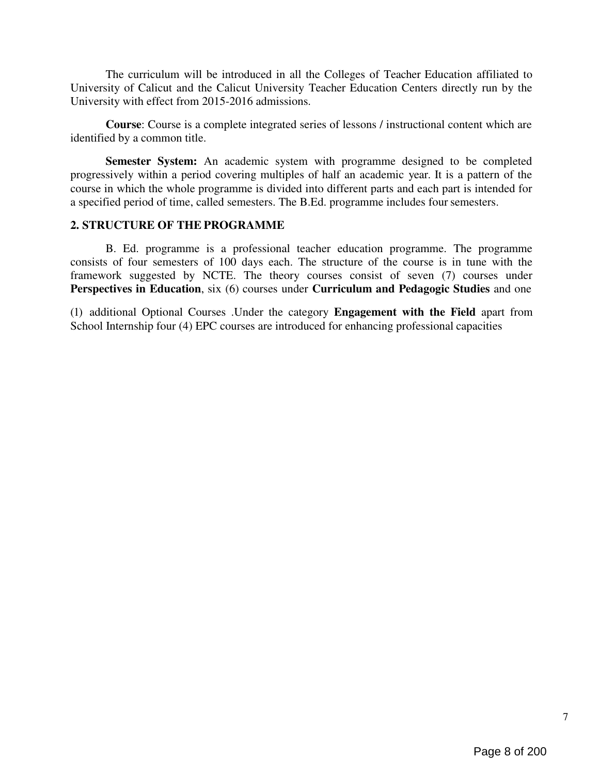The curriculum will be introduced in all the Colleges of Teacher Education affiliated to University of Calicut and the Calicut University Teacher Education Centers directly run by the University with effect from 2015-2016 admissions.

Course: Course is a complete integrated series of lessons / instructional content which are identified by a common title.

Semester System: An academic system with programme designed to be completed progressively within a period covering multiples of half an academic year. It is a pattern of the course in which the whole programme is divided into different parts and each part is intended for a specified period of time, called semesters. The B.Ed. programme includes four semesters.

## 2. STRUCTURE OF THE PROGRAMME

B. Ed. programme is a professional teacher education programme. The programme consists of four semesters of 100 days each. The structure of the course is in tune with the framework suggested by NCTE. The theory courses consist of seven (7) courses under Perspectives in Education, six (6) courses under Curriculum and Pedagogic Studies and one

(1) additional Optional Courses .Under the category Engagement with the Field apart from School Internship four (4) EPC courses are introduced for enhancing professional capacities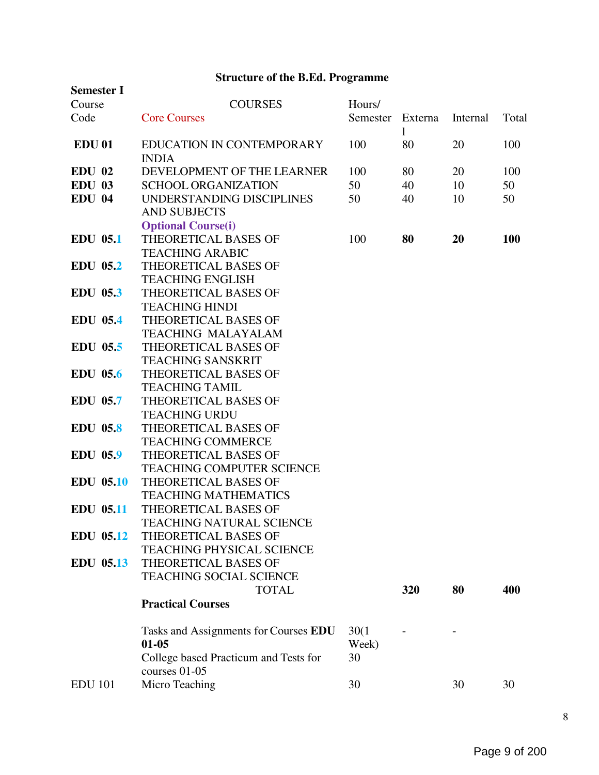# Structure of the B.Ed. Programme

| <b>Semester I</b> |                                                        |          |         |          |            |
|-------------------|--------------------------------------------------------|----------|---------|----------|------------|
| Course            | <b>COURSES</b>                                         | Hours/   |         |          |            |
| Code              | <b>Core Courses</b>                                    | Semester | Externa | Internal | Total      |
|                   |                                                        |          | 1       |          |            |
| <b>EDU 01</b>     | EDUCATION IN CONTEMPORARY                              | 100      | 80      | 20       | 100        |
|                   | <b>INDIA</b>                                           |          |         |          |            |
| <b>EDU 02</b>     | DEVELOPMENT OF THE LEARNER                             | 100      | 80      | 20       | 100        |
| <b>EDU 03</b>     | <b>SCHOOL ORGANIZATION</b>                             | 50       | 40      | 10       | 50         |
| <b>EDU 04</b>     | UNDERSTANDING DISCIPLINES                              | 50       | 40      | 10       | 50         |
|                   | <b>AND SUBJECTS</b>                                    |          |         |          |            |
|                   | <b>Optional Course(i)</b>                              |          |         |          |            |
| <b>EDU 05.1</b>   | THEORETICAL BASES OF                                   | 100      | 80      | 20       | <b>100</b> |
|                   | <b>TEACHING ARABIC</b>                                 |          |         |          |            |
| EDU 05.2          | <b>THEORETICAL BASES OF</b><br><b>TEACHING ENGLISH</b> |          |         |          |            |
| <b>EDU 05.3</b>   | THEORETICAL BASES OF                                   |          |         |          |            |
|                   | <b>TEACHING HINDI</b>                                  |          |         |          |            |
| <b>EDU 05.4</b>   | <b>THEORETICAL BASES OF</b>                            |          |         |          |            |
|                   | <b>TEACHING MALAYALAM</b>                              |          |         |          |            |
| <b>EDU 05.5</b>   | <b>THEORETICAL BASES OF</b>                            |          |         |          |            |
|                   | <b>TEACHING SANSKRIT</b>                               |          |         |          |            |
| <b>EDU 05.6</b>   | <b>THEORETICAL BASES OF</b>                            |          |         |          |            |
|                   | <b>TEACHING TAMIL</b>                                  |          |         |          |            |
| <b>EDU 05.7</b>   | THEORETICAL BASES OF                                   |          |         |          |            |
|                   | <b>TEACHING URDU</b>                                   |          |         |          |            |
| <b>EDU 05.8</b>   | THEORETICAL BASES OF                                   |          |         |          |            |
|                   | <b>TEACHING COMMERCE</b>                               |          |         |          |            |
| <b>EDU 05.9</b>   | <b>THEORETICAL BASES OF</b>                            |          |         |          |            |
|                   | <b>TEACHING COMPUTER SCIENCE</b>                       |          |         |          |            |
| <b>EDU 05.10</b>  | THEORETICAL BASES OF                                   |          |         |          |            |
|                   | <b>TEACHING MATHEMATICS</b>                            |          |         |          |            |
| <b>EDU 05.11</b>  | THEORETICAL BASES OF                                   |          |         |          |            |
|                   | TEACHING NATURAL SCIENCE                               |          |         |          |            |
| <b>EDU 05.12</b>  | THEORETICAL BASES OF                                   |          |         |          |            |
|                   | <b>TEACHING PHYSICAL SCIENCE</b>                       |          |         |          |            |
| <b>EDU 05.13</b>  | THEORETICAL BASES OF                                   |          |         |          |            |
|                   | <b>TEACHING SOCIAL SCIENCE</b>                         |          |         |          |            |
|                   | <b>TOTAL</b>                                           |          | 320     | 80       | 400        |
|                   | <b>Practical Courses</b>                               |          |         |          |            |
|                   | Tasks and Assignments for Courses EDU                  | 30(1)    |         |          |            |
|                   | $01 - 05$                                              | Week)    |         |          |            |
|                   | College based Practicum and Tests for                  | 30       |         |          |            |
|                   | courses 01-05                                          |          |         |          |            |
| <b>EDU 101</b>    | Micro Teaching                                         | 30       |         | 30       | 30         |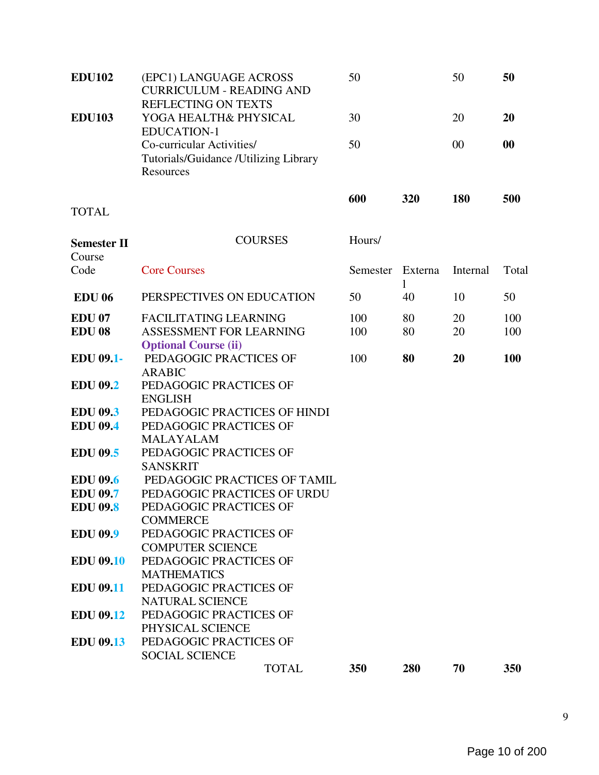| <b>EDU102</b>                | (EPC1) LANGUAGE ACROSS<br><b>CURRICULUM - READING AND</b><br>REFLECTING ON TEXTS | 50       |              | 50       | 50    |
|------------------------------|----------------------------------------------------------------------------------|----------|--------------|----------|-------|
| <b>EDU103</b>                | YOGA HEALTH& PHYSICAL<br><b>EDUCATION-1</b>                                      | 30       |              | 20       | 20    |
|                              | Co-curricular Activities/<br>Tutorials/Guidance /Utilizing Library<br>Resources  | 50       |              | 00       | 00    |
| <b>TOTAL</b>                 |                                                                                  | 600      | 320          | 180      | 500   |
| <b>Semester II</b><br>Course | <b>COURSES</b>                                                                   | Hours/   |              |          |       |
| Code                         | <b>Core Courses</b>                                                              | Semester | Externa<br>1 | Internal | Total |
| <b>EDU 06</b>                | PERSPECTIVES ON EDUCATION                                                        | 50       | 40           | 10       | 50    |
| <b>EDU 07</b>                | <b>FACILITATING LEARNING</b>                                                     | 100      | 80           | 20       | 100   |
| <b>EDU 08</b>                | <b>ASSESSMENT FOR LEARNING</b><br><b>Optional Course (ii)</b>                    | 100      | 80           | 20       | 100   |
| <b>EDU 09.1-</b>             | PEDAGOGIC PRACTICES OF<br><b>ARABIC</b>                                          | 100      | 80           | 20       | 100   |
| <b>EDU 09.2</b>              | PEDAGOGIC PRACTICES OF<br><b>ENGLISH</b>                                         |          |              |          |       |
| <b>EDU 09.3</b>              | PEDAGOGIC PRACTICES OF HINDI                                                     |          |              |          |       |
| <b>EDU 09.4</b>              | PEDAGOGIC PRACTICES OF                                                           |          |              |          |       |
|                              | <b>MALAYALAM</b>                                                                 |          |              |          |       |
| <b>EDU 09.5</b>              | PEDAGOGIC PRACTICES OF<br><b>SANSKRIT</b>                                        |          |              |          |       |
| <b>EDU 09.6</b>              | PEDAGOGIC PRACTICES OF TAMIL                                                     |          |              |          |       |
| <b>EDU 09.7</b>              | PEDAGOGIC PRACTICES OF URDU                                                      |          |              |          |       |
| <b>EDU 09.8</b>              | PEDAGOGIC PRACTICES OF                                                           |          |              |          |       |
|                              | <b>COMMERCE</b>                                                                  |          |              |          |       |
| <b>EDU 09.9</b>              | PEDAGOGIC PRACTICES OF<br><b>COMPUTER SCIENCE</b>                                |          |              |          |       |
| <b>EDU 09.10</b>             | PEDAGOGIC PRACTICES OF                                                           |          |              |          |       |
|                              | <b>MATHEMATICS</b>                                                               |          |              |          |       |
| <b>EDU 09.11</b>             | PEDAGOGIC PRACTICES OF                                                           |          |              |          |       |
|                              | <b>NATURAL SCIENCE</b>                                                           |          |              |          |       |
| <b>EDU 09.12</b>             | PEDAGOGIC PRACTICES OF                                                           |          |              |          |       |
|                              | PHYSICAL SCIENCE                                                                 |          |              |          |       |
| <b>EDU 09.13</b>             | PEDAGOGIC PRACTICES OF                                                           |          |              |          |       |
|                              | <b>SOCIAL SCIENCE</b>                                                            |          |              |          |       |
|                              | <b>TOTAL</b>                                                                     | 350      | 280          | 70       | 350   |

9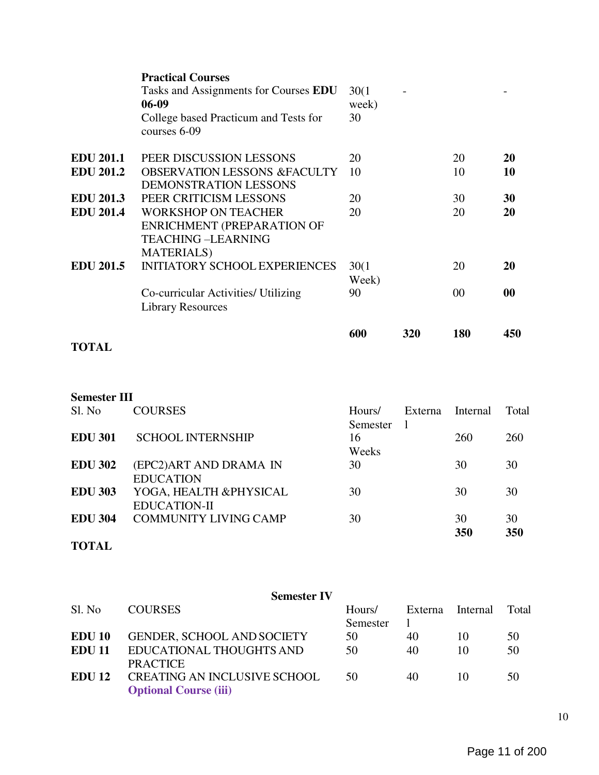|                             | <b>Practical Courses</b>                                                                                          |                |     |     |           |
|-----------------------------|-------------------------------------------------------------------------------------------------------------------|----------------|-----|-----|-----------|
|                             | Tasks and Assignments for Courses EDU                                                                             | 30(1)          |     |     |           |
|                             | $06-09$                                                                                                           | week)          |     |     |           |
|                             | College based Practicum and Tests for<br>courses 6-09                                                             | 30             |     |     |           |
| <b>EDU 201.1</b>            | PEER DISCUSSION LESSONS                                                                                           | 20             |     | 20  | 20        |
| <b>EDU 201.2</b>            | <b>OBSERVATION LESSONS &amp;FACULTY</b><br>DEMONSTRATION LESSONS                                                  | 10             |     | 10  | 10        |
| <b>EDU 201.3</b>            | PEER CRITICISM LESSONS                                                                                            | 20             |     | 30  | 30        |
| <b>EDU 201.4</b>            | <b>WORKSHOP ON TEACHER</b><br><b>ENRICHMENT (PREPARATION OF</b><br><b>TEACHING-LEARNING</b><br><b>MATERIALS</b> ) | 20             |     | 20  | 20        |
| <b>EDU 201.5</b>            | <b>INITIATORY SCHOOL EXPERIENCES</b>                                                                              | 30(1)<br>Week) |     | 20  | <b>20</b> |
|                             | Co-curricular Activities/ Utilizing<br><b>Library Resources</b>                                                   | 90             |     | 00  | 00        |
| $\sim$ $\sim$ $\sim$ $\sim$ |                                                                                                                   | 600            | 320 | 180 | 450       |

# TOTAL

# Semester III

| Sl. No         | <b>COURSES</b>               | Hours/   | Externa | Internal   | Total |
|----------------|------------------------------|----------|---------|------------|-------|
|                |                              | Semester | -1      |            |       |
| <b>EDU 301</b> | <b>SCHOOL INTERNSHIP</b>     | 16       |         | <b>260</b> | 260   |
|                |                              | Weeks    |         |            |       |
| <b>EDU 302</b> | (EPC2)ART AND DRAMA IN       | 30       |         | 30         | 30    |
|                | <b>EDUCATION</b>             |          |         |            |       |
| <b>EDU 303</b> | YOGA, HEALTH &PHYSICAL       | 30       |         | 30         | 30    |
|                | <b>EDUCATION-II</b>          |          |         |            |       |
| <b>EDU 304</b> | <b>COMMUNITY LIVING CAMP</b> | 30       |         | 30         | 30    |
|                |                              |          |         | 350        | 350   |
| <b>TOTAL</b>   |                              |          |         |            |       |

|               | <b>Semester IV</b>                  |          |         |          |       |
|---------------|-------------------------------------|----------|---------|----------|-------|
| Sl. No        | <b>COURSES</b>                      | Hours/   | Externa | Internal | Total |
|               |                                     | Semester |         |          |       |
| EDU 10        | <b>GENDER, SCHOOL AND SOCIETY</b>   | 50       | 40      | 10       | 50    |
| <b>EDU 11</b> | EDUCATIONAL THOUGHTS AND            | 50       | 40      | 10       | 50    |
|               | <b>PRACTICE</b>                     |          |         |          |       |
| <b>EDU 12</b> | <b>CREATING AN INCLUSIVE SCHOOL</b> | 50       | 40      | 10       | 50    |
|               | <b>Optional Course (iii)</b>        |          |         |          |       |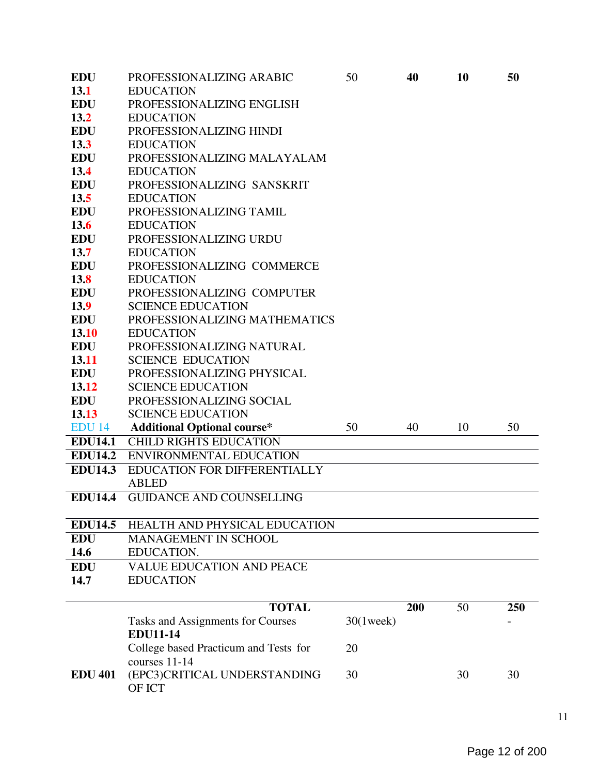| <b>EDU</b>     | PROFESSIONALIZING ARABIC                  | 50           | 40  | 10 | 50  |
|----------------|-------------------------------------------|--------------|-----|----|-----|
| 13.1           | <b>EDUCATION</b>                          |              |     |    |     |
| <b>EDU</b>     | PROFESSIONALIZING ENGLISH                 |              |     |    |     |
| 13.2           | <b>EDUCATION</b>                          |              |     |    |     |
| <b>EDU</b>     | PROFESSIONALIZING HINDI                   |              |     |    |     |
| 13.3           | <b>EDUCATION</b>                          |              |     |    |     |
| <b>EDU</b>     | PROFESSIONALIZING MALAYALAM               |              |     |    |     |
| 13.4           | <b>EDUCATION</b>                          |              |     |    |     |
| <b>EDU</b>     | PROFESSIONALIZING SANSKRIT                |              |     |    |     |
| 13.5           | <b>EDUCATION</b>                          |              |     |    |     |
| <b>EDU</b>     | PROFESSIONALIZING TAMIL                   |              |     |    |     |
| 13.6           | <b>EDUCATION</b>                          |              |     |    |     |
| <b>EDU</b>     | PROFESSIONALIZING URDU                    |              |     |    |     |
| 13.7           | <b>EDUCATION</b>                          |              |     |    |     |
| <b>EDU</b>     | PROFESSIONALIZING COMMERCE                |              |     |    |     |
| 13.8           | <b>EDUCATION</b>                          |              |     |    |     |
| <b>EDU</b>     | PROFESSIONALIZING COMPUTER                |              |     |    |     |
| 13.9           | <b>SCIENCE EDUCATION</b>                  |              |     |    |     |
| <b>EDU</b>     | PROFESSIONALIZING MATHEMATICS             |              |     |    |     |
| 13.10          | <b>EDUCATION</b>                          |              |     |    |     |
| <b>EDU</b>     | PROFESSIONALIZING NATURAL                 |              |     |    |     |
| 13.11          | <b>SCIENCE EDUCATION</b>                  |              |     |    |     |
| <b>EDU</b>     | PROFESSIONALIZING PHYSICAL                |              |     |    |     |
| 13.12          | <b>SCIENCE EDUCATION</b>                  |              |     |    |     |
| <b>EDU</b>     | PROFESSIONALIZING SOCIAL                  |              |     |    |     |
| 13.13          | <b>SCIENCE EDUCATION</b>                  |              |     |    |     |
| <b>EDU 14</b>  | <b>Additional Optional course*</b>        | 50           | 40  | 10 | 50  |
| <b>EDU14.1</b> | <b>CHILD RIGHTS EDUCATION</b>             |              |     |    |     |
| <b>EDU14.2</b> | <b>ENVIRONMENTAL EDUCATION</b>            |              |     |    |     |
| <b>EDU14.3</b> | EDUCATION FOR DIFFERENTIALLY              |              |     |    |     |
|                | <b>ABLED</b>                              |              |     |    |     |
| <b>EDU14.4</b> | <b>GUIDANCE AND COUNSELLING</b>           |              |     |    |     |
| <b>EDU14.5</b> | HEALTH AND PHYSICAL EDUCATION             |              |     |    |     |
| <b>EDU</b>     |                                           |              |     |    |     |
| 14.6           | <b>MANAGEMENT IN SCHOOL</b><br>EDUCATION. |              |     |    |     |
| <b>EDU</b>     | <b>VALUE EDUCATION AND PEACE</b>          |              |     |    |     |
| 14.7           | <b>EDUCATION</b>                          |              |     |    |     |
|                |                                           |              |     |    |     |
|                | <b>TOTAL</b>                              |              | 200 | 50 | 250 |
|                | Tasks and Assignments for Courses         | $30(1$ week) |     |    |     |
|                | <b>EDU11-14</b>                           |              |     |    |     |
|                | College based Practicum and Tests for     | 20           |     |    |     |
|                | courses 11-14                             |              |     |    |     |
| <b>EDU 401</b> | (EPC3)CRITICAL UNDERSTANDING              | 30           |     | 30 | 30  |
|                | OF ICT                                    |              |     |    |     |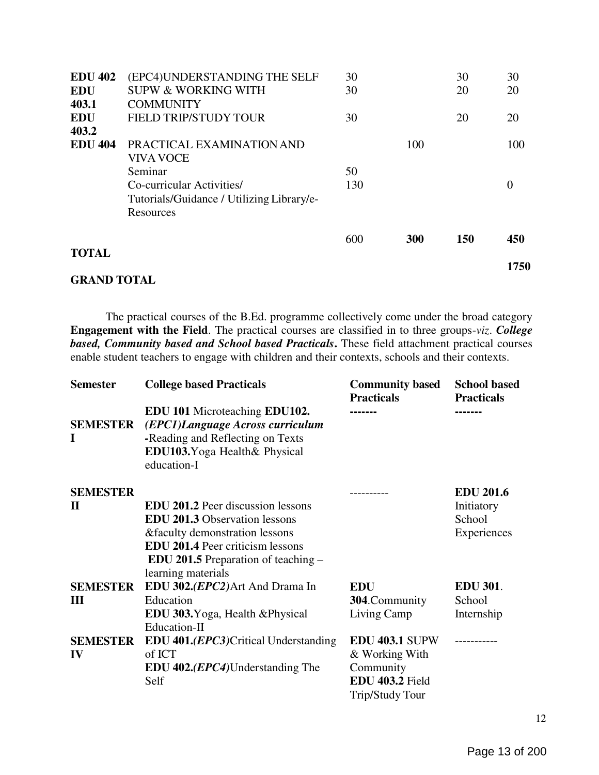| <b>EDU 402</b> | (EPC4)UNDERSTANDING THE SELF              | 30  |     | 30         | 30   |
|----------------|-------------------------------------------|-----|-----|------------|------|
| <b>EDU</b>     | <b>SUPW &amp; WORKING WITH</b>            | 30  |     | 20         | 20   |
| 403.1          | <b>COMMUNITY</b>                          |     |     |            |      |
| <b>EDU</b>     | <b>FIELD TRIP/STUDY TOUR</b>              | 30  |     | 20         | 20   |
| 403.2          |                                           |     |     |            |      |
| <b>EDU 404</b> | PRACTICAL EXAMINATION AND                 |     | 100 |            | 100  |
|                | <b>VIVA VOCE</b>                          |     |     |            |      |
|                | Seminar                                   | 50  |     |            |      |
|                | Co-curricular Activities/                 | 130 |     |            | 0    |
|                | Tutorials/Guidance / Utilizing Library/e- |     |     |            |      |
|                | Resources                                 |     |     |            |      |
|                |                                           | 600 | 300 | <b>150</b> | 450  |
| <b>TOTAL</b>   |                                           |     |     |            |      |
|                |                                           |     |     |            | 1750 |

#### GRAND TOTAL

The practical courses of the B.Ed. programme collectively come under the broad category Engagement with the Field. The practical courses are classified in to three groups-viz. College based, Community based and School based Practicals. These field attachment practical courses enable student teachers to engage with children and their contexts, schools and their contexts.

| <b>Semester</b>                 | <b>College based Practicals</b>                                                                                                                                                                                              | <b>Community based</b><br><b>Practicals</b> | <b>School based</b><br><b>Practicals</b>                |
|---------------------------------|------------------------------------------------------------------------------------------------------------------------------------------------------------------------------------------------------------------------------|---------------------------------------------|---------------------------------------------------------|
| <b>SEMESTER</b><br>I            | <b>EDU 101 Microteaching EDU102.</b><br>(EPC1)Language Across curriculum<br>-Reading and Reflecting on Texts<br>EDU103. Yoga Health & Physical<br>education-I                                                                |                                             |                                                         |
| <b>SEMESTER</b><br>$\mathbf{H}$ | <b>EDU 201.2</b> Peer discussion lessons<br><b>EDU 201.3 Observation lessons</b><br>&faculty demonstration lessons<br><b>EDU 201.4 Peer criticism lessons</b><br>EDU 201.5 Preparation of teaching $-$<br>learning materials | --------                                    | <b>EDU 201.6</b><br>Initiatory<br>School<br>Experiences |
| <b>SEMESTER</b>                 | EDU 302.( <i>EPC2</i> ) Art And Drama In                                                                                                                                                                                     | <b>EDU</b>                                  | <b>EDU 301.</b>                                         |
| Ш                               | Education                                                                                                                                                                                                                    | 304.Community                               | School                                                  |
|                                 | EDU 303. Yoga, Health & Physical<br>Education-II                                                                                                                                                                             | Living Camp                                 | Internship                                              |
| <b>SEMESTER</b>                 | <b>EDU 401.(EPC3)</b> Critical Understanding                                                                                                                                                                                 | <b>EDU 403.1 SUPW</b>                       | ----------                                              |
| IV                              | of ICT                                                                                                                                                                                                                       | & Working With                              |                                                         |
|                                 | <b>EDU 402.</b> ( <i>EPC4</i> )Understanding The                                                                                                                                                                             | Community                                   |                                                         |
|                                 | Self                                                                                                                                                                                                                         | EDU 403.2 Field                             |                                                         |
|                                 |                                                                                                                                                                                                                              | <b>Trip/Study Tour</b>                      |                                                         |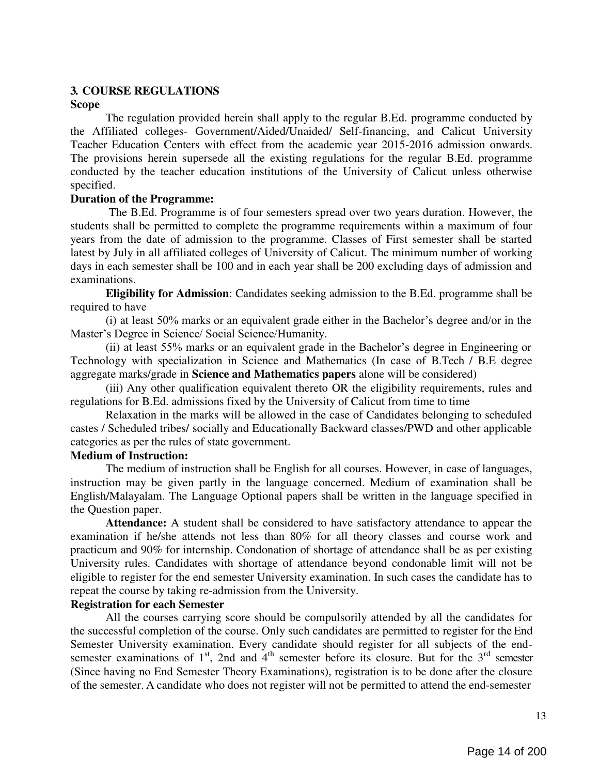## 3. COURSE REGULATIONS

#### Scope

The regulation provided herein shall apply to the regular B.Ed. programme conducted by the Affiliated colleges- Government/Aided/Unaided/ Self-financing, and Calicut University Teacher Education Centers with effect from the academic year 2015-2016 admission onwards. The provisions herein supersede all the existing regulations for the regular B.Ed. programme conducted by the teacher education institutions of the University of Calicut unless otherwise specified.

## Duration of the Programme:

The B.Ed. Programme is of four semesters spread over two years duration. However, the students shall be permitted to complete the programme requirements within a maximum of four years from the date of admission to the programme. Classes of First semester shall be started latest by July in all affiliated colleges of University of Calicut. The minimum number of working days in each semester shall be 100 and in each year shall be 200 excluding days of admission and examinations.

Eligibility for Admission: Candidates seeking admission to the B.Ed. programme shall be required to have

(i) at least 50% marks or an equivalent grade either in the Bachelor's degree and/or in the Master's Degree in Science/ Social Science/Humanity.

(ii) at least 55% marks or an equivalent grade in the Bachelor's degree in Engineering or Technology with specialization in Science and Mathematics (In case of B.Tech / B.E degree aggregate marks/grade in Science and Mathematics papers alone will be considered)

(iii) Any other qualification equivalent thereto OR the eligibility requirements, rules and regulations for B.Ed. admissions fixed by the University of Calicut from time to time

Relaxation in the marks will be allowed in the case of Candidates belonging to scheduled castes / Scheduled tribes/ socially and Educationally Backward classes/PWD and other applicable categories as per the rules of state government.

## Medium of Instruction:

The medium of instruction shall be English for all courses. However, in case of languages, instruction may be given partly in the language concerned. Medium of examination shall be English/Malayalam. The Language Optional papers shall be written in the language specified in the Question paper.

Attendance: A student shall be considered to have satisfactory attendance to appear the examination if he/she attends not less than 80% for all theory classes and course work and practicum and 90% for internship. Condonation of shortage of attendance shall be as per existing University rules. Candidates with shortage of attendance beyond condonable limit will not be eligible to register for the end semester University examination. In such cases the candidate has to repeat the course by taking re-admission from the University.

## Registration for each Semester

All the courses carrying score should be compulsorily attended by all the candidates for the successful completion of the course. Only such candidates are permitted to register for the End Semester University examination. Every candidate should register for all subjects of the endsemester examinations of  $1<sup>st</sup>$ , 2nd and  $4<sup>th</sup>$  semester before its closure. But for the  $3<sup>rd</sup>$  semester (Since having no End Semester Theory Examinations), registration is to be done after the closure of the semester. A candidate who does not register will not be permitted to attend the end-semester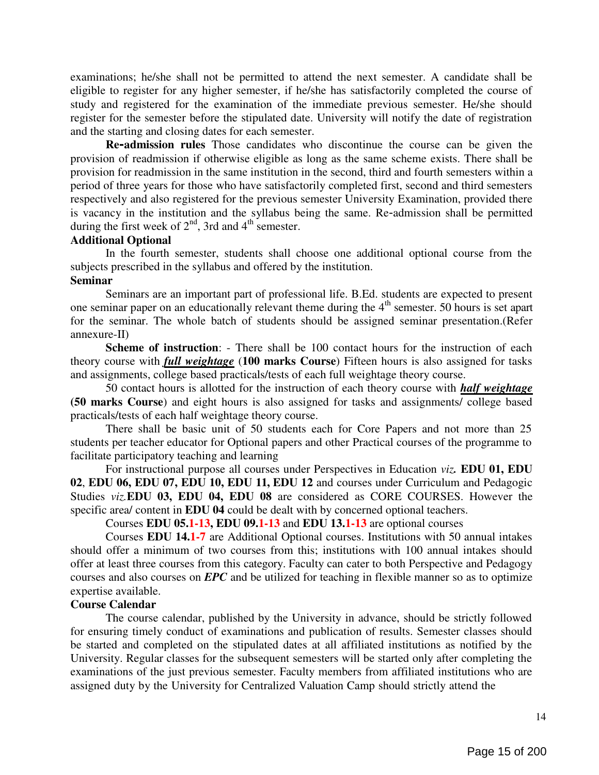examinations; he/she shall not be permitted to attend the next semester. A candidate shall be eligible to register for any higher semester, if he/she has satisfactorily completed the course of study and registered for the examination of the immediate previous semester. He/she should register for the semester before the stipulated date. University will notify the date of registration and the starting and closing dates for each semester.

Re-admission rules Those candidates who discontinue the course can be given the provision of readmission if otherwise eligible as long as the same scheme exists. There shall be provision for readmission in the same institution in the second, third and fourth semesters within a period of three years for those who have satisfactorily completed first, second and third semesters respectively and also registered for the previous semester University Examination, provided there is vacancy in the institution and the syllabus being the same. Re-admission shall be permitted during the first week of  $2<sup>nd</sup>$ , 3rd and  $4<sup>th</sup>$  semester.

#### Additional Optional

In the fourth semester, students shall choose one additional optional course from the subjects prescribed in the syllabus and offered by the institution.

## Seminar

Seminars are an important part of professional life. B.Ed. students are expected to present one seminar paper on an educationally relevant theme during the 4<sup>th</sup> semester. 50 hours is set apart for the seminar. The whole batch of students should be assigned seminar presentation.(Refer annexure-II)

Scheme of instruction: - There shall be 100 contact hours for the instruction of each theory course with *full weightage* (100 marks Course) Fifteen hours is also assigned for tasks and assignments, college based practicals/tests of each full weightage theory course.

50 contact hours is allotted for the instruction of each theory course with *half weightage* (50 marks Course) and eight hours is also assigned for tasks and assignments/ college based practicals/tests of each half weightage theory course.

There shall be basic unit of 50 students each for Core Papers and not more than 25 students per teacher educator for Optional papers and other Practical courses of the programme to facilitate participatory teaching and learning

For instructional purpose all courses under Perspectives in Education viz. EDU 01, EDU 02, EDU 06, EDU 07, EDU 10, EDU 11, EDU 12 and courses under Curriculum and Pedagogic Studies viz.EDU 03, EDU 04, EDU 08 are considered as CORE COURSES. However the specific area/ content in **EDU 04** could be dealt with by concerned optional teachers.

Courses EDU 05.1-13, EDU 09.1-13 and EDU 13.1-13 are optional courses

Courses EDU 14.1-7 are Additional Optional courses. Institutions with 50 annual intakes should offer a minimum of two courses from this; institutions with 100 annual intakes should offer at least three courses from this category. Faculty can cater to both Perspective and Pedagogy courses and also courses on EPC and be utilized for teaching in flexible manner so as to optimize expertise available.

#### Course Calendar

The course calendar, published by the University in advance, should be strictly followed for ensuring timely conduct of examinations and publication of results. Semester classes should be started and completed on the stipulated dates at all affiliated institutions as notified by the University. Regular classes for the subsequent semesters will be started only after completing the examinations of the just previous semester. Faculty members from affiliated institutions who are assigned duty by the University for Centralized Valuation Camp should strictly attend the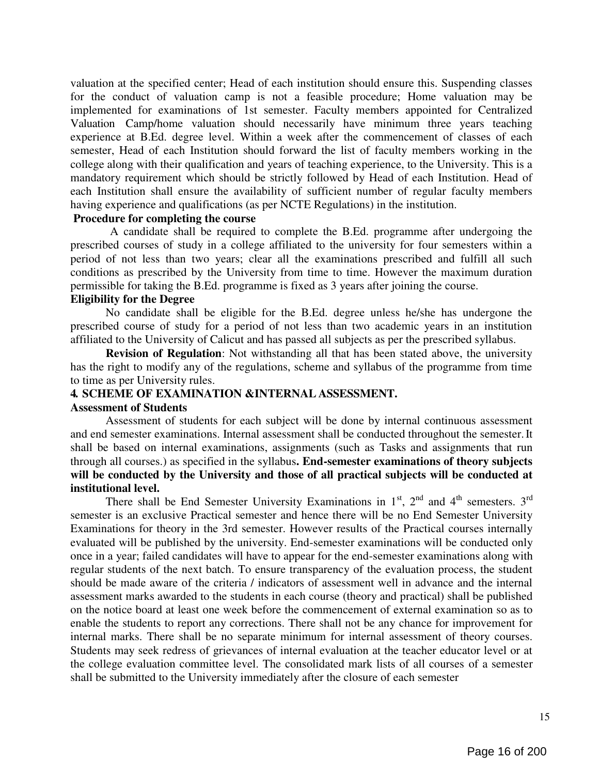valuation at the specified center; Head of each institution should ensure this. Suspending classes for the conduct of valuation camp is not a feasible procedure; Home valuation may be implemented for examinations of 1st semester. Faculty members appointed for Centralized Valuation Camp/home valuation should necessarily have minimum three years teaching experience at B.Ed. degree level. Within a week after the commencement of classes of each semester, Head of each Institution should forward the list of faculty members working in the college along with their qualification and years of teaching experience, to the University. This is a mandatory requirement which should be strictly followed by Head of each Institution. Head of each Institution shall ensure the availability of sufficient number of regular faculty members having experience and qualifications (as per NCTE Regulations) in the institution.

## Procedure for completing the course

A candidate shall be required to complete the B.Ed. programme after undergoing the prescribed courses of study in a college affiliated to the university for four semesters within a period of not less than two years; clear all the examinations prescribed and fulfill all such conditions as prescribed by the University from time to time. However the maximum duration permissible for taking the B.Ed. programme is fixed as 3 years after joining the course.

#### Eligibility for the Degree

No candidate shall be eligible for the B.Ed. degree unless he/she has undergone the prescribed course of study for a period of not less than two academic years in an institution affiliated to the University of Calicut and has passed all subjects as per the prescribed syllabus.

Revision of Regulation: Not withstanding all that has been stated above, the university has the right to modify any of the regulations, scheme and syllabus of the programme from time to time as per University rules.

#### 4. SCHEME OF EXAMINATION &INTERNAL ASSESSMENT.

#### Assessment of Students

Assessment of students for each subject will be done by internal continuous assessment and end semester examinations. Internal assessment shall be conducted throughout the semester. It shall be based on internal examinations, assignments (such as Tasks and assignments that run through all courses.) as specified in the syllabus. End-semester examinations of theory subjects will be conducted by the University and those of all practical subjects will be conducted at institutional level.

There shall be End Semester University Examinations in  $1<sup>st</sup>$ ,  $2<sup>nd</sup>$  and  $4<sup>th</sup>$  semesters.  $3<sup>rd</sup>$ semester is an exclusive Practical semester and hence there will be no End Semester University Examinations for theory in the 3rd semester. However results of the Practical courses internally evaluated will be published by the university. End-semester examinations will be conducted only once in a year; failed candidates will have to appear for the end-semester examinations along with regular students of the next batch. To ensure transparency of the evaluation process, the student should be made aware of the criteria / indicators of assessment well in advance and the internal assessment marks awarded to the students in each course (theory and practical) shall be published on the notice board at least one week before the commencement of external examination so as to enable the students to report any corrections. There shall not be any chance for improvement for internal marks. There shall be no separate minimum for internal assessment of theory courses. Students may seek redress of grievances of internal evaluation at the teacher educator level or at the college evaluation committee level. The consolidated mark lists of all courses of a semester shall be submitted to the University immediately after the closure of each semester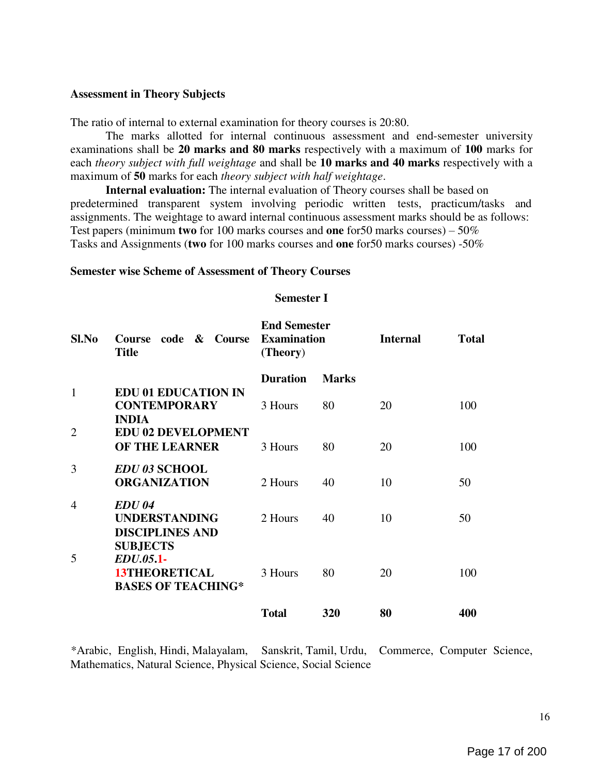#### Assessment in Theory Subjects

The ratio of internal to external examination for theory courses is 20:80.

The marks allotted for internal continuous assessment and end-semester university examinations shall be 20 marks and 80 marks respectively with a maximum of 100 marks for each theory subject with full weightage and shall be 10 marks and 40 marks respectively with a maximum of 50 marks for each theory subject with half weightage.

Internal evaluation: The internal evaluation of Theory courses shall be based on predetermined transparent system involving periodic written tests, practicum/tasks and assignments. The weightage to award internal continuous assessment marks should be as follows: Test papers (minimum two for 100 marks courses and one for 50 marks courses) –  $50\%$ Tasks and Assignments (two for 100 marks courses and one for50 marks courses) -50%

#### Semester wise Scheme of Assessment of Theory Courses

## Semester I

| Sl.No          | code & Course<br><b>Course</b><br><b>Title</b>                                    | <b>End Semester</b><br><b>Examination</b><br>(Theory) |              | <b>Internal</b> | <b>Total</b> |
|----------------|-----------------------------------------------------------------------------------|-------------------------------------------------------|--------------|-----------------|--------------|
|                |                                                                                   | <b>Duration</b>                                       | <b>Marks</b> |                 |              |
| $\mathbf{1}$   | <b>EDU 01 EDUCATION IN</b><br><b>CONTEMPORARY</b><br><b>INDIA</b>                 | 3 Hours                                               | 80           | 20              | 100          |
| $\overline{2}$ | <b>EDU 02 DEVELOPMENT</b><br><b>OF THE LEARNER</b>                                | 3 Hours                                               | 80           | 20              | 100          |
| 3              | <b>EDU 03 SCHOOL</b><br><b>ORGANIZATION</b>                                       | 2 Hours                                               | 40           | 10              | 50           |
| $\overline{4}$ | EDU 04<br><b>UNDERSTANDING</b><br><b>DISCIPLINES AND</b>                          | 2 Hours                                               | 40           | 10              | 50           |
| 5              | <b>SUBJECTS</b><br>EDU.05.1-<br><b>13THEORETICAL</b><br><b>BASES OF TEACHING*</b> | 3 Hours                                               | 80           | 20              | 100          |
|                |                                                                                   | <b>Total</b>                                          | 320          | 80              | 400          |

\*Arabic, English, Hindi, Malayalam, Sanskrit, Tamil, Urdu, Commerce, Computer Science, Mathematics, Natural Science, Physical Science, Social Science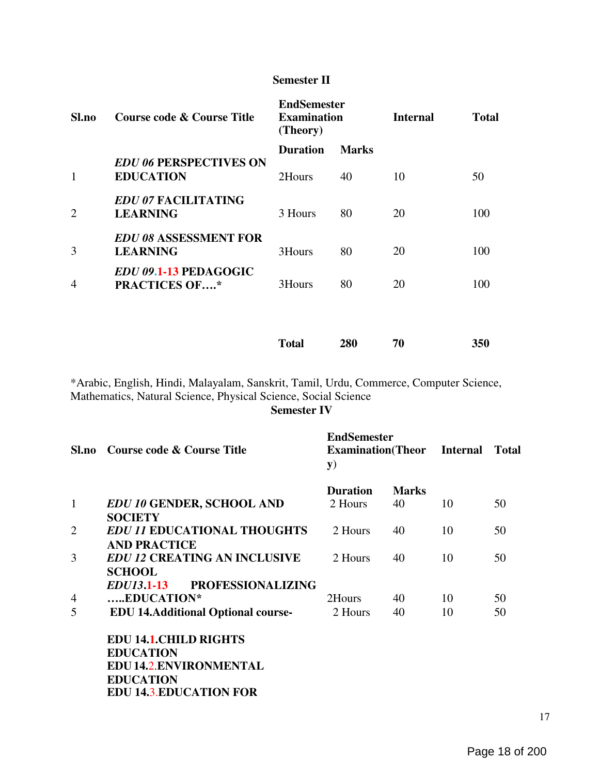## Semester II

| Sl.no          | Course code & Course Title                           | <b>EndSemester</b><br><b>Examination</b><br>(Theory) |              |    |     | <b>Internal</b> | <b>Total</b> |
|----------------|------------------------------------------------------|------------------------------------------------------|--------------|----|-----|-----------------|--------------|
|                |                                                      | <b>Duration</b>                                      | <b>Marks</b> |    |     |                 |              |
| 1              | <b>EDU 06 PERSPECTIVES ON</b><br><b>EDUCATION</b>    | 2Hours                                               | 40           | 10 | 50  |                 |              |
| 2              | <b>EDU 07 FACILITATING</b><br><b>LEARNING</b>        | 3 Hours                                              | 80           | 20 | 100 |                 |              |
| 3              | <b>EDU 08 ASSESSMENT FOR</b><br><b>LEARNING</b>      | 3Hours                                               | 80           | 20 | 100 |                 |              |
| $\overline{4}$ | <b>EDU 09.1-13 PEDAGOGIC</b><br><b>PRACTICES OF*</b> | 3Hours                                               | 80           | 20 | 100 |                 |              |
|                |                                                      |                                                      |              |    |     |                 |              |
|                |                                                      |                                                      |              |    |     |                 |              |

\*Arabic, English, Hindi, Malayalam, Sanskrit, Tamil, Urdu, Commerce, Computer Science, Mathematics, Natural Science, Physical Science, Social Science

Semester IV

Total 280 70 350

| Sl.no          | Course code & Course Title                | <b>EndSemester</b><br><b>Examination</b> (Theor Internal<br>${\bf y})$ |              |    | <b>Total</b> |
|----------------|-------------------------------------------|------------------------------------------------------------------------|--------------|----|--------------|
|                |                                           | <b>Duration</b>                                                        | <b>Marks</b> |    |              |
| 1              | <b>EDU 10 GENDER, SCHOOL AND</b>          | 2 Hours                                                                | 40           | 10 | 50           |
|                | <b>SOCIETY</b>                            |                                                                        |              |    |              |
| $\overline{2}$ | <b>EDU 11 EDUCATIONAL THOUGHTS</b>        | 2 Hours                                                                | 40           | 10 | 50           |
|                | <b>AND PRACTICE</b>                       |                                                                        |              |    |              |
| 3              | <b>EDU 12 CREATING AN INCLUSIVE</b>       | 2 Hours                                                                | 40           | 10 | 50           |
|                | <b>SCHOOL</b>                             |                                                                        |              |    |              |
|                | EDUI3.1-13 PROFESSIONALIZING              |                                                                        |              |    |              |
| 4              | EDUCATION*                                | 2Hours                                                                 | 40           | 10 | 50           |
| 5              | <b>EDU 14.Additional Optional course-</b> | 2 Hours                                                                | 40           | 10 | 50           |
|                | <b>EDU 14.1. CHILD RIGHTS</b>             |                                                                        |              |    |              |
|                | <b>EDUCATION</b>                          |                                                                        |              |    |              |
|                | <b>EDU 14.2. ENVIRONMENTAL</b>            |                                                                        |              |    |              |
|                | <b>EDUCATION</b>                          |                                                                        |              |    |              |
|                | <b>EDU 14.3.EDUCATION FOR</b>             |                                                                        |              |    |              |
|                |                                           |                                                                        |              |    |              |

17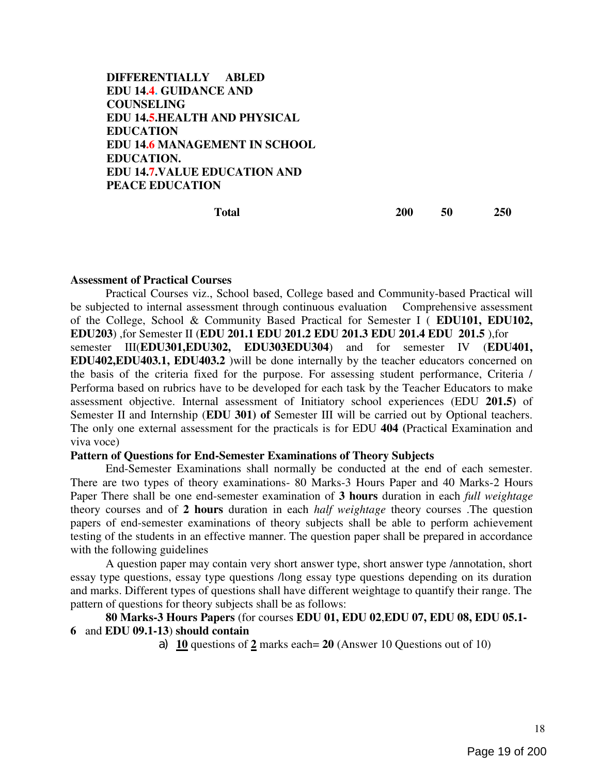DIFFERENTIALLY ABLED EDU 14.4. GUIDANCE AND COUNSELING EDU 14.5.HEALTH AND PHYSICAL EDUCATION EDU 14.6 MANAGEMENT IN SCHOOL EDUCATION. EDU 14.7.VALUE EDUCATION AND PEACE EDUCATION

Total 200 50 250

#### Assessment of Practical Courses

Practical Courses viz., School based, College based and Community-based Practical will be subjected to internal assessment through continuous evaluation Comprehensive assessment of the College, School & Community Based Practical for Semester I ( EDU101, EDU102, EDU203) ,for Semester II (EDU 201.1 EDU 201.2 EDU 201.3 EDU 201.4 EDU 201.5 ),for semester III(EDU301,EDU302, EDU303EDU304) and for semester IV (EDU401, EDU402,EDU403.1, EDU403.2 )will be done internally by the teacher educators concerned on the basis of the criteria fixed for the purpose. For assessing student performance, Criteria / Performa based on rubrics have to be developed for each task by the Teacher Educators to make assessment objective. Internal assessment of Initiatory school experiences (EDU 201.5) of Semester II and Internship (EDU 301) of Semester III will be carried out by Optional teachers. The only one external assessment for the practicals is for EDU 404 (Practical Examination and viva voce)

#### Pattern of Questions for End-Semester Examinations of Theory Subjects

End-Semester Examinations shall normally be conducted at the end of each semester. There are two types of theory examinations- 80 Marks-3 Hours Paper and 40 Marks-2 Hours Paper There shall be one end-semester examination of 3 hours duration in each *full weightage* theory courses and of 2 hours duration in each half weightage theory courses .The question papers of end-semester examinations of theory subjects shall be able to perform achievement testing of the students in an effective manner. The question paper shall be prepared in accordance with the following guidelines

A question paper may contain very short answer type, short answer type /annotation, short essay type questions, essay type questions /long essay type questions depending on its duration and marks. Different types of questions shall have different weightage to quantify their range. The pattern of questions for theory subjects shall be as follows:

## 80 Marks-3 Hours Papers (for courses EDU 01, EDU 02,EDU 07, EDU 08, EDU 05.1- 6 and EDU 09.1-13) should contain

a) 10 questions of 2 marks each= 20 (Answer 10 Questions out of 10)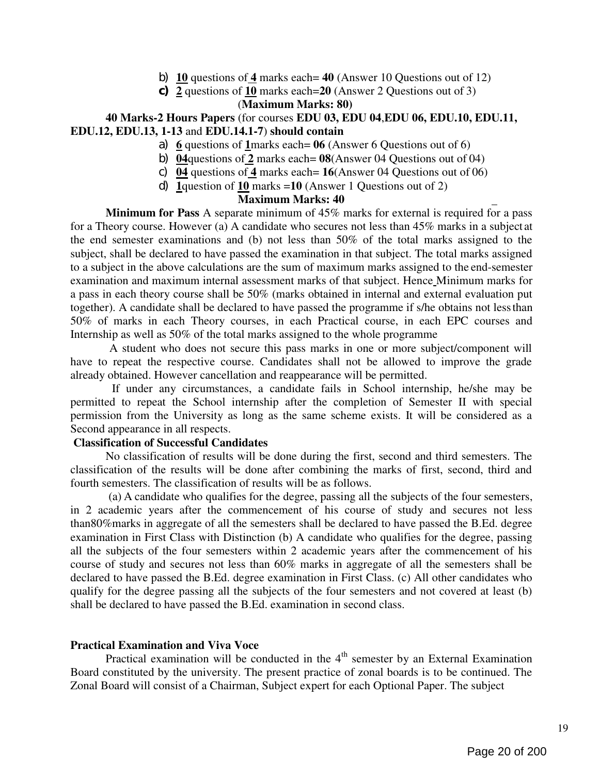- b) 10 questions of 4 marks each = 40 (Answer 10 Questions out of 12)
- c)  $\overline{2}$  questions of  $\overline{10}$  marks each=20 (Answer 2 Questions out of 3)

## (Maximum Marks: 80)

## 40 Marks-2 Hours Papers (for courses EDU 03, EDU 04,EDU 06, EDU.10, EDU.11, EDU.12, EDU.13, 1-13 and EDU.14.1-7) should contain

- a) 6 questions of 1 marks each =  $06$  (Answer 6 Questions out of 6)
- b) 04questions of  $\overline{2}$  marks each= 08(Answer 04 Questions out of 04)
- c) 04 questions of 4 marks each=  $16$ (Answer 04 Questions out of 06)
- d) 1question of 10 marks =10 (Answer 1 Questions out of 2)

## Maximum Marks: 40

Minimum for Pass A separate minimum of 45% marks for external is required for a pass for a Theory course. However (a) A candidate who secures not less than 45% marks in a subject at the end semester examinations and (b) not less than 50% of the total marks assigned to the subject, shall be declared to have passed the examination in that subject. The total marks assigned to a subject in the above calculations are the sum of maximum marks assigned to the end-semester examination and maximum internal assessment marks of that subject. Hence Minimum marks for a pass in each theory course shall be 50% (marks obtained in internal and external evaluation put together). A candidate shall be declared to have passed the programme if s/he obtains not less than 50% of marks in each Theory courses, in each Practical course, in each EPC courses and Internship as well as 50% of the total marks assigned to the whole programme

A student who does not secure this pass marks in one or more subject/component will have to repeat the respective course. Candidates shall not be allowed to improve the grade already obtained. However cancellation and reappearance will be permitted.

If under any circumstances, a candidate fails in School internship, he/she may be permitted to repeat the School internship after the completion of Semester II with special permission from the University as long as the same scheme exists. It will be considered as a Second appearance in all respects.

## Classification of Successful Candidates

No classification of results will be done during the first, second and third semesters. The classification of the results will be done after combining the marks of first, second, third and fourth semesters. The classification of results will be as follows.

(a) A candidate who qualifies for the degree, passing all the subjects of the four semesters, in 2 academic years after the commencement of his course of study and secures not less than80%marks in aggregate of all the semesters shall be declared to have passed the B.Ed. degree examination in First Class with Distinction (b) A candidate who qualifies for the degree, passing all the subjects of the four semesters within 2 academic years after the commencement of his course of study and secures not less than 60% marks in aggregate of all the semesters shall be declared to have passed the B.Ed. degree examination in First Class. (c) All other candidates who qualify for the degree passing all the subjects of the four semesters and not covered at least (b) shall be declared to have passed the B.Ed. examination in second class.

## Practical Examination and Viva Voce

Practical examination will be conducted in the  $4<sup>th</sup>$  semester by an External Examination Board constituted by the university. The present practice of zonal boards is to be continued. The Zonal Board will consist of a Chairman, Subject expert for each Optional Paper. The subject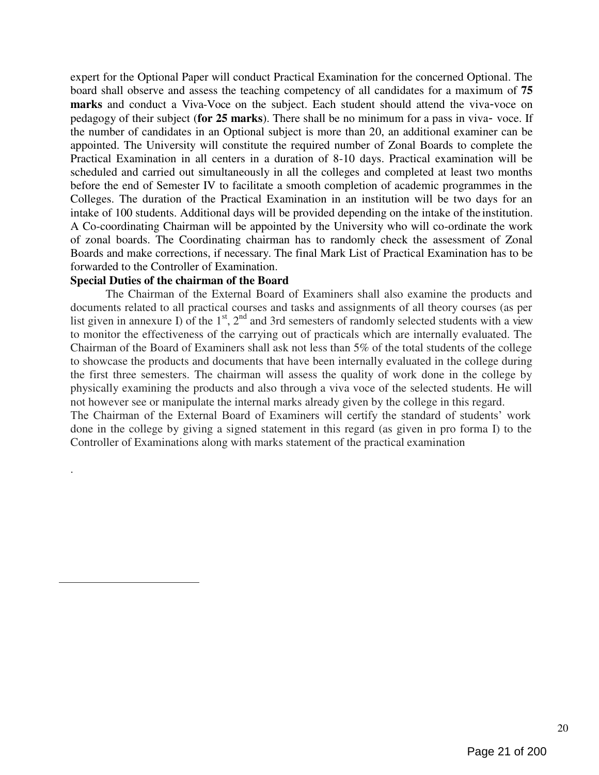expert for the Optional Paper will conduct Practical Examination for the concerned Optional. The board shall observe and assess the teaching competency of all candidates for a maximum of 75 marks and conduct a Viva-Voce on the subject. Each student should attend the viva-voce on pedagogy of their subject (for 25 marks). There shall be no minimum for a pass in viva-voce. If the number of candidates in an Optional subject is more than 20, an additional examiner can be appointed. The University will constitute the required number of Zonal Boards to complete the Practical Examination in all centers in a duration of 8-10 days. Practical examination will be scheduled and carried out simultaneously in all the colleges and completed at least two months before the end of Semester IV to facilitate a smooth completion of academic programmes in the Colleges. The duration of the Practical Examination in an institution will be two days for an intake of 100 students. Additional days will be provided depending on the intake of the institution. A Co-coordinating Chairman will be appointed by the University who will co-ordinate the work of zonal boards. The Coordinating chairman has to randomly check the assessment of Zonal Boards and make corrections, if necessary. The final Mark List of Practical Examination has to be forwarded to the Controller of Examination.

#### Special Duties of the chairman of the Board

.

The Chairman of the External Board of Examiners shall also examine the products and documents related to all practical courses and tasks and assignments of all theory courses (as per list given in annexure I) of the  $1<sup>st</sup>$ ,  $2<sup>nd</sup>$  and 3rd semesters of randomly selected students with a view to monitor the effectiveness of the carrying out of practicals which are internally evaluated. The Chairman of the Board of Examiners shall ask not less than 5% of the total students of the college to showcase the products and documents that have been internally evaluated in the college during the first three semesters. The chairman will assess the quality of work done in the college by physically examining the products and also through a viva voce of the selected students. He will not however see or manipulate the internal marks already given by the college in this regard. The Chairman of the External Board of Examiners will certify the standard of students' work done in the college by giving a signed statement in this regard (as given in pro forma I) to the Controller of Examinations along with marks statement of the practical examination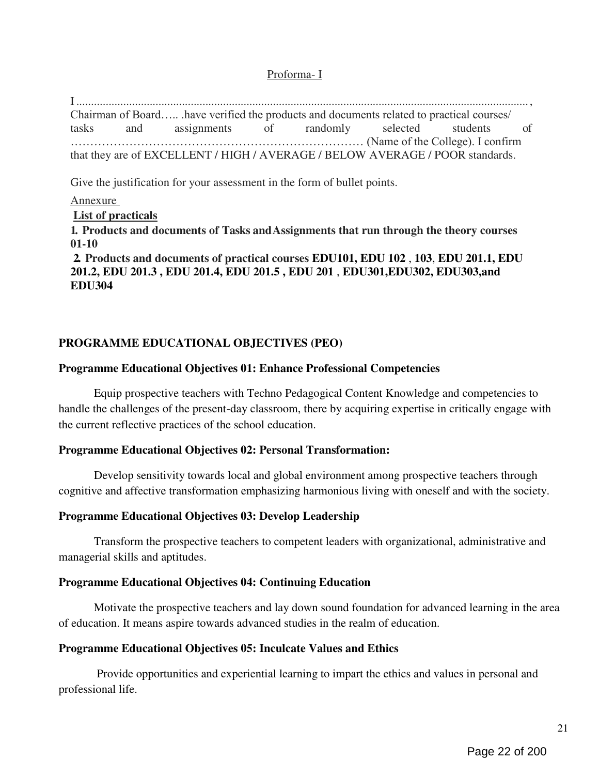## Proforma- I

I .......................................................................................................................................................... , Chairman of Board….. .have verified the products and documents related to practical courses/ tasks and assignments of randomly selected students of ………………………………………………………………… (Name of the College). I confirm that they are of EXCELLENT / HIGH / AVERAGE / BELOW AVERAGE / POOR standards.

Give the justification for your assessment in the form of bullet points.

## Annexure

## List of practicals

1. Products and documents of Tasks and Assignments that run through the theory courses 01-10

2. Products and documents of practical courses EDU101, EDU 102 , 103, EDU 201.1, EDU 201.2, EDU 201.3 , EDU 201.4, EDU 201.5 , EDU 201 , EDU301,EDU302, EDU303,and EDU304

## PROGRAMME EDUCATIONAL OBJECTIVES (PEO)

## Programme Educational Objectives 01: Enhance Professional Competencies

Equip prospective teachers with Techno Pedagogical Content Knowledge and competencies to handle the challenges of the present-day classroom, there by acquiring expertise in critically engage with the current reflective practices of the school education.

## Programme Educational Objectives 02: Personal Transformation:

Develop sensitivity towards local and global environment among prospective teachers through cognitive and affective transformation emphasizing harmonious living with oneself and with the society.

## Programme Educational Objectives 03: Develop Leadership

Transform the prospective teachers to competent leaders with organizational, administrative and managerial skills and aptitudes.

## Programme Educational Objectives 04: Continuing Education

Motivate the prospective teachers and lay down sound foundation for advanced learning in the area of education. It means aspire towards advanced studies in the realm of education.

## Programme Educational Objectives 05: Inculcate Values and Ethics

Provide opportunities and experiential learning to impart the ethics and values in personal and professional life.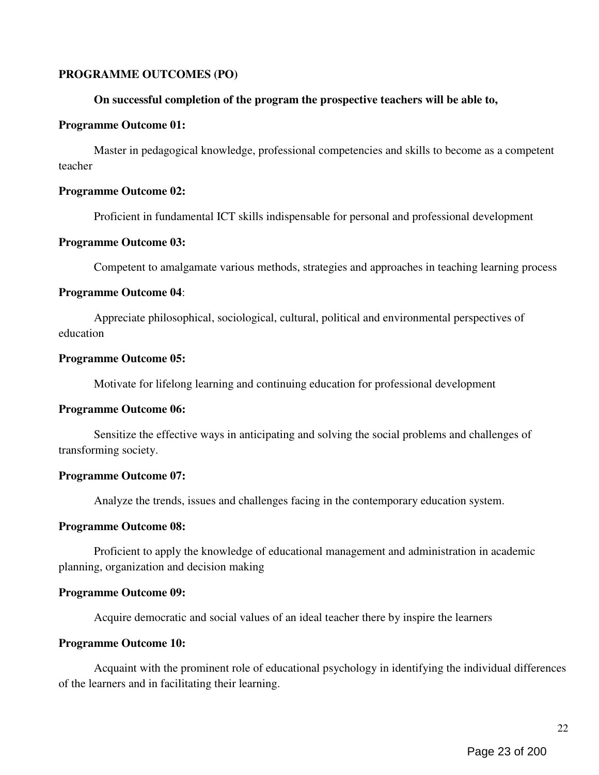## PROGRAMME OUTCOMES (PO)

#### On successful completion of the program the prospective teachers will be able to,

#### Programme Outcome 01:

Master in pedagogical knowledge, professional competencies and skills to become as a competent teacher

#### Programme Outcome 02:

Proficient in fundamental ICT skills indispensable for personal and professional development

#### Programme Outcome 03:

Competent to amalgamate various methods, strategies and approaches in teaching learning process

#### Programme Outcome 04:

Appreciate philosophical, sociological, cultural, political and environmental perspectives of education

#### Programme Outcome 05:

Motivate for lifelong learning and continuing education for professional development

## Programme Outcome 06:

Sensitize the effective ways in anticipating and solving the social problems and challenges of transforming society.

## Programme Outcome 07:

Analyze the trends, issues and challenges facing in the contemporary education system.

## Programme Outcome 08:

Proficient to apply the knowledge of educational management and administration in academic planning, organization and decision making

## Programme Outcome 09:

Acquire democratic and social values of an ideal teacher there by inspire the learners

## Programme Outcome 10:

Acquaint with the prominent role of educational psychology in identifying the individual differences of the learners and in facilitating their learning.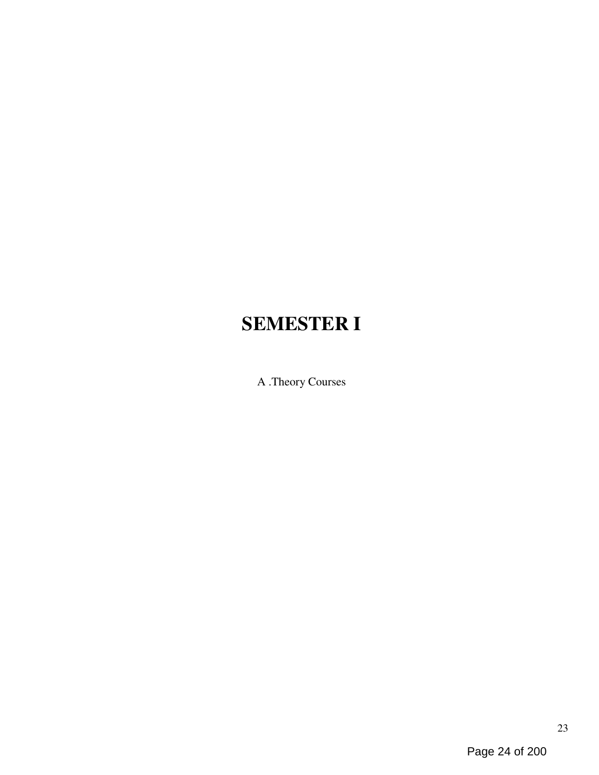# SEMESTER I

A .Theory Courses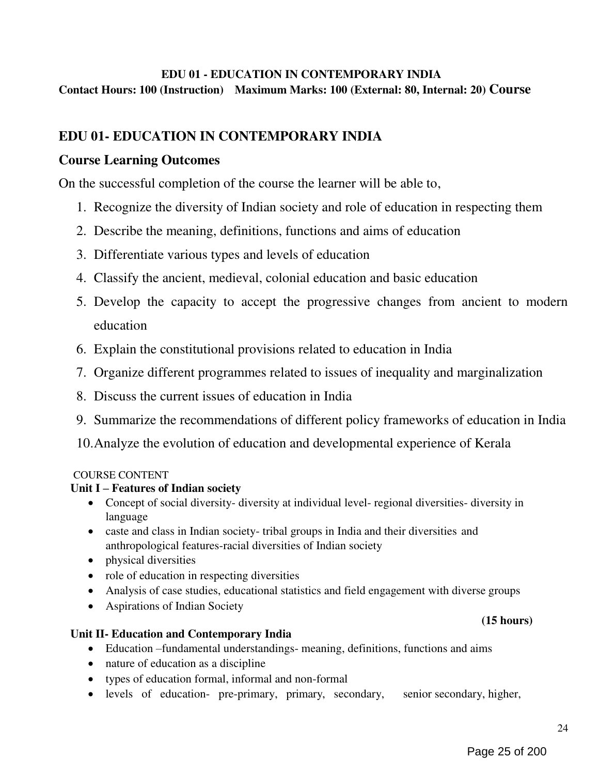# EDU 01 - EDUCATION IN CONTEMPORARY INDIA

Contact Hours: 100 (Instruction) Maximum Marks: 100 (External: 80, Internal: 20) Course

# EDU 01- EDUCATION IN CONTEMPORARY INDIA

# Course Learning Outcomes

On the successful completion of the course the learner will be able to,

- 1. Recognize the diversity of Indian society and role of education in respecting them
- 2. Describe the meaning, definitions, functions and aims of education
- 3. Differentiate various types and levels of education
- 4. Classify the ancient, medieval, colonial education and basic education
- 5. Develop the capacity to accept the progressive changes from ancient to modern education
- 6. Explain the constitutional provisions related to education in India
- 7. Organize different programmes related to issues of inequality and marginalization
- 8. Discuss the current issues of education in India
- 9. Summarize the recommendations of different policy frameworks of education in India
- 10.Analyze the evolution of education and developmental experience of Kerala

## COURSE CONTENT

## Unit I – Features of Indian society

- Concept of social diversity- diversity at individual level- regional diversities- diversity in language
- caste and class in Indian society- tribal groups in India and their diversities and anthropological features-racial diversities of Indian society
- physical diversities
- role of education in respecting diversities
- Analysis of case studies, educational statistics and field engagement with diverse groups
- Aspirations of Indian Society

## Unit II- Education and Contemporary India

- Education –fundamental understandings- meaning, definitions, functions and aims
- nature of education as a discipline
- types of education formal, informal and non-formal
- levels of education- pre-primary, primary, secondary, senior secondary, higher,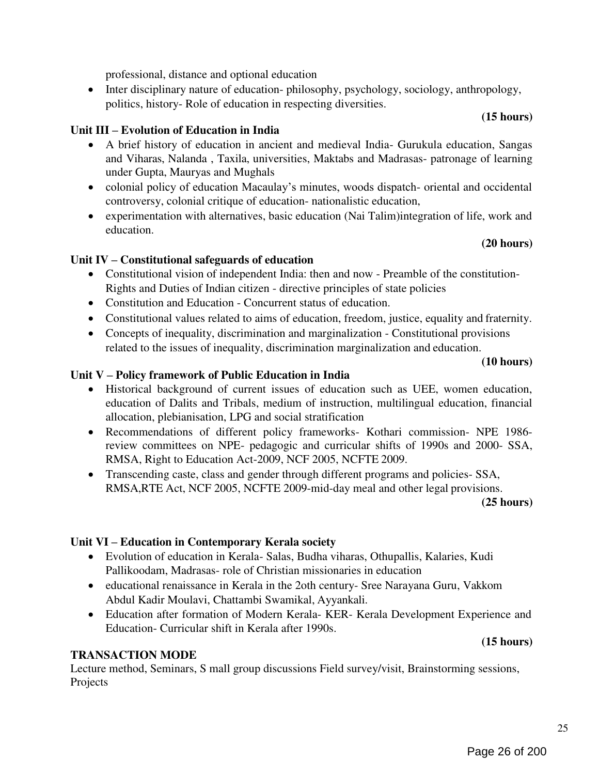professional, distance and optional education

• Inter disciplinary nature of education- philosophy, psychology, sociology, anthropology, politics, history- Role of education in respecting diversities.

# Unit III – Evolution of Education in India

- A brief history of education in ancient and medieval India- Gurukula education, Sangas and Viharas, Nalanda , Taxila, universities, Maktabs and Madrasas- patronage of learning under Gupta, Mauryas and Mughals
- colonial policy of education Macaulay's minutes, woods dispatch- oriental and occidental controversy, colonial critique of education- nationalistic education,
- experimentation with alternatives, basic education (Nai Talim)integration of life, work and education.

## (20 hours)

(15 hours)

## Unit IV – Constitutional safeguards of education

- Constitutional vision of independent India: then and now Preamble of the constitution-Rights and Duties of Indian citizen - directive principles of state policies
- Constitution and Education Concurrent status of education.
- Constitutional values related to aims of education, freedom, justice, equality and fraternity.
- Concepts of inequality, discrimination and marginalization Constitutional provisions related to the issues of inequality, discrimination marginalization and education.

#### (10 hours)

## Unit V – Policy framework of Public Education in India

- Historical background of current issues of education such as UEE, women education, education of Dalits and Tribals, medium of instruction, multilingual education, financial allocation, plebianisation, LPG and social stratification
- Recommendations of different policy frameworks- Kothari commission- NPE 1986 review committees on NPE- pedagogic and curricular shifts of 1990s and 2000- SSA, RMSA, Right to Education Act-2009, NCF 2005, NCFTE 2009.
- Transcending caste, class and gender through different programs and policies- SSA, RMSA,RTE Act, NCF 2005, NCFTE 2009-mid-day meal and other legal provisions.

#### (25 hours)

## Unit VI – Education in Contemporary Kerala society

- Evolution of education in Kerala- Salas, Budha viharas, Othupallis, Kalaries, Kudi Pallikoodam, Madrasas- role of Christian missionaries in education
- educational renaissance in Kerala in the 2oth century- Sree Narayana Guru, Vakkom Abdul Kadir Moulavi, Chattambi Swamikal, Ayyankali.
- Education after formation of Modern Kerala- KER- Kerala Development Experience and Education- Curricular shift in Kerala after 1990s.

## (15 hours)

## TRANSACTION MODE

Lecture method, Seminars, S mall group discussions Field survey/visit, Brainstorming sessions, Projects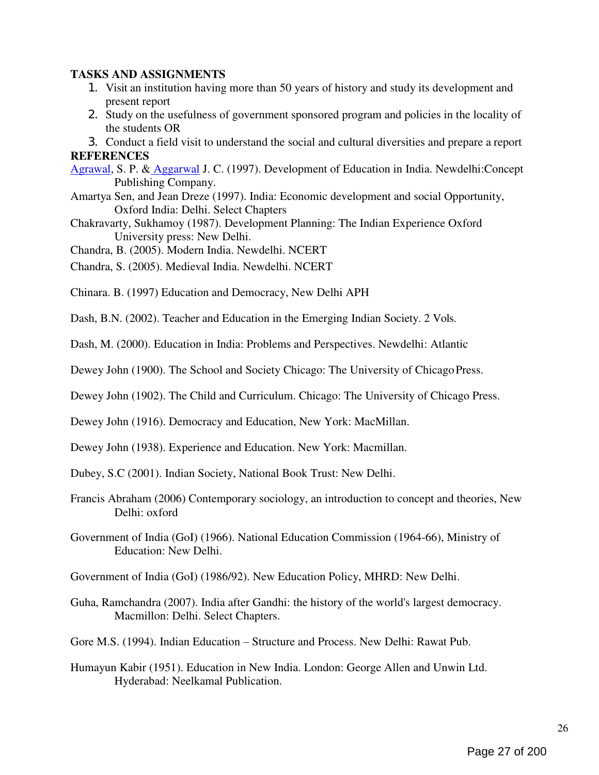## TASKS AND ASSIGNMENTS

- 1. Visit an institution having more than 50 years of history and study its development and present report
- 2. Study on the usefulness of government sponsored program and policies in the locality of the students OR

3. Conduct a field visit to understand the social and cultural diversities and prepare a report **REFERENCES** 

- Agrawal, S. P. & Aggarwal J. C. (1997). Development of Education in India. Newdelhi:Concept Publishing Company.
- Amartya Sen, and Jean Dreze (1997). India: Economic development and social Opportunity, Oxford India: Delhi. Select Chapters
- Chakravarty, Sukhamoy (1987). Development Planning: The Indian Experience Oxford University press: New Delhi.
- Chandra, B. (2005). Modern India. Newdelhi. NCERT
- Chandra, S. (2005). Medieval India. Newdelhi. NCERT
- Chinara. B. (1997) Education and Democracy, New Delhi APH
- Dash, B.N. (2002). Teacher and Education in the Emerging Indian Society. 2 Vols.
- Dash, M. (2000). Education in India: Problems and Perspectives. Newdelhi: Atlantic
- Dewey John (1900). The School and Society Chicago: The University of Chicago Press.
- Dewey John (1902). The Child and Curriculum. Chicago: The University of Chicago Press.
- Dewey John (1916). Democracy and Education, New York: MacMillan.
- Dewey John (1938). Experience and Education. New York: Macmillan.
- Dubey, S.C (2001). Indian Society, National Book Trust: New Delhi.
- Francis Abraham (2006) Contemporary sociology, an introduction to concept and theories, New Delhi: oxford
- Government of India (GoI) (1966). National Education Commission (1964-66), Ministry of Education: New Delhi.
- Government of India (GoI) (1986/92). New Education Policy, MHRD: New Delhi.
- Guha, Ramchandra (2007). India after Gandhi: the history of the world's largest democracy. Macmillon: Delhi. Select Chapters.
- Gore M.S. (1994). Indian Education Structure and Process. New Delhi: Rawat Pub.
- Humayun Kabir (1951). Education in New India. London: George Allen and Unwin Ltd. Hyderabad: Neelkamal Publication.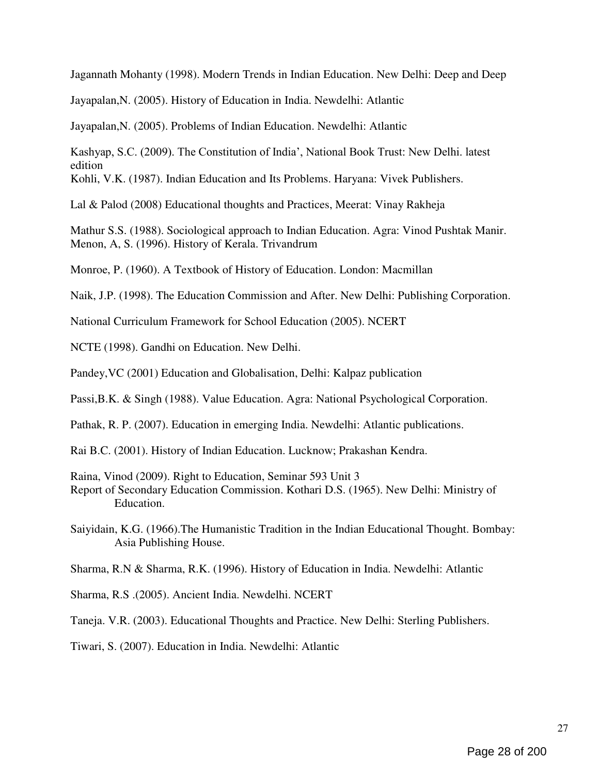Jagannath Mohanty (1998). Modern Trends in Indian Education. New Delhi: Deep and Deep

Jayapalan,N. (2005). History of Education in India. Newdelhi: Atlantic

Jayapalan,N. (2005). Problems of Indian Education. Newdelhi: Atlantic

Kashyap, S.C. (2009). The Constitution of India', National Book Trust: New Delhi. latest edition

Kohli, V.K. (1987). Indian Education and Its Problems. Haryana: Vivek Publishers.

Lal & Palod (2008) Educational thoughts and Practices, Meerat: Vinay Rakheja

Mathur S.S. (1988). Sociological approach to Indian Education. Agra: Vinod Pushtak Manir. Menon, A, S. (1996). History of Kerala. Trivandrum

Monroe, P. (1960). A Textbook of History of Education. London: Macmillan

Naik, J.P. (1998). The Education Commission and After. New Delhi: Publishing Corporation.

National Curriculum Framework for School Education (2005). NCERT

NCTE (1998). Gandhi on Education. New Delhi.

Pandey,VC (2001) Education and Globalisation, Delhi: Kalpaz publication

Passi,B.K. & Singh (1988). Value Education. Agra: National Psychological Corporation.

Pathak, R. P. (2007). Education in emerging India. Newdelhi: Atlantic publications.

- Rai B.C. (2001). History of Indian Education. Lucknow; Prakashan Kendra.
- Raina, Vinod (2009). Right to Education, Seminar 593 Unit 3
- Report of Secondary Education Commission. Kothari D.S. (1965). New Delhi: Ministry of Education.
- Saiyidain, K.G. (1966).The Humanistic Tradition in the Indian Educational Thought. Bombay: Asia Publishing House.

Sharma, R.N & Sharma, R.K. (1996). History of Education in India. Newdelhi: Atlantic

Sharma, R.S .(2005). Ancient India. Newdelhi. NCERT

Taneja. V.R. (2003). Educational Thoughts and Practice. New Delhi: Sterling Publishers.

Tiwari, S. (2007). Education in India. Newdelhi: Atlantic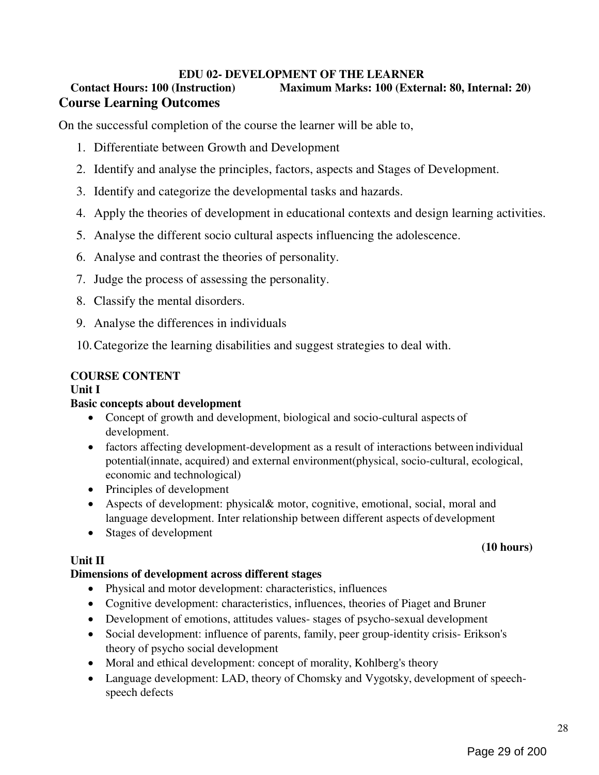## EDU 02- DEVELOPMENT OF THE LEARNER

# Contact Hours: 100 (Instruction) Maximum Marks: 100 (External: 80, Internal: 20) Course Learning Outcomes

On the successful completion of the course the learner will be able to,

- 1. Differentiate between Growth and Development
- 2. Identify and analyse the principles, factors, aspects and Stages of Development.
- 3. Identify and categorize the developmental tasks and hazards.
- 4. Apply the theories of development in educational contexts and design learning activities.
- 5. Analyse the different socio cultural aspects influencing the adolescence.
- 6. Analyse and contrast the theories of personality.
- 7. Judge the process of assessing the personality.
- 8. Classify the mental disorders.
- 9. Analyse the differences in individuals

10.Categorize the learning disabilities and suggest strategies to deal with.

## COURSE CONTENT

## Unit I

## Basic concepts about development

- Concept of growth and development, biological and socio-cultural aspects of development.
- factors affecting development-development as a result of interactions between individual potential(innate, acquired) and external environment(physical, socio-cultural, ecological, economic and technological)
- Principles of development
- Aspects of development: physical& motor, cognitive, emotional, social, moral and language development. Inter relationship between different aspects of development
- Stages of development

## Unit II

## Dimensions of development across different stages

- Physical and motor development: characteristics, influences
- Cognitive development: characteristics, influences, theories of Piaget and Bruner
- Development of emotions, attitudes values- stages of psycho-sexual development
- Social development: influence of parents, family, peer group-identity crisis- Erikson's theory of psycho social development
- Moral and ethical development: concept of morality, Kohlberg's theory
- Language development: LAD, theory of Chomsky and Vygotsky, development of speechspeech defects

## (10 hours)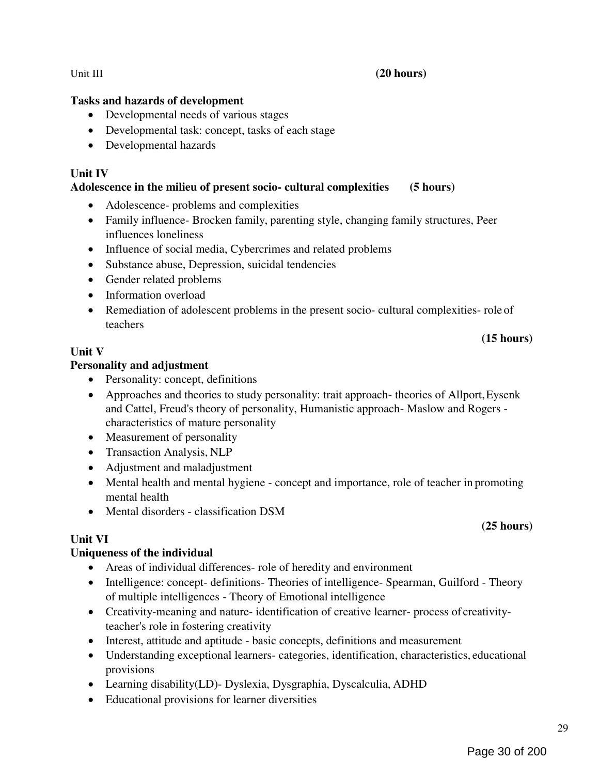## Unit III (20 hours)

## Tasks and hazards of development

- Developmental needs of various stages
- Developmental task: concept, tasks of each stage
- Developmental hazards

## Unit IV

## Adolescence in the milieu of present socio- cultural complexities (5 hours)

- Adolescence- problems and complexities
- Family influence- Brocken family, parenting style, changing family structures, Peer influences loneliness
- Influence of social media, Cybercrimes and related problems
- Substance abuse, Depression, suicidal tendencies
- Gender related problems
- Information overload
- Remediation of adolescent problems in the present socio- cultural complexities- role of teachers

## Unit V

## Personality and adjustment

- Personality: concept, definitions
- Approaches and theories to study personality: trait approach- theories of Allport, Eysenk and Cattel, Freud's theory of personality, Humanistic approach- Maslow and Rogers characteristics of mature personality
- Measurement of personality
- Transaction Analysis, NLP
- Adjustment and maladjustment
- Mental health and mental hygiene concept and importance, role of teacher in promoting mental health
- Mental disorders classification DSM

# Unit VI

# Uniqueness of the individual

- Areas of individual differences- role of heredity and environment
- Intelligence: concept- definitions- Theories of intelligence- Spearman, Guilford Theory of multiple intelligences - Theory of Emotional intelligence
- Creativity-meaning and nature- identification of creative learner- process of creativityteacher's role in fostering creativity
- Interest, attitude and aptitude basic concepts, definitions and measurement
- Understanding exceptional learners- categories, identification, characteristics, educational provisions
- Learning disability(LD)- Dyslexia, Dysgraphia, Dyscalculia, ADHD
- Educational provisions for learner diversities

## (15 hours)

(25 hours)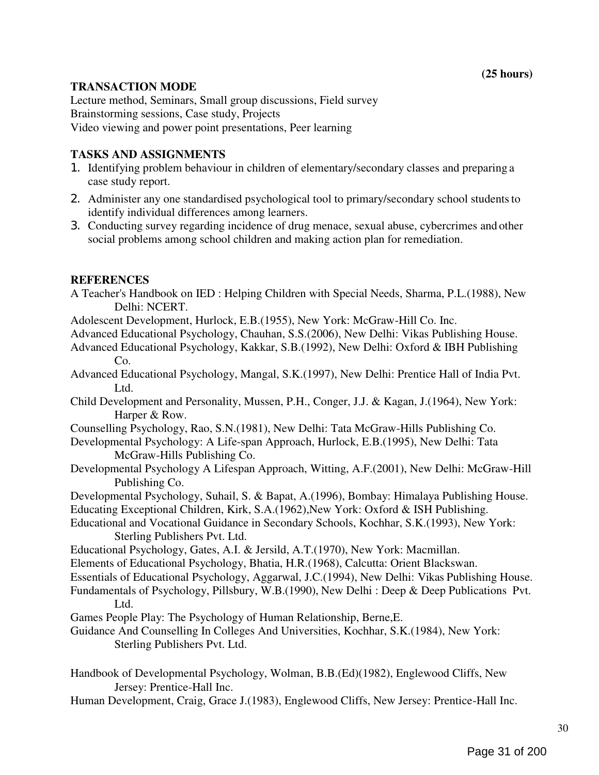## TRANSACTION MODE

Lecture method, Seminars, Small group discussions, Field survey Brainstorming sessions, Case study, Projects Video viewing and power point presentations, Peer learning

## TASKS AND ASSIGNMENTS

- 1. Identifying problem behaviour in children of elementary/secondary classes and preparing a case study report.
- 2. Administer any one standardised psychological tool to primary/secondary school students to identify individual differences among learners.
- 3. Conducting survey regarding incidence of drug menace, sexual abuse, cybercrimes and other social problems among school children and making action plan for remediation.

## **REFERENCES**

- A Teacher's Handbook on IED : Helping Children with Special Needs, Sharma, P.L.(1988), New Delhi: NCERT.
- Adolescent Development, Hurlock, E.B.(1955), New York: McGraw-Hill Co. Inc.
- Advanced Educational Psychology, Chauhan, S.S.(2006), New Delhi: Vikas Publishing House.
- Advanced Educational Psychology, Kakkar, S.B.(1992), New Delhi: Oxford & IBH Publishing Co.
- Advanced Educational Psychology, Mangal, S.K.(1997), New Delhi: Prentice Hall of India Pvt. Ltd.
- Child Development and Personality, Mussen, P.H., Conger, J.J. & Kagan, J.(1964), New York: Harper & Row.
- Counselling Psychology, Rao, S.N.(1981), New Delhi: Tata McGraw-Hills Publishing Co.
- Developmental Psychology: A Life-span Approach, Hurlock, E.B.(1995), New Delhi: Tata McGraw-Hills Publishing Co.
- Developmental Psychology A Lifespan Approach, Witting, A.F.(2001), New Delhi: McGraw-Hill Publishing Co.
- Developmental Psychology, Suhail, S. & Bapat, A.(1996), Bombay: Himalaya Publishing House.

Educating Exceptional Children, Kirk, S.A.(1962),New York: Oxford & ISH Publishing.

Educational and Vocational Guidance in Secondary Schools, Kochhar, S.K.(1993), New York: Sterling Publishers Pvt. Ltd.

Educational Psychology, Gates, A.I. & Jersild, A.T.(1970), New York: Macmillan.

Elements of Educational Psychology, Bhatia, H.R.(1968), Calcutta: Orient Blackswan.

Essentials of Educational Psychology, Aggarwal, J.C.(1994), New Delhi: Vikas Publishing House.

- Fundamentals of Psychology, Pillsbury, W.B.(1990), New Delhi : Deep & Deep Publications Pvt. Ltd.
- Games People Play: The Psychology of Human Relationship, Berne,E.

Guidance And Counselling In Colleges And Universities, Kochhar, S.K.(1984), New York: Sterling Publishers Pvt. Ltd.

- Handbook of Developmental Psychology, Wolman, B.B.(Ed)(1982), Englewood Cliffs, New Jersey: Prentice-Hall Inc.
- Human Development, Craig, Grace J.(1983), Englewood Cliffs, New Jersey: Prentice-Hall Inc.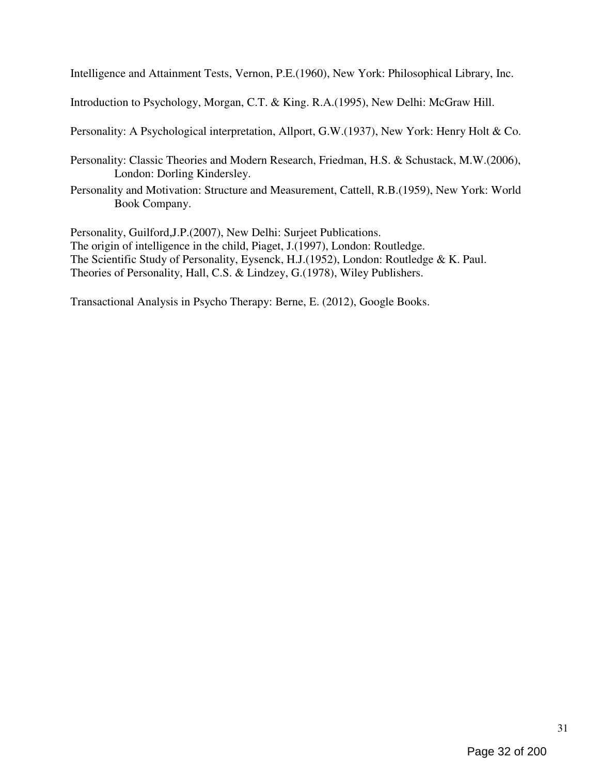Intelligence and Attainment Tests, Vernon, P.E.(1960), New York: Philosophical Library, Inc.

Introduction to Psychology, Morgan, C.T. & King. R.A.(1995), New Delhi: McGraw Hill.

Personality: A Psychological interpretation, Allport, G.W.(1937), New York: Henry Holt & Co.

- Personality: Classic Theories and Modern Research, Friedman, H.S. & Schustack, M.W.(2006), London: Dorling Kindersley.
- Personality and Motivation: Structure and Measurement, Cattell, R.B.(1959), New York: World Book Company.

Personality, Guilford,J.P.(2007), New Delhi: Surjeet Publications. The origin of intelligence in the child, Piaget, J.(1997), London: Routledge. The Scientific Study of Personality, Eysenck, H.J.(1952), London: Routledge & K. Paul. Theories of Personality, Hall, C.S. & Lindzey, G.(1978), Wiley Publishers.

Transactional Analysis in Psycho Therapy: Berne, E. (2012), Google Books.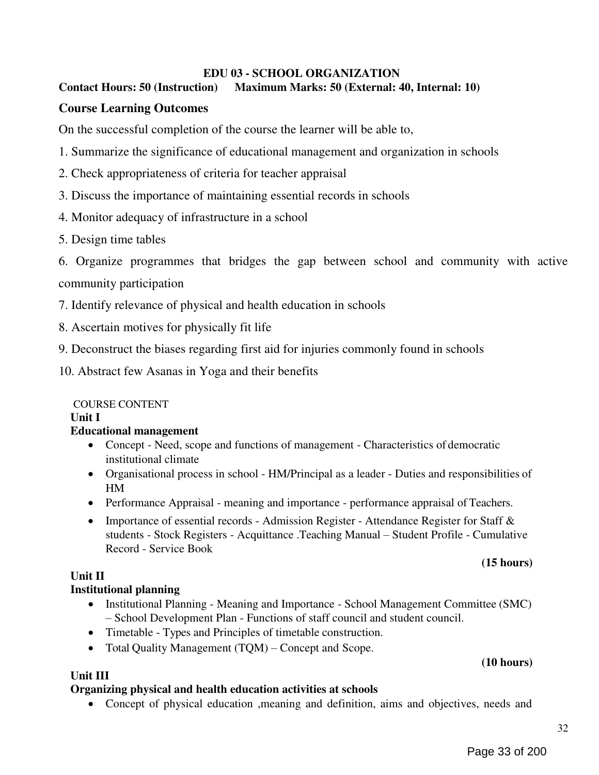## EDU 03 - SCHOOL ORGANIZATION

## Contact Hours: 50 (Instruction) Maximum Marks: 50 (External: 40, Internal: 10)

## Course Learning Outcomes

On the successful completion of the course the learner will be able to,

- 1. Summarize the significance of educational management and organization in schools
- 2. Check appropriateness of criteria for teacher appraisal
- 3. Discuss the importance of maintaining essential records in schools
- 4. Monitor adequacy of infrastructure in a school
- 5. Design time tables

6. Organize programmes that bridges the gap between school and community with active community participation

- 7. Identify relevance of physical and health education in schools
- 8. Ascertain motives for physically fit life
- 9. Deconstruct the biases regarding first aid for injuries commonly found in schools

10. Abstract few Asanas in Yoga and their benefits

## COURSE CONTENT

Unit I

## Educational management

- Concept Need, scope and functions of management Characteristics of democratic institutional climate
- Organisational process in school HM/Principal as a leader Duties and responsibilities of HM
- Performance Appraisal meaning and importance performance appraisal of Teachers.
- Importance of essential records Admission Register Attendance Register for Staff  $\&$ students - Stock Registers - Acquittance .Teaching Manual – Student Profile - Cumulative Record - Service Book

## (15 hours)

## Unit II

## Institutional planning

- Institutional Planning Meaning and Importance School Management Committee (SMC) – School Development Plan - Functions of staff council and student council.
- Timetable Types and Principles of timetable construction.
- Total Quality Management (TQM) Concept and Scope.

# (10 hours)

## Unit III

## Organizing physical and health education activities at schools

Concept of physical education ,meaning and definition, aims and objectives, needs and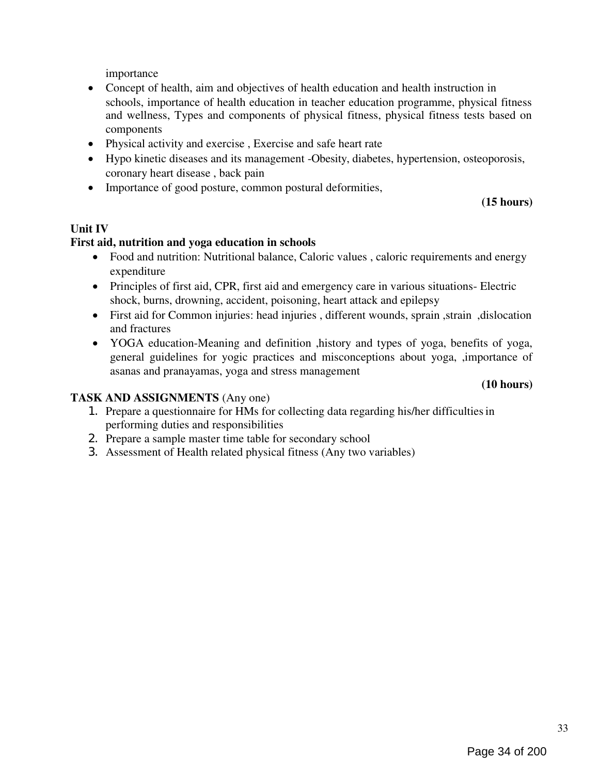importance

- Concept of health, aim and objectives of health education and health instruction in schools, importance of health education in teacher education programme, physical fitness and wellness, Types and components of physical fitness, physical fitness tests based on components
- Physical activity and exercise , Exercise and safe heart rate
- Hypo kinetic diseases and its management -Obesity, diabetes, hypertension, osteoporosis, coronary heart disease , back pain
- Importance of good posture, common postural deformities,

## (15 hours)

## Unit IV

## First aid, nutrition and yoga education in schools

- Food and nutrition: Nutritional balance, Caloric values, caloric requirements and energy expenditure
- Principles of first aid, CPR, first aid and emergency care in various situations- Electric shock, burns, drowning, accident, poisoning, heart attack and epilepsy
- First aid for Common injuries: head injuries, different wounds, sprain, strain, dislocation and fractures
- YOGA education-Meaning and definition ,history and types of yoga, benefits of yoga, general guidelines for yogic practices and misconceptions about yoga, ,importance of asanas and pranayamas, yoga and stress management

#### (10 hours)

## TASK AND ASSIGNMENTS (Any one)

- 1. Prepare a questionnaire for HMs for collecting data regarding his/her difficulties in performing duties and responsibilities
- 2. Prepare a sample master time table for secondary school
- 3. Assessment of Health related physical fitness (Any two variables)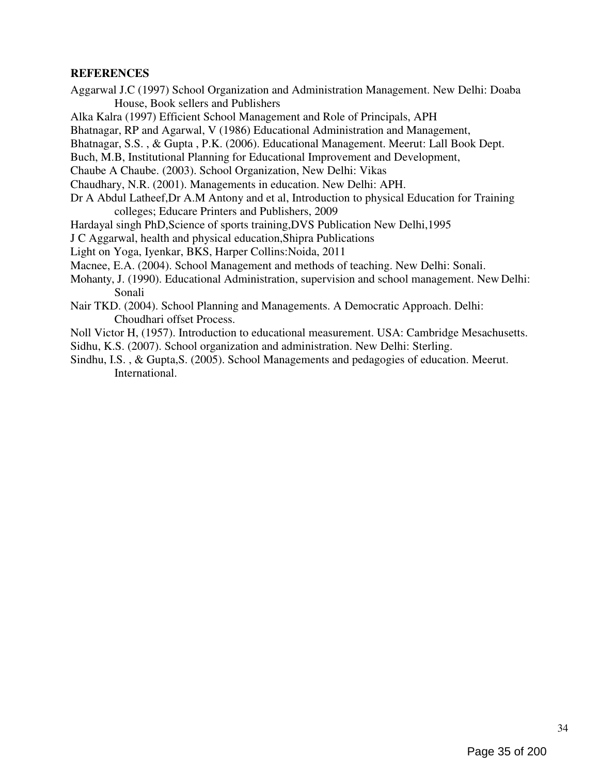## **REFERENCES**

Aggarwal J.C (1997) School Organization and Administration Management. New Delhi: Doaba House, Book sellers and Publishers

Alka Kalra (1997) Efficient School Management and Role of Principals, APH

Bhatnagar, RP and Agarwal, V (1986) Educational Administration and Management,

Bhatnagar, S.S. , & Gupta , P.K. (2006). Educational Management. Meerut: Lall Book Dept.

Buch, M.B, Institutional Planning for Educational Improvement and Development,

Chaube A Chaube. (2003). School Organization, New Delhi: Vikas

Chaudhary, N.R. (2001). Managements in education. New Delhi: APH.

Dr A Abdul Latheef,Dr A.M Antony and et al, Introduction to physical Education for Training colleges; Educare Printers and Publishers, 2009

Hardayal singh PhD,Science of sports training,DVS Publication New Delhi,1995

J C Aggarwal, health and physical education,Shipra Publications

Light on Yoga, Iyenkar, BKS, Harper Collins:Noida, 2011

Macnee, E.A. (2004). School Management and methods of teaching. New Delhi: Sonali.

Mohanty, J. (1990). Educational Administration, supervision and school management. New Delhi: Sonali

- Nair TKD. (2004). School Planning and Managements. A Democratic Approach. Delhi: Choudhari offset Process.
- Noll Victor H, (1957). Introduction to educational measurement. USA: Cambridge Mesachusetts.
- Sidhu, K.S. (2007). School organization and administration. New Delhi: Sterling.
- Sindhu, I.S. , & Gupta,S. (2005). School Managements and pedagogies of education. Meerut. International.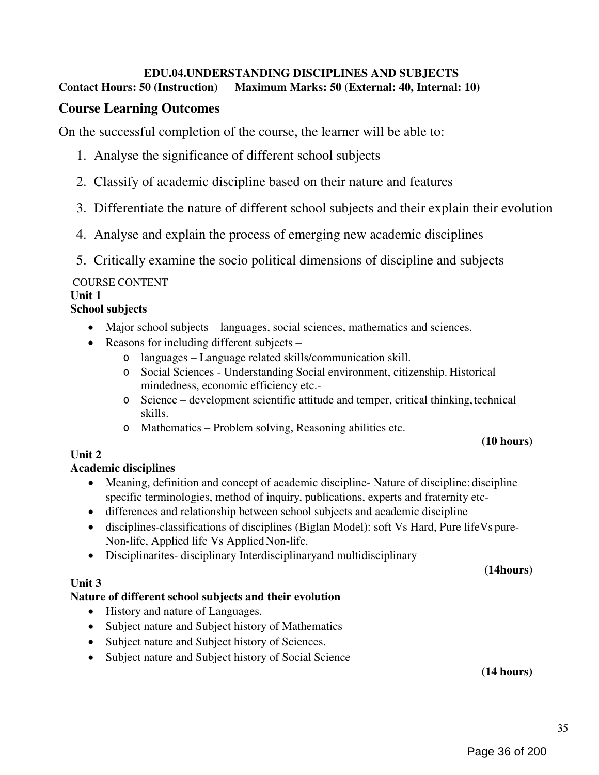# EDU.04.UNDERSTANDING DISCIPLINES AND SUBJECTS

Contact Hours: 50 (Instruction) Maximum Marks: 50 (External: 40, Internal: 10)

# Course Learning Outcomes

On the successful completion of the course, the learner will be able to:

- 1. Analyse the significance of different school subjects
- 2. Classify of academic discipline based on their nature and features
- 3. Differentiate the nature of different school subjects and their explain their evolution
- 4. Analyse and explain the process of emerging new academic disciplines
- 5. Critically examine the socio political dimensions of discipline and subjects

# COURSE CONTENT

#### Unit 1 School subjects

- - Major school subjects languages, social sciences, mathematics and sciences.
	- Reasons for including different subjects  $$ 
		- o languages Language related skills/communication skill.
		- o Social Sciences Understanding Social environment, citizenship. Historical mindedness, economic efficiency etc.-
		- o Science development scientific attitude and temper, critical thinking, technical skills.
		- o Mathematics Problem solving, Reasoning abilities etc.

## (10 hours)

# Unit 2

# Academic disciplines

- Meaning, definition and concept of academic discipline- Nature of discipline: discipline specific terminologies, method of inquiry, publications, experts and fraternity etc-
- differences and relationship between school subjects and academic discipline
- disciplines-classifications of disciplines (Biglan Model): soft Vs Hard, Pure lifeVs pure-Non-life, Applied life Vs Applied Non-life.
- Disciplinarites- disciplinary Interdisciplinaryand multidisciplinary

# (14hours)

# Unit 3

# Nature of different school subjects and their evolution

- History and nature of Languages.
- Subject nature and Subject history of Mathematics
- Subject nature and Subject history of Sciences.
- Subject nature and Subject history of Social Science

(14 hours)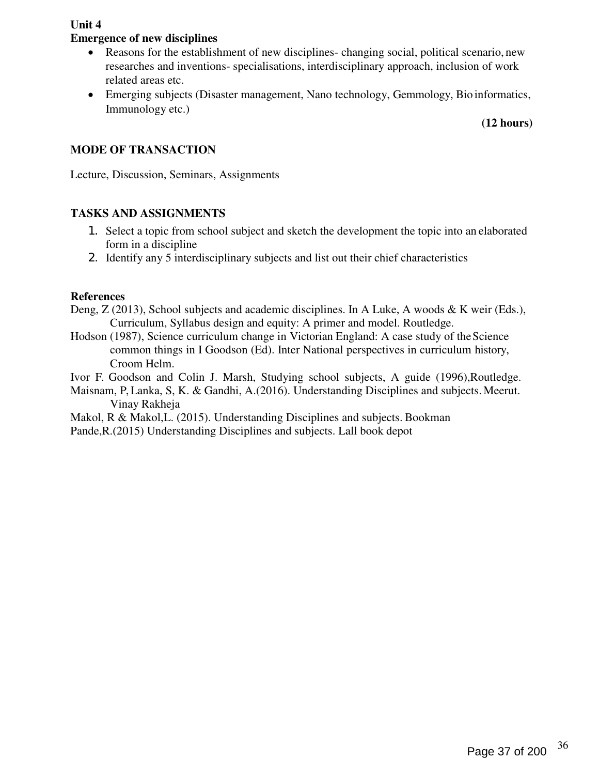Unit 4

#### Emergence of new disciplines

- Reasons for the establishment of new disciplines- changing social, political scenario, new researches and inventions- specialisations, interdisciplinary approach, inclusion of work related areas etc.
- Emerging subjects (Disaster management, Nano technology, Gemmology, Bio informatics, Immunology etc.)

#### (12 hours)

#### MODE OF TRANSACTION

Lecture, Discussion, Seminars, Assignments

#### TASKS AND ASSIGNMENTS

- 1. Select a topic from school subject and sketch the development the topic into an elaborated form in a discipline
- 2. Identify any 5 interdisciplinary subjects and list out their chief characteristics

#### References

- Deng, Z (2013), School subjects and academic disciplines. In A Luke, A woods & K weir (Eds.), Curriculum, Syllabus design and equity: A primer and model. Routledge.
- Hodson (1987), Science curriculum change in Victorian England: A case study of the Science common things in I Goodson (Ed). Inter National perspectives in curriculum history, Croom Helm.

Ivor F. Goodson and Colin J. Marsh, Studying school subjects, A guide (1996),Routledge.

Maisnam, P, Lanka, S, K. & Gandhi, A.(2016). Understanding Disciplines and subjects. Meerut. Vinay Rakheja

Makol, R & Makol,L. (2015). Understanding Disciplines and subjects. Bookman

Pande,R.(2015) Understanding Disciplines and subjects. Lall book depot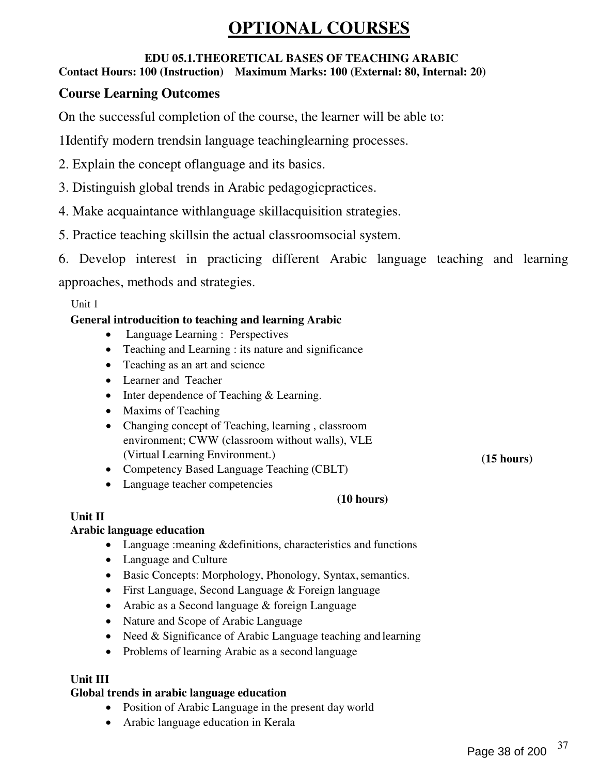# OPTIONAL COURSES

#### EDU 05.1.THEORETICAL BASES OF TEACHING ARABIC Contact Hours: 100 (Instruction) Maximum Marks: 100 (External: 80, Internal: 20)

## Course Learning Outcomes

On the successful completion of the course, the learner will be able to:

1Identify modern trendsin language teachinglearning processes.

- 2. Explain the concept oflanguage and its basics.
- 3. Distinguish global trends in Arabic pedagogicpractices.
- 4. Make acquaintance withlanguage skillacquisition strategies.
- 5. Practice teaching skillsin the actual classroomsocial system.
- 6. Develop interest in practicing different Arabic language teaching and learning

approaches, methods and strategies.

Unit 1

## General introducition to teaching and learning Arabic

- Language Learning : Perspectives
- Teaching and Learning : its nature and significance
- Teaching as an art and science
- Learner and Teacher
- Inter dependence of Teaching & Learning.
- Maxims of Teaching
- Changing concept of Teaching, learning, classroom environment; CWW (classroom without walls), VLE (Virtual Learning Environment.)
- Competency Based Language Teaching (CBLT)
- Language teacher competencies

(10 hours)

## Unit II

### Arabic language education

- Language :meaning &definitions, characteristics and functions
- Language and Culture
- Basic Concepts: Morphology, Phonology, Syntax, semantics.
- First Language, Second Language & Foreign language
- Arabic as a Second language & foreign Language
- Nature and Scope of Arabic Language
- Need & Significance of Arabic Language teaching and learning
- Problems of learning Arabic as a second language

## Unit III

#### Global trends in arabic language education

- Position of Arabic Language in the present day world
- Arabic language education in Kerala

(15 hours)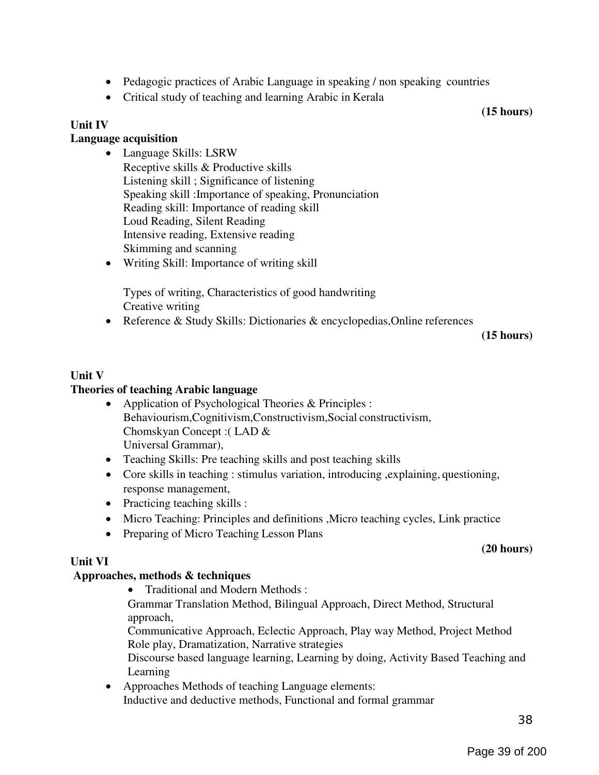- Pedagogic practices of Arabic Language in speaking / non speaking countries
- Critical study of teaching and learning Arabic in Kerala

(15 hours)

#### Unit IV

#### Language acquisition

- Language Skills: LSRW Receptive skills & Productive skills Listening skill ; Significance of listening Speaking skill :Importance of speaking, Pronunciation Reading skill: Importance of reading skill Loud Reading, Silent Reading Intensive reading, Extensive reading Skimming and scanning
- Writing Skill: Importance of writing skill

Types of writing, Characteristics of good handwriting Creative writing

Reference & Study Skills: Dictionaries & encyclopedias,Online references

(15 hours)

#### Unit V

#### Theories of teaching Arabic language

- Application of Psychological Theories & Principles : Behaviourism,Cognitivism,Constructivism,Social constructivism, Chomskyan Concept :( LAD & Universal Grammar),
- Teaching Skills: Pre teaching skills and post teaching skills
- Core skills in teaching : stimulus variation, introducing ,explaining, questioning, response management,
- Practicing teaching skills :
- Micro Teaching: Principles and definitions ,Micro teaching cycles, Link practice
- Preparing of Micro Teaching Lesson Plans

#### (20 hours)

#### Unit VI

#### Approaches, methods & techniques

• Traditional and Modern Methods :

Grammar Translation Method, Bilingual Approach, Direct Method, Structural approach,

Communicative Approach, Eclectic Approach, Play way Method, Project Method Role play, Dramatization, Narrative strategies

Discourse based language learning, Learning by doing, Activity Based Teaching and Learning

 Approaches Methods of teaching Language elements: Inductive and deductive methods, Functional and formal grammar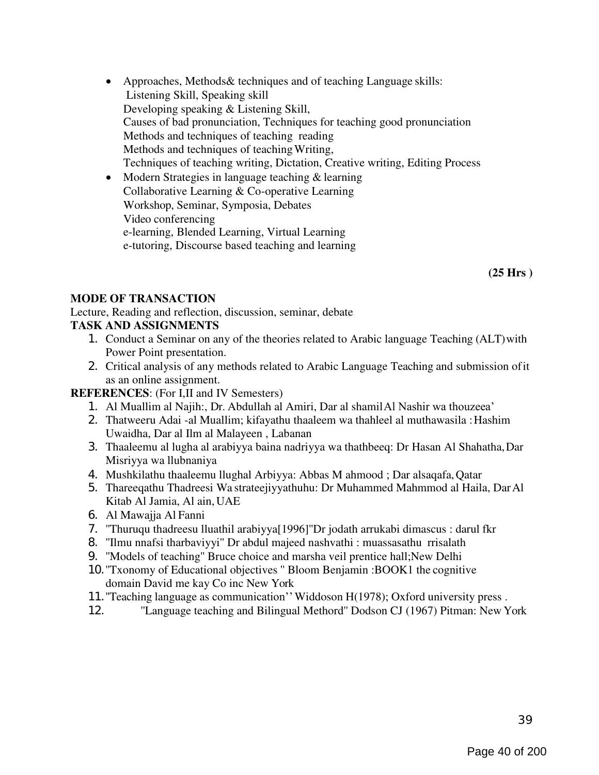- Approaches, Methods & techniques and of teaching Language skills: Listening Skill, Speaking skill Developing speaking & Listening Skill, Causes of bad pronunciation, Techniques for teaching good pronunciation Methods and techniques of teaching reading Methods and techniques of teaching Writing, Techniques of teaching writing, Dictation, Creative writing, Editing Process
- Modern Strategies in language teaching & learning Collaborative Learning & Co-operative Learning Workshop, Seminar, Symposia, Debates Video conferencing e-learning, Blended Learning, Virtual Learning e-tutoring, Discourse based teaching and learning

(25 Hrs )

#### MODE OF TRANSACTION

Lecture, Reading and reflection, discussion, seminar, debate TASK AND ASSIGNMENTS

- 1. Conduct a Seminar on any of the theories related to Arabic language Teaching (ALT) with Power Point presentation.
- 2. Critical analysis of any methods related to Arabic Language Teaching and submission of it as an online assignment.

#### REFERENCES: (For I,II and IV Semesters)

- 1. Al Muallim al Najih:, Dr. Abdullah al Amiri, Dar al shamil Al Nashir wa thouzeea'
- 2. Thatweeru Adai -al Muallim; kifayathu thaaleem wa thahleel al muthawasila : Hashim Uwaidha, Dar al Ilm al Malayeen , Labanan
- 3. Thaaleemu al lugha al arabiyya baina nadriyya wa thathbeeq: Dr Hasan Al Shahatha, Dar Misriyya wa llubnaniya
- 4. Mushkilathu thaaleemu llughal Arbiyya: Abbas M ahmood ; Dar alsaqafa, Qatar
- 5. Thareeqathu Thadreesi Wa strateejiyyathuhu: Dr Muhammed Mahmmod al Haila, Dar Al Kitab Al Jamia, Al ain, UAE
- 6. Al Mawajja Al Fanni
- 7. ''Thuruqu thadreesu lluathil arabiyya[1996]''Dr jodath arrukabi dimascus : darul fkr
- 8. ''Ilmu nnafsi tharbaviyyi'' Dr abdul majeed nashvathi : muassasathu rrisalath
- 9. ''Models of teaching'' Bruce choice and marsha veil prentice hall;New Delhi
- 10.''Txonomy of Educational objectives '' Bloom Benjamin :BOOK1 the cognitive domain David me kay Co inc New York
- 11.''Teaching language as communication'' Widdoson H(1978); Oxford university press .
- 12. ''Language teaching and Bilingual Methord'' Dodson CJ (1967) Pitman: New York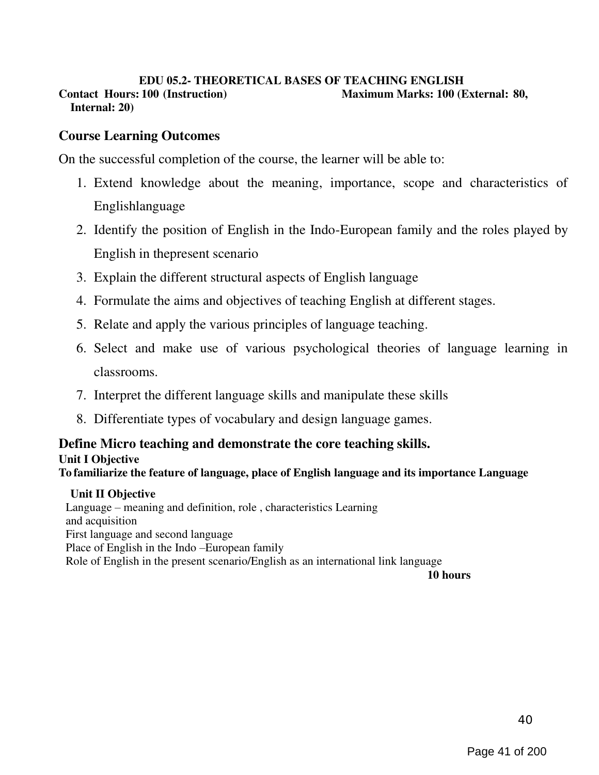#### EDU 05.2- THEORETICAL BASES OF TEACHING ENGLISH Contact Hours: 100 (Instruction) Maximum Marks: 100 (External: 80, Internal: 20)

## Course Learning Outcomes

On the successful completion of the course, the learner will be able to:

- 1. Extend knowledge about the meaning, importance, scope and characteristics of Englishlanguage
- 2. Identify the position of English in the Indo-European family and the roles played by English in thepresent scenario
- 3. Explain the different structural aspects of English language
- 4. Formulate the aims and objectives of teaching English at different stages.
- 5. Relate and apply the various principles of language teaching.
- 6. Select and make use of various psychological theories of language learning in classrooms.
- 7. Interpret the different language skills and manipulate these skills
- 8. Differentiate types of vocabulary and design language games.

## Define Micro teaching and demonstrate the core teaching skills.

#### Unit I Objective

To familiarize the feature of language, place of English language and its importance Language

#### Unit II Objective

Language – meaning and definition, role , characteristics Learning and acquisition First language and second language Place of English in the Indo –European family Role of English in the present scenario/English as an international link language

10 hours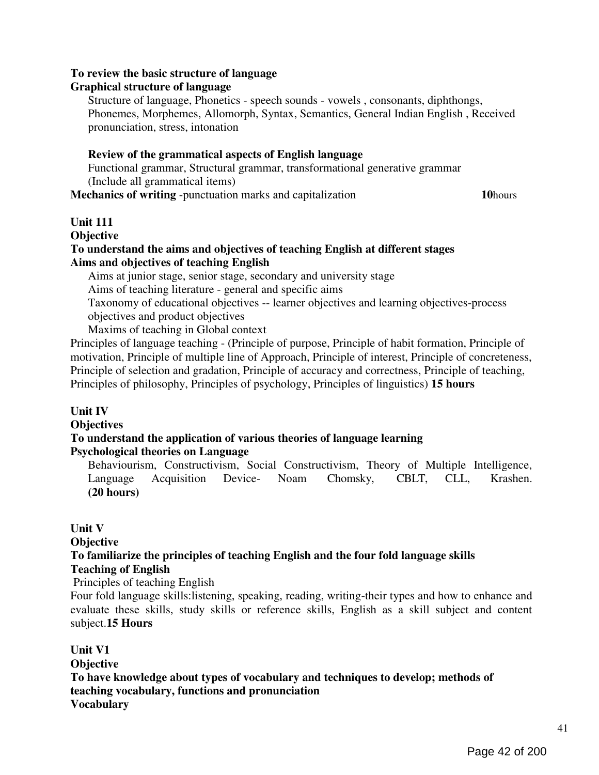#### To review the basic structure of language

#### Graphical structure of language

Structure of language, Phonetics - speech sounds - vowels , consonants, diphthongs, Phonemes, Morphemes, Allomorph, Syntax, Semantics, General Indian English , Received pronunciation, stress, intonation

#### Review of the grammatical aspects of English language

Functional grammar, Structural grammar, transformational generative grammar (Include all grammatical items)

Mechanics of writing -punctuation marks and capitalization 10hours

#### Unit 111

**Objective** 

#### To understand the aims and objectives of teaching English at different stages Aims and objectives of teaching English

Aims at junior stage, senior stage, secondary and university stage

Aims of teaching literature - general and specific aims

Taxonomy of educational objectives -- learner objectives and learning objectives-process objectives and product objectives

Maxims of teaching in Global context

Principles of language teaching - (Principle of purpose, Principle of habit formation, Principle of motivation, Principle of multiple line of Approach, Principle of interest, Principle of concreteness, Principle of selection and gradation, Principle of accuracy and correctness, Principle of teaching, Principles of philosophy, Principles of psychology, Principles of linguistics) 15 hours

#### Unit IV

**Objectives** 

#### To understand the application of various theories of language learning Psychological theories on Language

Behaviourism, Constructivism, Social Constructivism, Theory of Multiple Intelligence, Language Acquisition Device- Noam Chomsky, CBLT, CLL, Krashen. (20 hours)

#### Unit V

**Objective** 

# To familiarize the principles of teaching English and the four fold language skills

#### Teaching of English

Principles of teaching English

Four fold language skills:listening, speaking, reading, writing-their types and how to enhance and evaluate these skills, study skills or reference skills, English as a skill subject and content subject.15 Hours

#### Unit V1 **Objective** To have knowledge about types of vocabulary and techniques to develop; methods of teaching vocabulary, functions and pronunciation Vocabulary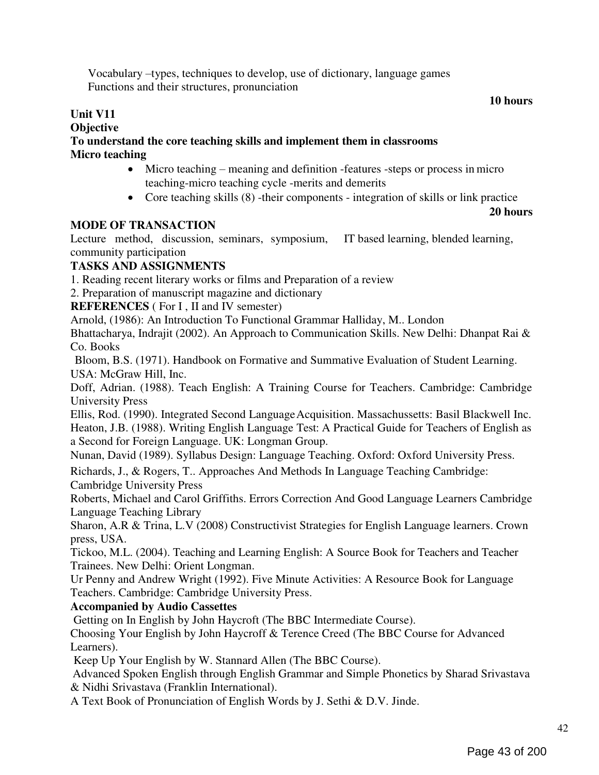Vocabulary –types, techniques to develop, use of dictionary, language games Functions and their structures, pronunciation

#### 10 hours

#### Unit V11 **Objective** To understand the core teaching skills and implement them in classrooms Micro teaching

- Micro teaching meaning and definition -features -steps or process in micro teaching-micro teaching cycle -merits and demerits
- Core teaching skills (8) -their components integration of skills or link practice

#### 20 hours

### MODE OF TRANSACTION

Lecture method, discussion, seminars, symposium, IT based learning, blended learning, community participation

### TASKS AND ASSIGNMENTS

1. Reading recent literary works or films and Preparation of a review

2. Preparation of manuscript magazine and dictionary

REFERENCES (For I, II and IV semester)

Arnold, (1986): An Introduction To Functional Grammar Halliday, M.. London

Bhattacharya, Indrajit (2002). An Approach to Communication Skills. New Delhi: Dhanpat Rai & Co. Books

Bloom, B.S. (1971). Handbook on Formative and Summative Evaluation of Student Learning. USA: McGraw Hill, Inc.

Doff, Adrian. (1988). Teach English: A Training Course for Teachers. Cambridge: Cambridge University Press

Ellis, Rod. (1990). Integrated Second Language Acquisition. Massachussetts: Basil Blackwell Inc. Heaton, J.B. (1988). Writing English Language Test: A Practical Guide for Teachers of English as a Second for Foreign Language. UK: Longman Group.

Nunan, David (1989). Syllabus Design: Language Teaching. Oxford: Oxford University Press.

Richards, J., & Rogers, T.. Approaches And Methods In Language Teaching Cambridge: Cambridge University Press

Roberts, Michael and Carol Griffiths. Errors Correction And Good Language Learners Cambridge Language Teaching Library

Sharon, A.R & Trina, L.V (2008) Constructivist Strategies for English Language learners. Crown press, USA.

Tickoo, M.L. (2004). Teaching and Learning English: A Source Book for Teachers and Teacher Trainees. New Delhi: Orient Longman.

Ur Penny and Andrew Wright (1992). Five Minute Activities: A Resource Book for Language Teachers. Cambridge: Cambridge University Press.

### Accompanied by Audio Cassettes

Getting on In English by John Haycroft (The BBC Intermediate Course).

Choosing Your English by John Haycroff & Terence Creed (The BBC Course for Advanced Learners).

Keep Up Your English by W. Stannard Allen (The BBC Course).

Advanced Spoken English through English Grammar and Simple Phonetics by Sharad Srivastava & Nidhi Srivastava (Franklin International).

A Text Book of Pronunciation of English Words by J. Sethi & D.V. Jinde.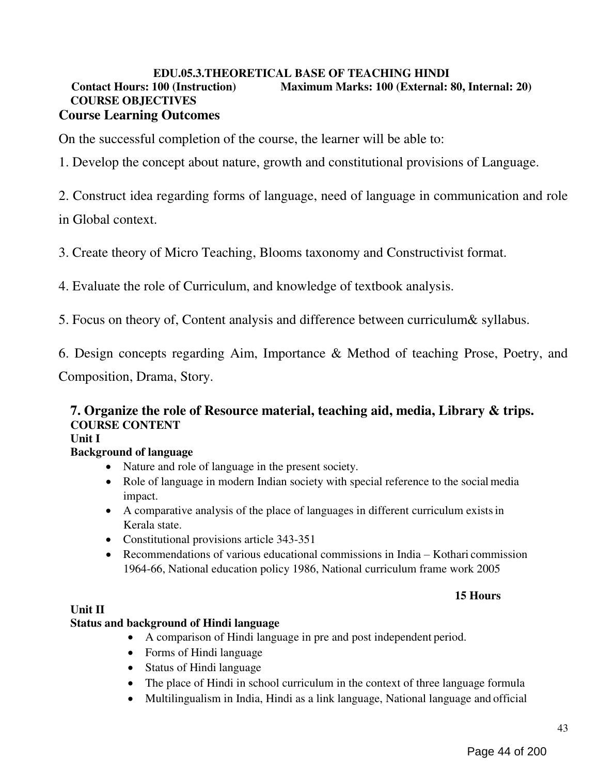#### EDU.05.3.THEORETICAL BASE OF TEACHING HINDI

#### Contact Hours: 100 (Instruction) Maximum Marks: 100 (External: 80, Internal: 20) COURSE OBJECTIVES Course Learning Outcomes

On the successful completion of the course, the learner will be able to:

1. Develop the concept about nature, growth and constitutional provisions of Language.

2. Construct idea regarding forms of language, need of language in communication and role

in Global context.

3. Create theory of Micro Teaching, Blooms taxonomy and Constructivist format.

4. Evaluate the role of Curriculum, and knowledge of textbook analysis.

5. Focus on theory of, Content analysis and difference between curriculum& syllabus.

6. Design concepts regarding Aim, Importance & Method of teaching Prose, Poetry, and

Composition, Drama, Story.

## 7. Organize the role of Resource material, teaching aid, media, Library & trips. COURSE CONTENT

## Unit I

## Background of language

- Nature and role of language in the present society.
- Role of language in modern Indian society with special reference to the social media impact.
- A comparative analysis of the place of languages in different curriculum exists in Kerala state.
- Constitutional provisions article 343-351
- Recommendations of various educational commissions in India Kothari commission 1964-66, National education policy 1986, National curriculum frame work 2005

#### 15 Hours

### Unit II

### Status and background of Hindi language

- A comparison of Hindi language in pre and post independent period.
- Forms of Hindi language
- Status of Hindi language
- The place of Hindi in school curriculum in the context of three language formula
- Multilingualism in India, Hindi as a link language, National language and official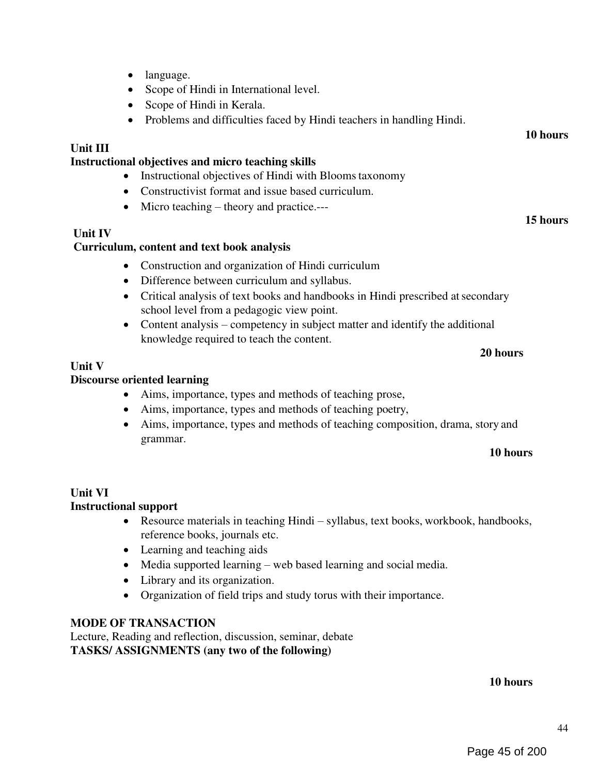- language.
- Scope of Hindi in International level.
- Scope of Hindi in Kerala.
- Problems and difficulties faced by Hindi teachers in handling Hindi.

#### Unit III

#### Instructional objectives and micro teaching skills

- Instructional objectives of Hindi with Blooms taxonomy
- Constructivist format and issue based curriculum.
- Micro teaching theory and practice.---

#### Unit IV

#### Curriculum, content and text book analysis

- Construction and organization of Hindi curriculum
- Difference between curriculum and syllabus.
- Critical analysis of text books and handbooks in Hindi prescribed at secondary school level from a pedagogic view point.
- Content analysis competency in subject matter and identify the additional knowledge required to teach the content.

#### 20 hours

10 hours

15 hours

#### Unit V

#### Discourse oriented learning

- Aims, importance, types and methods of teaching prose,
- Aims, importance, types and methods of teaching poetry,
- Aims, importance, types and methods of teaching composition, drama, story and grammar.

#### 10 hours

#### Unit VI Instructional support

- Resource materials in teaching Hindi syllabus, text books, workbook, handbooks, reference books, journals etc.
- Learning and teaching aids
- Media supported learning web based learning and social media.
- Library and its organization.
- Organization of field trips and study torus with their importance.

#### MODE OF TRANSACTION

Lecture, Reading and reflection, discussion, seminar, debate TASKS/ ASSIGNMENTS (any two of the following)

#### 10 hours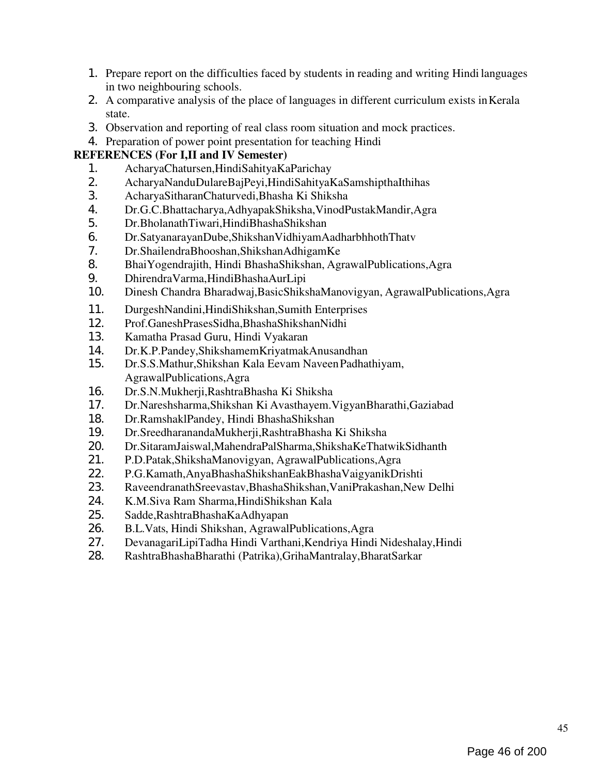- 1. Prepare report on the difficulties faced by students in reading and writing Hindi languages in two neighbouring schools.
- 2. A comparative analysis of the place of languages in different curriculum exists in Kerala state.
- 3. Observation and reporting of real class room situation and mock practices.
- 4. Preparation of power point presentation for teaching Hindi

#### REFERENCES (For I,II and IV Semester)

- 1. AcharyaChatursen,HindiSahityaKaParichay
- 2. AcharyaNanduDulareBajPeyi,HindiSahityaKaSamshipthaIthihas
- 3. AcharyaSitharanChaturvedi,Bhasha Ki Shiksha
- 4. Dr.G.C.Bhattacharya,AdhyapakShiksha,VinodPustakMandir,Agra
- 5. Dr.BholanathTiwari,HindiBhashaShikshan
- 6. Dr.SatyanarayanDube,ShikshanVidhiyamAadharbhhothThatv
- 7. Dr.ShailendraBhooshan,ShikshanAdhigamKe
- 8. BhaiYogendrajith, Hindi BhashaShikshan, AgrawalPublications,Agra
- 9. DhirendraVarma,HindiBhashaAurLipi
- 10. Dinesh Chandra Bharadwaj,BasicShikshaManovigyan, AgrawalPublications,Agra
- 11. DurgeshNandini,HindiShikshan,Sumith Enterprises
- 12. Prof.GaneshPrasesSidha,BhashaShikshanNidhi<br>13. Kamatha Prasad Guru, Hindi Vvakaran
- 13. Kamatha Prasad Guru, Hindi Vyakaran
- 14. Dr.K.P.Pandey,ShikshamemKriyatmakAnusandhan
- 15. Dr.S.S.Mathur,Shikshan Kala Eevam Naveen Padhathiyam, AgrawalPublications,Agra
- 16. Dr.S.N.Mukherji,RashtraBhasha Ki Shiksha
- 17. Dr.Nareshsharma,Shikshan Ki Avasthayem.VigyanBharathi,Gaziabad
- 18. Dr.RamshaklPandey, Hindi BhashaShikshan
- 19. Dr.SreedharanandaMukherji,RashtraBhasha Ki Shiksha
- 20. Dr.SitaramJaiswal,MahendraPalSharma,ShikshaKeThatwikSidhanth<br>21. P.D.Patak.ShikshaManovigvan. AgrawalPublications.Agra
- 21. P.D.Patak,ShikshaManovigyan, AgrawalPublications,Agra
- 22. P.G.Kamath,AnyaBhashaShikshanEakBhashaVaigyanikDrishti
- 23. RaveendranathSreevastav,BhashaShikshan,VaniPrakashan,New Delhi<br>24. K.M.Siva Ram Sharma.HindiShikshan Kala
- 24. K.M.Siva Ram Sharma,HindiShikshan Kala
- 25. Sadde,RashtraBhashaKaAdhyapan
- 26. B.L.Vats, Hindi Shikshan, AgrawalPublications,Agra
- 27. DevanagariLipiTadha Hindi Varthani,Kendriya Hindi Nideshalay,Hindi
- 28. RashtraBhashaBharathi (Patrika),GrihaMantralay,BharatSarkar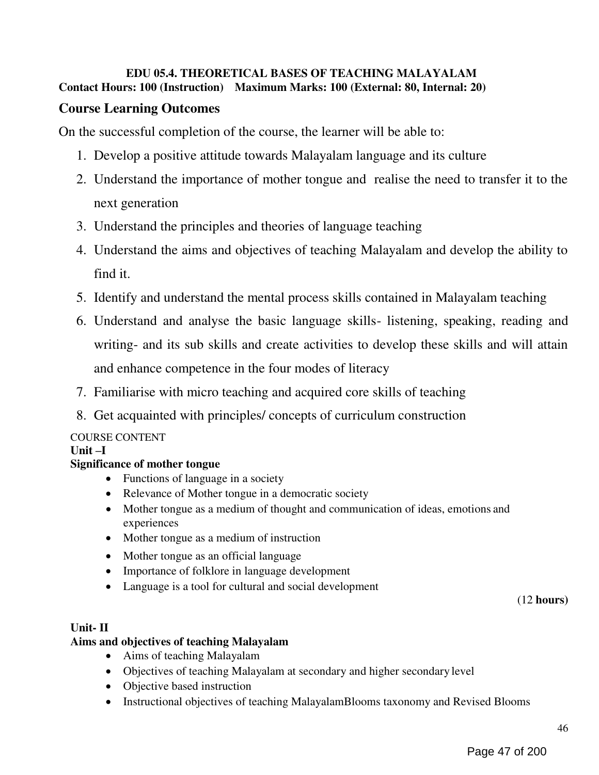### EDU 05.4. THEORETICAL BASES OF TEACHING MALAYALAM Contact Hours: 100 (Instruction) Maximum Marks: 100 (External: 80, Internal: 20)

## Course Learning Outcomes

On the successful completion of the course, the learner will be able to:

- 1. Develop a positive attitude towards Malayalam language and its culture
- 2. Understand the importance of mother tongue and realise the need to transfer it to the next generation
- 3. Understand the principles and theories of language teaching
- 4. Understand the aims and objectives of teaching Malayalam and develop the ability to find it.
- 5. Identify and understand the mental process skills contained in Malayalam teaching
- 6. Understand and analyse the basic language skills- listening, speaking, reading and writing- and its sub skills and create activities to develop these skills and will attain and enhance competence in the four modes of literacy
- 7. Familiarise with micro teaching and acquired core skills of teaching
- 8. Get acquainted with principles/ concepts of curriculum construction

## COURSE CONTENT

### Unit –I

### Significance of mother tongue

- Functions of language in a society
- Relevance of Mother tongue in a democratic society
- Mother tongue as a medium of thought and communication of ideas, emotions and experiences
- Mother tongue as a medium of instruction
- Mother tongue as an official language
- Importance of folklore in language development
- Language is a tool for cultural and social development

(12 hours)

#### Unit- II

#### Aims and objectives of teaching Malayalam

- Aims of teaching Malayalam
- Objectives of teaching Malayalam at secondary and higher secondary level
- Objective based instruction
- Instructional objectives of teaching MalayalamBlooms taxonomy and Revised Blooms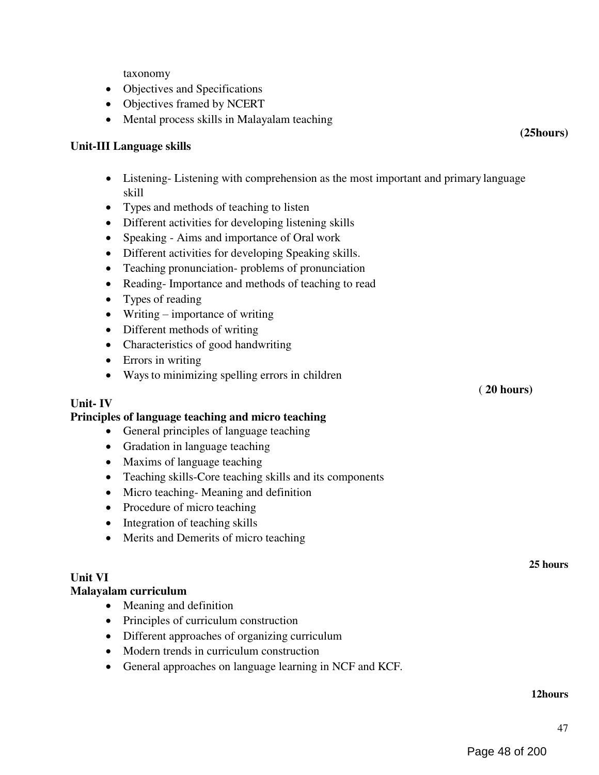taxonomy

- Objectives and Specifications
- Objectives framed by NCERT
- Mental process skills in Malayalam teaching

#### Unit-III Language skills

- Listening- Listening with comprehension as the most important and primary language skill
- Types and methods of teaching to listen
- Different activities for developing listening skills
- Speaking Aims and importance of Oral work
- Different activities for developing Speaking skills.
- Teaching pronunciation- problems of pronunciation
- Reading- Importance and methods of teaching to read
- Types of reading
- Writing importance of writing
- Different methods of writing
- Characteristics of good handwriting
- Errors in writing
- Ways to minimizing spelling errors in children

#### Unit- IV

#### Principles of language teaching and micro teaching

- General principles of language teaching
- Gradation in language teaching
- Maxims of language teaching
- Teaching skills-Core teaching skills and its components
- Micro teaching-Meaning and definition
- Procedure of micro teaching
- Integration of teaching skills
- Merits and Demerits of micro teaching

#### Unit VI

#### Malayalam curriculum

- Meaning and definition
- Principles of curriculum construction
- Different approaches of organizing curriculum
- Modern trends in curriculum construction
- General approaches on language learning in NCF and KCF.

( 20 hours)

(25hours)

25 hours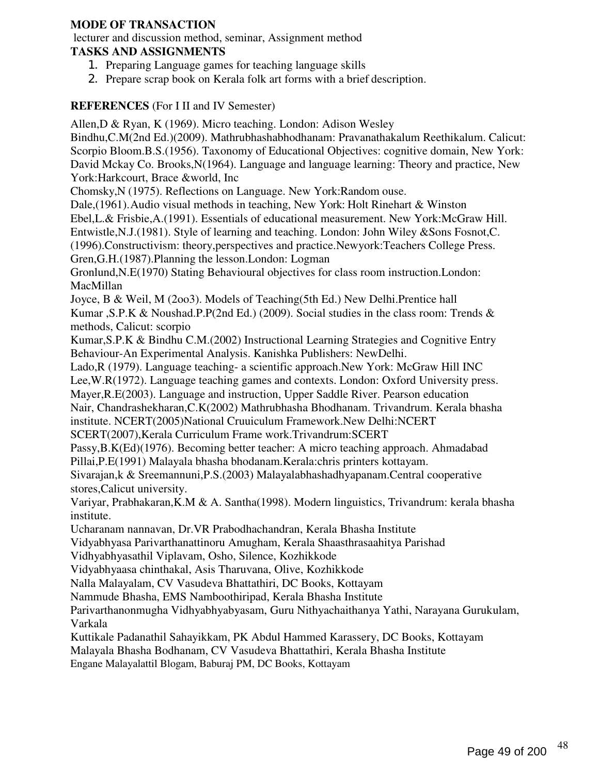#### MODE OF TRANSACTION

lecturer and discussion method, seminar, Assignment method

#### TASKS AND ASSIGNMENTS

- 1. Preparing Language games for teaching language skills
- 2. Prepare scrap book on Kerala folk art forms with a brief description.

## REFERENCES (For I II and IV Semester)

Allen,D & Ryan, K (1969). Micro teaching. London: Adison Wesley Bindhu,C.M(2nd Ed.)(2009). Mathrubhashabhodhanam: Pravanathakalum Reethikalum. Calicut: Scorpio Bloom.B.S.(1956). Taxonomy of Educational Objectives: cognitive domain, New York: David Mckay Co. Brooks,N(1964). Language and language learning: Theory and practice, New York:Harkcourt, Brace &world, Inc Chomsky,N (1975). Reflections on Language. New York:Random ouse. Dale,(1961). Audio visual methods in teaching, New York: Holt Rinehart & Winston Ebel,L.& Frisbie,A.(1991). Essentials of educational measurement. New York:McGraw Hill. Entwistle,N.J.(1981). Style of learning and teaching. London: John Wiley &Sons Fosnot,C. (1996).Constructivism: theory,perspectives and practice.Newyork:Teachers College Press. Gren,G.H.(1987).Planning the lesson.London: Logman Gronlund,N.E(1970) Stating Behavioural objectives for class room instruction.London: MacMillan Joyce, B & Weil, M (2oo3). Models of Teaching(5th Ed.) New Delhi.Prentice hall Kumar , S.P.K & Noushad.P.P(2nd Ed.) (2009). Social studies in the class room: Trends & methods, Calicut: scorpio Kumar,S.P.K & Bindhu C.M.(2002) Instructional Learning Strategies and Cognitive Entry Behaviour-An Experimental Analysis. Kanishka Publishers: NewDelhi. Lado,R (1979). Language teaching- a scientific approach.New York: McGraw Hill INC Lee,W.R(1972). Language teaching games and contexts. London: Oxford University press. Mayer,R.E(2003). Language and instruction, Upper Saddle River. Pearson education Nair, Chandrashekharan,C.K(2002) Mathrubhasha Bhodhanam. Trivandrum. Kerala bhasha institute. NCERT(2005)National Cruuiculum Framework.New Delhi:NCERT SCERT(2007),Kerala Curriculum Frame work.Trivandrum:SCERT Passy,B.K(Ed)(1976). Becoming better teacher: A micro teaching approach. Ahmadabad Pillai,P.E(1991) Malayala bhasha bhodanam.Kerala:chris printers kottayam.

Sivarajan,k & Sreemannuni,P.S.(2003) Malayalabhashadhyapanam.Central cooperative stores,Calicut university.

Variyar, Prabhakaran,K.M & A. Santha(1998). Modern linguistics, Trivandrum: kerala bhasha institute.

Ucharanam nannavan, Dr.VR Prabodhachandran, Kerala Bhasha Institute

Vidyabhyasa Parivarthanattinoru Amugham, Kerala Shaasthrasaahitya Parishad

Vidhyabhyasathil Viplavam, Osho, Silence, Kozhikkode

Vidyabhyaasa chinthakal, Asis Tharuvana, Olive, Kozhikkode

Nalla Malayalam, CV Vasudeva Bhattathiri, DC Books, Kottayam

Nammude Bhasha, EMS Namboothiripad, Kerala Bhasha Institute

Parivarthanonmugha Vidhyabhyabyasam, Guru Nithyachaithanya Yathi, Narayana Gurukulam, Varkala

Kuttikale Padanathil Sahayikkam, PK Abdul Hammed Karassery, DC Books, Kottayam

Malayala Bhasha Bodhanam, CV Vasudeva Bhattathiri, Kerala Bhasha Institute

Engane Malayalattil Blogam, Baburaj PM, DC Books, Kottayam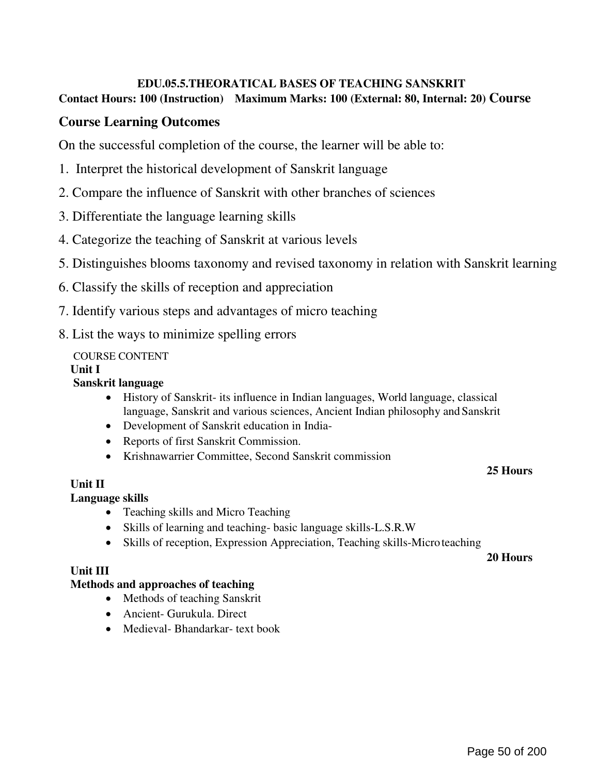# EDU.05.5.THEORATICAL BASES OF TEACHING SANSKRIT

### Contact Hours: 100 (Instruction) Maximum Marks: 100 (External: 80, Internal: 20) Course

## Course Learning Outcomes

On the successful completion of the course, the learner will be able to:

- 1. Interpret the historical development of Sanskrit language
- 2. Compare the influence of Sanskrit with other branches of sciences
- 3. Differentiate the language learning skills
- 4. Categorize the teaching of Sanskrit at various levels
- 5. Distinguishes blooms taxonomy and revised taxonomy in relation with Sanskrit learning
- 6. Classify the skills of reception and appreciation
- 7. Identify various steps and advantages of micro teaching
- 8. List the ways to minimize spelling errors

### COURSE CONTENT

#### Unit I

#### Sanskrit language

- History of Sanskrit- its influence in Indian languages, World language, classical language, Sanskrit and various sciences, Ancient Indian philosophy and Sanskrit
- Development of Sanskrit education in India-
- Reports of first Sanskrit Commission.
- Krishnawarrier Committee, Second Sanskrit commission

### 25 Hours

### Unit II

#### Language skills

- Teaching skills and Micro Teaching
- Skills of learning and teaching- basic language skills-L.S.R.W
- Skills of reception, Expression Appreciation, Teaching skills-Micro teaching

#### 20 Hours

#### Unit III

#### Methods and approaches of teaching

- Methods of teaching Sanskrit
- Ancient- Gurukula. Direct
- Medieval- Bhandarkar- text book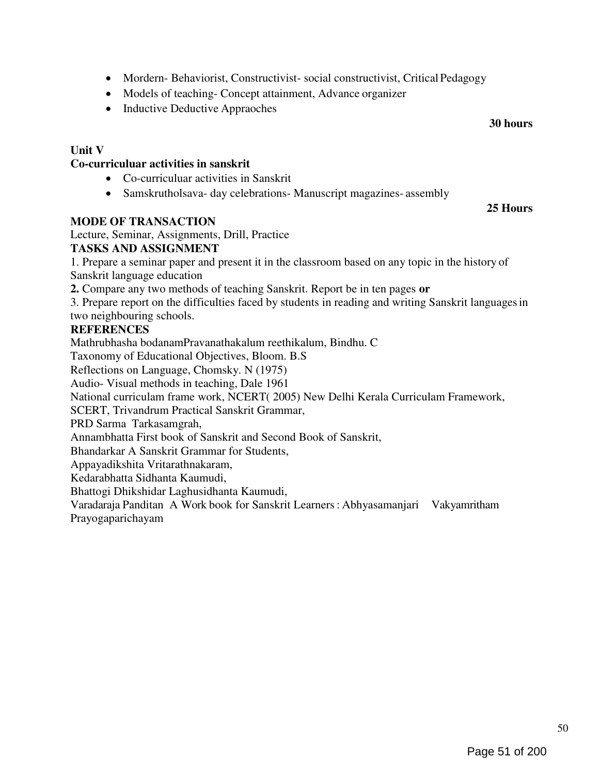50

- Mordern- Behaviorist, Constructivist- social constructivist, Critical Pedagogy
- Models of teaching- Concept attainment, Advance organizer
- Inductive Deductive Appraoches

#### Unit V

#### Co-curriculuar activities in sanskrit

- Co-curriculuar activities in Sanskrit
- Samskrutholsava- day celebrations- Manuscript magazines- assembly

#### MODE OF TRANSACTION

Lecture, Seminar, Assignments, Drill, Practice

#### TASKS AND ASSIGNMENT

1. Prepare a seminar paper and present it in the classroom based on any topic in the history of Sanskrit language education

2. Compare any two methods of teaching Sanskrit. Report be in ten pages or

3. Prepare report on the difficulties faced by students in reading and writing Sanskrit languages in two neighbouring schools.

#### **REFERENCES**

Mathrubhasha bodanamPravanathakalum reethikalum, Bindhu. C

Taxonomy of Educational Objectives, Bloom. B.S

Reflections on Language, Chomsky. N (1975)

Audio- Visual methods in teaching, Dale 1961

National curriculam frame work, NCERT( 2005) New Delhi Kerala Curriculam Framework,

SCERT, Trivandrum Practical Sanskrit Grammar,

PRD Sarma Tarkasamgrah,

Annambhatta First book of Sanskrit and Second Book of Sanskrit,

Bhandarkar A Sanskrit Grammar for Students,

Appayadikshita Vritarathnakaram,

Kedarabhatta Sidhanta Kaumudi,

Bhattogi Dhikshidar Laghusidhanta Kaumudi,

Varadaraja Panditan A Work book for Sanskrit Learners : Abhyasamanjari Vakyamritham Prayogaparichayam

25 Hours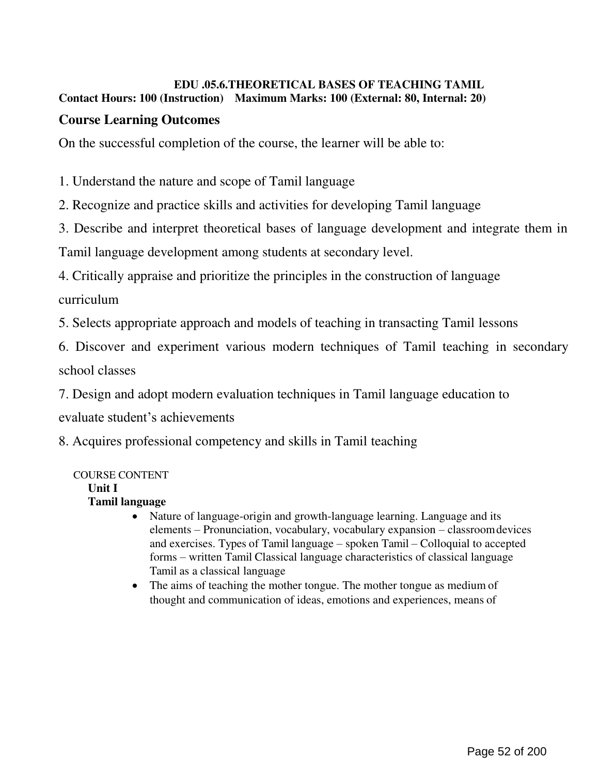#### EDU .05.6.THEORETICAL BASES OF TEACHING TAMIL Contact Hours: 100 (Instruction) Maximum Marks: 100 (External: 80, Internal: 20)

## Course Learning Outcomes

On the successful completion of the course, the learner will be able to:

1. Understand the nature and scope of Tamil language

2. Recognize and practice skills and activities for developing Tamil language

3. Describe and interpret theoretical bases of language development and integrate them in

Tamil language development among students at secondary level.

4. Critically appraise and prioritize the principles in the construction of language

curriculum

5. Selects appropriate approach and models of teaching in transacting Tamil lessons

6. Discover and experiment various modern techniques of Tamil teaching in secondary school classes

7. Design and adopt modern evaluation techniques in Tamil language education to

evaluate student's achievements

8. Acquires professional competency and skills in Tamil teaching

### COURSE CONTENT

Unit I

### Tamil language

- Nature of language-origin and growth-language learning. Language and its elements – Pronunciation, vocabulary, vocabulary expansion – classroom devices and exercises. Types of Tamil language – spoken Tamil – Colloquial to accepted forms – written Tamil Classical language characteristics of classical language Tamil as a classical language
- The aims of teaching the mother tongue. The mother tongue as medium of thought and communication of ideas, emotions and experiences, means of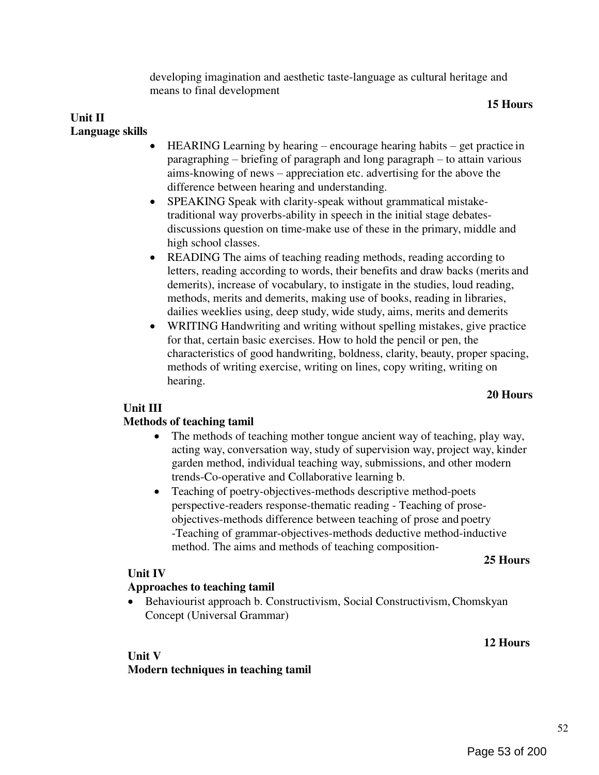developing imagination and aesthetic taste-language as cultural heritage and means to final development

#### 15 Hours

#### Unit II Language skills

- HEARING Learning by hearing encourage hearing habits get practice in paragraphing – briefing of paragraph and long paragraph – to attain various aims-knowing of news – appreciation etc. advertising for the above the difference between hearing and understanding.
- SPEAKING Speak with clarity-speak without grammatical mistaketraditional way proverbs-ability in speech in the initial stage debatesdiscussions question on time-make use of these in the primary, middle and high school classes.
- READING The aims of teaching reading methods, reading according to letters, reading according to words, their benefits and draw backs (merits and demerits), increase of vocabulary, to instigate in the studies, loud reading, methods, merits and demerits, making use of books, reading in libraries, dailies weeklies using, deep study, wide study, aims, merits and demerits
- WRITING Handwriting and writing without spelling mistakes, give practice for that, certain basic exercises. How to hold the pencil or pen, the characteristics of good handwriting, boldness, clarity, beauty, proper spacing, methods of writing exercise, writing on lines, copy writing, writing on hearing.

#### 20 Hours

#### Unit III

#### Methods of teaching tamil

- The methods of teaching mother tongue ancient way of teaching, play way, acting way, conversation way, study of supervision way, project way, kinder garden method, individual teaching way, submissions, and other modern trends-Co-operative and Collaborative learning b.
- Teaching of poetry-objectives-methods descriptive method-poets perspective-readers response-thematic reading - Teaching of proseobjectives-methods difference between teaching of prose and poetry -Teaching of grammar-objectives-methods deductive method-inductive method. The aims and methods of teaching composition-

#### 25 Hours

12 Hours

#### Unit IV

#### Approaches to teaching tamil

 Behaviourist approach b. Constructivism, Social Constructivism, Chomskyan Concept (Universal Grammar)

#### Unit V

Modern techniques in teaching tamil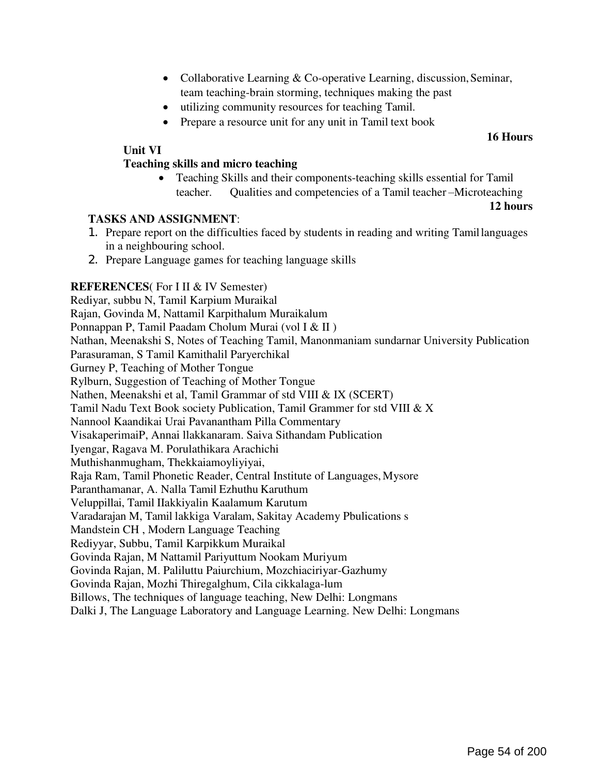- Collaborative Learning & Co-operative Learning, discussion, Seminar, team teaching-brain storming, techniques making the past
- utilizing community resources for teaching Tamil.
- Prepare a resource unit for any unit in Tamil text book

#### 16 Hours

#### Unit VI

#### Teaching skills and micro teaching

 Teaching Skills and their components-teaching skills essential for Tamil teacher. Qualities and competencies of a Tamil teacher –Microteaching

#### 12 hours

#### TASKS AND ASSIGNMENT:

- 1. Prepare report on the difficulties faced by students in reading and writing Tamil languages in a neighbouring school.
- 2. Prepare Language games for teaching language skills

#### REFERENCES(For I II & IV Semester)

Rediyar, subbu N, Tamil Karpium Muraikal Rajan, Govinda M, Nattamil Karpithalum Muraikalum Ponnappan P, Tamil Paadam Cholum Murai (vol I & II ) Nathan, Meenakshi S, Notes of Teaching Tamil, Manonmaniam sundarnar University Publication Parasuraman, S Tamil Kamithalil Paryerchikal Gurney P, Teaching of Mother Tongue Rylburn, Suggestion of Teaching of Mother Tongue Nathen, Meenakshi et al, Tamil Grammar of std VIII & IX (SCERT) Tamil Nadu Text Book society Publication, Tamil Grammer for std VIII & X Nannool Kaandikai Urai Pavanantham Pilla Commentary VisakaperimaiP, Annai llakkanaram. Saiva Sithandam Publication Iyengar, Ragava M. Porulathikara Arachichi Muthishanmugham, Thekkaiamoyliyiyai, Raja Ram, Tamil Phonetic Reader, Central Institute of Languages, Mysore Paranthamanar, A. Nalla Tamil Ezhuthu Karuthum Veluppillai, Tamil IIakkiyalin Kaalamum Karutum Varadarajan M, Tamil lakkiga Varalam, Sakitay Academy Pbulications s Mandstein CH , Modern Language Teaching Rediyyar, Subbu, Tamil Karpikkum Muraikal Govinda Rajan, M Nattamil Pariyuttum Nookam Muriyum Govinda Rajan, M. Paliluttu Paiurchium, Mozchiaciriyar-Gazhumy Govinda Rajan, Mozhi Thiregalghum, Cila cikkalaga-lum Billows, The techniques of language teaching, New Delhi: Longmans Dalki J, The Language Laboratory and Language Learning. New Delhi: Longmans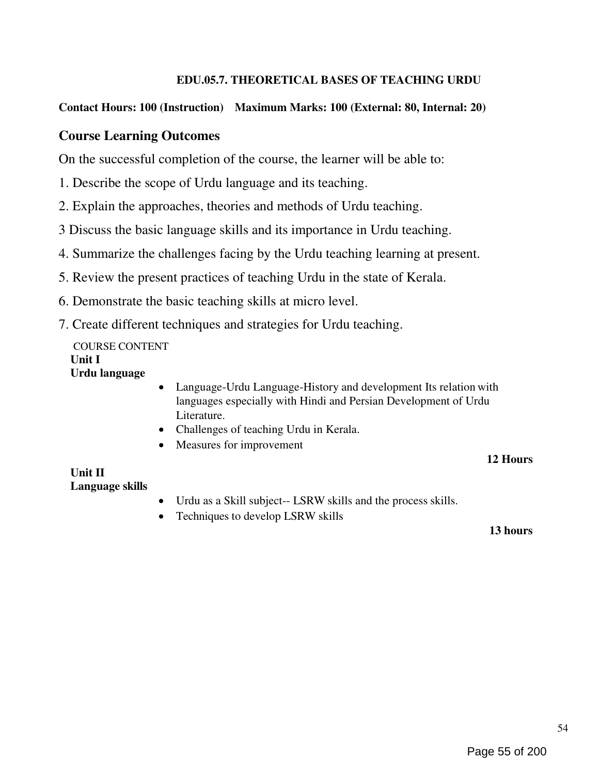#### EDU.05.7. THEORETICAL BASES OF TEACHING URDU

#### Contact Hours: 100 (Instruction) Maximum Marks: 100 (External: 80, Internal: 20)

#### Course Learning Outcomes

On the successful completion of the course, the learner will be able to:

- 1. Describe the scope of Urdu language and its teaching.
- 2. Explain the approaches, theories and methods of Urdu teaching.
- 3 Discuss the basic language skills and its importance in Urdu teaching.
- 4. Summarize the challenges facing by the Urdu teaching learning at present.
- 5. Review the present practices of teaching Urdu in the state of Kerala.
- 6. Demonstrate the basic teaching skills at micro level.
- 7. Create different techniques and strategies for Urdu teaching.

#### COURSE CONTENT Unit I Urdu language

- Language-Urdu Language-History and development Its relation with languages especially with Hindi and Persian Development of Urdu Literature.
- Challenges of teaching Urdu in Kerala.
- Measures for improvement

#### 12 Hours

#### Unit II Language skills

- Urdu as a Skill subject-- LSRW skills and the process skills.
- Techniques to develop LSRW skills

#### 13 hours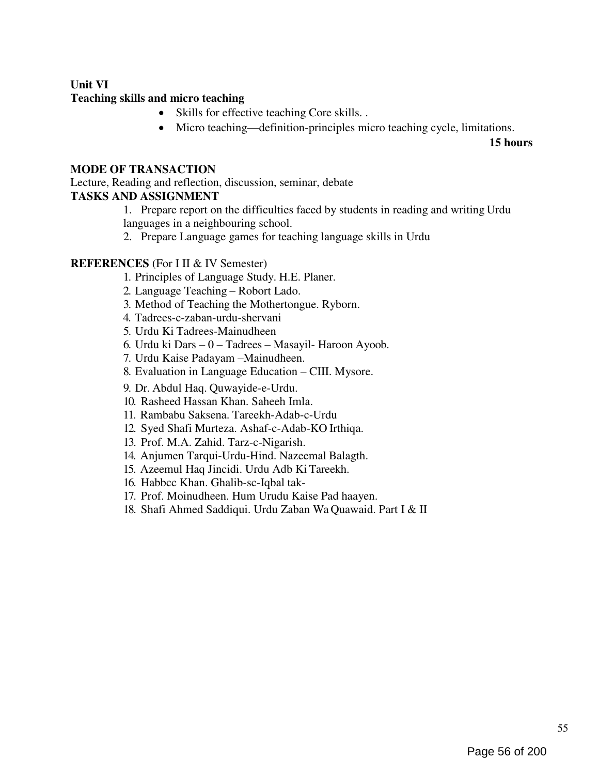#### Unit VI Teaching skills and micro teaching

- Skills for effective teaching Core skills. .
- Micro teaching—definition-principles micro teaching cycle, limitations.

15 hours

#### MODE OF TRANSACTION

Lecture, Reading and reflection, discussion, seminar, debate TASKS AND ASSIGNMENT

1. Prepare report on the difficulties faced by students in reading and writing Urdu

languages in a neighbouring school.

2. Prepare Language games for teaching language skills in Urdu

#### REFERENCES (For I II & IV Semester)

- 1. Principles of Language Study. H.E. Planer.
- 2. Language Teaching Robort Lado.
- 3. Method of Teaching the Mothertongue. Ryborn.
- 4. Tadrees-c-zaban-urdu-shervani
- 5. Urdu Ki Tadrees-Mainudheen
- 6. Urdu ki Dars 0 Tadrees Masayil- Haroon Ayoob.
- 7. Urdu Kaise Padayam –Mainudheen.
- 8. Evaluation in Language Education CIII. Mysore.
- 9. Dr. Abdul Haq. Quwayide-e-Urdu.
- 10. Rasheed Hassan Khan. Saheeh Imla.
- 11. Rambabu Saksena. Tareekh-Adab-c-Urdu
- 12. Syed Shafi Murteza. Ashaf-c-Adab-KO Irthiqa.
- 13. Prof. M.A. Zahid. Tarz-c-Nigarish.
- 14. Anjumen Tarqui-Urdu-Hind. Nazeemal Balagth.
- 15. Azeemul Haq Jincidi. Urdu Adb Ki Tareekh.
- 16. Habbcc Khan. Ghalib-sc-Iqbal tak-
- 17. Prof. Moinudheen. Hum Urudu Kaise Pad haayen.
- 18. Shafi Ahmed Saddiqui. Urdu Zaban Wa Quawaid. Part I & II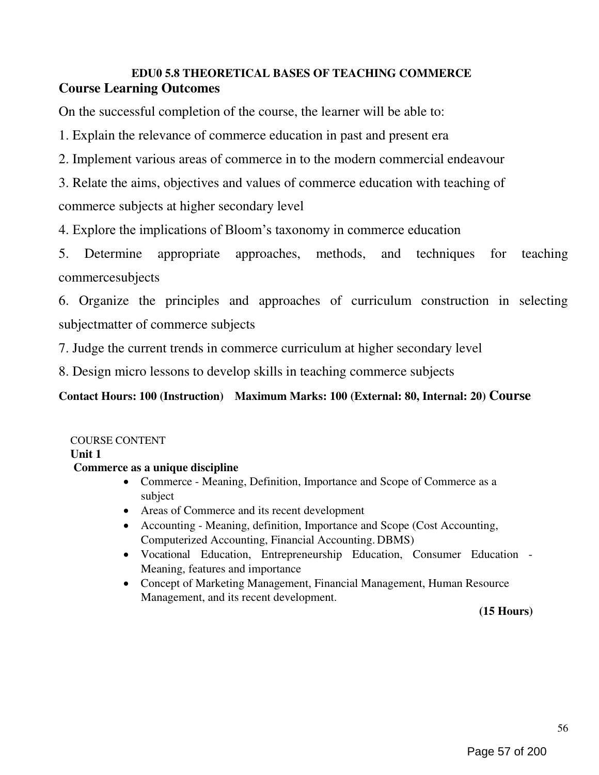## EDU0 5.8 THEORETICAL BASES OF TEACHING COMMERCE Course Learning Outcomes

On the successful completion of the course, the learner will be able to:

1. Explain the relevance of commerce education in past and present era

2. Implement various areas of commerce in to the modern commercial endeavour

3. Relate the aims, objectives and values of commerce education with teaching of commerce subjects at higher secondary level

4. Explore the implications of Bloom's taxonomy in commerce education

5. Determine appropriate approaches, methods, and techniques for teaching commercesubjects

6. Organize the principles and approaches of curriculum construction in selecting subjectmatter of commerce subjects

7. Judge the current trends in commerce curriculum at higher secondary level

8. Design micro lessons to develop skills in teaching commerce subjects

## Contact Hours: 100 (Instruction) Maximum Marks: 100 (External: 80, Internal: 20) Course

### COURSE CONTENT

Unit 1

#### Commerce as a unique discipline

- Commerce Meaning, Definition, Importance and Scope of Commerce as a subject
- Areas of Commerce and its recent development
- Accounting Meaning, definition, Importance and Scope (Cost Accounting, Computerized Accounting, Financial Accounting. DBMS)
- Vocational Education, Entrepreneurship Education, Consumer Education Meaning, features and importance
- Concept of Marketing Management, Financial Management, Human Resource Management, and its recent development.

(15 Hours)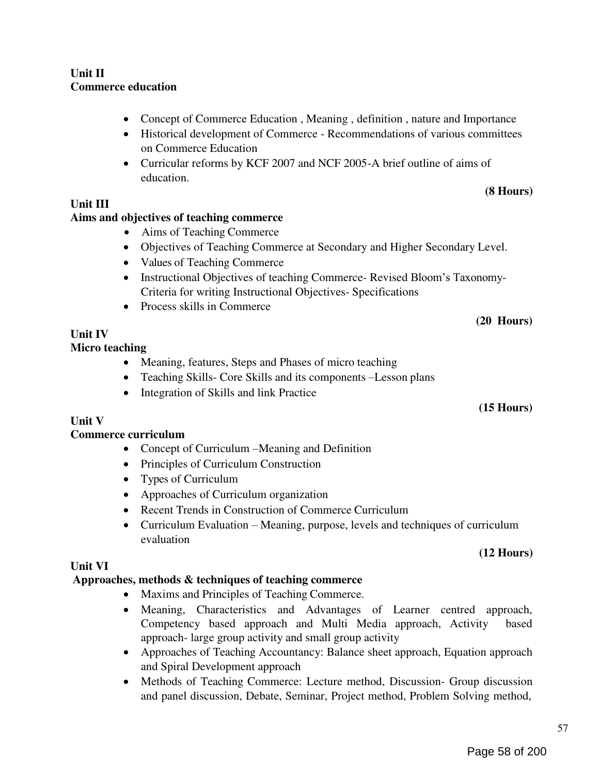- Approaches of Teaching Accountancy: Balance sheet approach, Equation approach and Spiral Development approach
- Methods of Teaching Commerce: Lecture method, Discussion- Group discussion and panel discussion, Debate, Seminar, Project method, Problem Solving method,

#### Commerce curriculum

- Concept of Curriculum –Meaning and Definition
- 
- 
- Approaches of Curriculum organization
- 
- evaluation

#### Unit VI

#### Approaches, methods & techniques of teaching commerce

- Maxims and Principles of Teaching Commerce.
- Meaning, Characteristics and Advantages of Learner centred approach, Competency based approach and Multi Media approach, Activity based approach- large group activity and small group activity

#### (20 Hours)

(15 Hours)

57

## (12 Hours)

# (8 Hours)

Unit II Commerce education

- Concept of Commerce Education, Meaning, definition, nature and Importance
	- Historical development of Commerce Recommendations of various committees on Commerce Education
	- Curricular reforms by KCF 2007 and NCF 2005-A brief outline of aims of education.

### Unit III

### Aims and objectives of teaching commerce

- Aims of Teaching Commerce
- Objectives of Teaching Commerce at Secondary and Higher Secondary Level.
- Values of Teaching Commerce
- Instructional Objectives of teaching Commerce- Revised Bloom's Taxonomy-Criteria for writing Instructional Objectives- Specifications
- Process skills in Commerce

#### Unit IV Micro teaching

## • Meaning, features, Steps and Phases of micro teaching

- Teaching Skills- Core Skills and its components –Lesson plans
- Integration of Skills and link Practice

#### Unit V

- 
- Principles of Curriculum Construction
- Types of Curriculum
- 
- Recent Trends in Construction of Commerce Curriculum
- Curriculum Evaluation Meaning, purpose, levels and techniques of curriculum

- 
-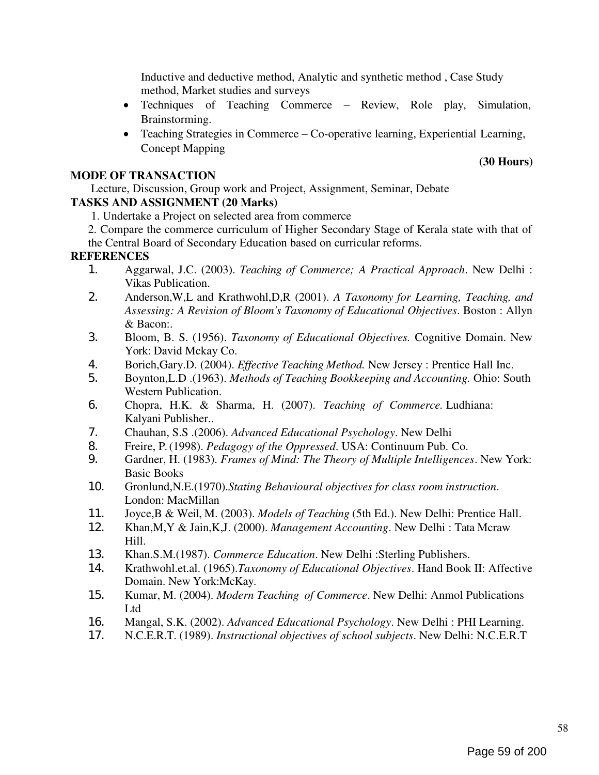Inductive and deductive method, Analytic and synthetic method , Case Study method, Market studies and surveys

- Techniques of Teaching Commerce Review, Role play, Simulation, Brainstorming.
- Teaching Strategies in Commerce Co-operative learning, Experiential Learning, Concept Mapping

#### MODE OF TRANSACTION

Lecture, Discussion, Group work and Project, Assignment, Seminar, Debate

#### TASKS AND ASSIGNMENT (20 Marks)

- 1. Undertake a Project on selected area from commerce
- 2. Compare the commerce curriculum of Higher Secondary Stage of Kerala state with that of the Central Board of Secondary Education based on curricular reforms.

#### **REFERENCES**

- 1. Aggarwal, J.C. (2003). Teaching of Commerce; A Practical Approach. New Delhi : Vikas Publication.
- 2. Anderson, W, L and Krathwohl, D, R (2001). A Taxonomy for Learning, Teaching, and Assessing: A Revision of Bloom's Taxonomy of Educational Objectives. Boston : Allyn & Bacon:.
- 3. Bloom, B. S. (1956). Taxonomy of Educational Objectives. Cognitive Domain. New York: David Mckay Co.
- 4. Borich,Gary.D. (2004). *Effective Teaching Method*. New Jersey : Prentice Hall Inc.<br>5. Boynton.L.D. (1963). *Methods of Teaching Bookkeeping and Accounting*. Ohio: So
- 5. Boynton,L.D .(1963). Methods of Teaching Bookkeeping and Accounting. Ohio: South Western Publication.
- 6. Chopra, H.K. & Sharma, H. (2007). Teaching of Commerce. Ludhiana: Kalyani Publisher..
- 7. Chauhan, S.S .(2006). Advanced Educational Psychology. New Delhi
- 8. Freire, P. (1998). *Pedagogy of the Oppressed*. USA: Continuum Pub. Co.<br>9. Gardner, H. (1983). *Frames of Mind: The Theory of Multiple Intelligence*
- Gardner, H. (1983). Frames of Mind: The Theory of Multiple Intelligences. New York: Basic Books
- 10. Gronlund, N.E. (1970). Stating Behavioural objectives for class room instruction. London: MacMillan
- 11. Joyce,B & Weil, M. (2003). Models of Teaching (5th Ed.). New Delhi: Prentice Hall.
- 12. Khan,M,Y & Jain,K,J. (2000). Management Accounting. New Delhi : Tata Mcraw Hill.
- 13. Khan.S.M.(1987). Commerce Education. New Delhi : Sterling Publishers.
- 14. Krathwohl.et.al. (1965). Taxonomy of Educational Objectives. Hand Book II: Affective Domain. New York:McKay.
- 15. Kumar, M. (2004). *Modern Teaching of Commerce*. New Delhi: Anmol Publications Ltd
- 16. Mangal, S.K. (2002). Advanced Educational Psychology. New Delhi : PHI Learning.
- 17. N.C.E.R.T. (1989). Instructional objectives of school subjects. New Delhi: N.C.E.R.T

(30 Hours)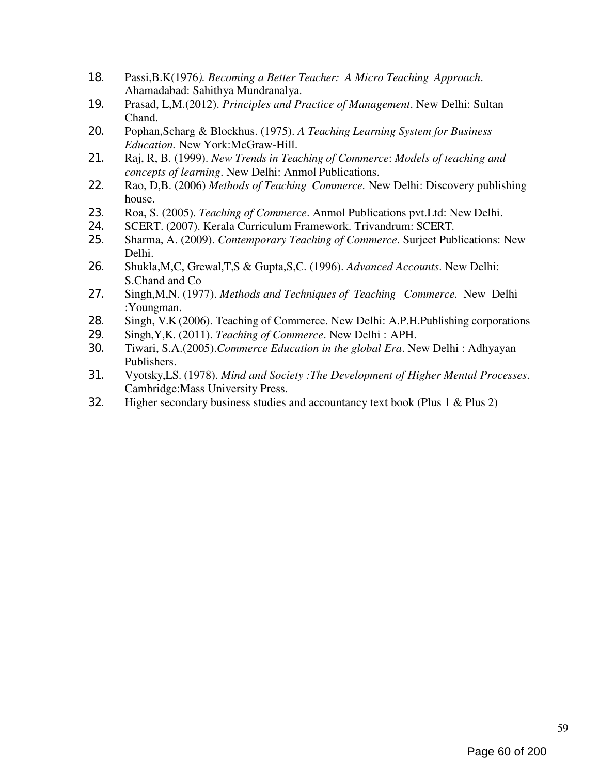- 18. Passi,B.K(1976). Becoming a Better Teacher: A Micro Teaching Approach. Ahamadabad: Sahithya Mundranalya.
- 19. Prasad, L,M.(2012). Principles and Practice of Management. New Delhi: Sultan Chand.
- 20. Pophan, Scharg & Blockhus. (1975). A Teaching Learning System for Business Education. New York:McGraw-Hill.
- 21. Raj, R, B. (1999). New Trends in Teaching of Commerce: Models of teaching and concepts of learning. New Delhi: Anmol Publications.
- 22. Rao, D,B. (2006) Methods of Teaching Commerce. New Delhi: Discovery publishing house.
- 23. Roa, S. (2005). Teaching of Commerce. Anmol Publications pvt. Ltd: New Delhi.
- 24. SCERT. (2007). Kerala Curriculum Framework. Trivandrum: SCERT.
- 25. Sharma, A. (2009). Contemporary Teaching of Commerce. Surjeet Publications: New Delhi.
- 26. Shukla, M, C, Grewal, T, S & Gupta, S, C. (1996). Advanced Accounts. New Delhi: S.Chand and Co
- 27. Singh, M, N. (1977). Methods and Techniques of Teaching Commerce. New Delhi :Youngman.
- 28. Singh, V.K (2006). Teaching of Commerce. New Delhi: A.P.H.Publishing corporations
- 29. Singh, Y, K. (2011). Teaching of Commerce. New Delhi : APH.
- 30. Tiwari, S.A.(2005).Commerce Education in the global Era. New Delhi : Adhyayan Publishers.
- 31. Vyotsky, L.S. (1978). Mind and Society: The Development of Higher Mental Processes. Cambridge:Mass University Press.
- 32. Higher secondary business studies and accountancy text book (Plus 1 & Plus 2)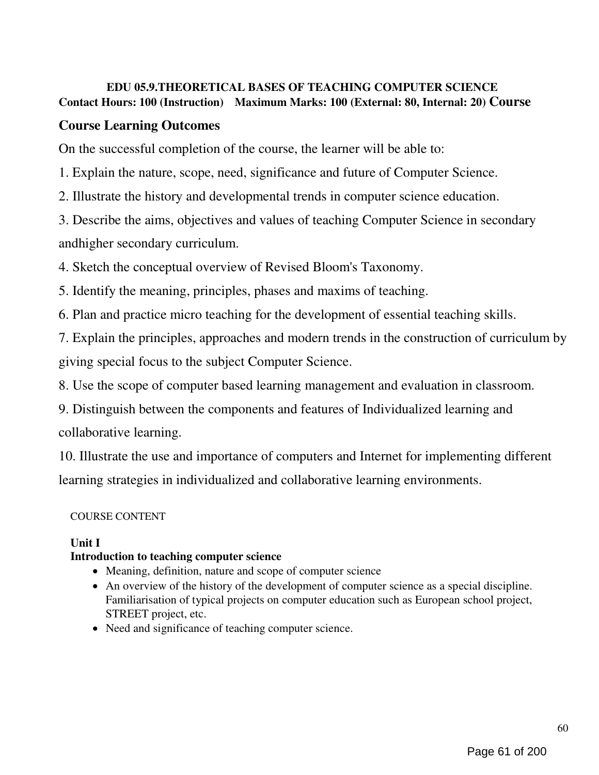#### EDU 05.9.THEORETICAL BASES OF TEACHING COMPUTER SCIENCE Contact Hours: 100 (Instruction) Maximum Marks: 100 (External: 80, Internal: 20) Course

## Course Learning Outcomes

On the successful completion of the course, the learner will be able to:

1. Explain the nature, scope, need, significance and future of Computer Science.

2. Illustrate the history and developmental trends in computer science education.

3. Describe the aims, objectives and values of teaching Computer Science in secondary andhigher secondary curriculum.

4. Sketch the conceptual overview of Revised Bloom's Taxonomy.

5. Identify the meaning, principles, phases and maxims of teaching.

6. Plan and practice micro teaching for the development of essential teaching skills.

7. Explain the principles, approaches and modern trends in the construction of curriculum by giving special focus to the subject Computer Science.

8. Use the scope of computer based learning management and evaluation in classroom.

9. Distinguish between the components and features of Individualized learning and collaborative learning.

10. Illustrate the use and importance of computers and Internet for implementing different learning strategies in individualized and collaborative learning environments.

### COURSE CONTENT

## Unit I

## Introduction to teaching computer science

- Meaning, definition, nature and scope of computer science
- An overview of the history of the development of computer science as a special discipline. Familiarisation of typical projects on computer education such as European school project, STREET project, etc.
- Need and significance of teaching computer science.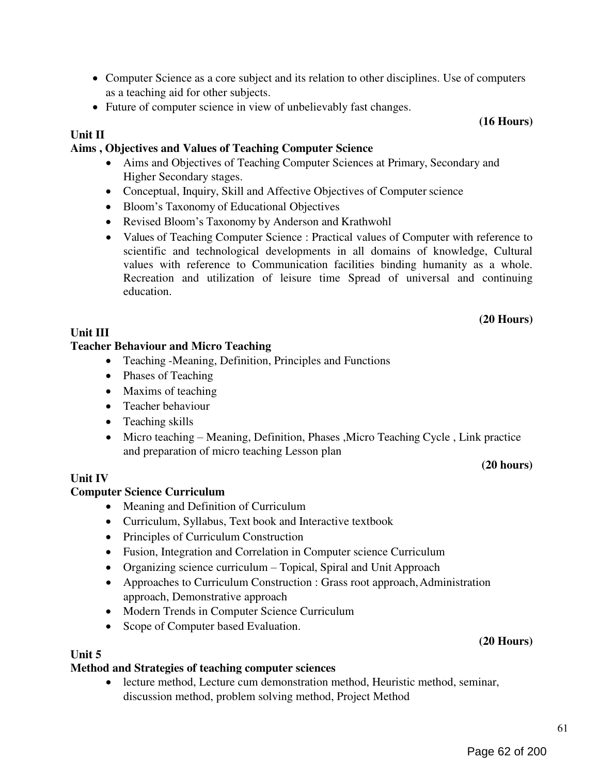61

## (20 Hours)

## Unit III

Unit II

## Teacher Behaviour and Micro Teaching

- Teaching -Meaning, Definition, Principles and Functions
- Phases of Teaching
- Maxims of teaching
- Teacher behaviour
- Teaching skills
- Micro teaching Meaning, Definition, Phases ,Micro Teaching Cycle , Link practice and preparation of micro teaching Lesson plan

## Unit IV

## Computer Science Curriculum

- Meaning and Definition of Curriculum
- Curriculum, Syllabus, Text book and Interactive textbook
- Principles of Curriculum Construction
- Fusion, Integration and Correlation in Computer science Curriculum
- Organizing science curriculum Topical, Spiral and Unit Approach
- Approaches to Curriculum Construction : Grass root approach, Administration approach, Demonstrative approach
- Modern Trends in Computer Science Curriculum
- Scope of Computer based Evaluation.

## Unit 5

## Method and Strategies of teaching computer sciences

 lecture method, Lecture cum demonstration method, Heuristic method, seminar, discussion method, problem solving method, Project Method

(16 Hours)

 Aims and Objectives of Teaching Computer Sciences at Primary, Secondary and Higher Secondary stages.

Computer Science as a core subject and its relation to other disciplines. Use of computers

- Conceptual, Inquiry, Skill and Affective Objectives of Computer science
- Bloom's Taxonomy of Educational Objectives

Aims , Objectives and Values of Teaching Computer Science

as a teaching aid for other subjects.

• Revised Bloom's Taxonomy by Anderson and Krathwohl

Future of computer science in view of unbelievably fast changes.

 Values of Teaching Computer Science : Practical values of Computer with reference to scientific and technological developments in all domains of knowledge, Cultural values with reference to Communication facilities binding humanity as a whole. Recreation and utilization of leisure time Spread of universal and continuing education.

# (20 hours)

# (20 Hours)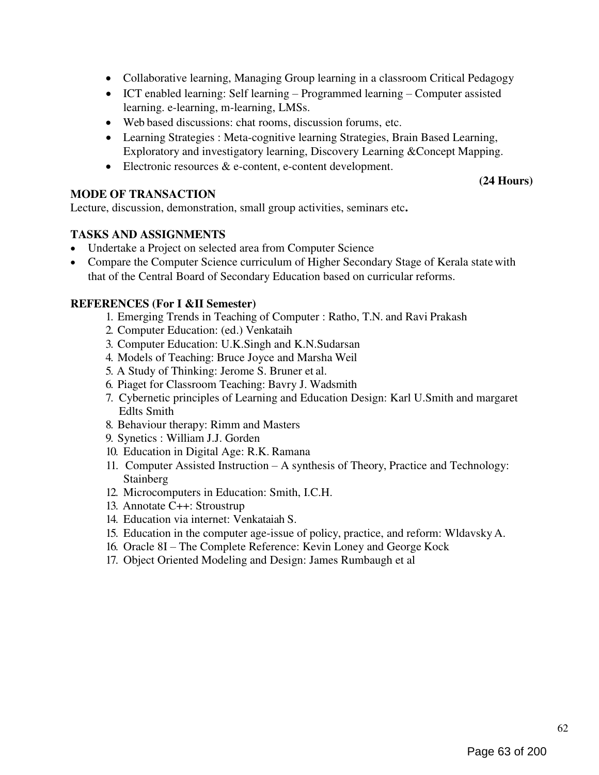- Collaborative learning, Managing Group learning in a classroom Critical Pedagogy
- ICT enabled learning: Self learning Programmed learning Computer assisted learning. e-learning, m-learning, LMSs.
- Web based discussions: chat rooms, discussion forums, etc.
- Learning Strategies : Meta-cognitive learning Strategies, Brain Based Learning, Exploratory and investigatory learning, Discovery Learning &Concept Mapping.
- Electronic resources & e-content, e-content development.

#### MODE OF TRANSACTION

(24 Hours)

Lecture, discussion, demonstration, small group activities, seminars etc.

#### TASKS AND ASSIGNMENTS

- Undertake a Project on selected area from Computer Science
- Compare the Computer Science curriculum of Higher Secondary Stage of Kerala state with that of the Central Board of Secondary Education based on curricular reforms.

#### REFERENCES (For I &II Semester)

- 1. Emerging Trends in Teaching of Computer : Ratho, T.N. and Ravi Prakash
- 2. Computer Education: (ed.) Venkataih
- 3. Computer Education: U.K.Singh and K.N.Sudarsan
- 4. Models of Teaching: Bruce Joyce and Marsha Weil
- 5. A Study of Thinking: Jerome S. Bruner et al.
- 6. Piaget for Classroom Teaching: Bavry J. Wadsmith
- 7. Cybernetic principles of Learning and Education Design: Karl U.Smith and margaret Edlts Smith
- 8. Behaviour therapy: Rimm and Masters
- 9. Synetics : William J.J. Gorden
- 10. Education in Digital Age: R.K. Ramana
- 11. Computer Assisted Instruction A synthesis of Theory, Practice and Technology: Stainberg
- 12. Microcomputers in Education: Smith, I.C.H.
- 13. Annotate C++: Stroustrup
- 14. Education via internet: Venkataiah S.
- 15. Education in the computer age-issue of policy, practice, and reform: Wldavsky A.
- 16. Oracle 8I The Complete Reference: Kevin Loney and George Kock
- 17. Object Oriented Modeling and Design: James Rumbaugh et al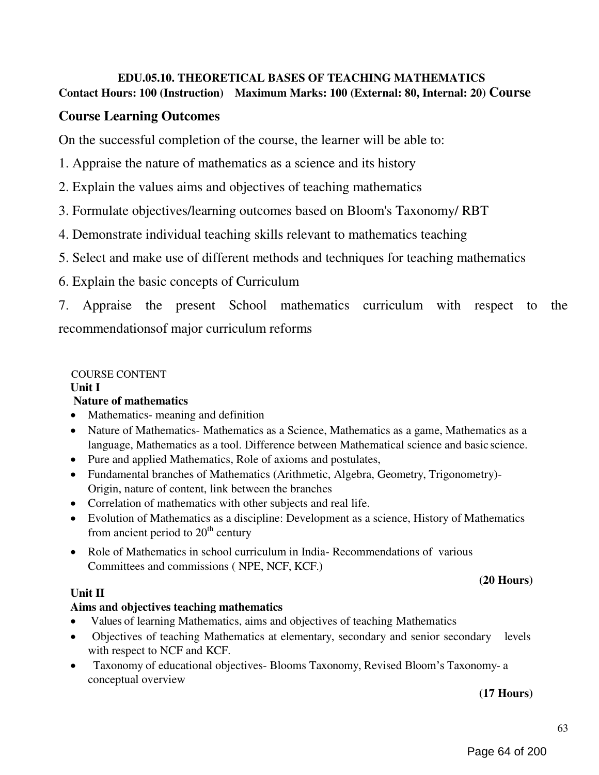### EDU.05.10. THEORETICAL BASES OF TEACHING MATHEMATICS Contact Hours: 100 (Instruction) Maximum Marks: 100 (External: 80, Internal: 20) Course

## Course Learning Outcomes

On the successful completion of the course, the learner will be able to:

- 1. Appraise the nature of mathematics as a science and its history
- 2. Explain the values aims and objectives of teaching mathematics
- 3. Formulate objectives/learning outcomes based on Bloom's Taxonomy/ RBT
- 4. Demonstrate individual teaching skills relevant to mathematics teaching
- 5. Select and make use of different methods and techniques for teaching mathematics
- 6. Explain the basic concepts of Curriculum

7. Appraise the present School mathematics curriculum with respect to the recommendationsof major curriculum reforms

#### COURSE CONTENT Unit I Nature of mathematics

- Mathematics- meaning and definition
- Nature of Mathematics- Mathematics as a Science, Mathematics as a game, Mathematics as a language, Mathematics as a tool. Difference between Mathematical science and basic science.
- Pure and applied Mathematics, Role of axioms and postulates,
- Fundamental branches of Mathematics (Arithmetic, Algebra, Geometry, Trigonometry)- Origin, nature of content, link between the branches
- Correlation of mathematics with other subjects and real life.
- Evolution of Mathematics as a discipline: Development as a science, History of Mathematics from ancient period to  $20<sup>th</sup>$  century
- Role of Mathematics in school curriculum in India-Recommendations of various Committees and commissions ( NPE, NCF, KCF.)

#### Unit II

### Aims and objectives teaching mathematics

- Values of learning Mathematics, aims and objectives of teaching Mathematics
- Objectives of teaching Mathematics at elementary, secondary and senior secondary levels with respect to NCF and KCF.
- Taxonomy of educational objectives- Blooms Taxonomy, Revised Bloom's Taxonomy- a conceptual overview

#### (17 Hours)

(20 Hours)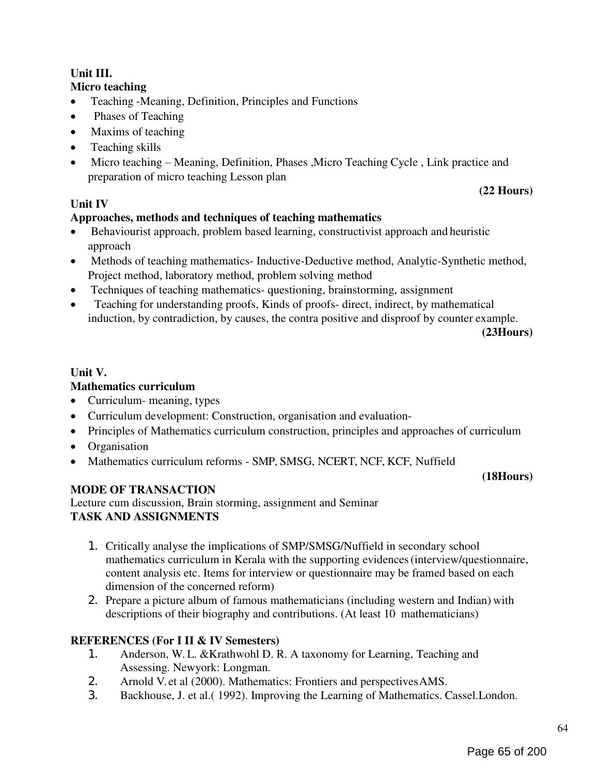## Unit III.

#### Micro teaching

- Teaching -Meaning, Definition, Principles and Functions
- Phases of Teaching
- Maxims of teaching
- Teaching skills
- Micro teaching Meaning, Definition, Phases ,Micro Teaching Cycle, Link practice and preparation of micro teaching Lesson plan

## Unit IV

### Approaches, methods and techniques of teaching mathematics

- Behaviourist approach, problem based learning, constructivist approach and heuristic approach
- Methods of teaching mathematics- Inductive-Deductive method, Analytic-Synthetic method, Project method, laboratory method, problem solving method
- Techniques of teaching mathematics- questioning, brainstorming, assignment
- Teaching for understanding proofs, Kinds of proofs- direct, indirect, by mathematical induction, by contradiction, by causes, the contra positive and disproof by counter example.

(23Hours)

(22 Hours)

### Unit V.

#### Mathematics curriculum

- Curriculum- meaning, types
- Curriculum development: Construction, organisation and evaluation-
- Principles of Mathematics curriculum construction, principles and approaches of curriculum
- Organisation
- Mathematics curriculum reforms SMP, SMSG, NCERT, NCF, KCF, Nuffield

#### (18Hours)

### MODE OF TRANSACTION

Lecture cum discussion, Brain storming, assignment and Seminar TASK AND ASSIGNMENTS

- 1. Critically analyse the implications of SMP/SMSG/Nuffield in secondary school mathematics curriculum in Kerala with the supporting evidences (interview/questionnaire, content analysis etc. Items for interview or questionnaire may be framed based on each dimension of the concerned reform)
- 2. Prepare a picture album of famous mathematicians (including western and Indian) with descriptions of their biography and contributions. (At least 10 mathematicians)

## REFERENCES (For I II & IV Semesters)

- 1. Anderson, W. L. &Krathwohl D. R. A taxonomy for Learning, Teaching and Assessing. Newyork: Longman.
- 2. Arnold V. et al (2000). Mathematics: Frontiers and perspectives AMS.
- 3. Backhouse, J. et al.( 1992). Improving the Learning of Mathematics. Cassel.London.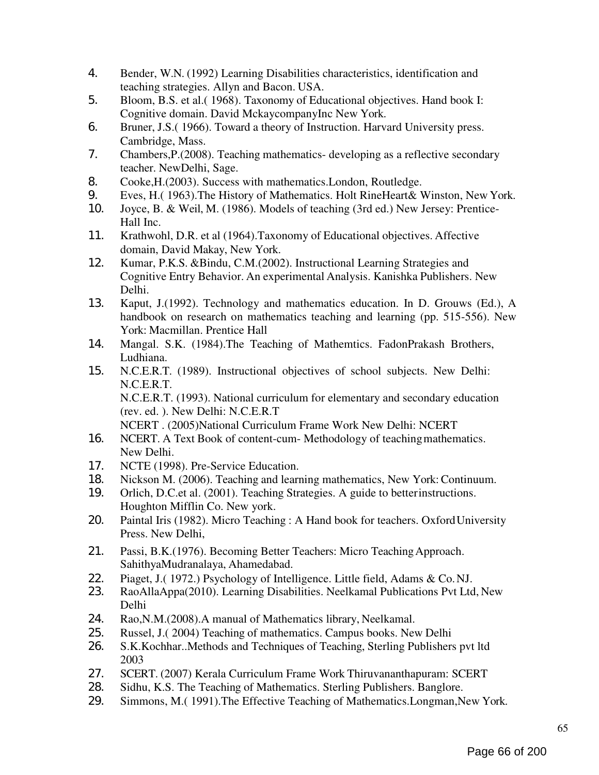- 4. Bender, W.N. (1992) Learning Disabilities characteristics, identification and teaching strategies. Allyn and Bacon. USA.
- 5. Bloom, B.S. et al.( 1968). Taxonomy of Educational objectives. Hand book I: Cognitive domain. David MckaycompanyInc New York.
- 6. Bruner, J.S.( 1966). Toward a theory of Instruction. Harvard University press. Cambridge, Mass.
- 7. Chambers,P.(2008). Teaching mathematics- developing as a reflective secondary teacher. NewDelhi, Sage.
- 8. Cooke,H.(2003). Success with mathematics.London, Routledge.
- 9. Eves, H.( 1963).The History of Mathematics. Holt RineHeart& Winston, New York.
- 10. Joyce, B. & Weil, M. (1986). Models of teaching (3rd ed.) New Jersey: Prentice-Hall Inc.
- 11. Krathwohl, D.R. et al (1964).Taxonomy of Educational objectives. Affective domain, David Makay, New York.
- 12. Kumar, P.K.S. &Bindu, C.M.(2002). Instructional Learning Strategies and Cognitive Entry Behavior. An experimental Analysis. Kanishka Publishers. New Delhi.
- 13. Kaput, J.(1992). Technology and mathematics education. In D. Grouws (Ed.), A handbook on research on mathematics teaching and learning (pp. 515-556). New York: Macmillan. Prentice Hall
- 14. Mangal. S.K. (1984).The Teaching of Mathemtics. FadonPrakash Brothers, Ludhiana.
- 15. N.C.E.R.T. (1989). Instructional objectives of school subjects. New Delhi: N.C.E.R.T. N.C.E.R.T. (1993). National curriculum for elementary and secondary education (rev. ed. ). New Delhi: N.C.E.R.T
	- NCERT . (2005)National Curriculum Frame Work New Delhi: NCERT
- 16. NCERT. A Text Book of content-cum- Methodology of teaching mathematics. New Delhi.
- 17. NCTE (1998). Pre-Service Education.
- 18. Nickson M. (2006). Teaching and learning mathematics, New York: Continuum.
- 19. Orlich, D.C.et al. (2001). Teaching Strategies. A guide to better instructions. Houghton Mifflin Co. New york.
- 20. Paintal Iris (1982). Micro Teaching : A Hand book for teachers. Oxford University Press. New Delhi,
- 21. Passi, B.K.(1976). Becoming Better Teachers: Micro Teaching Approach. SahithyaMudranalaya, Ahamedabad.
- 22. Piaget, J.( 1972.) Psychology of Intelligence. Little field, Adams & Co. NJ.<br>23. RaoAllaAppa(2010). Learning Disabilities. Neelkamal Publications Pvt Ltd
- RaoAllaAppa(2010). Learning Disabilities. Neelkamal Publications Pvt Ltd, New Delhi
- 24. Rao,N.M.(2008).A manual of Mathematics library, Neelkamal.
- 25. Russel, J. (2004) Teaching of mathematics. Campus books. New Delhi<br>26. S.K. Kochhar. Methods and Techniques of Teaching. Sterling Publishers
- 26. S.K.Kochhar..Methods and Techniques of Teaching, Sterling Publishers pvt ltd 2003
- 27. SCERT. (2007) Kerala Curriculum Frame Work Thiruvananthapuram: SCERT
- 28. Sidhu, K.S. The Teaching of Mathematics. Sterling Publishers. Banglore.
- 29. Simmons, M.( 1991).The Effective Teaching of Mathematics.Longman,New York.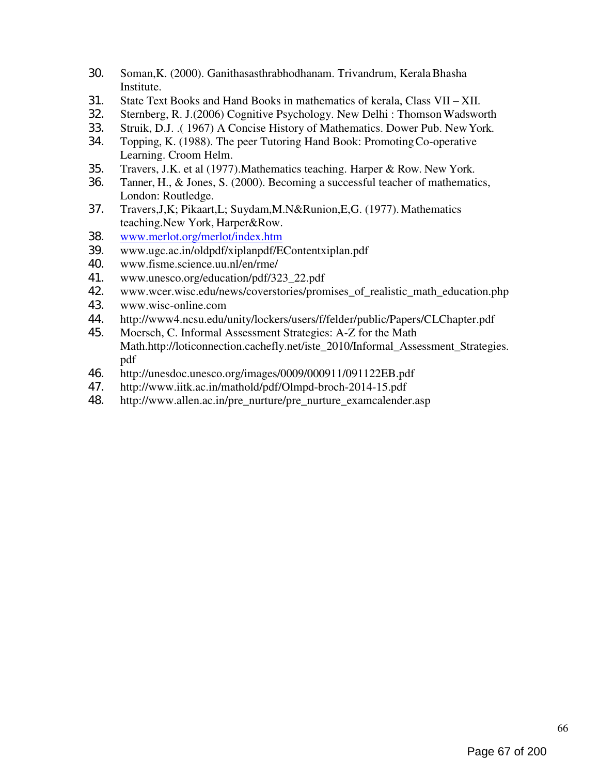- 30. Soman,K. (2000). Ganithasasthrabhodhanam. Trivandrum, Kerala Bhasha Institute.
- 31. State Text Books and Hand Books in mathematics of kerala, Class VII XII.<br>32. Sternberg, R. J. (2006) Cognitive Psychology. New Delhi : Thomson Wadswo
- 32. Sternberg, R. J.(2006) Cognitive Psychology. New Delhi : Thomson Wadsworth
- 33. Struik, D.J. .( 1967) A Concise History of Mathematics. Dower Pub. New York.
- 34. Topping, K. (1988). The peer Tutoring Hand Book: Promoting Co-operative Learning. Croom Helm.
- 35. Travers, J.K. et al (1977).Mathematics teaching. Harper & Row. New York.
- 36. Tanner, H., & Jones, S. (2000). Becoming a successful teacher of mathematics, London: Routledge.
- 37. Travers,J,K; Pikaart,L; Suydam,M.N&Runion,E,G. (1977). Mathematics teaching.New York, Harper&Row.
- 38. www.merlot.org/merlot/index.htm
- 39. www.ugc.ac.in/oldpdf/xiplanpdf/EContentxiplan.pdf
- 40. www.fisme.science.uu.nl/en/rme/
- 41. www.unesco.org/education/pdf/323\_22.pdf
- 42. www.wcer.wisc.edu/news/coverstories/promises\_of\_realistic\_math\_education.php
- 43. www.wisc-online.com
- 44. http://www4.ncsu.edu/unity/lockers/users/f/felder/public/Papers/CLChapter.pdf
- 45. Moersch, C. Informal Assessment Strategies: A-Z for the Math Math.http://loticonnection.cachefly.net/iste\_2010/Informal\_Assessment\_Strategies. pdf
- 46. http://unesdoc.unesco.org/images/0009/000911/091122EB.pdf
- 47. http://www.iitk.ac.in/mathold/pdf/Olmpd-broch-2014-15.pdf
- 48. http://www.allen.ac.in/pre\_nurture/pre\_nurture\_examcalender.asp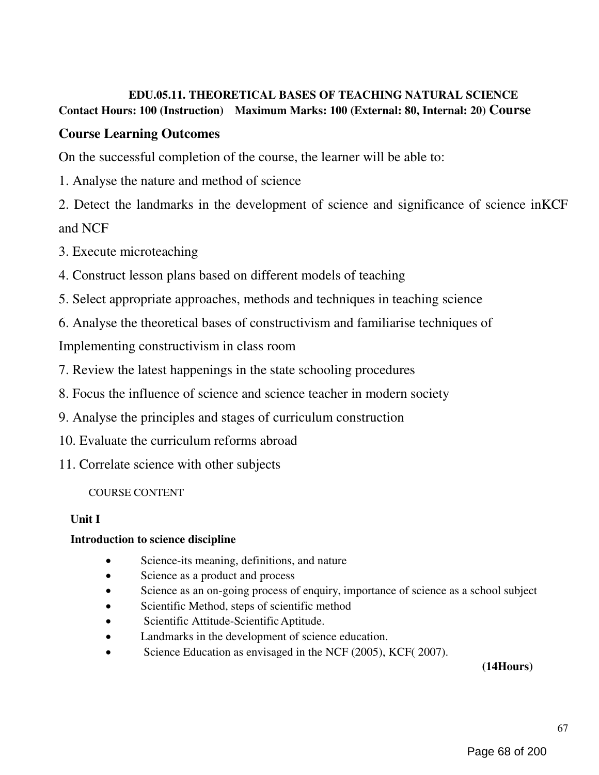## EDU.05.11. THEORETICAL BASES OF TEACHING NATURAL SCIENCE Contact Hours: 100 (Instruction) Maximum Marks: 100 (External: 80, Internal: 20) Course

## Course Learning Outcomes

On the successful completion of the course, the learner will be able to:

1. Analyse the nature and method of science

2. Detect the landmarks in the development of science and significance of science inKCF and NCF

- 3. Execute microteaching
- 4. Construct lesson plans based on different models of teaching
- 5. Select appropriate approaches, methods and techniques in teaching science
- 6. Analyse the theoretical bases of constructivism and familiarise techniques of

Implementing constructivism in class room

- 7. Review the latest happenings in the state schooling procedures
- 8. Focus the influence of science and science teacher in modern society
- 9. Analyse the principles and stages of curriculum construction
- 10. Evaluate the curriculum reforms abroad
- 11. Correlate science with other subjects

### COURSE CONTENT

### Unit I

### Introduction to science discipline

- Science-its meaning, definitions, and nature
- Science as a product and process
- Science as an on-going process of enquiry, importance of science as a school subject
- Scientific Method, steps of scientific method
- Scientific Attitude-Scientific Aptitude.
- Landmarks in the development of science education.
- Science Education as envisaged in the NCF (2005), KCF (2007).

(14Hours)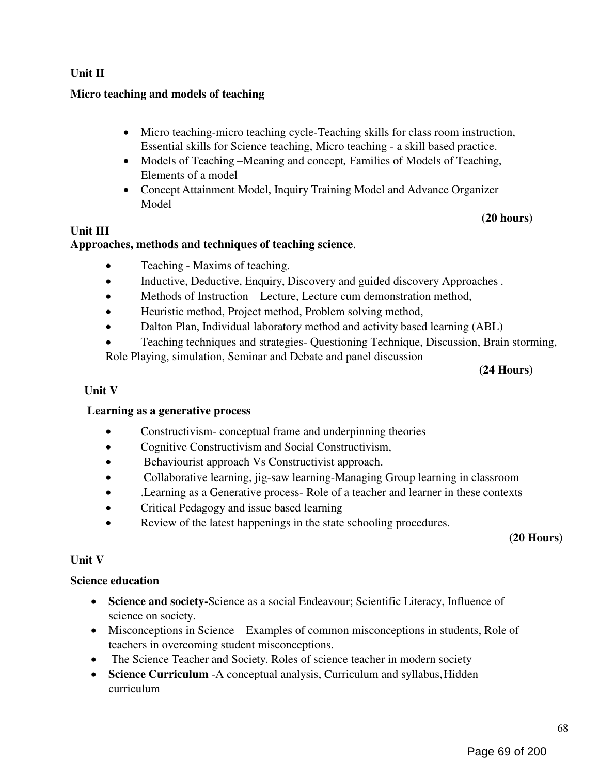### Unit II

#### Micro teaching and models of teaching

- Micro teaching-micro teaching cycle-Teaching skills for class room instruction, Essential skills for Science teaching, Micro teaching - a skill based practice.
- Models of Teaching –Meaning and concept, Families of Models of Teaching, Elements of a model
- Concept Attainment Model, Inquiry Training Model and Advance Organizer Model

#### (20 hours)

#### Unit III

#### Approaches, methods and techniques of teaching science.

- Teaching Maxims of teaching.
- Inductive, Deductive, Enquiry, Discovery and guided discovery Approaches .
- Methods of Instruction Lecture, Lecture cum demonstration method,
- Heuristic method, Project method, Problem solving method,
- Dalton Plan, Individual laboratory method and activity based learning (ABL)
- Teaching techniques and strategies- Questioning Technique, Discussion, Brain storming, Role Playing, simulation, Seminar and Debate and panel discussion

#### (24 Hours)

#### Unit V

#### Learning as a generative process

- Constructivism-conceptual frame and underpinning theories
- Cognitive Constructivism and Social Constructivism,
- Behaviourist approach Vs Constructivist approach.
- Collaborative learning, jig-saw learning-Managing Group learning in classroom
- .Learning as a Generative process- Role of a teacher and learner in these contexts
- Critical Pedagogy and issue based learning
- Review of the latest happenings in the state schooling procedures.

(20 Hours)

#### Unit V

#### Science education

- Science and society-Science as a social Endeavour; Scientific Literacy, Influence of science on society.
- Misconceptions in Science Examples of common misconceptions in students, Role of teachers in overcoming student misconceptions.
- The Science Teacher and Society. Roles of science teacher in modern society
- Science Curriculum -A conceptual analysis, Curriculum and syllabus, Hidden curriculum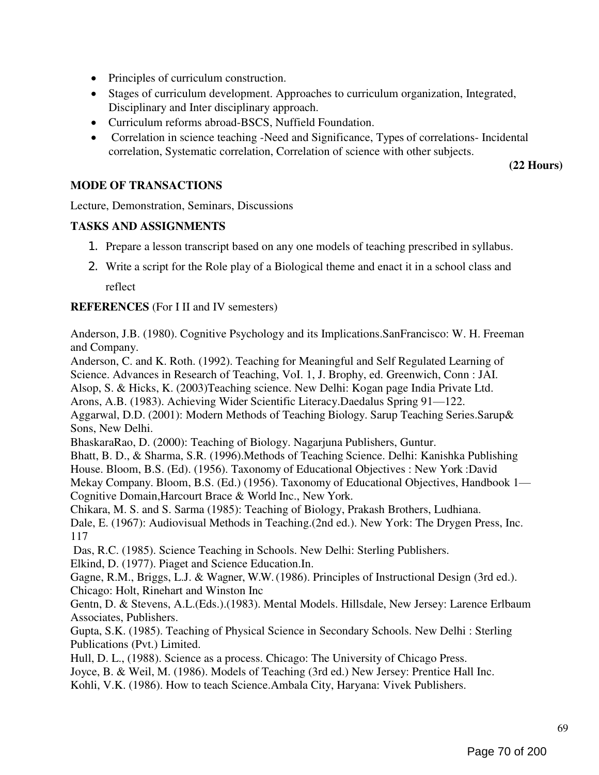- Principles of curriculum construction.
- Stages of curriculum development. Approaches to curriculum organization, Integrated, Disciplinary and Inter disciplinary approach.
- Curriculum reforms abroad-BSCS, Nuffield Foundation.
- Correlation in science teaching -Need and Significance, Types of correlations- Incidental correlation, Systematic correlation, Correlation of science with other subjects.

(22 Hours)

#### MODE OF TRANSACTIONS

Lecture, Demonstration, Seminars, Discussions

#### TASKS AND ASSIGNMENTS

- 1. Prepare a lesson transcript based on any one models of teaching prescribed in syllabus.
- 2. Write a script for the Role play of a Biological theme and enact it in a school class and reflect

#### REFERENCES (For I II and IV semesters)

Anderson, J.B. (1980). Cognitive Psychology and its Implications.SanFrancisco: W. H. Freeman and Company.

Anderson, C. and K. Roth. (1992). Teaching for Meaningful and Self Regulated Learning of Science. Advances in Research of Teaching, VoI. 1, J. Brophy, ed. Greenwich, Conn : JAI. Alsop, S. & Hicks, K. (2003)Teaching science. New Delhi: Kogan page India Private Ltd. Arons, A.B. (1983). Achieving Wider Scientific Literacy.Daedalus Spring 91—122. Aggarwal, D.D. (2001): Modern Methods of Teaching Biology. Sarup Teaching Series.Sarup& Sons, New Delhi.

BhaskaraRao, D. (2000): Teaching of Biology. Nagarjuna Publishers, Guntur.

Bhatt, B. D., & Sharma, S.R. (1996).Methods of Teaching Science. Delhi: Kanishka Publishing House. Bloom, B.S. (Ed). (1956). Taxonomy of Educational Objectives : New York :David Mekay Company. Bloom, B.S. (Ed.) (1956). Taxonomy of Educational Objectives, Handbook 1— Cognitive Domain,Harcourt Brace & World Inc., New York.

Chikara, M. S. and S. Sarma (1985): Teaching of Biology, Prakash Brothers, Ludhiana. Dale, E. (1967): Audiovisual Methods in Teaching.(2nd ed.). New York: The Drygen Press, Inc. 117

Das, R.C. (1985). Science Teaching in Schools. New Delhi: Sterling Publishers. Elkind, D. (1977). Piaget and Science Education.In.

Gagne, R.M., Briggs, L.J. & Wagner, W.W. (1986). Principles of Instructional Design (3rd ed.). Chicago: Holt, Rinehart and Winston Inc

Gentn, D. & Stevens, A.L.(Eds.).(1983). Mental Models. Hillsdale, New Jersey: Larence Erlbaum Associates, Publishers.

Gupta, S.K. (1985). Teaching of Physical Science in Secondary Schools. New Delhi : Sterling Publications (Pvt.) Limited.

Hull, D. L., (1988). Science as a process. Chicago: The University of Chicago Press.

Joyce, B. & Weil, M. (1986). Models of Teaching (3rd ed.) New Jersey: Prentice Hall Inc.

Kohli, V.K. (1986). How to teach Science.Ambala City, Haryana: Vivek Publishers.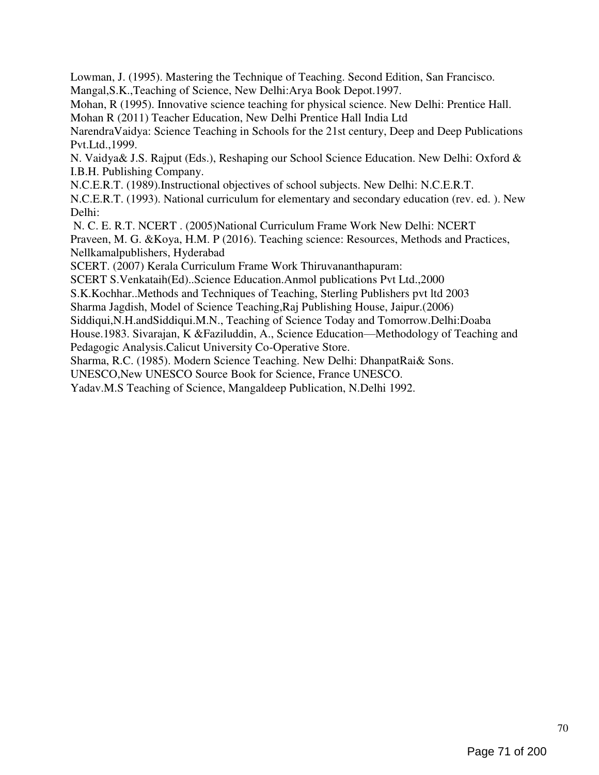Lowman, J. (1995). Mastering the Technique of Teaching. Second Edition, San Francisco. Mangal,S.K.,Teaching of Science, New Delhi:Arya Book Depot.1997.

Mohan, R (1995). Innovative science teaching for physical science. New Delhi: Prentice Hall. Mohan R (2011) Teacher Education, New Delhi Prentice Hall India Ltd

NarendraVaidya: Science Teaching in Schools for the 21st century, Deep and Deep Publications Pvt.Ltd.,1999.

N. Vaidya& J.S. Rajput (Eds.), Reshaping our School Science Education. New Delhi: Oxford & I.B.H. Publishing Company.

N.C.E.R.T. (1989).Instructional objectives of school subjects. New Delhi: N.C.E.R.T.

N.C.E.R.T. (1993). National curriculum for elementary and secondary education (rev. ed. ). New Delhi:

N. C. E. R.T. NCERT . (2005)National Curriculum Frame Work New Delhi: NCERT

Praveen, M. G. &Koya, H.M. P (2016). Teaching science: Resources, Methods and Practices, Nellkamalpublishers, Hyderabad

SCERT. (2007) Kerala Curriculum Frame Work Thiruvananthapuram:

SCERT S.Venkataih(Ed)..Science Education.Anmol publications Pvt Ltd.,2000

S.K.Kochhar..Methods and Techniques of Teaching, Sterling Publishers pvt ltd 2003

Sharma Jagdish, Model of Science Teaching,Raj Publishing House, Jaipur.(2006)

Siddiqui,N.H.andSiddiqui.M.N., Teaching of Science Today and Tomorrow.Delhi:Doaba

House.1983. Sivarajan, K &Faziluddin, A., Science Education—Methodology of Teaching and Pedagogic Analysis.Calicut University Co-Operative Store.

Sharma, R.C. (1985). Modern Science Teaching. New Delhi: DhanpatRai& Sons.

UNESCO,New UNESCO Source Book for Science, France UNESCO.

Yadav.M.S Teaching of Science, Mangaldeep Publication, N.Delhi 1992.

70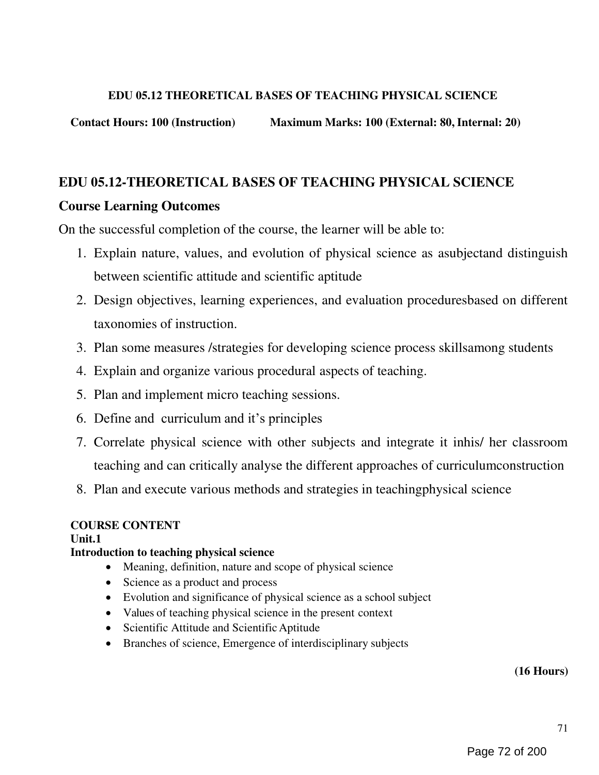#### EDU 05.12 THEORETICAL BASES OF TEACHING PHYSICAL SCIENCE

Contact Hours: 100 (Instruction) Maximum Marks: 100 (External: 80, Internal: 20)

# EDU 05.12-THEORETICAL BASES OF TEACHING PHYSICAL SCIENCE Course Learning Outcomes

On the successful completion of the course, the learner will be able to:

- 1. Explain nature, values, and evolution of physical science as asubjectand distinguish between scientific attitude and scientific aptitude
- 2. Design objectives, learning experiences, and evaluation proceduresbased on different taxonomies of instruction.
- 3. Plan some measures /strategies for developing science process skillsamong students
- 4. Explain and organize various procedural aspects of teaching.
- 5. Plan and implement micro teaching sessions.
- 6. Define and curriculum and it's principles
- 7. Correlate physical science with other subjects and integrate it inhis/ her classroom teaching and can critically analyse the different approaches of curriculumconstruction
- 8. Plan and execute various methods and strategies in teachingphysical science

### COURSE CONTENT

### Unit.1

## Introduction to teaching physical science

- Meaning, definition, nature and scope of physical science
- Science as a product and process
- Evolution and significance of physical science as a school subject
- Values of teaching physical science in the present context
- Scientific Attitude and Scientific Aptitude
- Branches of science, Emergence of interdisciplinary subjects

#### (16 Hours)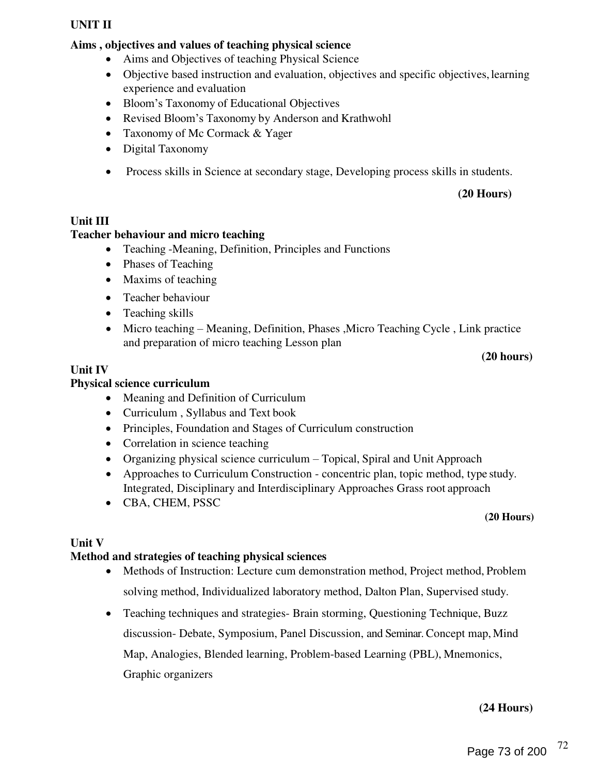#### UNIT II

#### Aims , objectives and values of teaching physical science

- Aims and Objectives of teaching Physical Science
- Objective based instruction and evaluation, objectives and specific objectives, learning experience and evaluation
- Bloom's Taxonomy of Educational Objectives
- Revised Bloom's Taxonomy by Anderson and Krathwohl
- Taxonomy of Mc Cormack & Yager
- Digital Taxonomy
- Process skills in Science at secondary stage, Developing process skills in students.

#### (20 Hours)

#### Unit III

#### Teacher behaviour and micro teaching

- Teaching -Meaning, Definition, Principles and Functions
- Phases of Teaching
- Maxims of teaching
- Teacher behaviour
- Teaching skills
- Micro teaching Meaning, Definition, Phases ,Micro Teaching Cycle , Link practice and preparation of micro teaching Lesson plan

#### (20 hours)

#### Unit IV

# Physical science curriculum

- Meaning and Definition of Curriculum
- Curriculum , Syllabus and Text book
- Principles, Foundation and Stages of Curriculum construction
- Correlation in science teaching
- Organizing physical science curriculum Topical, Spiral and Unit Approach
- Approaches to Curriculum Construction concentric plan, topic method, type study. Integrated, Disciplinary and Interdisciplinary Approaches Grass root approach
- CBA, CHEM, PSSC

#### (20 Hours)

#### Unit V

#### Method and strategies of teaching physical sciences

- Methods of Instruction: Lecture cum demonstration method, Project method, Problem solving method, Individualized laboratory method, Dalton Plan, Supervised study.
- Teaching techniques and strategies- Brain storming, Questioning Technique, Buzz discussion- Debate, Symposium, Panel Discussion, and Seminar. Concept map, Mind Map, Analogies, Blended learning, Problem-based Learning (PBL), Mnemonics, Graphic organizers

#### (24 Hours)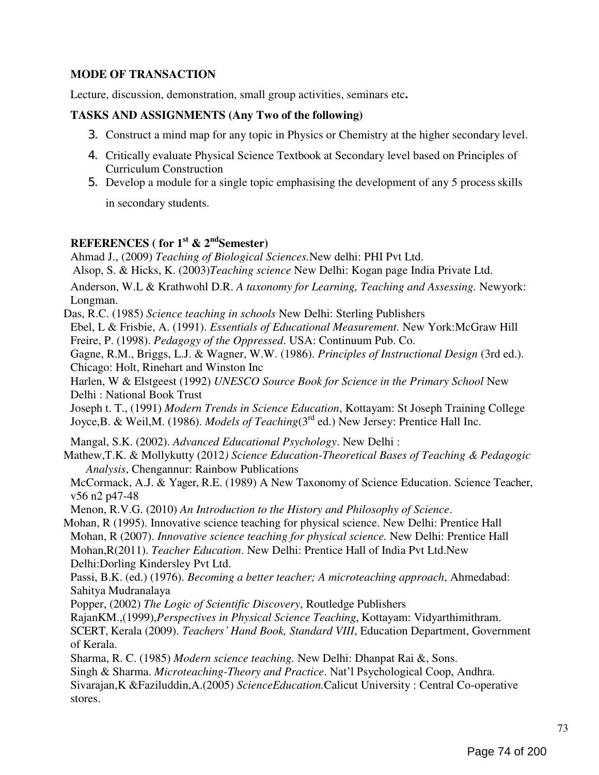# MODE OF TRANSACTION

Lecture, discussion, demonstration, small group activities, seminars etc.

## TASKS AND ASSIGNMENTS (Any Two of the following)

- 3. Construct a mind map for any topic in Physics or Chemistry at the higher secondary level.
- 4. Critically evaluate Physical Science Textbook at Secondary level based on Principles of Curriculum Construction
- 5. Develop a module for a single topic emphasising the development of any 5 process skills

in secondary students.

# REFERENCES (for  $1^{\text{st}}$  &  $2^{\text{nd}}$ Semester)

Ahmad J., (2009) Teaching of Biological Sciences.New delhi: PHI Pvt Ltd. Alsop, S. & Hicks, K. (2003)Teaching science New Delhi: Kogan page India Private Ltd.

Anderson, W.L & Krathwohl D.R. A taxonomy for Learning, Teaching and Assessing. Newyork: Longman.

Das, R.C. (1985) Science teaching in schools New Delhi: Sterling Publishers Ebel, L & Frisbie, A. (1991). Essentials of Educational Measurement. New York:McGraw Hill

Freire, P. (1998). Pedagogy of the Oppressed. USA: Continuum Pub. Co.

Gagne, R.M., Briggs, L.J. & Wagner, W.W. (1986). Principles of Instructional Design (3rd ed.). Chicago: Holt, Rinehart and Winston Inc

Harlen, W & Elstgeest (1992) UNESCO Source Book for Science in the Primary School New Delhi : National Book Trust

Joseph t. T., (1991) Modern Trends in Science Education, Kottayam: St Joseph Training College Joyce,B. & Weil,M. (1986). Models of Teaching(3<sup>rd</sup> ed.) New Jersey: Prentice Hall Inc.

Mangal, S.K. (2002). Advanced Educational Psychology. New Delhi :

Mathew, T.K. & Mollykutty (2012) Science Education-Theoretical Bases of Teaching & Pedagogic Analysis, Chengannur: Rainbow Publications

McCormack, A.J. & Yager, R.E. (1989) A New Taxonomy of Science Education. Science Teacher, v56 n2 p47-48

Menon, R.V.G. (2010) An Introduction to the History and Philosophy of Science.

Mohan, R (1995). Innovative science teaching for physical science. New Delhi: Prentice Hall Mohan, R (2007). Innovative science teaching for physical science. New Delhi: Prentice Hall Mohan,R(2011). Teacher Education. New Delhi: Prentice Hall of India Pvt Ltd.New Delhi:Dorling Kindersley Pvt Ltd.

Passi, B.K. (ed.) (1976). Becoming a better teacher; A microteaching approach, Ahmedabad: Sahitya Mudranalaya

Popper, (2002) The Logic of Scientific Discovery, Routledge Publishers

RajanKM.,(1999),Perspectives in Physical Science Teaching, Kottayam: Vidyarthimithram.

SCERT, Kerala (2009). Teachers' Hand Book, Standard VIII, Education Department, Government of Kerala.

Sharma, R. C. (1985) Modern science teaching. New Delhi: Dhanpat Rai &, Sons.

Singh & Sharma. Microteaching-Theory and Practice. Nat'l Psychological Coop, Andhra.

Sivarajan,K &Faziluddin,A.(2005) ScienceEducation.Calicut University : Central Co-operative stores.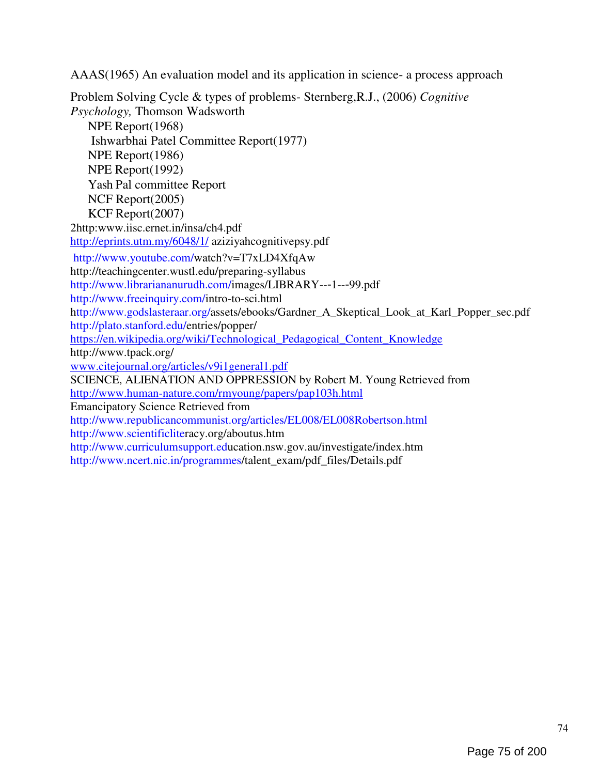AAAS(1965) An evaluation model and its application in science- a process approach

Problem Solving Cycle & types of problems- Sternberg,R.J., (2006) Cognitive Psychology, Thomson Wadsworth NPE Report(1968) Ishwarbhai Patel Committee Report(1977) NPE Report(1986) NPE Report(1992) Yash Pal committee Report NCF Report(2005) KCF Report(2007) 2http:www.iisc.ernet.in/insa/ch4.pdf http://eprints.utm.my/6048/1/ aziziyahcognitivepsy.pdf http://www.youtube.com/watch?v=T7xLD4XfqAw http://teachingcenter.wustl.edu/preparing-syllabus http://www.librariananurudh.com/images/LIBRARY--‐1--‐99.pdf http://www.freeinquiry.com/intro-to-sci.html http://www.godslasteraar.org/assets/ebooks/Gardner\_A\_Skeptical\_Look\_at\_Karl\_Popper\_sec.pdf http://plato.stanford.edu/entries/popper/ https://en.wikipedia.org/wiki/Technological\_Pedagogical\_Content\_Knowledge http://www.tpack.org/ www.citejournal.org/articles/v9i1general1.pdf SCIENCE, ALIENATION AND OPPRESSION by Robert M. Young Retrieved from http://www.human-nature.com/rmyoung/papers/pap103h.html Emancipatory Science Retrieved from http://www.republicancommunist.org/articles/EL008/EL008Robertson.html http://www.scientificliteracy.org/aboutus.htm http://www.curriculumsupport.education.nsw.gov.au/investigate/index.htm http://www.ncert.nic.in/programmes/talent\_exam/pdf\_files/Details.pdf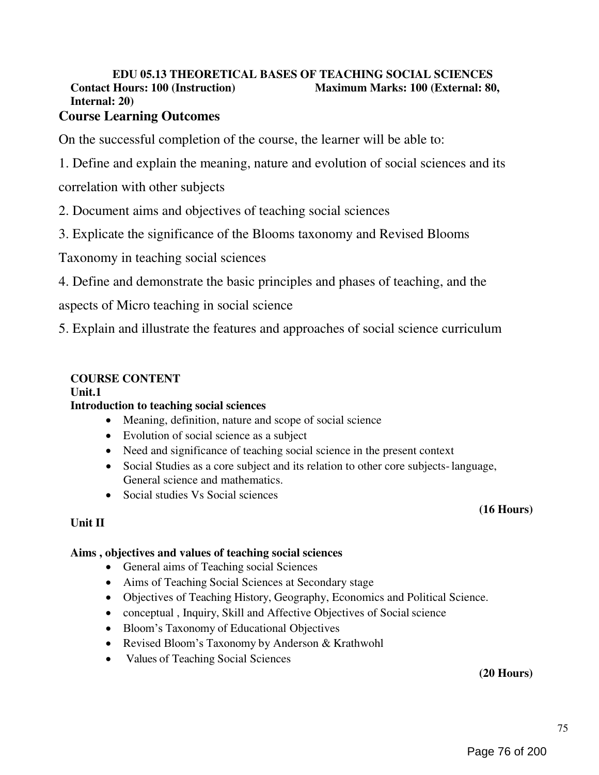# EDU 05.13 THEORETICAL BASES OF TEACHING SOCIAL SCIENCES Contact Hours: 100 (Instruction) Maximum Marks: 100 (External: 80, Internal: 20)

# Course Learning Outcomes

On the successful completion of the course, the learner will be able to:

1. Define and explain the meaning, nature and evolution of social sciences and its

correlation with other subjects

2. Document aims and objectives of teaching social sciences

3. Explicate the significance of the Blooms taxonomy and Revised Blooms

Taxonomy in teaching social sciences

4. Define and demonstrate the basic principles and phases of teaching, and the

aspects of Micro teaching in social science

5. Explain and illustrate the features and approaches of social science curriculum

# COURSE CONTENT

Unit.1

# Introduction to teaching social sciences

- Meaning, definition, nature and scope of social science
- Evolution of social science as a subject
- Need and significance of teaching social science in the present context
- Social Studies as a core subject and its relation to other core subjects- language, General science and mathematics.
- Social studies Vs Social sciences

# Unit II

# (16 Hours)

# Aims , objectives and values of teaching social sciences

- General aims of Teaching social Sciences
- Aims of Teaching Social Sciences at Secondary stage
- Objectives of Teaching History, Geography, Economics and Political Science.
- conceptual , Inquiry, Skill and Affective Objectives of Social science
- Bloom's Taxonomy of Educational Objectives
- Revised Bloom's Taxonomy by Anderson & Krathwohl
- Values of Teaching Social Sciences

(20 Hours)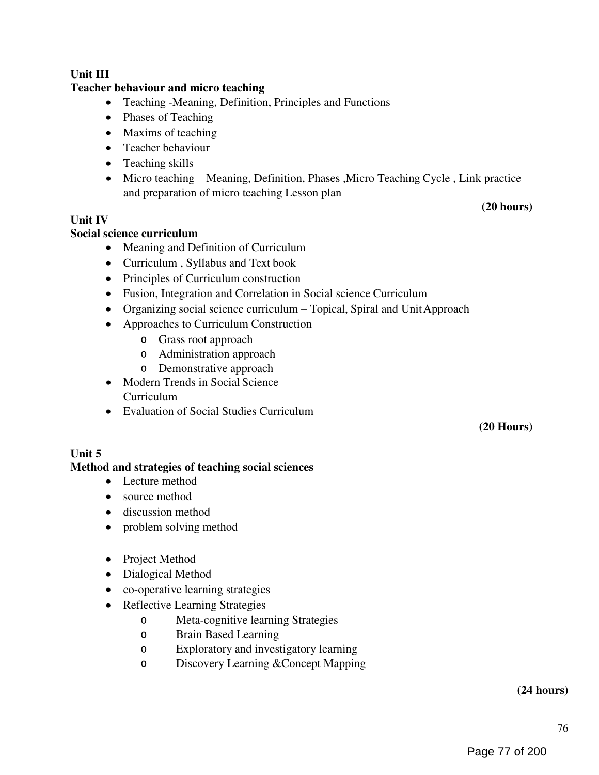# Unit III

## Teacher behaviour and micro teaching

- Teaching -Meaning, Definition, Principles and Functions
- Phases of Teaching
- Maxims of teaching
- Teacher behaviour
- Teaching skills
- Micro teaching Meaning, Definition, Phases ,Micro Teaching Cycle , Link practice and preparation of micro teaching Lesson plan

#### Unit IV

#### Social science curriculum

- Meaning and Definition of Curriculum
- Curriculum , Syllabus and Text book
- Principles of Curriculum construction
- Fusion, Integration and Correlation in Social science Curriculum
- Organizing social science curriculum Topical, Spiral and Unit Approach
- Approaches to Curriculum Construction
	- o Grass root approach
	- o Administration approach
	- o Demonstrative approach
- Modern Trends in Social Science Curriculum
- Evaluation of Social Studies Curriculum

(20 Hours)

(20 hours)

# Unit 5

#### Method and strategies of teaching social sciences

- Lecture method
- source method
- discussion method
- problem solving method
- Project Method
- Dialogical Method
- co-operative learning strategies
- Reflective Learning Strategies
	- o Meta-cognitive learning Strategies
	- o Brain Based Learning
	- o Exploratory and investigatory learning
	- o Discovery Learning &Concept Mapping

## (24 hours)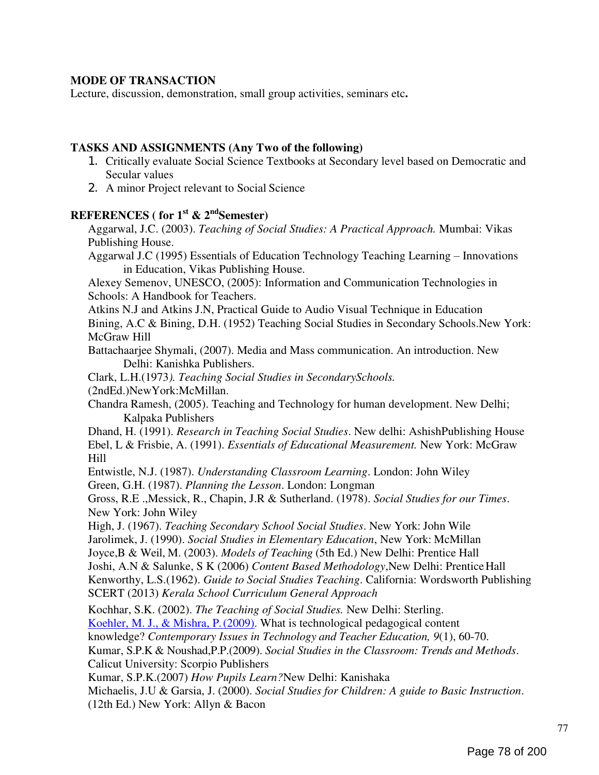## MODE OF TRANSACTION

Lecture, discussion, demonstration, small group activities, seminars etc.

#### TASKS AND ASSIGNMENTS (Any Two of the following)

- 1. Critically evaluate Social Science Textbooks at Secondary level based on Democratic and Secular values
- 2. A minor Project relevant to Social Science

## REFERENCES (for  $1^{\text{st}}$  &  $2^{\text{nd}}$ Semester)

Aggarwal, J.C. (2003). Teaching of Social Studies: A Practical Approach. Mumbai: Vikas Publishing House.

Aggarwal J.C (1995) Essentials of Education Technology Teaching Learning – Innovations in Education, Vikas Publishing House.

Alexey Semenov, UNESCO, (2005): Information and Communication Technologies in Schools: A Handbook for Teachers.

Atkins N.J and Atkins J.N, Practical Guide to Audio Visual Technique in Education Bining, A.C & Bining, D.H. (1952) Teaching Social Studies in Secondary Schools.New York: McGraw Hill

Battachaarjee Shymali, (2007). Media and Mass communication. An introduction. New Delhi: Kanishka Publishers.

Clark, L.H.(1973). Teaching Social Studies in SecondarySchools.

(2ndEd.)NewYork:McMillan.

Chandra Ramesh, (2005). Teaching and Technology for human development. New Delhi; Kalpaka Publishers

Dhand, H. (1991). *Research in Teaching Social Studies*. New delhi: AshishPublishing House Ebel, L & Frisbie, A. (1991). Essentials of Educational Measurement. New York: McGraw Hill

Entwistle, N.J. (1987). Understanding Classroom Learning. London: John Wiley Green, G.H. (1987). Planning the Lesson. London: Longman

Gross, R.E., Messick, R., Chapin, J.R & Sutherland. (1978). Social Studies for our Times. New York: John Wiley

High, J. (1967). Teaching Secondary School Social Studies. New York: John Wile Jarolimek, J. (1990). Social Studies in Elementary Education, New York: McMillan

Joyce, B & Weil, M. (2003). Models of Teaching (5th Ed.) New Delhi: Prentice Hall

Joshi, A.N & Salunke, S K (2006) Content Based Methodology,New Delhi: Prentice Hall

Kenworthy, L.S.(1962). Guide to Social Studies Teaching. California: Wordsworth Publishing SCERT (2013) Kerala School Curriculum General Approach

Kochhar, S.K. (2002). The Teaching of Social Studies. New Delhi: Sterling.

Koehler, M. J., & Mishra, P. (2009). What is technological pedagogical content

knowledge? Contemporary Issues in Technology and Teacher Education, 9(1), 60-70.

Kumar, S.P.K & Noushad,P.P.(2009). Social Studies in the Classroom: Trends and Methods.

Calicut University: Scorpio Publishers

Kumar, S.P.K.(2007) How Pupils Learn?New Delhi: Kanishaka

Michaelis, J.U & Garsia, J. (2000). Social Studies for Children: A guide to Basic Instruction. (12th Ed.) New York: Allyn & Bacon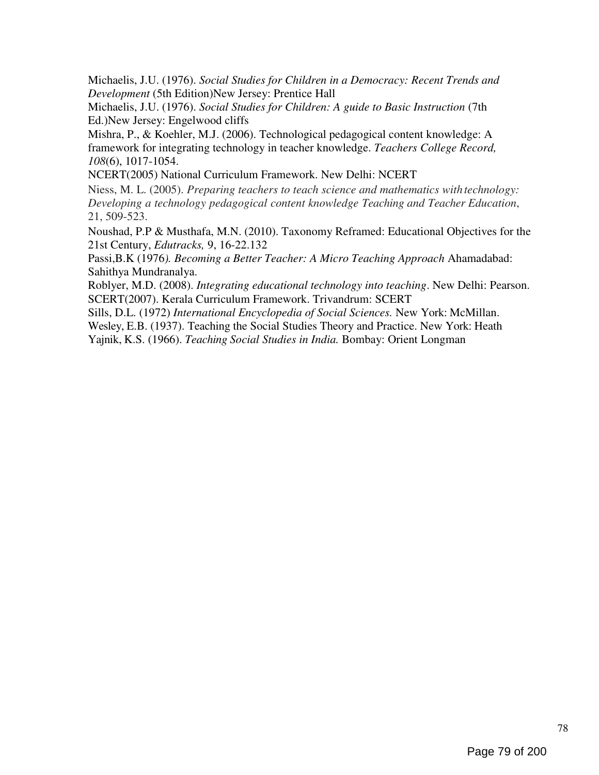Michaelis, J.U. (1976). Social Studies for Children in a Democracy: Recent Trends and Development (5th Edition)New Jersey: Prentice Hall

Michaelis, J.U. (1976). Social Studies for Children: A guide to Basic Instruction (7th Ed.)New Jersey: Engelwood cliffs

Mishra, P., & Koehler, M.J. (2006). Technological pedagogical content knowledge: A framework for integrating technology in teacher knowledge. Teachers College Record, 108(6), 1017-1054.

NCERT(2005) National Curriculum Framework. New Delhi: NCERT

Niess, M. L. (2005). Preparing teachers to teach science and mathematics with technology: Developing a technology pedagogical content knowledge Teaching and Teacher Education, 21, 509-523.

Noushad, P.P & Musthafa, M.N. (2010). Taxonomy Reframed: Educational Objectives for the 21st Century, Edutracks, 9, 16-22.132

Passi,B.K (1976). Becoming a Better Teacher: A Micro Teaching Approach Ahamadabad: Sahithya Mundranalya.

Roblyer, M.D. (2008). Integrating educational technology into teaching. New Delhi: Pearson. SCERT(2007). Kerala Curriculum Framework. Trivandrum: SCERT

Sills, D.L. (1972) International Encyclopedia of Social Sciences. New York: McMillan.

Wesley, E.B. (1937). Teaching the Social Studies Theory and Practice. New York: Heath

Yajnik, K.S. (1966). Teaching Social Studies in India. Bombay: Orient Longman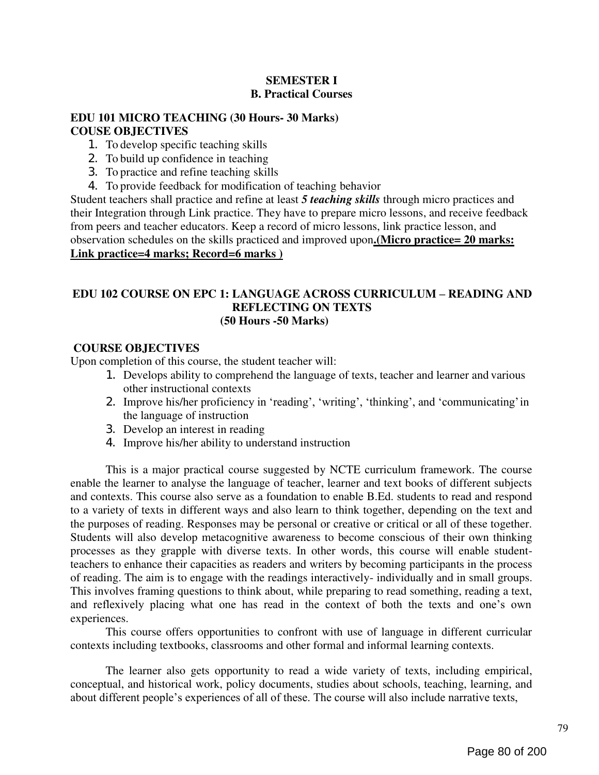# SEMESTER I B. Practical Courses

# EDU 101 MICRO TEACHING (30 Hours- 30 Marks) COUSE OBJECTIVES

- 1. To develop specific teaching skills
- 2. To build up confidence in teaching
- 3. To practice and refine teaching skills
- 4. To provide feedback for modification of teaching behavior

Student teachers shall practice and refine at least 5 *teaching skills* through micro practices and their Integration through Link practice. They have to prepare micro lessons, and receive feedback from peers and teacher educators. Keep a record of micro lessons, link practice lesson, and observation schedules on the skills practiced and improved upon.(Micro practice= 20 marks: Link practice=4 marks; Record=6 marks )

#### EDU 102 COURSE ON EPC 1: LANGUAGE ACROSS CURRICULUM – READING AND REFLECTING ON TEXTS (50 Hours -50 Marks)

#### COURSE OBJECTIVES

Upon completion of this course, the student teacher will:

- 1. Develops ability to comprehend the language of texts, teacher and learner and various other instructional contexts
- 2. Improve his/her proficiency in 'reading', 'writing', 'thinking', and 'communicating' in the language of instruction
- 3. Develop an interest in reading
- 4. Improve his/her ability to understand instruction

This is a major practical course suggested by NCTE curriculum framework. The course enable the learner to analyse the language of teacher, learner and text books of different subjects and contexts. This course also serve as a foundation to enable B.Ed. students to read and respond to a variety of texts in different ways and also learn to think together, depending on the text and the purposes of reading. Responses may be personal or creative or critical or all of these together. Students will also develop metacognitive awareness to become conscious of their own thinking processes as they grapple with diverse texts. In other words, this course will enable studentteachers to enhance their capacities as readers and writers by becoming participants in the process of reading. The aim is to engage with the readings interactively- individually and in small groups. This involves framing questions to think about, while preparing to read something, reading a text, and reflexively placing what one has read in the context of both the texts and one's own experiences.

This course offers opportunities to confront with use of language in different curricular contexts including textbooks, classrooms and other formal and informal learning contexts.

The learner also gets opportunity to read a wide variety of texts, including empirical, conceptual, and historical work, policy documents, studies about schools, teaching, learning, and about different people's experiences of all of these. The course will also include narrative texts,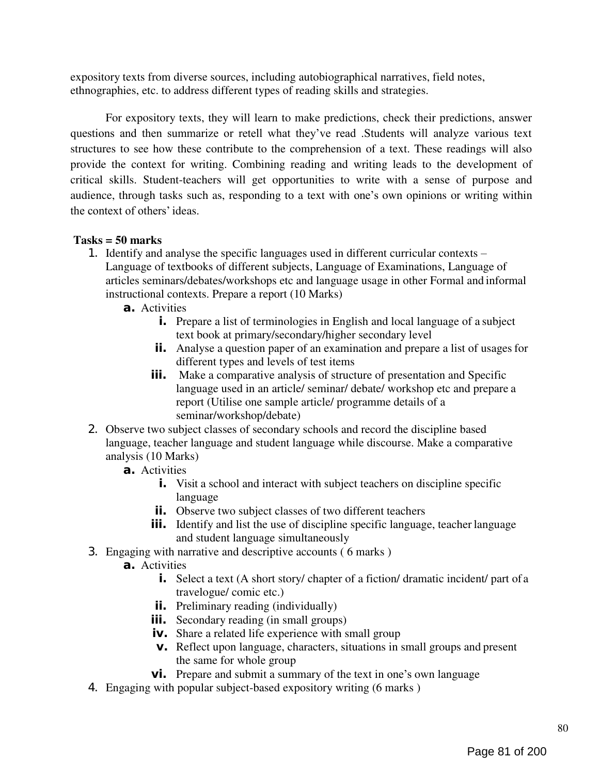expository texts from diverse sources, including autobiographical narratives, field notes, ethnographies, etc. to address different types of reading skills and strategies.

For expository texts, they will learn to make predictions, check their predictions, answer questions and then summarize or retell what they've read .Students will analyze various text structures to see how these contribute to the comprehension of a text. These readings will also provide the context for writing. Combining reading and writing leads to the development of critical skills. Student-teachers will get opportunities to write with a sense of purpose and audience, through tasks such as, responding to a text with one's own opinions or writing within the context of others' ideas.

# Tasks = 50 marks

- 1. Identify and analyse the specific languages used in different curricular contexts
	- Language of textbooks of different subjects, Language of Examinations, Language of articles seminars/debates/workshops etc and language usage in other Formal and informal instructional contexts. Prepare a report (10 Marks)
		- a. Activities
			- i. Prepare a list of terminologies in English and local language of a subject text book at primary/secondary/higher secondary level
			- **ii.** Analyse a question paper of an examination and prepare a list of usages for different types and levels of test items
			- **iii.** Make a comparative analysis of structure of presentation and Specific language used in an article/ seminar/ debate/ workshop etc and prepare a report (Utilise one sample article/ programme details of a seminar/workshop/debate)
- 2. Observe two subject classes of secondary schools and record the discipline based language, teacher language and student language while discourse. Make a comparative analysis (10 Marks)
	- a. Activities
		- **i.** Visit a school and interact with subject teachers on discipline specific language
		- ii. Observe two subject classes of two different teachers
		- **iii.** Identify and list the use of discipline specific language, teacher language and student language simultaneously
- 3. Engaging with narrative and descriptive accounts ( 6 marks )
	- a. Activities
		- i. Select a text (A short story/ chapter of a fiction/ dramatic incident/ part of a travelogue/ comic etc.)
		- **ii.** Preliminary reading (individually)
		- **iii.** Secondary reading (in small groups)
		- iv. Share a related life experience with small group
		- v. Reflect upon language, characters, situations in small groups and present the same for whole group
		- **vi.** Prepare and submit a summary of the text in one's own language
- 4. Engaging with popular subject-based expository writing (6 marks )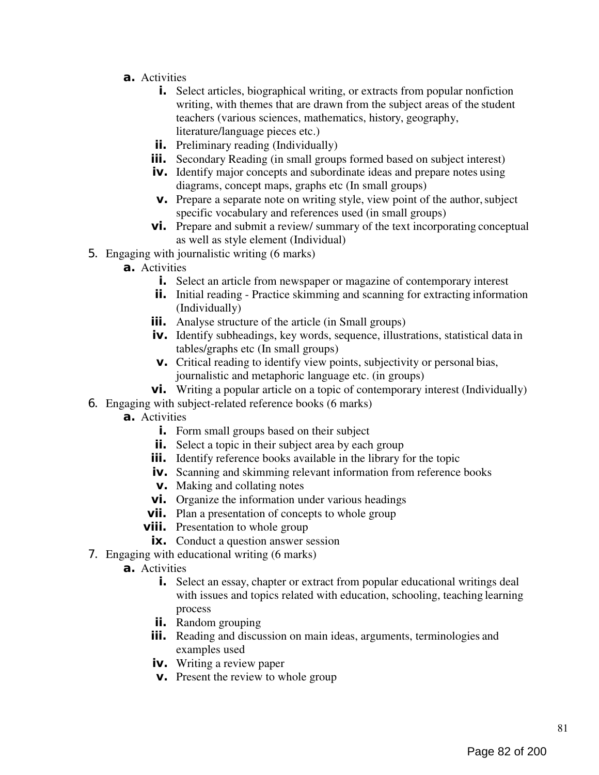- a. Activities
	- **i.** Select articles, biographical writing, or extracts from popular nonfiction writing, with themes that are drawn from the subject areas of the student teachers (various sciences, mathematics, history, geography, literature/language pieces etc.)
	- **ii.** Preliminary reading (Individually)
	- **iii.** Secondary Reading (in small groups formed based on subject interest)
	- iv. Identify major concepts and subordinate ideas and prepare notes using diagrams, concept maps, graphs etc (In small groups)
	- v. Prepare a separate note on writing style, view point of the author, subject specific vocabulary and references used (in small groups)
	- **vi.** Prepare and submit a review/ summary of the text incorporating conceptual as well as style element (Individual)
- 5. Engaging with journalistic writing (6 marks)
	- a. Activities
		- i. Select an article from newspaper or magazine of contemporary interest
		- **ii.** Initial reading Practice skimming and scanning for extracting information (Individually)
		- **iii.** Analyse structure of the article (in Small groups)
		- iv. Identify subheadings, key words, sequence, illustrations, statistical data in tables/graphs etc (In small groups)
		- v. Critical reading to identify view points, subjectivity or personal bias, journalistic and metaphoric language etc. (in groups)
		- vi. Writing a popular article on a topic of contemporary interest (Individually)
- 6. Engaging with subject-related reference books (6 marks)
	- a. Activities
		- **i.** Form small groups based on their subject
		- **ii.** Select a topic in their subject area by each group
		- **iii.** Identify reference books available in the library for the topic
		- iv. Scanning and skimming relevant information from reference books
		- v. Making and collating notes
		- **vi.** Organize the information under various headings
		- **vii.** Plan a presentation of concepts to whole group
		- **viii.** Presentation to whole group
			- **ix.** Conduct a question answer session
- 7. Engaging with educational writing (6 marks)
	- a. Activities
		- **i.** Select an essay, chapter or extract from popular educational writings deal with issues and topics related with education, schooling, teaching learning process
		- **ii.** Random grouping
		- **iii.** Reading and discussion on main ideas, arguments, terminologies and examples used
		- **iv.** Writing a review paper
		- v. Present the review to whole group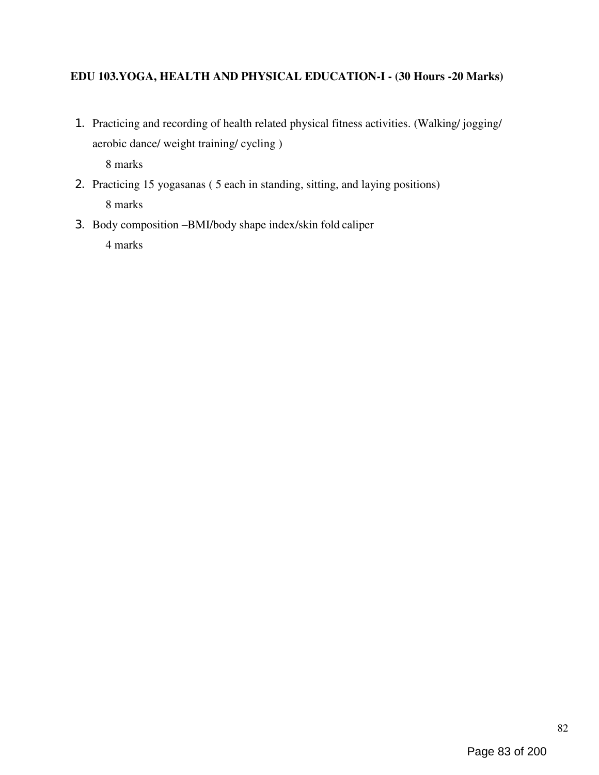# EDU 103.YOGA, HEALTH AND PHYSICAL EDUCATION-I - (30 Hours -20 Marks)

1. Practicing and recording of health related physical fitness activities. (Walking/ jogging/ aerobic dance/ weight training/ cycling )

8 marks

- 2. Practicing 15 yogasanas ( 5 each in standing, sitting, and laying positions) 8 marks
- 3. Body composition –BMI/body shape index/skin fold caliper 4 marks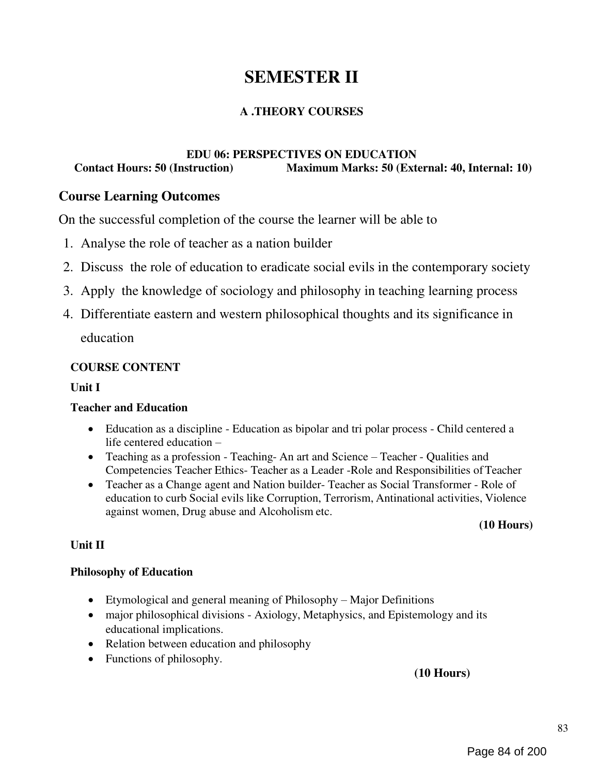# SEMESTER II

# A .THEORY COURSES

## EDU 06: PERSPECTIVES ON EDUCATION<br>Contact Hours: 50 (Instruction) Maximum Marks: 50 (Ext Maximum Marks: 50 (External: 40, Internal: 10)

# Course Learning Outcomes

On the successful completion of the course the learner will be able to

- 1. Analyse the role of teacher as a nation builder
- 2. Discuss the role of education to eradicate social evils in the contemporary society
- 3. Apply the knowledge of sociology and philosophy in teaching learning process
- 4. Differentiate eastern and western philosophical thoughts and its significance in education

# COURSE CONTENT

## Unit I

# Teacher and Education

- Education as a discipline Education as bipolar and tri polar process Child centered a life centered education –
- Teaching as a profession Teaching- An art and Science Teacher Qualities and Competencies Teacher Ethics- Teacher as a Leader -Role and Responsibilities of Teacher
- Teacher as a Change agent and Nation builder- Teacher as Social Transformer Role of education to curb Social evils like Corruption, Terrorism, Antinational activities, Violence against women, Drug abuse and Alcoholism etc.

(10 Hours)

# Unit II

#### Philosophy of Education

- Etymological and general meaning of Philosophy Major Definitions
- major philosophical divisions Axiology, Metaphysics, and Epistemology and its educational implications.
- Relation between education and philosophy
- Functions of philosophy.

# (10 Hours)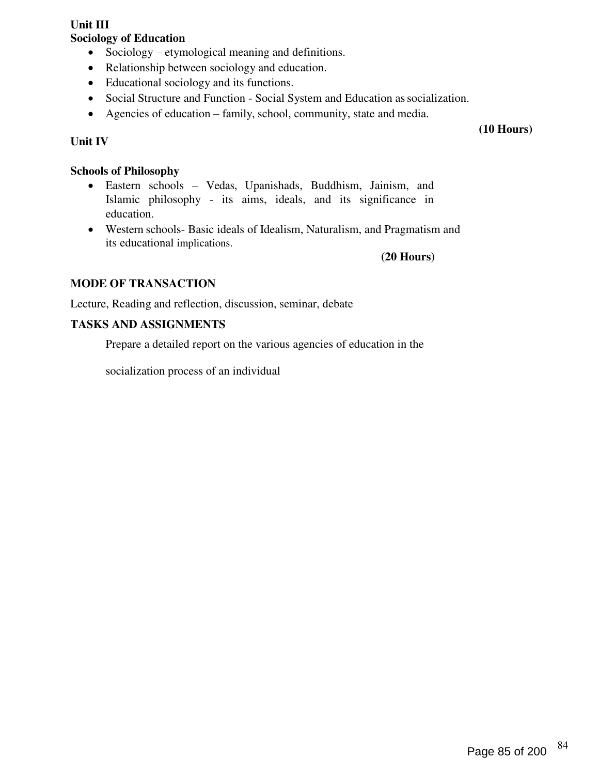#### Unit III Sociology of Education

- Sociology etymological meaning and definitions.
- Relationship between sociology and education.
- Educational sociology and its functions.
- Social Structure and Function Social System and Education as socialization.
- Agencies of education family, school, community, state and media.

# Unit IV

(10 Hours)

# Schools of Philosophy

- Eastern schools Vedas, Upanishads, Buddhism, Jainism, and Islamic philosophy - its aims, ideals, and its significance in education.
- Western schools- Basic ideals of Idealism, Naturalism, and Pragmatism and its educational implications.

(20 Hours)

# MODE OF TRANSACTION

Lecture, Reading and reflection, discussion, seminar, debate

# TASKS AND ASSIGNMENTS

Prepare a detailed report on the various agencies of education in the

socialization process of an individual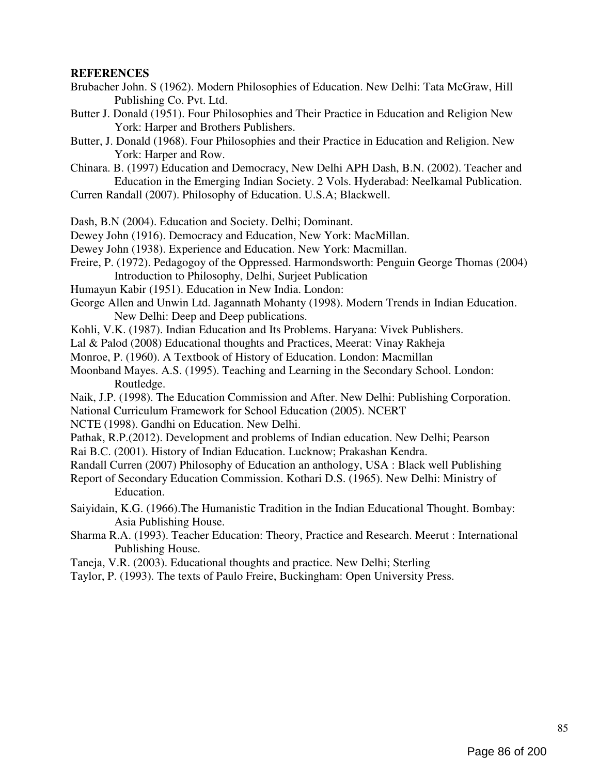#### **REFERENCES**

- Brubacher John. S (1962). Modern Philosophies of Education. New Delhi: Tata McGraw, Hill Publishing Co. Pvt. Ltd.
- Butter J. Donald (1951). Four Philosophies and Their Practice in Education and Religion New York: Harper and Brothers Publishers.
- Butter, J. Donald (1968). Four Philosophies and their Practice in Education and Religion. New York: Harper and Row.
- Chinara. B. (1997) Education and Democracy, New Delhi APH Dash, B.N. (2002). Teacher and Education in the Emerging Indian Society. 2 Vols. Hyderabad: Neelkamal Publication.
- Curren Randall (2007). Philosophy of Education. U.S.A; Blackwell.
- Dash, B.N (2004). Education and Society. Delhi; Dominant.
- Dewey John (1916). Democracy and Education, New York: MacMillan.
- Dewey John (1938). Experience and Education. New York: Macmillan.
- Freire, P. (1972). Pedagogoy of the Oppressed. Harmondsworth: Penguin George Thomas (2004) Introduction to Philosophy, Delhi, Surjeet Publication
- Humayun Kabir (1951). Education in New India. London:
- George Allen and Unwin Ltd. Jagannath Mohanty (1998). Modern Trends in Indian Education. New Delhi: Deep and Deep publications.
- Kohli, V.K. (1987). Indian Education and Its Problems. Haryana: Vivek Publishers.
- Lal & Palod (2008) Educational thoughts and Practices, Meerat: Vinay Rakheja
- Monroe, P. (1960). A Textbook of History of Education. London: Macmillan
- Moonband Mayes. A.S. (1995). Teaching and Learning in the Secondary School. London: Routledge.
- Naik, J.P. (1998). The Education Commission and After. New Delhi: Publishing Corporation. National Curriculum Framework for School Education (2005). NCERT
- NCTE (1998). Gandhi on Education. New Delhi.
- Pathak, R.P.(2012). Development and problems of Indian education. New Delhi; Pearson Rai B.C. (2001). History of Indian Education. Lucknow; Prakashan Kendra.
- Randall Curren (2007) Philosophy of Education an anthology, USA : Black well Publishing
- Report of Secondary Education Commission. Kothari D.S. (1965). New Delhi: Ministry of Education.
- Saiyidain, K.G. (1966).The Humanistic Tradition in the Indian Educational Thought. Bombay: Asia Publishing House.
- Sharma R.A. (1993). Teacher Education: Theory, Practice and Research. Meerut : International Publishing House.
- Taneja, V.R. (2003). Educational thoughts and practice. New Delhi; Sterling
- Taylor, P. (1993). The texts of Paulo Freire, Buckingham: Open University Press.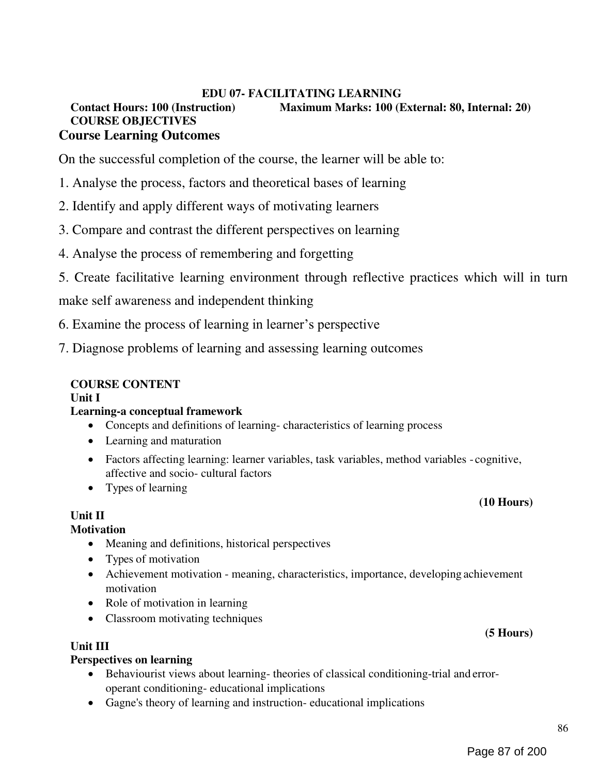# EDU 07- FACILITATING LEARNING Contact Hours: 100 (Instruction) Maximum Marks: 100 (External: 80, Internal: 20) COURSE OBJECTIVES Course Learning Outcomes

On the successful completion of the course, the learner will be able to:

- 1. Analyse the process, factors and theoretical bases of learning
- 2. Identify and apply different ways of motivating learners
- 3. Compare and contrast the different perspectives on learning
- 4. Analyse the process of remembering and forgetting
- 5. Create facilitative learning environment through reflective practices which will in turn

make self awareness and independent thinking

- 6. Examine the process of learning in learner's perspective
- 7. Diagnose problems of learning and assessing learning outcomes

# COURSE CONTENT

#### Unit I

#### Learning-a conceptual framework

- Concepts and definitions of learning- characteristics of learning process
- Learning and maturation
- Factors affecting learning: learner variables, task variables, method variables cognitive, affective and socio- cultural factors
- Types of learning

#### Unit II

#### **Motivation**

- Meaning and definitions, historical perspectives
- Types of motivation
- Achievement motivation meaning, characteristics, importance, developing achievement motivation
- Role of motivation in learning
- Classroom motivating techniques

# Unit III

#### Perspectives on learning

- Behaviourist views about learning- theories of classical conditioning-trial and erroroperant conditioning- educational implications
- Gagne's theory of learning and instruction- educational implications

(10 Hours)

(5 Hours)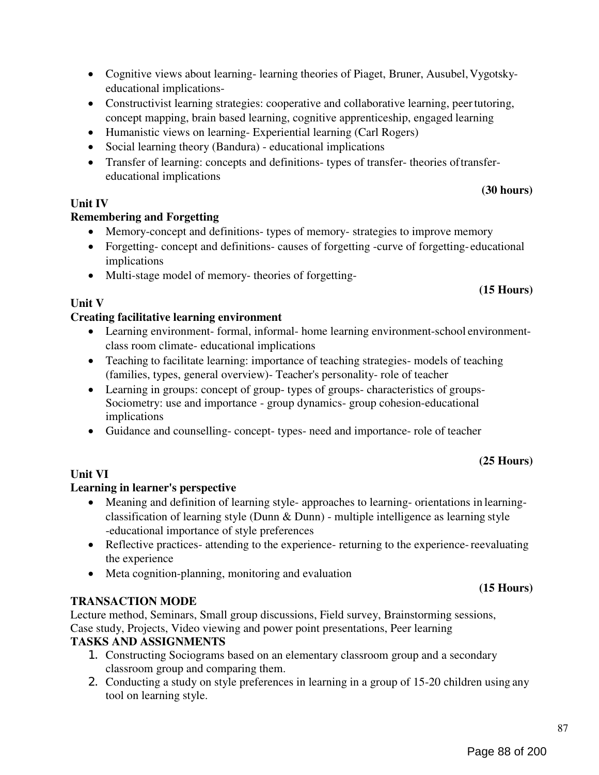87

- Cognitive views about learning- learning theories of Piaget, Bruner, Ausubel, Vygotskyeducational implications-
- Constructivist learning strategies: cooperative and collaborative learning, peer tutoring, concept mapping, brain based learning, cognitive apprenticeship, engaged learning
- Humanistic views on learning- Experiential learning (Carl Rogers)
- Social learning theory (Bandura) educational implications
- Transfer of learning: concepts and definitions- types of transfer- theories of transfereducational implications

# Unit IV

# Remembering and Forgetting

- Memory-concept and definitions- types of memory- strategies to improve memory
- Forgetting- concept and definitions- causes of forgetting-curve of forgetting-educational implications
- Multi-stage model of memory- theories of forgetting-

# Unit V

# Creating facilitative learning environment

- Learning environment- formal, informal- home learning environment-school environmentclass room climate- educational implications
- Teaching to facilitate learning: importance of teaching strategies- models of teaching (families, types, general overview)- Teacher's personality- role of teacher
- Learning in groups: concept of group- types of groups- characteristics of groups-Sociometry: use and importance - group dynamics- group cohesion-educational implications
- Guidance and counselling- concept- types- need and importance- role of teacher

# (25 Hours)

(15 Hours)

# Unit VI

# Learning in learner's perspective

- Meaning and definition of learning style- approaches to learning- orientations in learningclassification of learning style (Dunn & Dunn) - multiple intelligence as learning style -educational importance of style preferences
- Reflective practices- attending to the experience- returning to the experience- reevaluating the experience
- Meta cognition-planning, monitoring and evaluation

# TRANSACTION MODE

Lecture method, Seminars, Small group discussions, Field survey, Brainstorming sessions, Case study, Projects, Video viewing and power point presentations, Peer learning

# TASKS AND ASSIGNMENTS

- 1. Constructing Sociograms based on an elementary classroom group and a secondary classroom group and comparing them.
- 2. Conducting a study on style preferences in learning in a group of 15-20 children using any tool on learning style.

# (15 Hours)

(30 hours)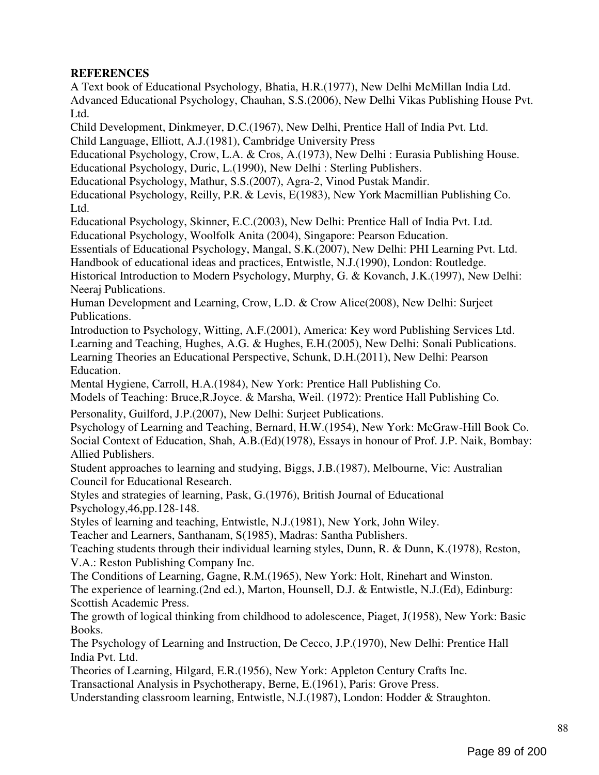# **REFERENCES**

A Text book of Educational Psychology, Bhatia, H.R.(1977), New Delhi McMillan India Ltd. Advanced Educational Psychology, Chauhan, S.S.(2006), New Delhi Vikas Publishing House Pvt. Ltd.

Child Development, Dinkmeyer, D.C.(1967), New Delhi, Prentice Hall of India Pvt. Ltd. Child Language, Elliott, A.J.(1981), Cambridge University Press

Educational Psychology, Crow, L.A. & Cros, A.(1973), New Delhi : Eurasia Publishing House. Educational Psychology, Duric, L.(1990), New Delhi : Sterling Publishers.

Educational Psychology, Mathur, S.S.(2007), Agra-2, Vinod Pustak Mandir.

Educational Psychology, Reilly, P.R. & Levis, E(1983), New York Macmillian Publishing Co. Ltd.

Educational Psychology, Skinner, E.C.(2003), New Delhi: Prentice Hall of India Pvt. Ltd. Educational Psychology, Woolfolk Anita (2004), Singapore: Pearson Education.

Essentials of Educational Psychology, Mangal, S.K.(2007), New Delhi: PHI Learning Pvt. Ltd.

Handbook of educational ideas and practices, Entwistle, N.J.(1990), London: Routledge.

Historical Introduction to Modern Psychology, Murphy, G. & Kovanch, J.K.(1997), New Delhi: Neeraj Publications.

Human Development and Learning, Crow, L.D. & Crow Alice(2008), New Delhi: Surjeet Publications.

Introduction to Psychology, Witting, A.F.(2001), America: Key word Publishing Services Ltd. Learning and Teaching, Hughes, A.G. & Hughes, E.H.(2005), New Delhi: Sonali Publications. Learning Theories an Educational Perspective, Schunk, D.H.(2011), New Delhi: Pearson Education.

Mental Hygiene, Carroll, H.A.(1984), New York: Prentice Hall Publishing Co.

Models of Teaching: Bruce,R.Joyce. & Marsha, Weil. (1972): Prentice Hall Publishing Co.

Personality, Guilford, J.P.(2007), New Delhi: Surjeet Publications.

Psychology of Learning and Teaching, Bernard, H.W.(1954), New York: McGraw-Hill Book Co. Social Context of Education, Shah, A.B.(Ed)(1978), Essays in honour of Prof. J.P. Naik, Bombay: Allied Publishers.

Student approaches to learning and studying, Biggs, J.B.(1987), Melbourne, Vic: Australian Council for Educational Research.

Styles and strategies of learning, Pask, G.(1976), British Journal of Educational Psychology,46,pp.128-148.

Styles of learning and teaching, Entwistle, N.J.(1981), New York, John Wiley.

Teacher and Learners, Santhanam, S(1985), Madras: Santha Publishers.

Teaching students through their individual learning styles, Dunn, R. & Dunn, K.(1978), Reston, V.A.: Reston Publishing Company Inc.

The Conditions of Learning, Gagne, R.M.(1965), New York: Holt, Rinehart and Winston. The experience of learning.(2nd ed.), Marton, Hounsell, D.J. & Entwistle, N.J.(Ed), Edinburg: Scottish Academic Press.

The growth of logical thinking from childhood to adolescence, Piaget, J(1958), New York: Basic Books.

The Psychology of Learning and Instruction, De Cecco, J.P.(1970), New Delhi: Prentice Hall India Pvt. Ltd.

Theories of Learning, Hilgard, E.R.(1956), New York: Appleton Century Crafts Inc.

Transactional Analysis in Psychotherapy, Berne, E.(1961), Paris: Grove Press.

Understanding classroom learning, Entwistle, N.J.(1987), London: Hodder & Straughton.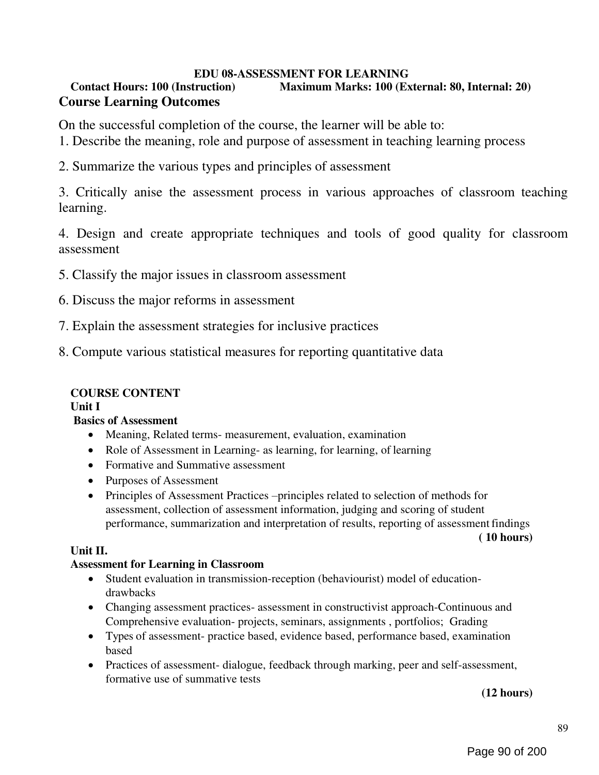# EDU 08-ASSESSMENT FOR LEARNING

# Contact Hours: 100 (Instruction) Maximum Marks: 100 (External: 80, Internal: 20) Course Learning Outcomes

On the successful completion of the course, the learner will be able to:

- 1. Describe the meaning, role and purpose of assessment in teaching learning process
- 2. Summarize the various types and principles of assessment

3. Critically anise the assessment process in various approaches of classroom teaching learning.

4. Design and create appropriate techniques and tools of good quality for classroom assessment

- 5. Classify the major issues in classroom assessment
- 6. Discuss the major reforms in assessment
- 7. Explain the assessment strategies for inclusive practices
- 8. Compute various statistical measures for reporting quantitative data

# COURSE CONTENT

Unit I

# Basics of Assessment

- Meaning, Related terms- measurement, evaluation, examination
- Role of Assessment in Learning- as learning, for learning, of learning
- Formative and Summative assessment
- Purposes of Assessment
- Principles of Assessment Practices –principles related to selection of methods for assessment, collection of assessment information, judging and scoring of student performance, summarization and interpretation of results, reporting of assessment findings

#### ( 10 hours)

# Unit II.

# Assessment for Learning in Classroom

- Student evaluation in transmission-reception (behaviourist) model of educationdrawbacks
- Changing assessment practices- assessment in constructivist approach-Continuous and Comprehensive evaluation- projects, seminars, assignments , portfolios; Grading
- Types of assessment- practice based, evidence based, performance based, examination based
- Practices of assessment- dialogue, feedback through marking, peer and self-assessment, formative use of summative tests

(12 hours)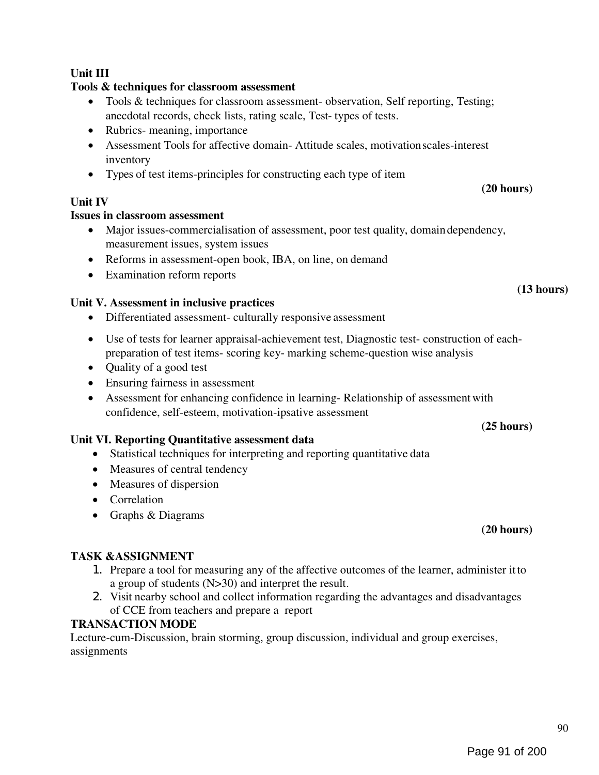# Unit III

# Tools & techniques for classroom assessment

- Tools & techniques for classroom assessment- observation, Self reporting, Testing; anecdotal records, check lists, rating scale, Test- types of tests.
- Rubrics- meaning, importance
- Assessment Tools for affective domain- Attitude scales, motivation scales-interest inventory
- Types of test items-principles for constructing each type of item

# Unit IV

# Issues in classroom assessment

- Major issues-commercialisation of assessment, poor test quality, domain dependency, measurement issues, system issues
- Reforms in assessment-open book, IBA, on line, on demand
- Examination reform reports

# Unit V. Assessment in inclusive practices

- Differentiated assessment- culturally responsive assessment
- Use of tests for learner appraisal-achievement test, Diagnostic test- construction of eachpreparation of test items- scoring key- marking scheme-question wise analysis
- Quality of a good test
- Ensuring fairness in assessment
- Assessment for enhancing confidence in learning- Relationship of assessment with confidence, self-esteem, motivation-ipsative assessment

# Unit VI. Reporting Quantitative assessment data

- Statistical techniques for interpreting and reporting quantitative data
- Measures of central tendency
- Measures of dispersion
- Correlation
- Graphs & Diagrams

# (20 hours)

(25 hours)

# TASK &ASSIGNMENT

- 1. Prepare a tool for measuring any of the affective outcomes of the learner, administer it to a group of students (N>30) and interpret the result.
- 2. Visit nearby school and collect information regarding the advantages and disadvantages of CCE from teachers and prepare a report

# TRANSACTION MODE

Lecture-cum-Discussion, brain storming, group discussion, individual and group exercises, assignments

(13 hours)

(20 hours)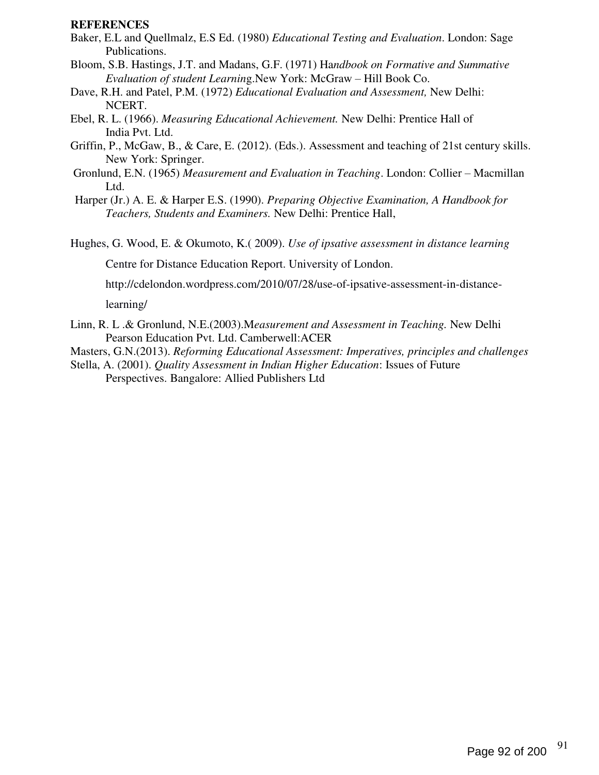#### REFERENCES

- Baker, E.L and Quellmalz, E.S Ed. (1980) Educational Testing and Evaluation. London: Sage Publications.
- Bloom, S.B. Hastings, J.T. and Madans, G.F. (1971) Handbook on Formative and Summative Evaluation of student Learning.New York: McGraw – Hill Book Co.
- Dave, R.H. and Patel, P.M. (1972) Educational Evaluation and Assessment, New Delhi: NCERT.
- Ebel, R. L. (1966). Measuring Educational Achievement. New Delhi: Prentice Hall of India Pvt. Ltd.
- Griffin, P., McGaw, B., & Care, E. (2012). (Eds.). Assessment and teaching of 21st century skills. New York: Springer.
- Gronlund, E.N. (1965) Measurement and Evaluation in Teaching. London: Collier Macmillan Ltd.
- Harper (Jr.) A. E. & Harper E.S. (1990). Preparing Objective Examination, A Handbook for Teachers, Students and Examiners. New Delhi: Prentice Hall,
- Hughes, G. Wood, E. & Okumoto, K.( 2009). Use of ipsative assessment in distance learning

Centre for Distance Education Report. University of London.

http://cdelondon.wordpress.com/2010/07/28/use-of-ipsative-assessment-in-distance-

learning/

Linn, R. L .& Gronlund, N.E.(2003).Measurement and Assessment in Teaching. New Delhi Pearson Education Pvt. Ltd. Camberwell:ACER

Masters, G.N.(2013). Reforming Educational Assessment: Imperatives, principles and challenges

Stella, A. (2001). Quality Assessment in Indian Higher Education: Issues of Future Perspectives. Bangalore: Allied Publishers Ltd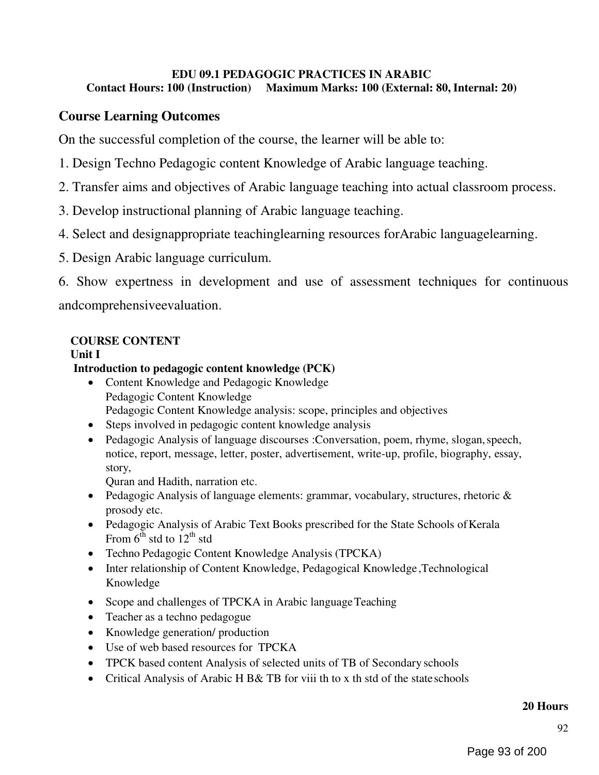## EDU 09.1 PEDAGOGIC PRACTICES IN ARABIC Contact Hours: 100 (Instruction) Maximum Marks: 100 (External: 80, Internal: 20)

# Course Learning Outcomes

On the successful completion of the course, the learner will be able to:

- 1. Design Techno Pedagogic content Knowledge of Arabic language teaching.
- 2. Transfer aims and objectives of Arabic language teaching into actual classroom process.
- 3. Develop instructional planning of Arabic language teaching.
- 4. Select and designappropriate teachinglearning resources forArabic languagelearning.
- 5. Design Arabic language curriculum.

6. Show expertness in development and use of assessment techniques for continuous andcomprehensiveevaluation.

# COURSE CONTENT

# Unit I

# Introduction to pedagogic content knowledge (PCK)

- Content Knowledge and Pedagogic Knowledge Pedagogic Content Knowledge Pedagogic Content Knowledge analysis: scope, principles and objectives
- Steps involved in pedagogic content knowledge analysis
- Pedagogic Analysis of language discourses :Conversation, poem, rhyme, slogan, speech, notice, report, message, letter, poster, advertisement, write-up, profile, biography, essay, story,

Quran and Hadith, narration etc.

- Pedagogic Analysis of language elements: grammar, vocabulary, structures, rhetoric  $\&$ prosody etc.
- Pedagogic Analysis of Arabic Text Books prescribed for the State Schools of Kerala From  $6^{th}$  std to  $12^{th}$  std
- Techno Pedagogic Content Knowledge Analysis (TPCKA)
- Inter relationship of Content Knowledge, Pedagogical Knowledge, Technological Knowledge
- Scope and challenges of TPCKA in Arabic language Teaching
- Teacher as a techno pedagogue
- Knowledge generation/ production
- Use of web based resources for TPCKA
- TPCK based content Analysis of selected units of TB of Secondary schools
- Critical Analysis of Arabic H B& TB for viii th to x th std of the state schools

#### 20 Hours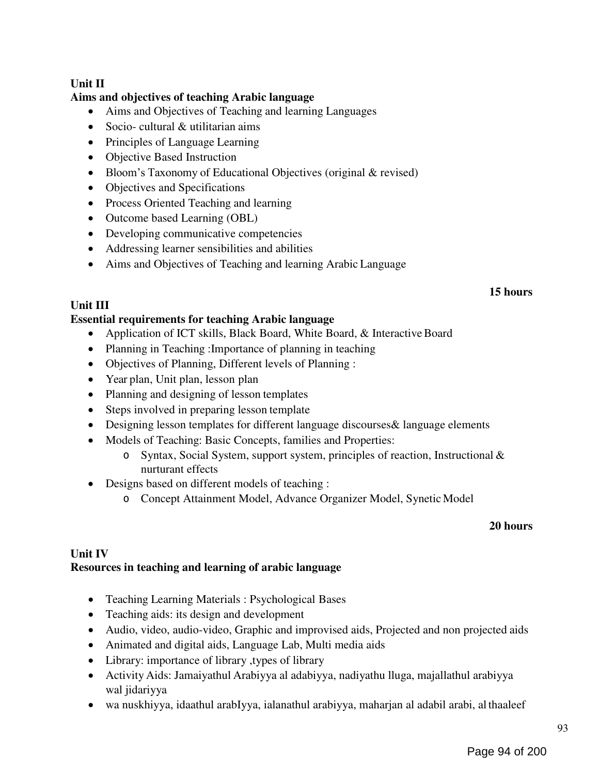# Unit II

# Aims and objectives of teaching Arabic language

- Aims and Objectives of Teaching and learning Languages
- Socio- cultural & utilitarian aims
- Principles of Language Learning
- Objective Based Instruction
- Bloom's Taxonomy of Educational Objectives (original & revised)
- Objectives and Specifications
- Process Oriented Teaching and learning
- Outcome based Learning (OBL)
- Developing communicative competencies
- Addressing learner sensibilities and abilities
- Aims and Objectives of Teaching and learning Arabic Language

### 15 hours

# Unit III

# Essential requirements for teaching Arabic language

- Application of ICT skills, Black Board, White Board, & Interactive Board
- Planning in Teaching : Importance of planning in teaching
- Objectives of Planning, Different levels of Planning :
- Year plan, Unit plan, lesson plan
- Planning and designing of lesson templates
- Steps involved in preparing lesson template
- Designing lesson templates for different language discourses& language elements
- Models of Teaching: Basic Concepts, families and Properties:
	- o Syntax, Social System, support system, principles of reaction, Instructional & nurturant effects
- Designs based on different models of teaching :
	- o Concept Attainment Model, Advance Organizer Model, Synetic Model

# 20 hours

### Unit IV Resources in teaching and learning of arabic language

- Teaching Learning Materials : Psychological Bases
- Teaching aids: its design and development
- Audio, video, audio-video, Graphic and improvised aids, Projected and non projected aids
- Animated and digital aids, Language Lab, Multi media aids
- Library: importance of library , types of library
- Activity Aids: Jamaiyathul Arabiyya al adabiyya, nadiyathu lluga, majallathul arabiyya wal jidariyya
- wa nuskhiyya, idaathul arabIyya, ialanathul arabiyya, maharjan al adabil arabi, al thaaleef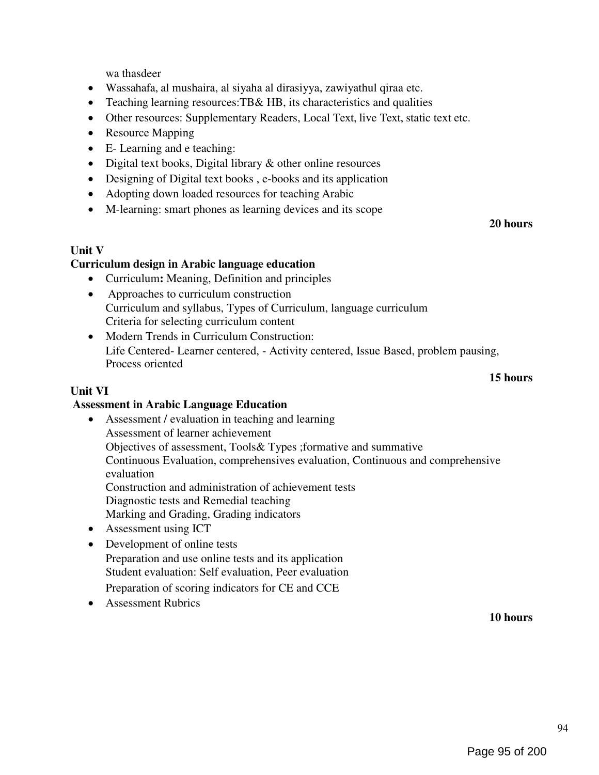wa thasdeer

- Wassahafa, al mushaira, al siyaha al dirasiyya, zawiyathul qiraa etc.
- Teaching learning resources:TB& HB, its characteristics and qualities
- Other resources: Supplementary Readers, Local Text, live Text, static text etc.
- Resource Mapping
- E- Learning and e teaching:
- Digital text books, Digital library & other online resources
- Designing of Digital text books, e-books and its application
- Adopting down loaded resources for teaching Arabic
- M-learning: smart phones as learning devices and its scope

### Unit V

# Curriculum design in Arabic language education

- Curriculum: Meaning, Definition and principles
- Approaches to curriculum construction Curriculum and syllabus, Types of Curriculum, language curriculum Criteria for selecting curriculum content
- Modern Trends in Curriculum Construction: Life Centered- Learner centered, - Activity centered, Issue Based, problem pausing, Process oriented

# 15 hours

20 hours

## Unit VI

# Assessment in Arabic Language Education

- Assessment / evaluation in teaching and learning Assessment of learner achievement Objectives of assessment, Tools& Types ;formative and summative Continuous Evaluation, comprehensives evaluation, Continuous and comprehensive evaluation Construction and administration of achievement tests Diagnostic tests and Remedial teaching Marking and Grading, Grading indicators
- Assessment using ICT
- Development of online tests Preparation and use online tests and its application Student evaluation: Self evaluation, Peer evaluation
	- Preparation of scoring indicators for CE and CCE
- Assessment Rubrics

10 hours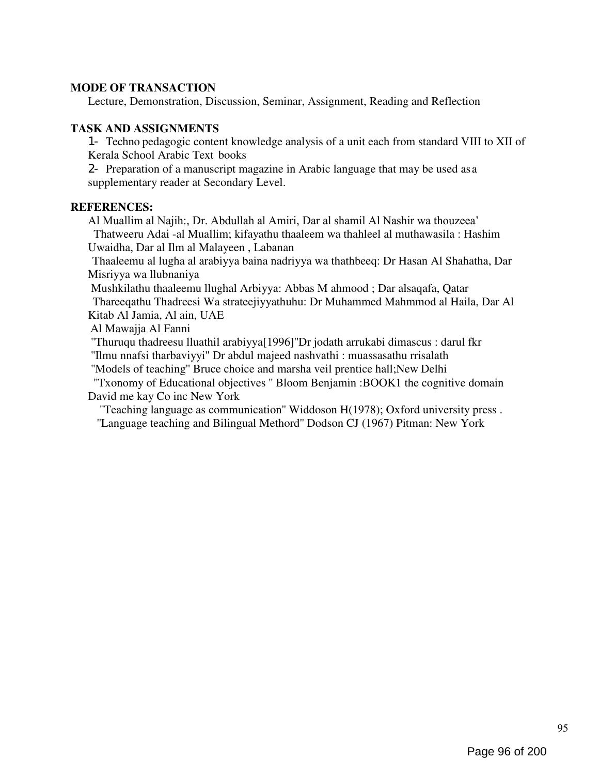#### MODE OF TRANSACTION

Lecture, Demonstration, Discussion, Seminar, Assignment, Reading and Reflection

#### TASK AND ASSIGNMENTS

1- Techno pedagogic content knowledge analysis of a unit each from standard VIII to XII of Kerala School Arabic Text books

2- Preparation of a manuscript magazine in Arabic language that may be used as a supplementary reader at Secondary Level.

#### REFERENCES:

Al Muallim al Najih:, Dr. Abdullah al Amiri, Dar al shamil Al Nashir wa thouzeea' Thatweeru Adai -al Muallim; kifayathu thaaleem wa thahleel al muthawasila : Hashim Uwaidha, Dar al Ilm al Malayeen , Labanan

Thaaleemu al lugha al arabiyya baina nadriyya wa thathbeeq: Dr Hasan Al Shahatha, Dar Misriyya wa llubnaniya

Mushkilathu thaaleemu llughal Arbiyya: Abbas M ahmood ; Dar alsaqafa, Qatar Thareeqathu Thadreesi Wa strateejiyyathuhu: Dr Muhammed Mahmmod al Haila, Dar Al Kitab Al Jamia, Al ain, UAE

Al Mawajja Al Fanni

''Thuruqu thadreesu lluathil arabiyya[1996]''Dr jodath arrukabi dimascus : darul fkr ''Ilmu nnafsi tharbaviyyi'' Dr abdul majeed nashvathi : muassasathu rrisalath

''Models of teaching'' Bruce choice and marsha veil prentice hall;New Delhi

''Txonomy of Educational objectives '' Bloom Benjamin :BOOK1 the cognitive domain David me kay Co inc New York

''Teaching language as communication'' Widdoson H(1978); Oxford university press . ''Language teaching and Bilingual Methord'' Dodson CJ (1967) Pitman: New York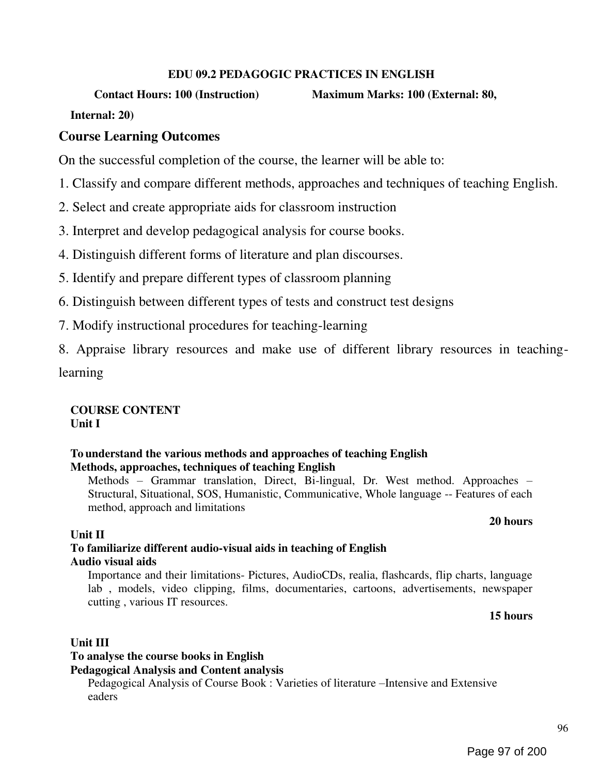### EDU 09.2 PEDAGOGIC PRACTICES IN ENGLISH

Contact Hours: 100 (Instruction) Maximum Marks: 100 (External: 80,

Internal: 20)

# Course Learning Outcomes

On the successful completion of the course, the learner will be able to:

- 1. Classify and compare different methods, approaches and techniques of teaching English.
- 2. Select and create appropriate aids for classroom instruction
- 3. Interpret and develop pedagogical analysis for course books.
- 4. Distinguish different forms of literature and plan discourses.
- 5. Identify and prepare different types of classroom planning
- 6. Distinguish between different types of tests and construct test designs
- 7. Modify instructional procedures for teaching-learning

8. Appraise library resources and make use of different library resources in teachinglearning

COURSE CONTENT Unit I

### To understand the various methods and approaches of teaching English Methods, approaches, techniques of teaching English

Methods – Grammar translation, Direct, Bi-lingual, Dr. West method. Approaches – Structural, Situational, SOS, Humanistic, Communicative, Whole language -- Features of each method, approach and limitations

# 20 hours

# Unit II

# To familiarize different audio-visual aids in teaching of English Audio visual aids

Importance and their limitations- Pictures, AudioCDs, realia, flashcards, flip charts, language lab , models, video clipping, films, documentaries, cartoons, advertisements, newspaper cutting , various IT resources.

15 hours

# Unit III

# To analyse the course books in English

Pedagogical Analysis and Content analysis

Pedagogical Analysis of Course Book : Varieties of literature –Intensive and Extensive eaders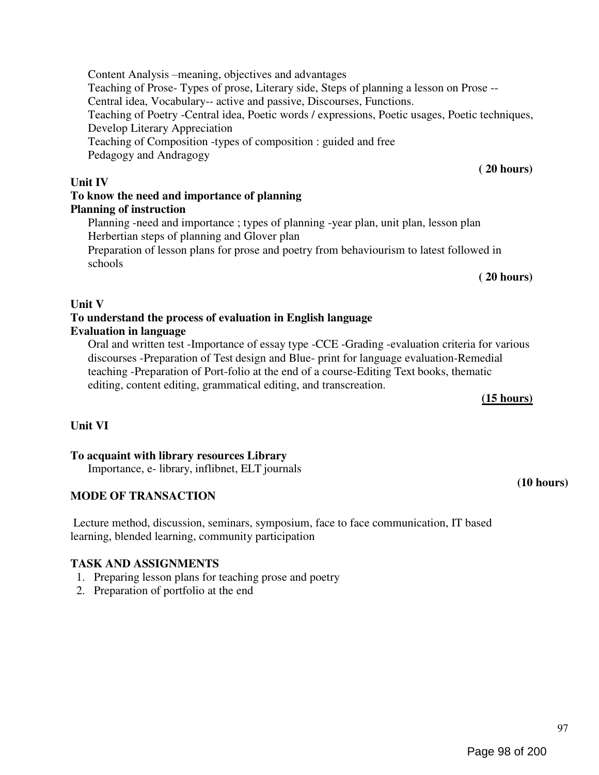(10 hours)

97

#### Content Analysis –meaning, objectives and advantages Teaching of Prose- Types of prose, Literary side, Steps of planning a lesson on Prose -- Central idea, Vocabulary-- active and passive, Discourses, Functions. Teaching of Poetry -Central idea, Poetic words / expressions, Poetic usages, Poetic techniques, Develop Literary Appreciation Teaching of Composition -types of composition : guided and free Pedagogy and Andragogy ( 20 hours)

# Unit IV

# To know the need and importance of planning Planning of instruction

Planning -need and importance ; types of planning -year plan, unit plan, lesson plan Herbertian steps of planning and Glover plan

Preparation of lesson plans for prose and poetry from behaviourism to latest followed in schools

( 20 hours)

# Unit V

# To understand the process of evaluation in English language Evaluation in language

Oral and written test -Importance of essay type -CCE -Grading -evaluation criteria for various discourses -Preparation of Test design and Blue- print for language evaluation-Remedial teaching -Preparation of Port-folio at the end of a course-Editing Text books, thematic editing, content editing, grammatical editing, and transcreation.

# (15 hours)

# Unit VI

# To acquaint with library resources Library

Importance, e- library, inflibnet, ELT journals

# MODE OF TRANSACTION

Lecture method, discussion, seminars, symposium, face to face communication, IT based learning, blended learning, community participation

# TASK AND ASSIGNMENTS

- 1. Preparing lesson plans for teaching prose and poetry
- 2. Preparation of portfolio at the end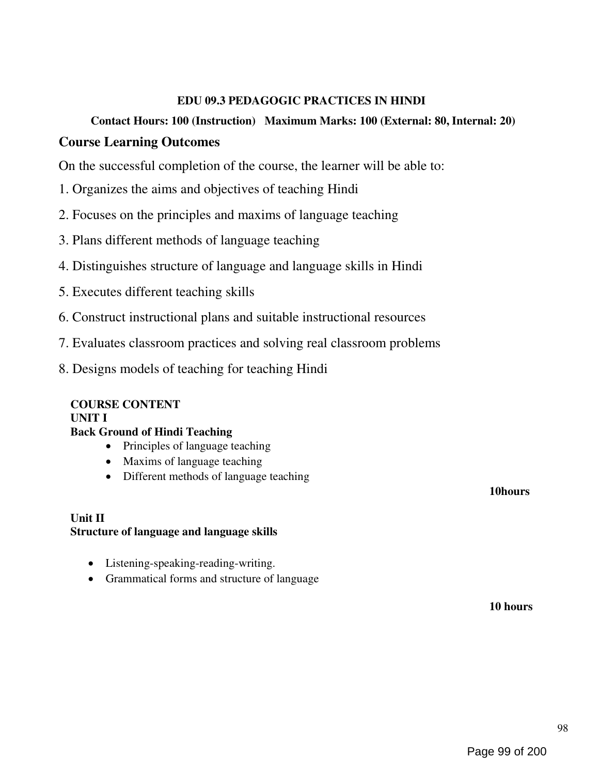# EDU 09.3 PEDAGOGIC PRACTICES IN HINDI

# Contact Hours: 100 (Instruction) Maximum Marks: 100 (External: 80, Internal: 20)

# Course Learning Outcomes

On the successful completion of the course, the learner will be able to:

- 1. Organizes the aims and objectives of teaching Hindi
- 2. Focuses on the principles and maxims of language teaching
- 3. Plans different methods of language teaching
- 4. Distinguishes structure of language and language skills in Hindi
- 5. Executes different teaching skills
- 6. Construct instructional plans and suitable instructional resources
- 7. Evaluates classroom practices and solving real classroom problems
- 8. Designs models of teaching for teaching Hindi

# COURSE CONTENT

UNIT I

# Back Ground of Hindi Teaching

- Principles of language teaching
- Maxims of language teaching
- Different methods of language teaching

#### Unit II Structure of language and language skills

- Listening-speaking-reading-writing.
- Grammatical forms and structure of language

10 hours

10hours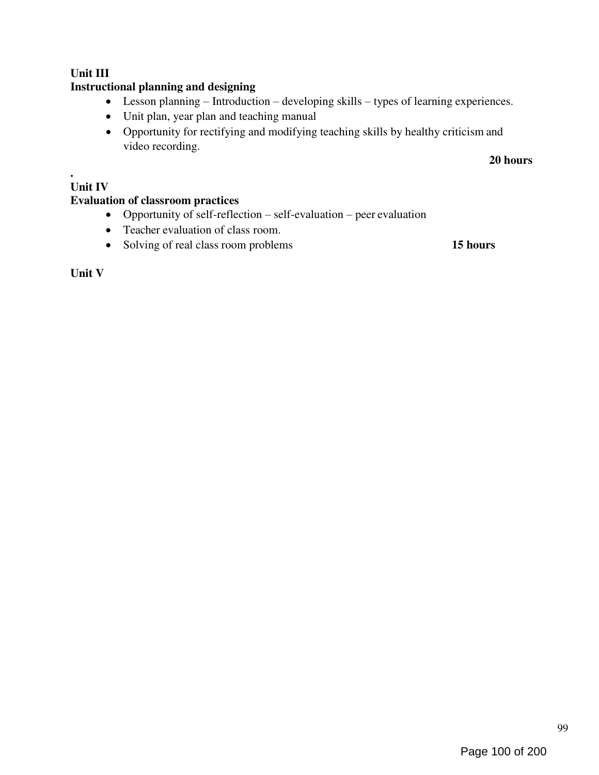# Unit III

# Instructional planning and designing

- Lesson planning Introduction developing skills types of learning experiences.
- Unit plan, year plan and teaching manual
- Opportunity for rectifying and modifying teaching skills by healthy criticism and video recording.

20 hours

# Unit IV

.

# Evaluation of classroom practices

- Opportunity of self-reflection self-evaluation peer evaluation
- Teacher evaluation of class room.
- Solving of real class room problems 15 hours

Unit V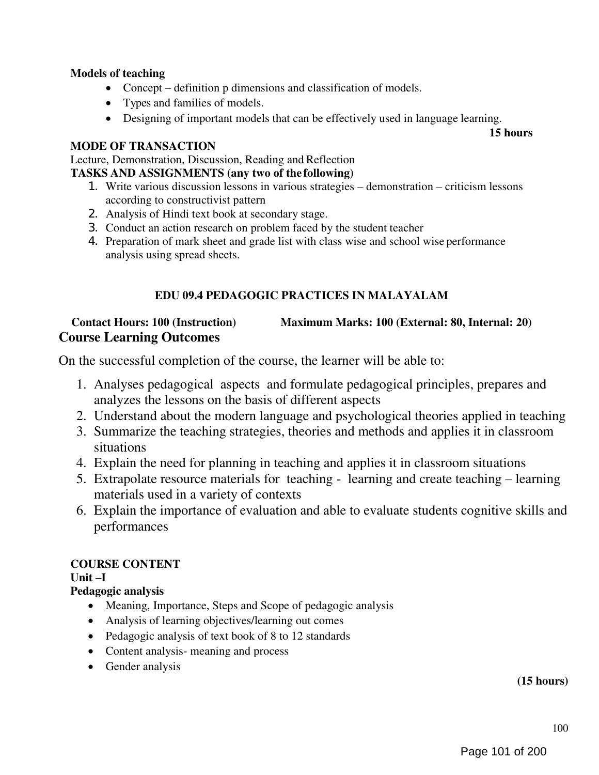# Models of teaching

- Concept definition p dimensions and classification of models.
- Types and families of models.
- Designing of important models that can be effectively used in language learning.

15 hours

## MODE OF TRANSACTION

Lecture, Demonstration, Discussion, Reading and Reflection

## TASKS AND ASSIGNMENTS (any two of the following)

- 1. Write various discussion lessons in various strategies demonstration criticism lessons according to constructivist pattern
- 2. Analysis of Hindi text book at secondary stage.
- 3. Conduct an action research on problem faced by the student teacher
- 4. Preparation of mark sheet and grade list with class wise and school wise performance analysis using spread sheets.

# EDU 09.4 PEDAGOGIC PRACTICES IN MALAYALAM

# Contact Hours: 100 (Instruction) Maximum Marks: 100 (External: 80, Internal: 20) Course Learning Outcomes

On the successful completion of the course, the learner will be able to:

- 1. Analyses pedagogical aspects and formulate pedagogical principles, prepares and analyzes the lessons on the basis of different aspects
- 2. Understand about the modern language and psychological theories applied in teaching
- 3. Summarize the teaching strategies, theories and methods and applies it in classroom situations
- 4. Explain the need for planning in teaching and applies it in classroom situations
- 5. Extrapolate resource materials for teaching learning and create teaching learning materials used in a variety of contexts
- 6. Explain the importance of evaluation and able to evaluate students cognitive skills and performances

# COURSE CONTENT

Unit –I

# Pedagogic analysis

- Meaning, Importance, Steps and Scope of pedagogic analysis
- Analysis of learning objectives/learning out comes
- Pedagogic analysis of text book of 8 to 12 standards
- Content analysis- meaning and process
- Gender analysis

# (15 hours)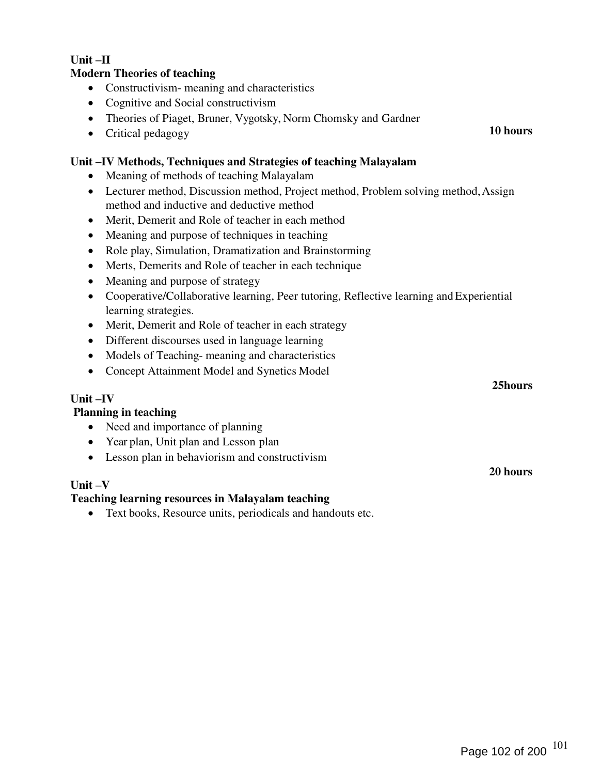# Unit –II

#### Modern Theories of teaching

- Constructivism-meaning and characteristics
- Cognitive and Social constructivism
- Theories of Piaget, Bruner, Vygotsky, Norm Chomsky and Gardner
- Critical pedagogy

## Unit –IV Methods, Techniques and Strategies of teaching Malayalam

- Meaning of methods of teaching Malayalam
- Lecturer method, Discussion method, Project method, Problem solving method, Assign method and inductive and deductive method
- Merit, Demerit and Role of teacher in each method
- Meaning and purpose of techniques in teaching
- Role play, Simulation, Dramatization and Brainstorming
- Merts, Demerits and Role of teacher in each technique
- Meaning and purpose of strategy
- Cooperative/Collaborative learning, Peer tutoring, Reflective learning and Experiential learning strategies.
- Merit, Demerit and Role of teacher in each strategy
- Different discourses used in language learning
- Models of Teaching- meaning and characteristics
- Concept Attainment Model and Synetics Model

#### Unit –IV

#### Planning in teaching

- Need and importance of planning
- Year plan, Unit plan and Lesson plan
- Lesson plan in behaviorism and constructivism

# Unit –V

#### Teaching learning resources in Malayalam teaching

Text books, Resource units, periodicals and handouts etc.

10 hours

25hours

20 hours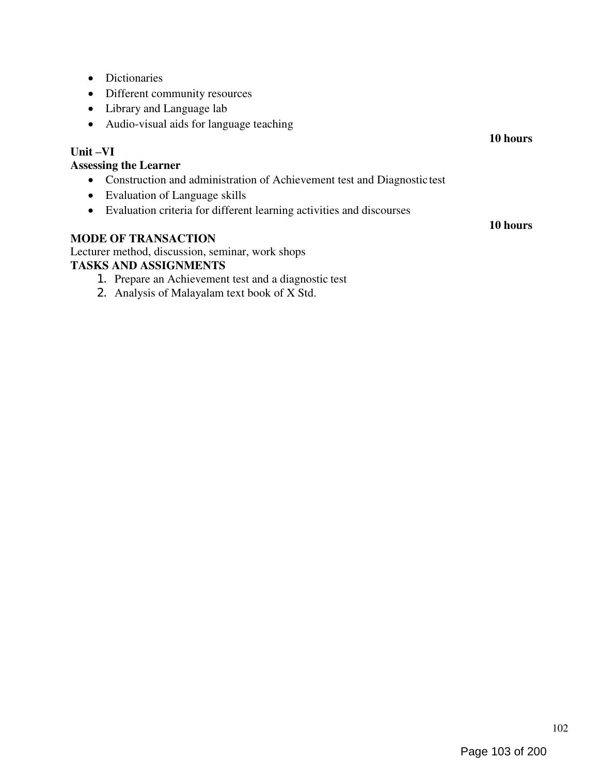- Dictionaries
- Different community resources
- Library and Language lab
- Audio-visual aids for language teaching

## Unit –VI

#### Assessing the Learner

- Construction and administration of Achievement test and Diagnostic test
- Evaluation of Language skills
- Evaluation criteria for different learning activities and discourses

# MODE OF TRANSACTION

Lecturer method, discussion, seminar, work shops

## TASKS AND ASSIGNMENTS

- 1. Prepare an Achievement test and a diagnostic test
- 2. Analysis of Malayalam text book of X Std.

10 hours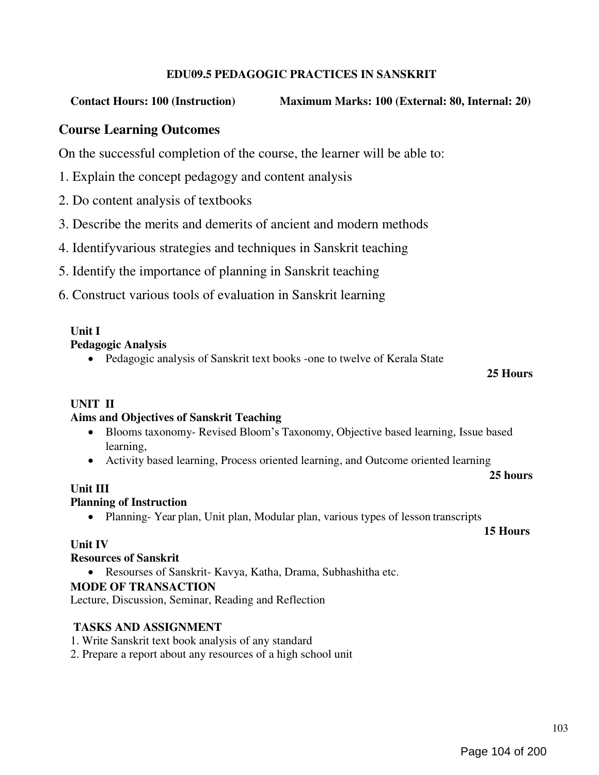# EDU09.5 PEDAGOGIC PRACTICES IN SANSKRIT

# Contact Hours: 100 (Instruction) Maximum Marks: 100 (External: 80, Internal: 20)

# Course Learning Outcomes

On the successful completion of the course, the learner will be able to:

- 1. Explain the concept pedagogy and content analysis
- 2. Do content analysis of textbooks
- 3. Describe the merits and demerits of ancient and modern methods
- 4. Identifyvarious strategies and techniques in Sanskrit teaching
- 5. Identify the importance of planning in Sanskrit teaching
- 6. Construct various tools of evaluation in Sanskrit learning

# Unit I

### Pedagogic Analysis

• Pedagogic analysis of Sanskrit text books -one to twelve of Kerala State

#### 25 Hours

# UNIT II

# Aims and Objectives of Sanskrit Teaching

- Blooms taxonomy- Revised Bloom's Taxonomy, Objective based learning, Issue based learning,
- Activity based learning, Process oriented learning, and Outcome oriented learning

25 hours

# Unit III

#### Planning of Instruction

• Planning-Year plan, Unit plan, Modular plan, various types of lesson transcripts

15 Hours

# Unit IV

# Resources of Sanskrit

Resourses of Sanskrit- Kavya, Katha, Drama, Subhashitha etc.

# MODE OF TRANSACTION

Lecture, Discussion, Seminar, Reading and Reflection

# TASKS AND ASSIGNMENT

- 1. Write Sanskrit text book analysis of any standard
- 2. Prepare a report about any resources of a high school unit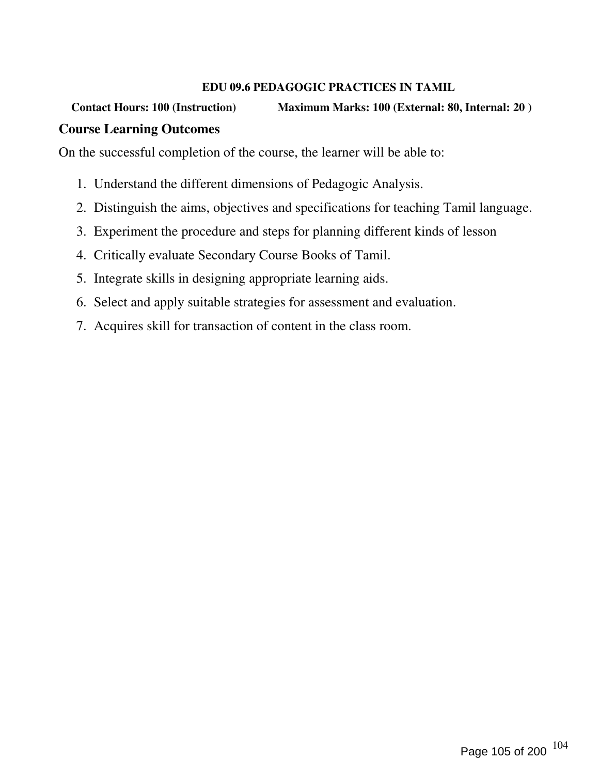# EDU 09.6 PEDAGOGIC PRACTICES IN TAMIL

# Contact Hours: 100 (Instruction) Maximum Marks: 100 (External: 80, Internal: 20) Course Learning Outcomes

On the successful completion of the course, the learner will be able to:

- 1. Understand the different dimensions of Pedagogic Analysis.
- 2. Distinguish the aims, objectives and specifications for teaching Tamil language.
- 3. Experiment the procedure and steps for planning different kinds of lesson
- 4. Critically evaluate Secondary Course Books of Tamil.
- 5. Integrate skills in designing appropriate learning aids.
- 6. Select and apply suitable strategies for assessment and evaluation.
- 7. Acquires skill for transaction of content in the class room.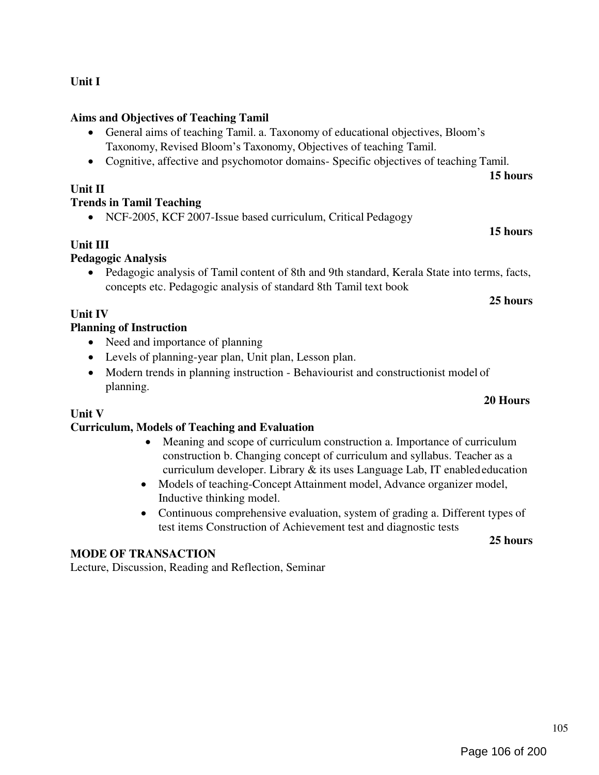# Unit I

# Aims and Objectives of Teaching Tamil

- General aims of teaching Tamil. a. Taxonomy of educational objectives, Bloom's Taxonomy, Revised Bloom's Taxonomy, Objectives of teaching Tamil.
- Cognitive, affective and psychomotor domains- Specific objectives of teaching Tamil.

# Unit II

# Trends in Tamil Teaching

• NCF-2005, KCF 2007-Issue based curriculum, Critical Pedagogy

# Unit III

# Pedagogic Analysis

 Pedagogic analysis of Tamil content of 8th and 9th standard, Kerala State into terms, facts, concepts etc. Pedagogic analysis of standard 8th Tamil text book

# 25 hours

15 hours

15 hours

# Unit IV

# Planning of Instruction

- Need and importance of planning
- Levels of planning-year plan, Unit plan, Lesson plan.
- Modern trends in planning instruction Behaviourist and constructionist model of planning.

# Unit V

# Curriculum, Models of Teaching and Evaluation

- Meaning and scope of curriculum construction a. Importance of curriculum construction b. Changing concept of curriculum and syllabus. Teacher as a curriculum developer. Library & its uses Language Lab, IT enabled education
- Models of teaching-Concept Attainment model, Advance organizer model, Inductive thinking model.
- Continuous comprehensive evaluation, system of grading a. Different types of test items Construction of Achievement test and diagnostic tests

25 hours

# MODE OF TRANSACTION

Lecture, Discussion, Reading and Reflection, Seminar

20 Hours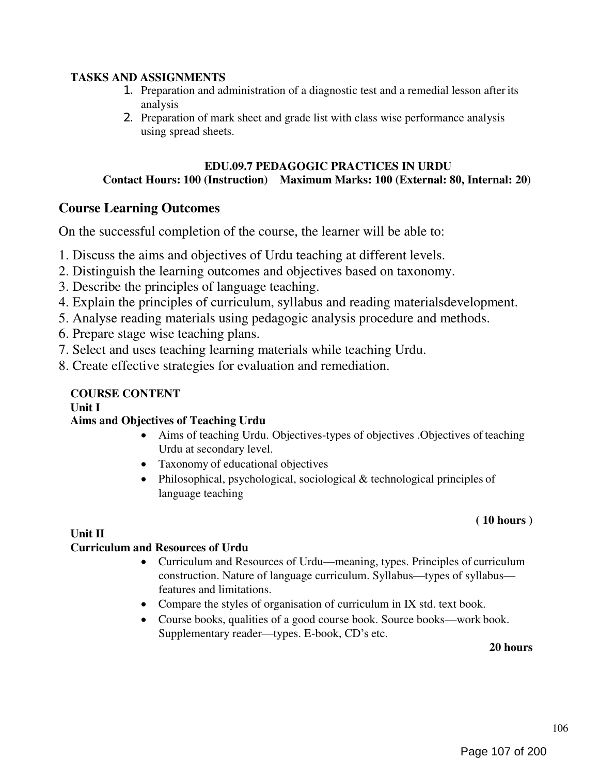# TASKS AND ASSIGNMENTS

- 1. Preparation and administration of a diagnostic test and a remedial lesson after its analysis
- 2. Preparation of mark sheet and grade list with class wise performance analysis using spread sheets.

# EDU.09.7 PEDAGOGIC PRACTICES IN URDU Contact Hours: 100 (Instruction) Maximum Marks: 100 (External: 80, Internal: 20)

# Course Learning Outcomes

On the successful completion of the course, the learner will be able to:

- 1. Discuss the aims and objectives of Urdu teaching at different levels.
- 2. Distinguish the learning outcomes and objectives based on taxonomy.
- 3. Describe the principles of language teaching.
- 4. Explain the principles of curriculum, syllabus and reading materialsdevelopment.
- 5. Analyse reading materials using pedagogic analysis procedure and methods.
- 6. Prepare stage wise teaching plans.
- 7. Select and uses teaching learning materials while teaching Urdu.
- 8. Create effective strategies for evaluation and remediation.

# COURSE CONTENT

Unit I

# Aims and Objectives of Teaching Urdu

- Aims of teaching Urdu. Objectives-types of objectives .Objectives of teaching Urdu at secondary level.
- Taxonomy of educational objectives
- Philosophical, psychological, sociological & technological principles of language teaching

# ( 10 hours )

#### Unit II Curriculum and Resources of Urdu

- Curriculum and Resources of Urdu—meaning, types. Principles of curriculum construction. Nature of language curriculum. Syllabus—types of syllabus features and limitations.
- Compare the styles of organisation of curriculum in IX std. text book.
- Course books, qualities of a good course book. Source books—work book. Supplementary reader—types. E-book, CD's etc.

20 hours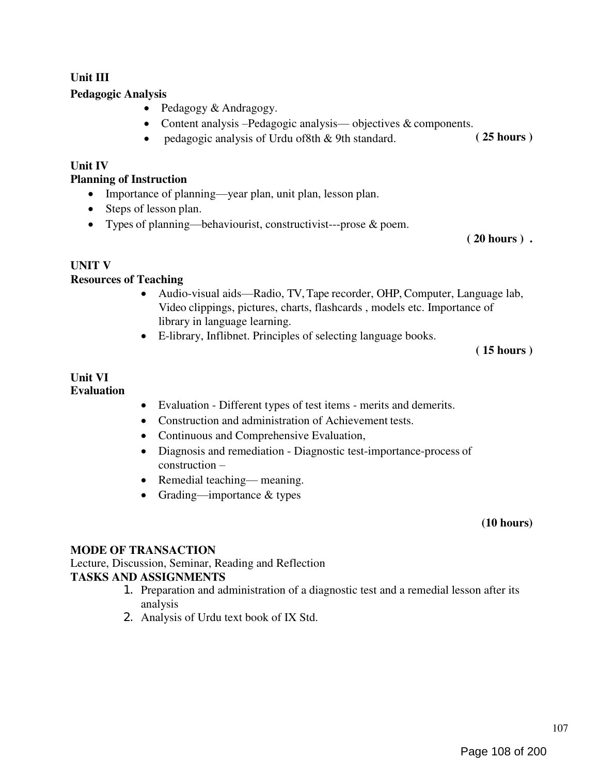# Unit III

# Pedagogic Analysis

- Pedagogy & Andragogy.
- Content analysis –Pedagogic analysis— objectives & components.
- pedagogic analysis of Urdu of8th & 9th standard. (25 hours)

## Unit IV

## Planning of Instruction

- Importance of planning—year plan, unit plan, lesson plan.
- Steps of lesson plan.
- Types of planning—behaviourist, constructivist---prose & poem.

( 20 hours ) .

### UNIT V

### Resources of Teaching

- Audio-visual aids—Radio, TV, Tape recorder, OHP, Computer, Language lab, Video clippings, pictures, charts, flashcards , models etc. Importance of library in language learning.
- E-library, Inflibnet. Principles of selecting language books.

( 15 hours )

#### Unit VI Evaluation

- Evaluation Different types of test items merits and demerits.
- Construction and administration of Achievement tests.
- Continuous and Comprehensive Evaluation,
- Diagnosis and remediation Diagnostic test-importance-process of construction –
- Remedial teaching— meaning.
- Grading—importance & types

#### (10 hours)

# MODE OF TRANSACTION

Lecture, Discussion, Seminar, Reading and Reflection TASKS AND ASSIGNMENTS

- 1. Preparation and administration of a diagnostic test and a remedial lesson after its analysis
- 2. Analysis of Urdu text book of IX Std.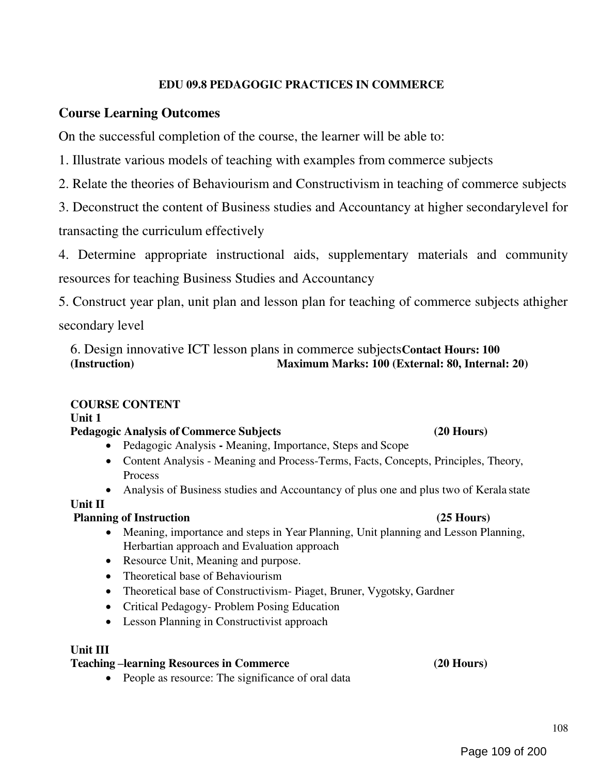## EDU 09.8 PEDAGOGIC PRACTICES IN COMMERCE

## Course Learning Outcomes

On the successful completion of the course, the learner will be able to:

1. Illustrate various models of teaching with examples from commerce subjects

2. Relate the theories of Behaviourism and Constructivism in teaching of commerce subjects

3. Deconstruct the content of Business studies and Accountancy at higher secondarylevel for transacting the curriculum effectively

4. Determine appropriate instructional aids, supplementary materials and community resources for teaching Business Studies and Accountancy

5. Construct year plan, unit plan and lesson plan for teaching of commerce subjects athigher

secondary level

6. Design innovative ICT lesson plans in commerce subjectsContact Hours: 100 (Instruction) Maximum Marks: 100 (External: 80, Internal: 20)

## COURSE CONTENT

Unit 1

## Pedagogic Analysis of Commerce Subjects (20 Hours)

- Pedagogic Analysis Meaning, Importance, Steps and Scope
- Content Analysis Meaning and Process-Terms, Facts, Concepts, Principles, Theory, **Process**
- Analysis of Business studies and Accountancy of plus one and plus two of Kerala state

Unit II

## Planning of Instruction (25 Hours)

- Meaning, importance and steps in Year Planning, Unit planning and Lesson Planning, Herbartian approach and Evaluation approach
- Resource Unit, Meaning and purpose.
- Theoretical base of Behaviourism
- Theoretical base of Constructivism- Piaget, Bruner, Vygotsky, Gardner
- Critical Pedagogy- Problem Posing Education
- Lesson Planning in Constructivist approach

## Unit III

## Teaching –learning Resources in Commerce (20 Hours)

• People as resource: The significance of oral data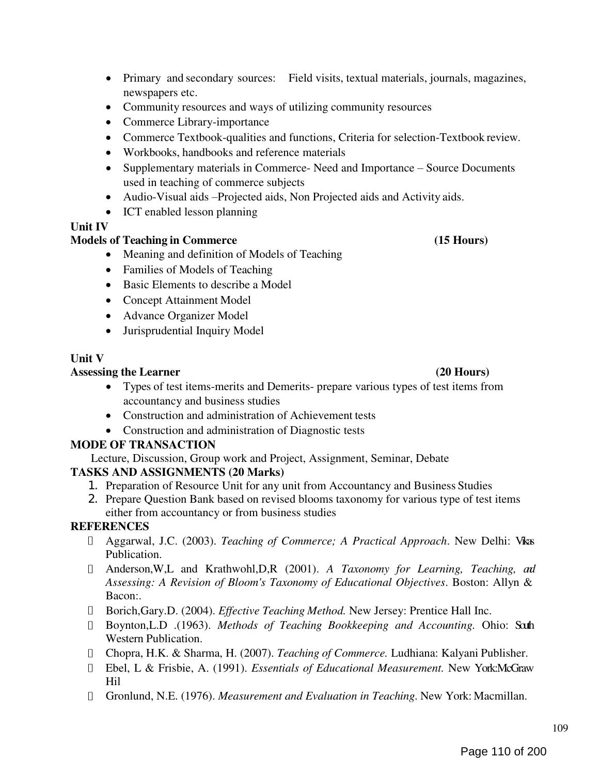- Primary and secondary sources: Field visits, textual materials, journals, magazines, newspapers etc.
- Community resources and ways of utilizing community resources
- Commerce Library-importance
- Commerce Textbook-qualities and functions, Criteria for selection-Textbook review.
- Workbooks, handbooks and reference materials
- Supplementary materials in Commerce- Need and Importance Source Documents used in teaching of commerce subjects
- Audio-Visual aids –Projected aids, Non Projected aids and Activity aids.
- ICT enabled lesson planning

# Unit IV

# Models of Teaching in Commerce (15 Hours)

- Meaning and definition of Models of Teaching
- Families of Models of Teaching
- Basic Elements to describe a Model
- Concept Attainment Model
- Advance Organizer Model
- Jurisprudential Inquiry Model

## Unit V

## Assessing the Learner (20 Hours) (20 Hours)

- Types of test items-merits and Demerits- prepare various types of test items from accountancy and business studies
- Construction and administration of Achievement tests
- Construction and administration of Diagnostic tests

## MODE OF TRANSACTION

Lecture, Discussion, Group work and Project, Assignment, Seminar, Debate

## TASKS AND ASSIGNMENTS (20 Marks)

- 1. Preparation of Resource Unit for any unit from Accountancy and Business Studies
- 2. Prepare Question Bank based on revised blooms taxonomy for various type of test items either from accountancy or from business studies

## **REFERENCES**

- Aggarwal, J.C. (2003). Teaching of Commerce; A Practical Approach. New Delhi: Vikas Publication.
- I Anderson, W,L and Krathwohl, D, R (2001). A Taxonomy for Learning, Teaching, and Assessing: A Revision of Bloom's Taxonomy of Educational Objectives. Boston: Allyn & Bacon:.
- □ Borich,Gary.D. (2004). *Effective Teaching Method*. New Jersey: Prentice Hall Inc.
- Boynton, L.D . (1963). Methods of Teaching Bookkeeping and Accounting. Ohio: Sath Western Publication.
- Chopra, H.K. & Sharma, H. (2007). Teaching of Commerce. Ludhiana: Kalyani Publisher.
- Ebel, L & Frisbie, A. (1991). Essentials of Educational Measurement. New York:McGraw Hil
- Gronlund, N.E. (1976). Measurement and Evaluation in Teaching. New York: Macmillan.

#### 109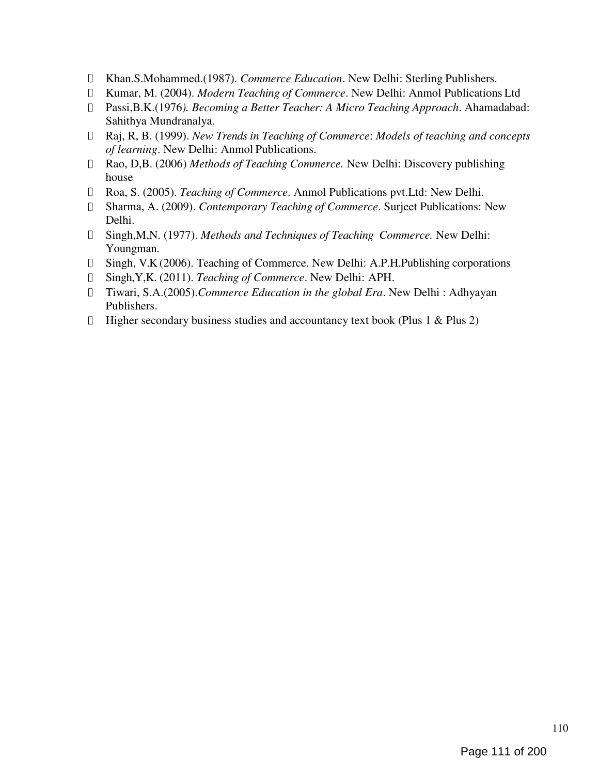- Khan.S.Mohammed.(1987). Commerce Education. New Delhi: Sterling Publishers.  $\Box$
- I Kumar, M. (2004). *Modern Teaching of Commerce*. New Delhi: Anmol Publications Ltd
- Passi,B.K.(1976). Becoming a Better Teacher: A Micro Teaching Approach. Ahamadabad: Sahithya Mundranalya.
- $\Box$  Raj, R, B. (1999). New Trends in Teaching of Commerce: Models of teaching and concepts of learning. New Delhi: Anmol Publications.
- Rao, D,B. (2006) Methods of Teaching Commerce. New Delhi: Discovery publishing house
- □ Roa, S. (2005). Teaching of Commerce. Anmol Publications pvt. Ltd: New Delhi.
- Sharma, A. (2009). Contemporary Teaching of Commerce. Surjeet Publications: New Delhi.
- Singh,M,N. (1977). Methods and Techniques of Teaching Commerce. New Delhi: Youngman.
- Singh, V.K (2006). Teaching of Commerce. New Delhi: A.P.H.Publishing corporations
- Singh,Y,K. (2011). Teaching of Commerce. New Delhi: APH.
- Tiwari, S.A.(2005).Commerce Education in the global Era. New Delhi : Adhyayan  $\Box$ Publishers.
- $\Box$  Higher secondary business studies and accountancy text book (Plus 1 & Plus 2)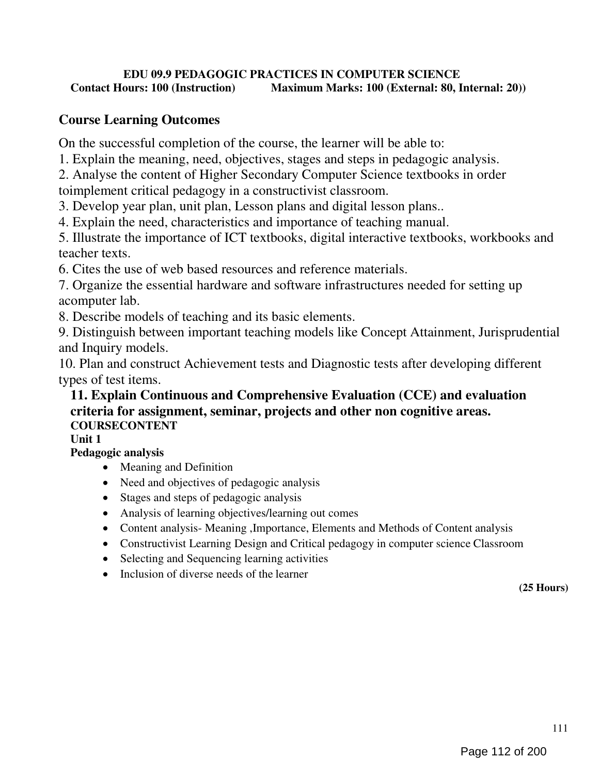## EDU 09.9 PEDAGOGIC PRACTICES IN COMPUTER SCIENCE Contact Hours: 100 (Instruction) Maximum Marks: 100 (External: 80, Internal: 20))

# Course Learning Outcomes

On the successful completion of the course, the learner will be able to:

1. Explain the meaning, need, objectives, stages and steps in pedagogic analysis.

2. Analyse the content of Higher Secondary Computer Science textbooks in order

toimplement critical pedagogy in a constructivist classroom.

3. Develop year plan, unit plan, Lesson plans and digital lesson plans..

4. Explain the need, characteristics and importance of teaching manual.

5. Illustrate the importance of ICT textbooks, digital interactive textbooks, workbooks and teacher texts.

6. Cites the use of web based resources and reference materials.

7. Organize the essential hardware and software infrastructures needed for setting up acomputer lab.

8. Describe models of teaching and its basic elements.

9. Distinguish between important teaching models like Concept Attainment, Jurisprudential and Inquiry models.

10. Plan and construct Achievement tests and Diagnostic tests after developing different types of test items.

# 11. Explain Continuous and Comprehensive Evaluation (CCE) and evaluation criteria for assignment, seminar, projects and other non cognitive areas. COURSECONTENT

Unit 1

# Pedagogic analysis

- Meaning and Definition
- Need and objectives of pedagogic analysis
- Stages and steps of pedagogic analysis
- Analysis of learning objectives/learning out comes
- Content analysis- Meaning , Importance, Elements and Methods of Content analysis
- Constructivist Learning Design and Critical pedagogy in computer science Classroom
- Selecting and Sequencing learning activities
- Inclusion of diverse needs of the learner

(25 Hours)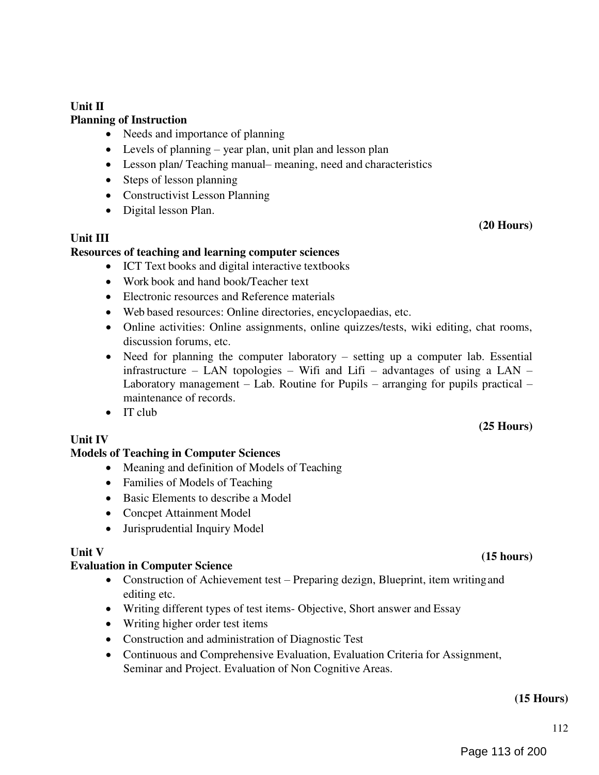## Unit II

## Planning of Instruction

- Needs and importance of planning
- Levels of planning year plan, unit plan and lesson plan
- Lesson plan/ Teaching manual– meaning, need and characteristics
- Steps of lesson planning
- Constructivist Lesson Planning
- Digital lesson Plan.

## Unit III

## Resources of teaching and learning computer sciences

- ICT Text books and digital interactive textbooks
- Work book and hand book/Teacher text
- Electronic resources and Reference materials
- Web based resources: Online directories, encyclopaedias, etc.
- Online activities: Online assignments, online quizzes/tests, wiki editing, chat rooms, discussion forums, etc.
- Need for planning the computer laboratory setting up a computer lab. Essential infrastructure – LAN topologies – Wifi and Lifi – advantages of using a LAN – Laboratory management – Lab. Routine for Pupils – arranging for pupils practical – maintenance of records.
- $\bullet$  IT club

## Unit IV

## Models of Teaching in Computer Sciences

- Meaning and definition of Models of Teaching
- Families of Models of Teaching
- Basic Elements to describe a Model
- Concpet Attainment Model
- Jurisprudential Inquiry Model

## Unit V

# Evaluation in Computer Science (15 hours) (15 hours)

- Construction of Achievement test Preparing dezign, Blueprint, item writing and editing etc.
- Writing different types of test items- Objective, Short answer and Essay
- Writing higher order test items
- Construction and administration of Diagnostic Test
- Continuous and Comprehensive Evaluation, Evaluation Criteria for Assignment, Seminar and Project. Evaluation of Non Cognitive Areas.

#### (15 Hours)

# (20 Hours)

(25 Hours)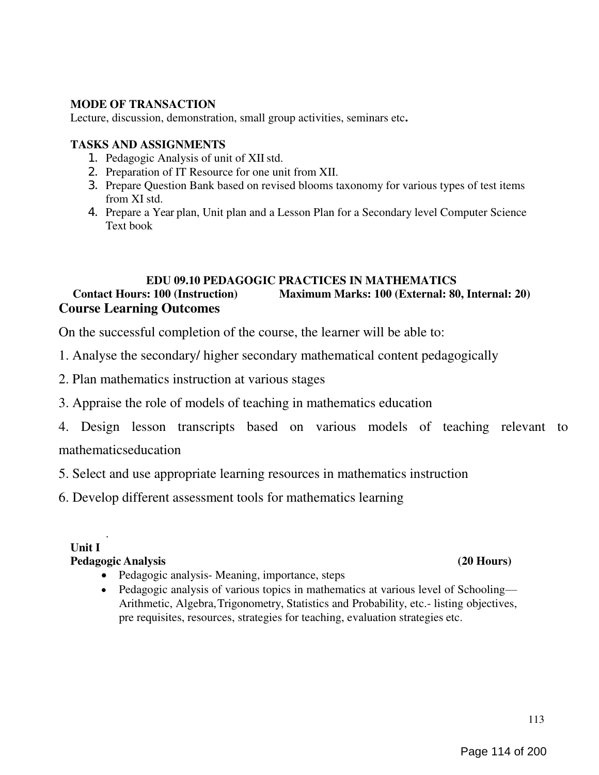## MODE OF TRANSACTION

Lecture, discussion, demonstration, small group activities, seminars etc.

#### TASKS AND ASSIGNMENTS

- 1. Pedagogic Analysis of unit of XII std.
- 2. Preparation of IT Resource for one unit from XII.
- 3. Prepare Question Bank based on revised blooms taxonomy for various types of test items from XI std.
- 4. Prepare a Year plan, Unit plan and a Lesson Plan for a Secondary level Computer Science Text book

## EDU 09.10 PEDAGOGIC PRACTICES IN MATHEMATICS Contact Hours: 100 (Instruction) Maximum Marks: 100 (External: 80, Internal: 20) Course Learning Outcomes

On the successful completion of the course, the learner will be able to:

- 1. Analyse the secondary/ higher secondary mathematical content pedagogically
- 2. Plan mathematics instruction at various stages
- 3. Appraise the role of models of teaching in mathematics education
- 4. Design lesson transcripts based on various models of teaching relevant to mathematicseducation

5. Select and use appropriate learning resources in mathematics instruction

6. Develop different assessment tools for mathematics learning

## Unit I

## Pedagogic Analysis (20 Hours)

.

- Pedagogic analysis- Meaning, importance, steps
- Pedagogic analysis of various topics in mathematics at various level of Schooling— Arithmetic, Algebra, Trigonometry, Statistics and Probability, etc.- listing objectives, pre requisites, resources, strategies for teaching, evaluation strategies etc.

113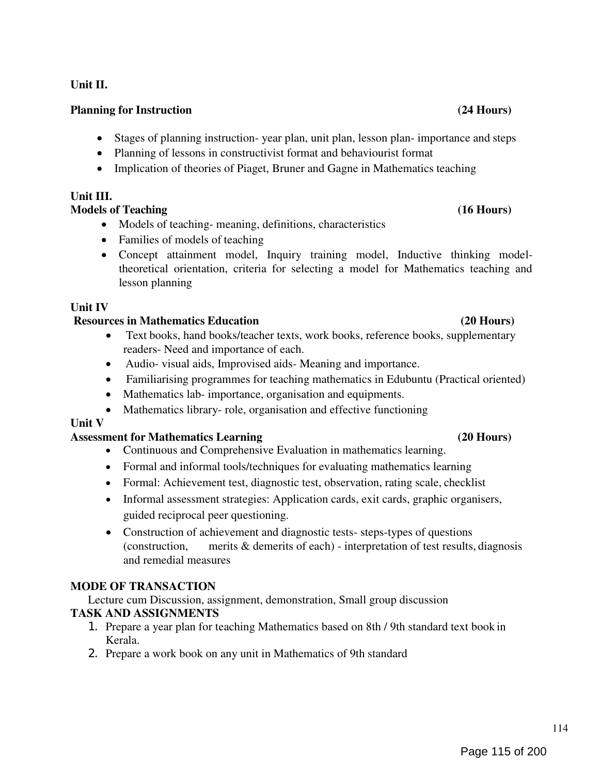### Unit II.

### Planning for Instruction (24 Hours)

- Stages of planning instruction- year plan, unit plan, lesson plan- importance and steps
- Planning of lessons in constructivist format and behaviourist format
- Implication of theories of Piaget, Bruner and Gagne in Mathematics teaching

## Unit III.

## Models of Teaching (16 Hours)

- Models of teaching-meaning, definitions, characteristics
- Families of models of teaching
- Concept attainment model, Inquiry training model, Inductive thinking modeltheoretical orientation, criteria for selecting a model for Mathematics teaching and lesson planning

## Unit IV

## Resources in Mathematics Education (20 Hours)

- Text books, hand books/teacher texts, work books, reference books, supplementary readers- Need and importance of each.
- Audio- visual aids, Improvised aids- Meaning and importance.
- Familiarising programmes for teaching mathematics in Edubuntu (Practical oriented)
- Mathematics lab- importance, organisation and equipments.
- Mathematics library- role, organisation and effective functioning

## Unit V

## Assessment for Mathematics Learning (20 Hours)

- Continuous and Comprehensive Evaluation in mathematics learning.
- Formal and informal tools/techniques for evaluating mathematics learning
- Formal: Achievement test, diagnostic test, observation, rating scale, checklist
- Informal assessment strategies: Application cards, exit cards, graphic organisers, guided reciprocal peer questioning.
- Construction of achievement and diagnostic tests- steps-types of questions (construction, merits & demerits of each) - interpretation of test results, diagnosis and remedial measures

## MODE OF TRANSACTION

Lecture cum Discussion, assignment, demonstration, Small group discussion TASK AND ASSIGNMENTS

- 1. Prepare a year plan for teaching Mathematics based on 8th / 9th standard text book in Kerala.
- 2. Prepare a work book on any unit in Mathematics of 9th standard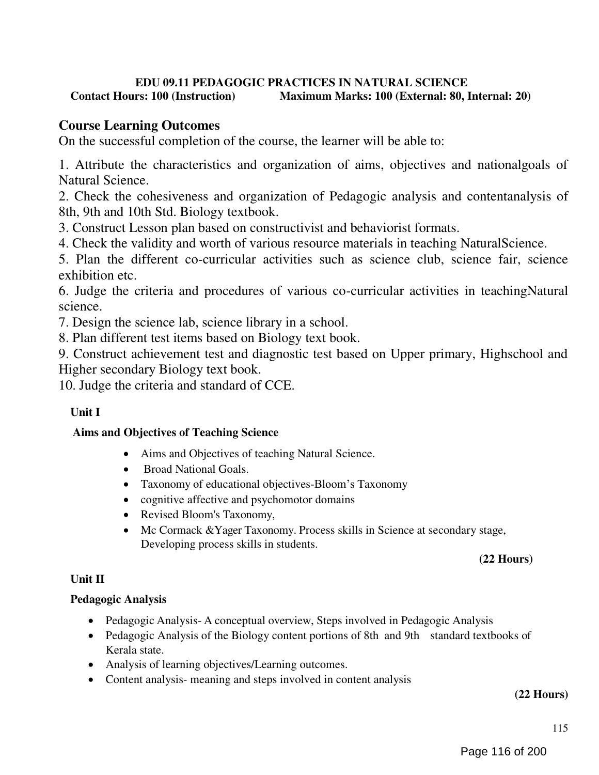## EDU 09.11 PEDAGOGIC PRACTICES IN NATURAL SCIENCE<br>Contact Hours: 100 (Instruction) Maximum Marks: 100 (External: 80. I Maximum Marks: 100 (External: 80, Internal: 20)

# Course Learning Outcomes

On the successful completion of the course, the learner will be able to:

1. Attribute the characteristics and organization of aims, objectives and nationalgoals of Natural Science.

2. Check the cohesiveness and organization of Pedagogic analysis and contentanalysis of 8th, 9th and 10th Std. Biology textbook.

3. Construct Lesson plan based on constructivist and behaviorist formats.

4. Check the validity and worth of various resource materials in teaching NaturalScience.

5. Plan the different co-curricular activities such as science club, science fair, science exhibition etc.

6. Judge the criteria and procedures of various co-curricular activities in teachingNatural science.

7. Design the science lab, science library in a school.

8. Plan different test items based on Biology text book.

9. Construct achievement test and diagnostic test based on Upper primary, Highschool and Higher secondary Biology text book.

10. Judge the criteria and standard of CCE.

# Unit I

## Aims and Objectives of Teaching Science

- Aims and Objectives of teaching Natural Science.
- Broad National Goals.
- Taxonomy of educational objectives-Bloom's Taxonomy
- cognitive affective and psychomotor domains
- Revised Bloom's Taxonomy,
- Mc Cormack &Yager Taxonomy. Process skills in Science at secondary stage, Developing process skills in students.

## (22 Hours)

## Unit II

## Pedagogic Analysis

- Pedagogic Analysis- A conceptual overview, Steps involved in Pedagogic Analysis
- Pedagogic Analysis of the Biology content portions of 8th and 9th standard textbooks of Kerala state.
- Analysis of learning objectives/Learning outcomes.
- Content analysis- meaning and steps involved in content analysis

### (22 Hours)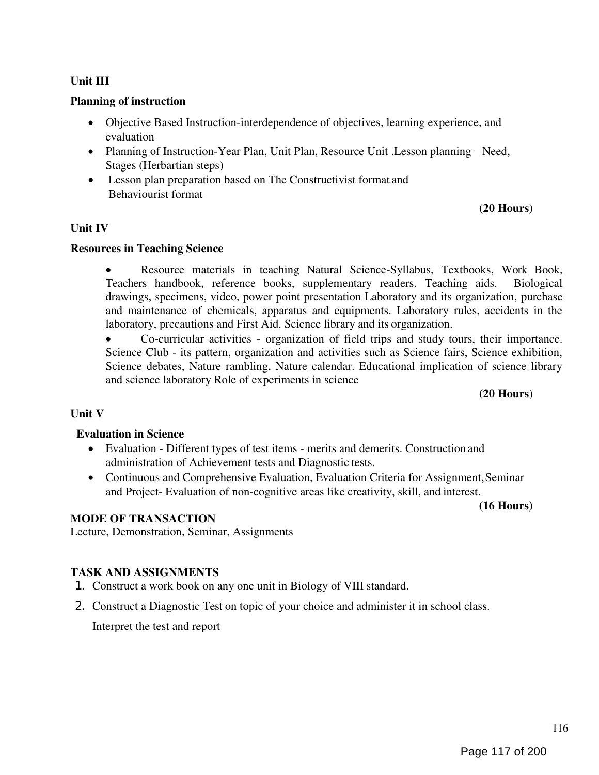## Unit III

## Planning of instruction

- Objective Based Instruction-interdependence of objectives, learning experience, and evaluation
- Planning of Instruction-Year Plan, Unit Plan, Resource Unit .Lesson planning Need, Stages (Herbartian steps)
- Lesson plan preparation based on The Constructivist format and Behaviourist format

## (20 Hours)

### Unit IV

### Resources in Teaching Science

 Resource materials in teaching Natural Science-Syllabus, Textbooks, Work Book, Teachers handbook, reference books, supplementary readers. Teaching aids. Biological drawings, specimens, video, power point presentation Laboratory and its organization, purchase and maintenance of chemicals, apparatus and equipments. Laboratory rules, accidents in the laboratory, precautions and First Aid. Science library and its organization.

 Co-curricular activities - organization of field trips and study tours, their importance. Science Club - its pattern, organization and activities such as Science fairs, Science exhibition, Science debates, Nature rambling, Nature calendar. Educational implication of science library and science laboratory Role of experiments in science

#### (20 Hours)

## Unit V

#### Evaluation in Science

- Evaluation Different types of test items merits and demerits. Construction and administration of Achievement tests and Diagnostic tests.
- Continuous and Comprehensive Evaluation, Evaluation Criteria for Assignment, Seminar and Project- Evaluation of non-cognitive areas like creativity, skill, and interest.

(16 Hours)

#### MODE OF TRANSACTION

Lecture, Demonstration, Seminar, Assignments

#### TASK AND ASSIGNMENTS

- 1. Construct a work book on any one unit in Biology of VIII standard.
- 2. Construct a Diagnostic Test on topic of your choice and administer it in school class.

Interpret the test and report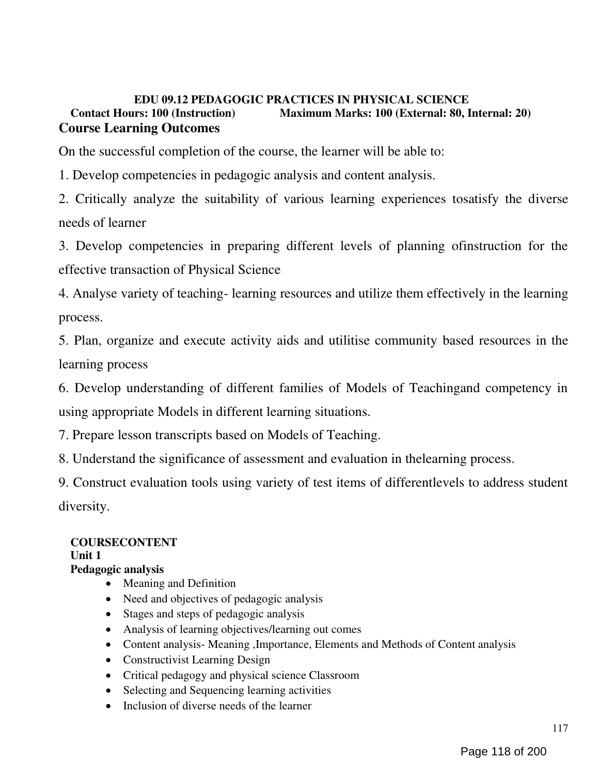## EDU 09.12 PEDAGOGIC PRACTICES IN PHYSICAL SCIENCE Contact Hours: 100 (Instruction) Maximum Marks: 100 (External: 80, Internal: 20) Course Learning Outcomes

On the successful completion of the course, the learner will be able to:

1. Develop competencies in pedagogic analysis and content analysis.

2. Critically analyze the suitability of various learning experiences tosatisfy the diverse needs of learner

3. Develop competencies in preparing different levels of planning ofinstruction for the effective transaction of Physical Science

4. Analyse variety of teaching- learning resources and utilize them effectively in the learning process.

5. Plan, organize and execute activity aids and utilitise community based resources in the learning process

6. Develop understanding of different families of Models of Teachingand competency in using appropriate Models in different learning situations.

7. Prepare lesson transcripts based on Models of Teaching.

8. Understand the significance of assessment and evaluation in thelearning process.

9. Construct evaluation tools using variety of test items of differentlevels to address student diversity.

## COURSECONTENT

Unit 1

## Pedagogic analysis

- Meaning and Definition
- Need and objectives of pedagogic analysis
- Stages and steps of pedagogic analysis
- Analysis of learning objectives/learning out comes
- Content analysis- Meaning ,Importance, Elements and Methods of Content analysis
- Constructivist Learning Design
- Critical pedagogy and physical science Classroom
- Selecting and Sequencing learning activities
- Inclusion of diverse needs of the learner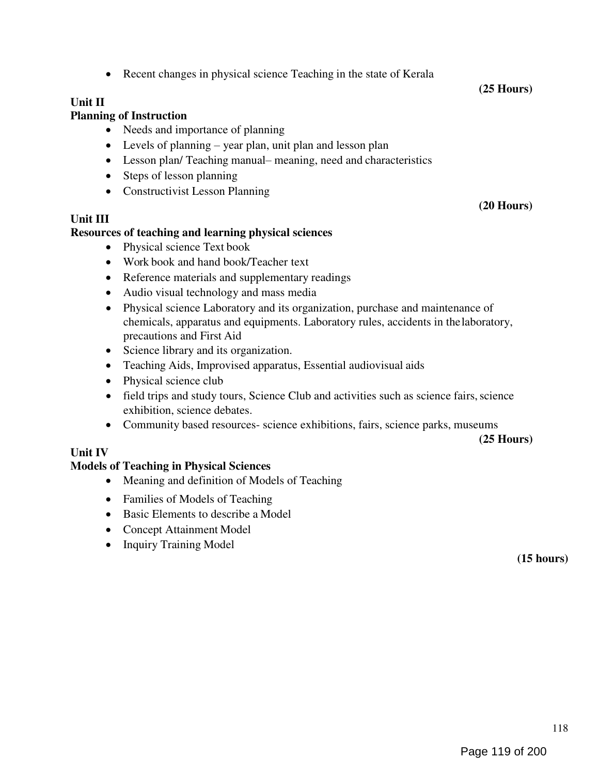# • Recent changes in physical science Teaching in the state of Kerala

# Unit II

# Planning of Instruction

- Needs and importance of planning
- Levels of planning year plan, unit plan and lesson plan
- Lesson plan/ Teaching manual– meaning, need and characteristics
- Steps of lesson planning
- Constructivist Lesson Planning

# Unit III

# Resources of teaching and learning physical sciences

- Physical science Text book
- Work book and hand book/Teacher text
- Reference materials and supplementary readings
- Audio visual technology and mass media
- Physical science Laboratory and its organization, purchase and maintenance of chemicals, apparatus and equipments. Laboratory rules, accidents in the laboratory, precautions and First Aid
- Science library and its organization.
- Teaching Aids, Improvised apparatus, Essential audiovisual aids
- Physical science club
- field trips and study tours, Science Club and activities such as science fairs, science exhibition, science debates.
- Community based resources- science exhibitions, fairs, science parks, museums

(25 Hours)

# Unit IV

# Models of Teaching in Physical Sciences

- Meaning and definition of Models of Teaching
- Families of Models of Teaching
- Basic Elements to describe a Model
- Concept Attainment Model
- Inquiry Training Model

(15 hours)



(20 Hours)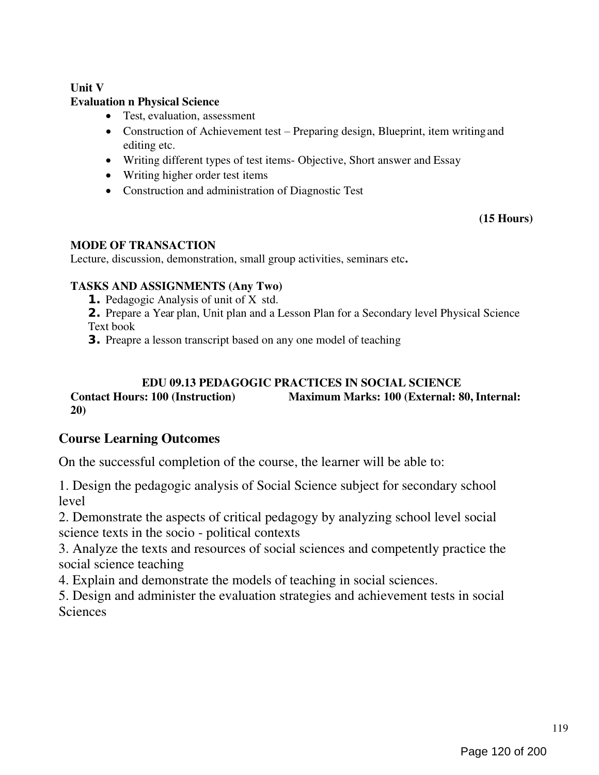## Unit V

## Evaluation n Physical Science

- Test, evaluation, assessment
- Construction of Achievement test Preparing design, Blueprint, item writing and editing etc.
- Writing different types of test items- Objective, Short answer and Essay
- Writing higher order test items
- Construction and administration of Diagnostic Test

## (15 Hours)

### MODE OF TRANSACTION

Lecture, discussion, demonstration, small group activities, seminars etc.

## TASKS AND ASSIGNMENTS (Any Two)

- 1. Pedagogic Analysis of unit of X std.
- 2. Prepare a Year plan, Unit plan and a Lesson Plan for a Secondary level Physical Science Text book
- 3. Preapre a lesson transcript based on any one model of teaching

## EDU 09.13 PEDAGOGIC PRACTICES IN SOCIAL SCIENCE

## Contact Hours: 100 (Instruction) Maximum Marks: 100 (External: 80, Internal: 20)

# Course Learning Outcomes

On the successful completion of the course, the learner will be able to:

1. Design the pedagogic analysis of Social Science subject for secondary school level

2. Demonstrate the aspects of critical pedagogy by analyzing school level social science texts in the socio - political contexts

3. Analyze the texts and resources of social sciences and competently practice the social science teaching

4. Explain and demonstrate the models of teaching in social sciences.

5. Design and administer the evaluation strategies and achievement tests in social **Sciences**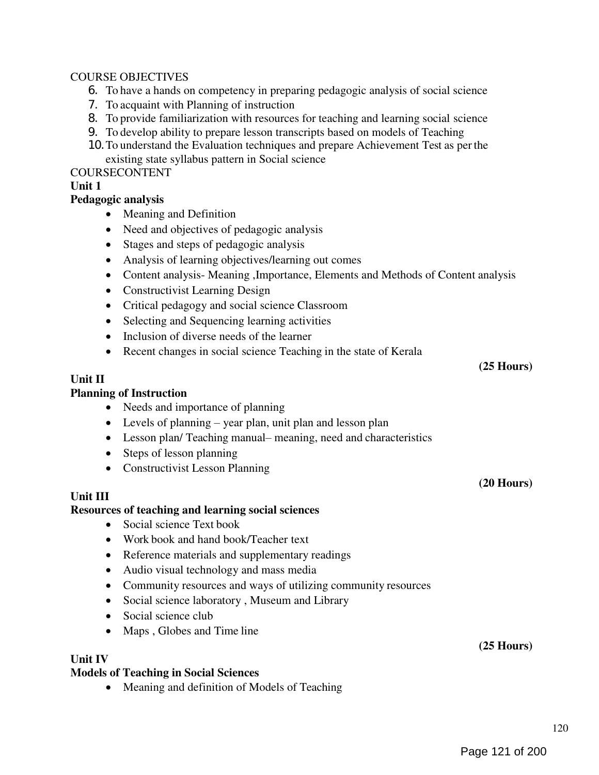## COURSE OBJECTIVES

- 6. To have a hands on competency in preparing pedagogic analysis of social science
- 7. To acquaint with Planning of instruction
- 8. To provide familiarization with resources for teaching and learning social science
- 9. To develop ability to prepare lesson transcripts based on models of Teaching
- 10.To understand the Evaluation techniques and prepare Achievement Test as per the existing state syllabus pattern in Social science

### COURSECONTENT

### Unit 1

### Pedagogic analysis

- Meaning and Definition
- Need and objectives of pedagogic analysis
- Stages and steps of pedagogic analysis
- Analysis of learning objectives/learning out comes
- Content analysis- Meaning , Importance, Elements and Methods of Content analysis
- Constructivist Learning Design
- Critical pedagogy and social science Classroom
- Selecting and Sequencing learning activities
- Inclusion of diverse needs of the learner
- Recent changes in social science Teaching in the state of Kerala

#### Unit II

#### Planning of Instruction

- Needs and importance of planning
- Levels of planning year plan, unit plan and lesson plan
- Lesson plan/ Teaching manual– meaning, need and characteristics
- Steps of lesson planning
- Constructivist Lesson Planning

#### Unit III

#### Resources of teaching and learning social sciences

- Social science Text book
- Work book and hand book/Teacher text
- Reference materials and supplementary readings
- Audio visual technology and mass media
- Community resources and ways of utilizing community resources
- Social science laboratory, Museum and Library
- Social science club
- Maps, Globes and Time line

#### Unit IV

#### Models of Teaching in Social Sciences

• Meaning and definition of Models of Teaching

(25 Hours)

(25 Hours)

(20 Hours)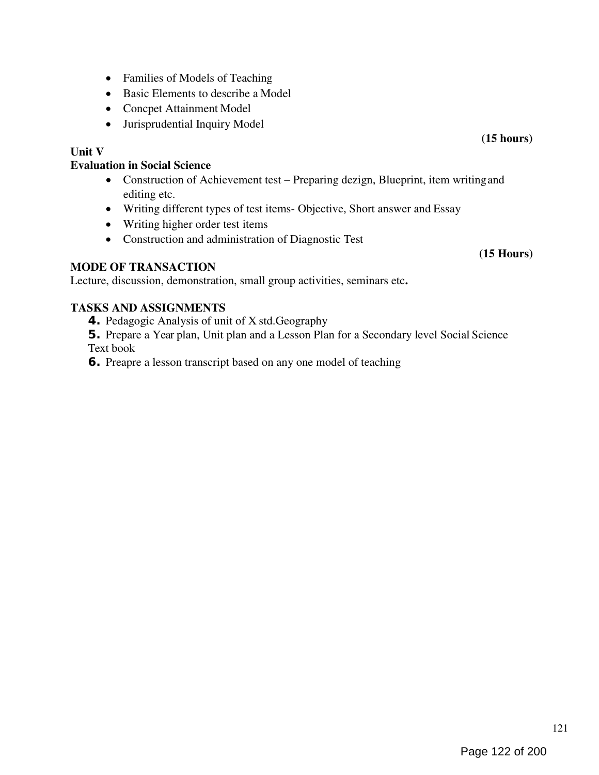- Families of Models of Teaching
- Basic Elements to describe a Model
- Concpet Attainment Model
- Jurisprudential Inquiry Model

## Unit V

### Evaluation in Social Science

- Construction of Achievement test Preparing dezign, Blueprint, item writing and editing etc.
- Writing different types of test items- Objective, Short answer and Essay
- Writing higher order test items
- Construction and administration of Diagnostic Test

## MODE OF TRANSACTION

Lecture, discussion, demonstration, small group activities, seminars etc.

## TASKS AND ASSIGNMENTS

- 4. Pedagogic Analysis of unit of X std.Geography
- 5. Prepare a Year plan, Unit plan and a Lesson Plan for a Secondary level Social Science Text book
- 6. Preapre a lesson transcript based on any one model of teaching

(15 hours)

(15 Hours)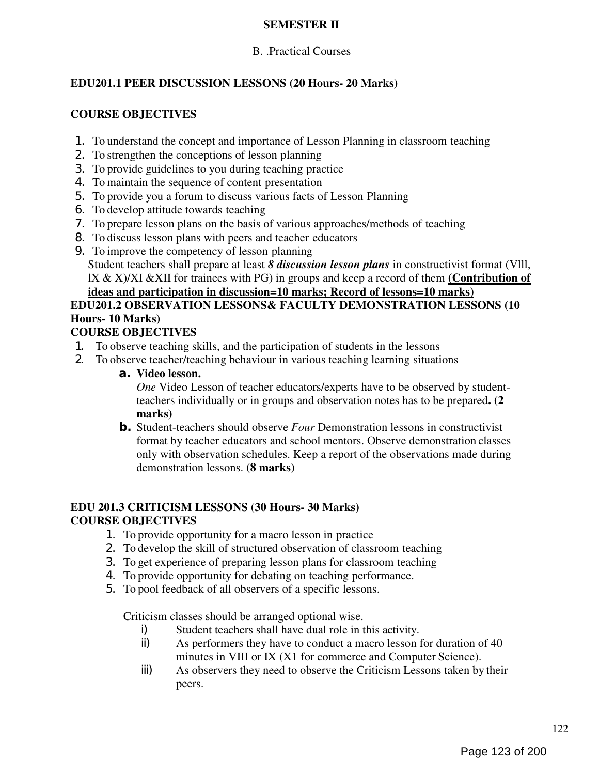## SEMESTER II

## B. .Practical Courses

## EDU201.1 PEER DISCUSSION LESSONS (20 Hours- 20 Marks)

## COURSE OBJECTIVES

- 1. To understand the concept and importance of Lesson Planning in classroom teaching
- 2. To strengthen the conceptions of lesson planning
- 3. To provide guidelines to you during teaching practice
- 4. To maintain the sequence of content presentation
- 5. To provide you a forum to discuss various facts of Lesson Planning
- 6. To develop attitude towards teaching
- 7. To prepare lesson plans on the basis of various approaches/methods of teaching
- 8. To discuss lesson plans with peers and teacher educators
- 9. To improve the competency of lesson planning Student teachers shall prepare at least 8 *discussion lesson plans* in constructivist format (VIII, IX & X)/XI & XII for trainees with PG) in groups and keep a record of them (Contribution of ideas and participation in discussion=10 marks; Record of lessons=10 marks)

# EDU201.2 OBSERVATION LESSONS& FACULTY DEMONSTRATION LESSONS (10 Hours- 10 Marks)

## COURSE OBJECTIVES

- 1. To observe teaching skills, and the participation of students in the lessons
- 2. To observe teacher/teaching behaviour in various teaching learning situations
	- a. Video lesson.

One Video Lesson of teacher educators/experts have to be observed by studentteachers individually or in groups and observation notes has to be prepared. (2 marks)

**b.** Student-teachers should observe *Four* Demonstration lessons in constructivist format by teacher educators and school mentors. Observe demonstration classes only with observation schedules. Keep a report of the observations made during demonstration lessons. (8 marks)

## EDU 201.3 CRITICISM LESSONS (30 Hours- 30 Marks) COURSE OBJECTIVES

- 1. To provide opportunity for a macro lesson in practice
- 2. To develop the skill of structured observation of classroom teaching
- 3. To get experience of preparing lesson plans for classroom teaching
- 4. To provide opportunity for debating on teaching performance.
- 5. To pool feedback of all observers of a specific lessons.

Criticism classes should be arranged optional wise.

- i) Student teachers shall have dual role in this activity.<br>
ii) As performers they have to conduct a macro lesson 1
- As performers they have to conduct a macro lesson for duration of 40 minutes in VIII or IX (X1 for commerce and Computer Science).
- iii) As observers they need to observe the Criticism Lessons taken by their peers.

122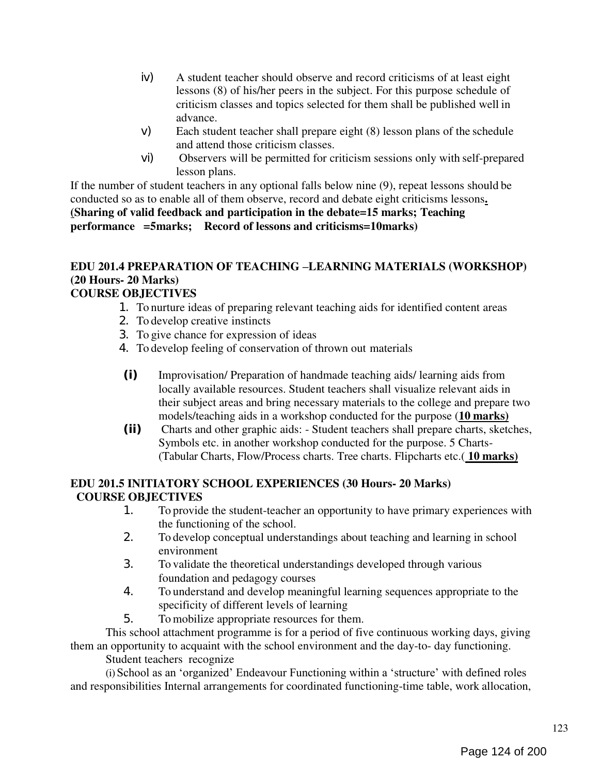- iv) A student teacher should observe and record criticisms of at least eight lessons (8) of his/her peers in the subject. For this purpose schedule of criticism classes and topics selected for them shall be published well in advance.
- v) Each student teacher shall prepare eight (8) lesson plans of the schedule and attend those criticism classes.
- vi) Observers will be permitted for criticism sessions only with self-prepared lesson plans.

If the number of student teachers in any optional falls below nine (9), repeat lessons should be conducted so as to enable all of them observe, record and debate eight criticisms lessons. (Sharing of valid feedback and participation in the debate=15 marks; Teaching performance =5marks; Record of lessons and criticisms=10marks)

#### EDU 201.4 PREPARATION OF TEACHING –LEARNING MATERIALS (WORKSHOP) (20 Hours- 20 Marks) COURSE OBJECTIVES

- 1. To nurture ideas of preparing relevant teaching aids for identified content areas
	- 2. To develop creative instincts
	- 3. To give chance for expression of ideas
	- 4. To develop feeling of conservation of thrown out materials
	- (i) Improvisation/ Preparation of handmade teaching aids/ learning aids from locally available resources. Student teachers shall visualize relevant aids in their subject areas and bring necessary materials to the college and prepare two models/teaching aids in a workshop conducted for the purpose (10 marks)
	- (ii) Charts and other graphic aids: Student teachers shall prepare charts, sketches, Symbols etc. in another workshop conducted for the purpose. 5 Charts- (Tabular Charts, Flow/Process charts. Tree charts. Flipcharts etc.(10 marks)

## EDU 201.5 INITIATORY SCHOOL EXPERIENCES (30 Hours- 20 Marks) COURSE OBJECTIVES

- 1. To provide the student-teacher an opportunity to have primary experiences with the functioning of the school.
- 2. To develop conceptual understandings about teaching and learning in school environment
- 3. To validate the theoretical understandings developed through various foundation and pedagogy courses
- 4. To understand and develop meaningful learning sequences appropriate to the specificity of different levels of learning
- 5. To mobilize appropriate resources for them.

This school attachment programme is for a period of five continuous working days, giving them an opportunity to acquaint with the school environment and the day-to- day functioning.

Student teachers recognize

(i) School as an 'organized' Endeavour Functioning within a 'structure' with defined roles and responsibilities Internal arrangements for coordinated functioning-time table, work allocation,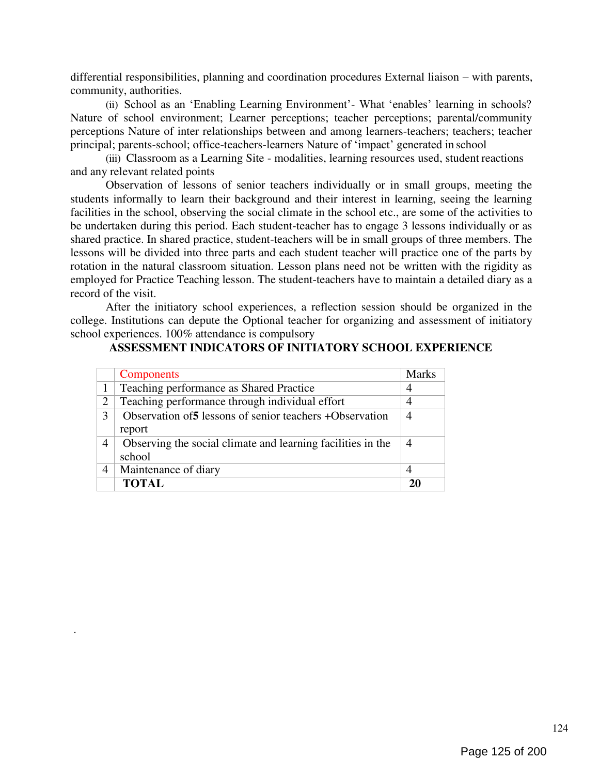differential responsibilities, planning and coordination procedures External liaison – with parents, community, authorities.

(ii) School as an 'Enabling Learning Environment'- What 'enables' learning in schools? Nature of school environment; Learner perceptions; teacher perceptions; parental/community perceptions Nature of inter relationships between and among learners-teachers; teachers; teacher principal; parents-school; office-teachers-learners Nature of 'impact' generated in school

(iii) Classroom as a Learning Site - modalities, learning resources used, student reactions and any relevant related points

Observation of lessons of senior teachers individually or in small groups, meeting the students informally to learn their background and their interest in learning, seeing the learning facilities in the school, observing the social climate in the school etc., are some of the activities to be undertaken during this period. Each student-teacher has to engage 3 lessons individually or as shared practice. In shared practice, student-teachers will be in small groups of three members. The lessons will be divided into three parts and each student teacher will practice one of the parts by rotation in the natural classroom situation. Lesson plans need not be written with the rigidity as employed for Practice Teaching lesson. The student-teachers have to maintain a detailed diary as a record of the visit.

After the initiatory school experiences, a reflection session should be organized in the college. Institutions can depute the Optional teacher for organizing and assessment of initiatory school experiences. 100% attendance is compulsory

|                | <b>Components</b>                                                     | <b>Marks</b>   |
|----------------|-----------------------------------------------------------------------|----------------|
|                | Teaching performance as Shared Practice                               | 4              |
| $\overline{2}$ | Teaching performance through individual effort                        | 4              |
| 3              | Observation of 5 lessons of senior teachers + Observation<br>report   | $\overline{4}$ |
| 4              | Observing the social climate and learning facilities in the<br>school |                |
| 4              | Maintenance of diary                                                  | $\overline{4}$ |
|                | <b>TOTAL</b>                                                          | 21             |

.

#### ASSESSMENT INDICATORS OF INITIATORY SCHOOL EXPERIENCE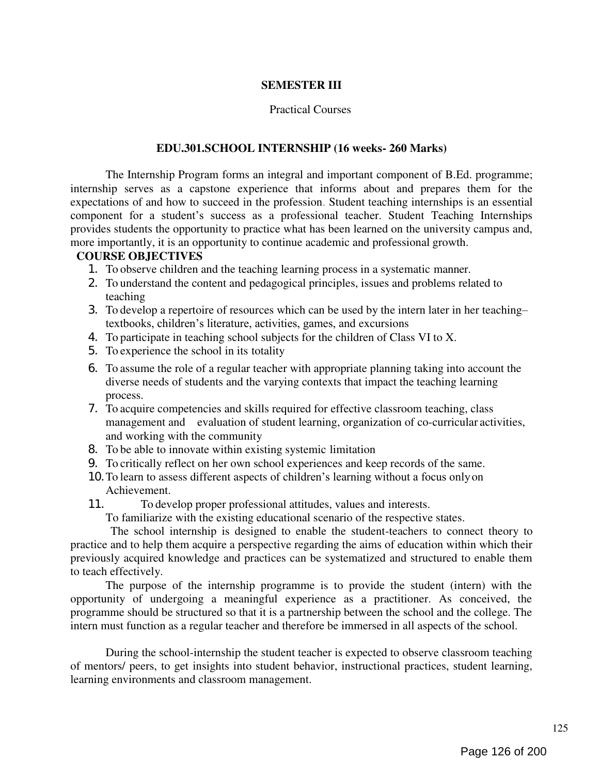#### SEMESTER III

#### Practical Courses

#### EDU.301.SCHOOL INTERNSHIP (16 weeks- 260 Marks)

The Internship Program forms an integral and important component of B.Ed. programme; internship serves as a capstone experience that informs about and prepares them for the expectations of and how to succeed in the profession. Student teaching internships is an essential component for a student's success as a professional teacher. Student Teaching Internships provides students the opportunity to practice what has been learned on the university campus and, more importantly, it is an opportunity to continue academic and professional growth.

#### COURSE OBJECTIVES

- 1. To observe children and the teaching learning process in a systematic manner.
- 2. To understand the content and pedagogical principles, issues and problems related to teaching
- 3. To develop a repertoire of resources which can be used by the intern later in her teaching– textbooks, children's literature, activities, games, and excursions
- 4. To participate in teaching school subjects for the children of Class VI to X.
- 5. To experience the school in its totality
- 6. To assume the role of a regular teacher with appropriate planning taking into account the diverse needs of students and the varying contexts that impact the teaching learning process.
- 7. To acquire competencies and skills required for effective classroom teaching, class management and evaluation of student learning, organization of co-curricular activities, and working with the community
- 8. To be able to innovate within existing systemic limitation
- 9. To critically reflect on her own school experiences and keep records of the same.
- 10.To learn to assess different aspects of children's learning without a focus only on Achievement.
- 11. To develop proper professional attitudes, values and interests.

To familiarize with the existing educational scenario of the respective states.

The school internship is designed to enable the student-teachers to connect theory to practice and to help them acquire a perspective regarding the aims of education within which their previously acquired knowledge and practices can be systematized and structured to enable them to teach effectively.

The purpose of the internship programme is to provide the student (intern) with the opportunity of undergoing a meaningful experience as a practitioner. As conceived, the programme should be structured so that it is a partnership between the school and the college. The intern must function as a regular teacher and therefore be immersed in all aspects of the school.

During the school-internship the student teacher is expected to observe classroom teaching of mentors/ peers, to get insights into student behavior, instructional practices, student learning, learning environments and classroom management.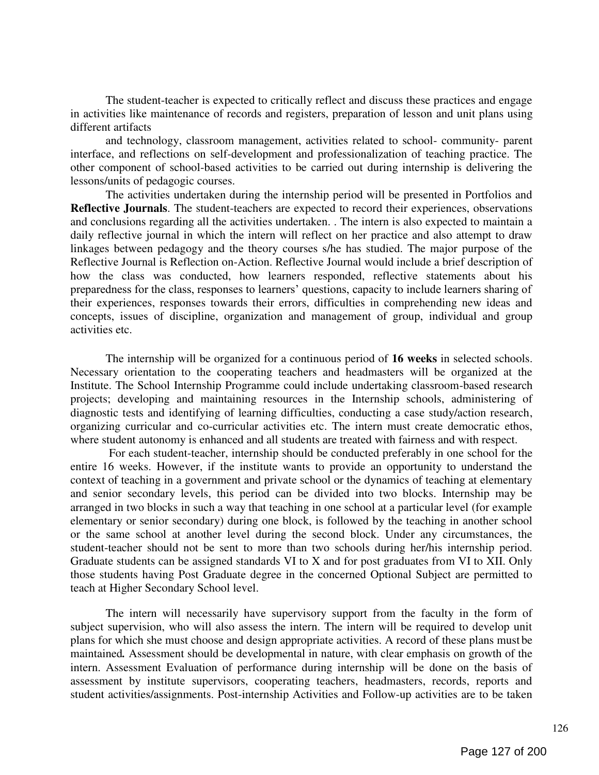The student-teacher is expected to critically reflect and discuss these practices and engage in activities like maintenance of records and registers, preparation of lesson and unit plans using different artifacts

and technology, classroom management, activities related to school- community- parent interface, and reflections on self-development and professionalization of teaching practice. The other component of school-based activities to be carried out during internship is delivering the lessons/units of pedagogic courses.

The activities undertaken during the internship period will be presented in Portfolios and Reflective Journals. The student-teachers are expected to record their experiences, observations and conclusions regarding all the activities undertaken. . The intern is also expected to maintain a daily reflective journal in which the intern will reflect on her practice and also attempt to draw linkages between pedagogy and the theory courses s/he has studied. The major purpose of the Reflective Journal is Reflection on-Action. Reflective Journal would include a brief description of how the class was conducted, how learners responded, reflective statements about his preparedness for the class, responses to learners' questions, capacity to include learners sharing of their experiences, responses towards their errors, difficulties in comprehending new ideas and concepts, issues of discipline, organization and management of group, individual and group activities etc.

The internship will be organized for a continuous period of 16 weeks in selected schools. Necessary orientation to the cooperating teachers and headmasters will be organized at the Institute. The School Internship Programme could include undertaking classroom-based research projects; developing and maintaining resources in the Internship schools, administering of diagnostic tests and identifying of learning difficulties, conducting a case study/action research, organizing curricular and co-curricular activities etc. The intern must create democratic ethos, where student autonomy is enhanced and all students are treated with fairness and with respect.

For each student-teacher, internship should be conducted preferably in one school for the entire 16 weeks. However, if the institute wants to provide an opportunity to understand the context of teaching in a government and private school or the dynamics of teaching at elementary and senior secondary levels, this period can be divided into two blocks. Internship may be arranged in two blocks in such a way that teaching in one school at a particular level (for example elementary or senior secondary) during one block, is followed by the teaching in another school or the same school at another level during the second block. Under any circumstances, the student-teacher should not be sent to more than two schools during her/his internship period. Graduate students can be assigned standards VI to X and for post graduates from VI to XII. Only those students having Post Graduate degree in the concerned Optional Subject are permitted to teach at Higher Secondary School level.

The intern will necessarily have supervisory support from the faculty in the form of subject supervision, who will also assess the intern. The intern will be required to develop unit plans for which she must choose and design appropriate activities. A record of these plans must be maintained. Assessment should be developmental in nature, with clear emphasis on growth of the intern. Assessment Evaluation of performance during internship will be done on the basis of assessment by institute supervisors, cooperating teachers, headmasters, records, reports and student activities/assignments. Post-internship Activities and Follow-up activities are to be taken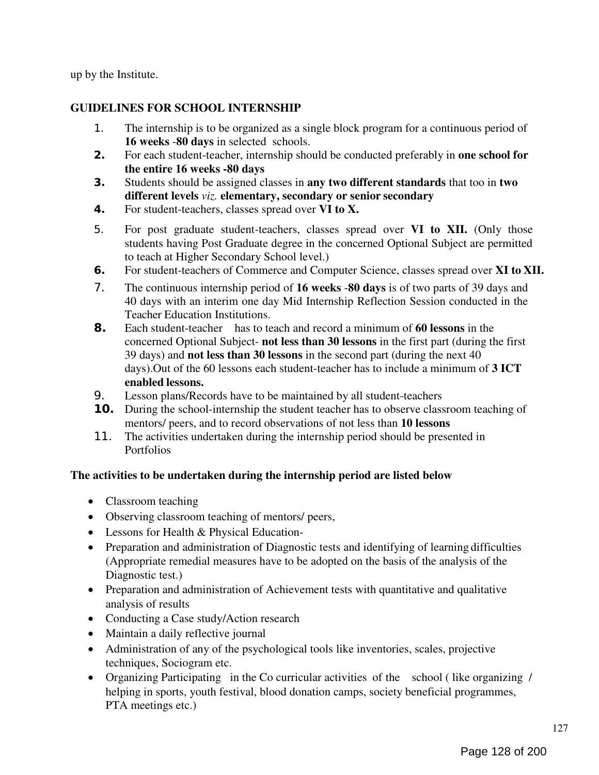up by the Institute.

## GUIDELINES FOR SCHOOL INTERNSHIP

- 1. The internship is to be organized as a single block program for a continuous period of 16 weeks -80 days in selected schools.
- 2. For each student-teacher, internship should be conducted preferably in one school for the entire 16 weeks -80 days
- 3. Students should be assigned classes in any two different standards that too in two different levels viz. elementary, secondary or senior secondary
- 4. For student-teachers, classes spread over VI to X.
- 5. For post graduate student-teachers, classes spread over VI to XII. (Only those students having Post Graduate degree in the concerned Optional Subject are permitted to teach at Higher Secondary School level.)
- 6. For student-teachers of Commerce and Computer Science, classes spread over XI to XII.
- 7. The continuous internship period of 16 weeks -80 days is of two parts of 39 days and 40 days with an interim one day Mid Internship Reflection Session conducted in the Teacher Education Institutions.
- 8. Each student-teacher has to teach and record a minimum of 60 lessons in the concerned Optional Subject- not less than 30 lessons in the first part (during the first 39 days) and not less than 30 lessons in the second part (during the next 40 days). Out of the 60 lessons each student-teacher has to include a minimum of 3 ICT enabled lessons.
- 9. Lesson plans/Records have to be maintained by all student-teachers
- **10.** During the school-internship the student teacher has to observe classroom teaching of mentors/ peers, and to record observations of not less than 10 lessons
- 11. The activities undertaken during the internship period should be presented in Portfolios

## The activities to be undertaken during the internship period are listed below

- Classroom teaching
- Observing classroom teaching of mentors/ peers,
- Lessons for Health & Physical Education-
- Preparation and administration of Diagnostic tests and identifying of learning difficulties (Appropriate remedial measures have to be adopted on the basis of the analysis of the Diagnostic test.)
- Preparation and administration of Achievement tests with quantitative and qualitative analysis of results
- Conducting a Case study/Action research
- Maintain a daily reflective journal
- Administration of any of the psychological tools like inventories, scales, projective techniques, Sociogram etc.
- Organizing Participating in the Co curricular activities of the school ( like organizing / helping in sports, youth festival, blood donation camps, society beneficial programmes, PTA meetings etc.)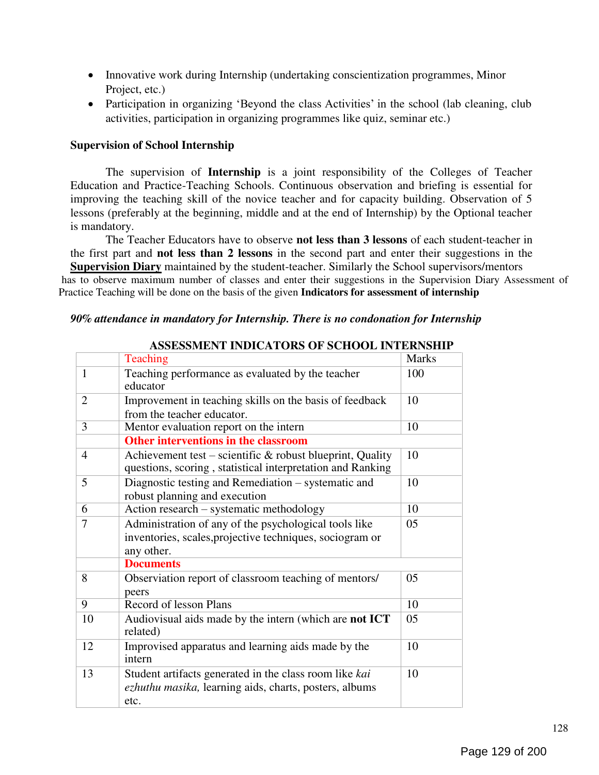- Innovative work during Internship (undertaking conscientization programmes, Minor Project, etc.)
- Participation in organizing 'Beyond the class Activities' in the school (lab cleaning, club activities, participation in organizing programmes like quiz, seminar etc.)

#### Supervision of School Internship

The supervision of Internship is a joint responsibility of the Colleges of Teacher Education and Practice-Teaching Schools. Continuous observation and briefing is essential for improving the teaching skill of the novice teacher and for capacity building. Observation of 5 lessons (preferably at the beginning, middle and at the end of Internship) by the Optional teacher is mandatory.

The Teacher Educators have to observe not less than 3 lessons of each student-teacher in the first part and not less than 2 lessons in the second part and enter their suggestions in the Supervision Diary maintained by the student-teacher. Similarly the School supervisors/mentors has to observe maximum number of classes and enter their suggestions in the Supervision Diary Assessment of Practice Teaching will be done on the basis of the given Indicators for assessment of internship

#### 90% attendance in mandatory for Internship. There is no condonation for Internship

|                | Teaching                                                                                                                        | <b>Marks</b> |
|----------------|---------------------------------------------------------------------------------------------------------------------------------|--------------|
| $\mathbf{1}$   | Teaching performance as evaluated by the teacher<br>educator                                                                    | 100          |
| 2              | Improvement in teaching skills on the basis of feedback<br>from the teacher educator.                                           | 10           |
| 3              | Mentor evaluation report on the intern                                                                                          | 10           |
|                | <b>Other interventions in the classroom</b>                                                                                     |              |
| $\overline{4}$ | Achievement test – scientific $\&$ robust blueprint, Quality<br>questions, scoring, statistical interpretation and Ranking      | 10           |
| 5              | Diagnostic testing and Remediation – systematic and<br>robust planning and execution                                            | 10           |
| 6              | Action research – systematic methodology                                                                                        | 10           |
| 7              | Administration of any of the psychological tools like<br>inventories, scales, projective techniques, sociogram or<br>any other. | 05           |
|                | <b>Documents</b>                                                                                                                |              |
| 8              | Observiation report of classroom teaching of mentors/<br>peers                                                                  | 05           |
| 9              | Record of lesson Plans                                                                                                          | 10           |
| 10             | Audiovisual aids made by the intern (which are <b>not ICT</b><br>related)                                                       | 05           |
| 12             | Improvised apparatus and learning aids made by the<br>intern                                                                    | 10           |
| 13             | Student artifacts generated in the class room like kai<br>ezhuthu masika, learning aids, charts, posters, albums<br>etc.        | 10           |

#### ASSESSMENT INDICATORS OF SCHOOL INTERNSHIP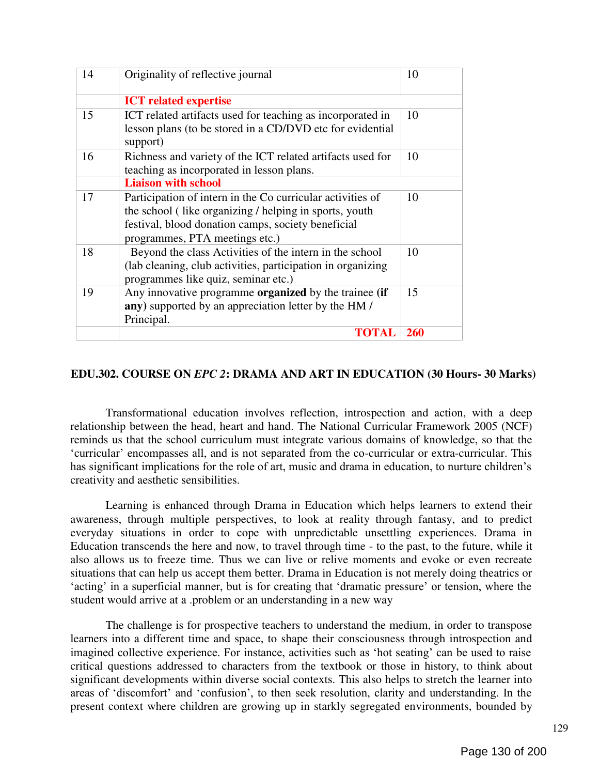| 14 | Originality of reflective journal                           | 10         |
|----|-------------------------------------------------------------|------------|
|    | <b>ICT</b> related expertise                                |            |
| 15 | ICT related artifacts used for teaching as incorporated in  | 10         |
|    | lesson plans (to be stored in a CD/DVD etc for evidential   |            |
|    | support)                                                    |            |
| 16 | Richness and variety of the ICT related artifacts used for  | 10         |
|    | teaching as incorporated in lesson plans.                   |            |
|    | <b>Liaison with school</b>                                  |            |
| 17 | Participation of intern in the Co curricular activities of  | 10         |
|    | the school (like organizing / helping in sports, youth      |            |
|    | festival, blood donation camps, society beneficial          |            |
|    | programmes, PTA meetings etc.)                              |            |
| 18 | Beyond the class Activities of the intern in the school     | 10         |
|    | (lab cleaning, club activities, participation in organizing |            |
|    | programmes like quiz, seminar etc.)                         |            |
| 19 | Any innovative programme organized by the trainee (if       | 15         |
|    | any) supported by an appreciation letter by the HM /        |            |
|    | Principal.                                                  |            |
|    | <b>TOTAL</b>                                                | <b>260</b> |

#### EDU.302. COURSE ON EPC 2: DRAMA AND ART IN EDUCATION (30 Hours- 30 Marks)

Transformational education involves reflection, introspection and action, with a deep relationship between the head, heart and hand. The National Curricular Framework 2005 (NCF) reminds us that the school curriculum must integrate various domains of knowledge, so that the ‗curricular' encompasses all, and is not separated from the co-curricular or extra-curricular. This has significant implications for the role of art, music and drama in education, to nurture children's creativity and aesthetic sensibilities.

Learning is enhanced through Drama in Education which helps learners to extend their awareness, through multiple perspectives, to look at reality through fantasy, and to predict everyday situations in order to cope with unpredictable unsettling experiences. Drama in Education transcends the here and now, to travel through time - to the past, to the future, while it also allows us to freeze time. Thus we can live or relive moments and evoke or even recreate situations that can help us accept them better. Drama in Education is not merely doing theatrics or 'acting' in a superficial manner, but is for creating that 'dramatic pressure' or tension, where the student would arrive at a .problem or an understanding in a new way

The challenge is for prospective teachers to understand the medium, in order to transpose learners into a different time and space, to shape their consciousness through introspection and imagined collective experience. For instance, activities such as 'hot seating' can be used to raise critical questions addressed to characters from the textbook or those in history, to think about significant developments within diverse social contexts. This also helps to stretch the learner into areas of 'discomfort' and 'confusion', to then seek resolution, clarity and understanding. In the present context where children are growing up in starkly segregated environments, bounded by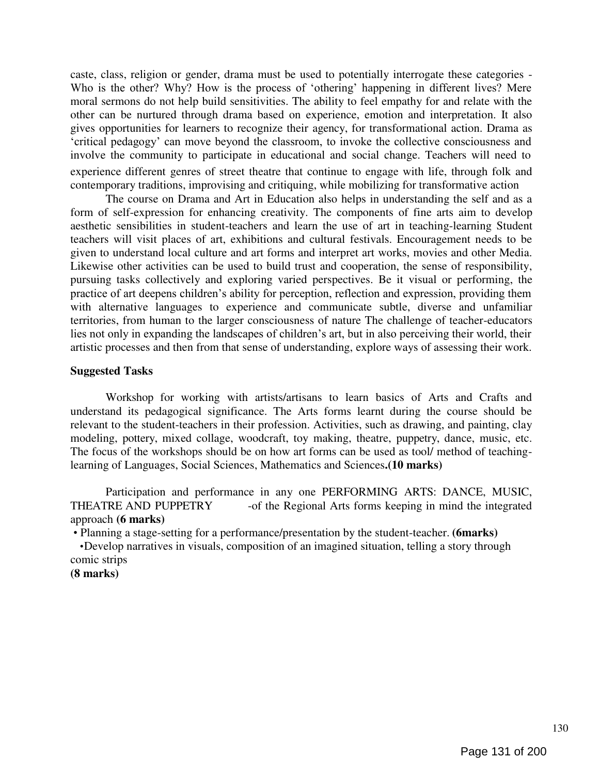caste, class, religion or gender, drama must be used to potentially interrogate these categories - Who is the other? Why? How is the process of 'othering' happening in different lives? Mere moral sermons do not help build sensitivities. The ability to feel empathy for and relate with the other can be nurtured through drama based on experience, emotion and interpretation. It also gives opportunities for learners to recognize their agency, for transformational action. Drama as ‗critical pedagogy' can move beyond the classroom, to invoke the collective consciousness and involve the community to participate in educational and social change. Teachers will need to experience different genres of street theatre that continue to engage with life, through folk and contemporary traditions, improvising and critiquing, while mobilizing for transformative action

The course on Drama and Art in Education also helps in understanding the self and as a form of self-expression for enhancing creativity. The components of fine arts aim to develop aesthetic sensibilities in student-teachers and learn the use of art in teaching-learning Student teachers will visit places of art, exhibitions and cultural festivals. Encouragement needs to be given to understand local culture and art forms and interpret art works, movies and other Media. Likewise other activities can be used to build trust and cooperation, the sense of responsibility, pursuing tasks collectively and exploring varied perspectives. Be it visual or performing, the practice of art deepens children's ability for perception, reflection and expression, providing them with alternative languages to experience and communicate subtle, diverse and unfamiliar territories, from human to the larger consciousness of nature The challenge of teacher-educators lies not only in expanding the landscapes of children's art, but in also perceiving their world, their artistic processes and then from that sense of understanding, explore ways of assessing their work.

#### Suggested Tasks

Workshop for working with artists/artisans to learn basics of Arts and Crafts and understand its pedagogical significance. The Arts forms learnt during the course should be relevant to the student-teachers in their profession. Activities, such as drawing, and painting, clay modeling, pottery, mixed collage, woodcraft, toy making, theatre, puppetry, dance, music, etc. The focus of the workshops should be on how art forms can be used as tool/ method of teachinglearning of Languages, Social Sciences, Mathematics and Sciences.(10 marks)

Participation and performance in any one PERFORMING ARTS: DANCE, MUSIC, THEATRE AND PUPPETRY -of the Regional Arts forms keeping in mind the integrated approach (6 marks)

• Planning a stage-setting for a performance/presentation by the student-teacher. (6marks) •Develop narratives in visuals, composition of an imagined situation, telling a story through comic strips

(8 marks)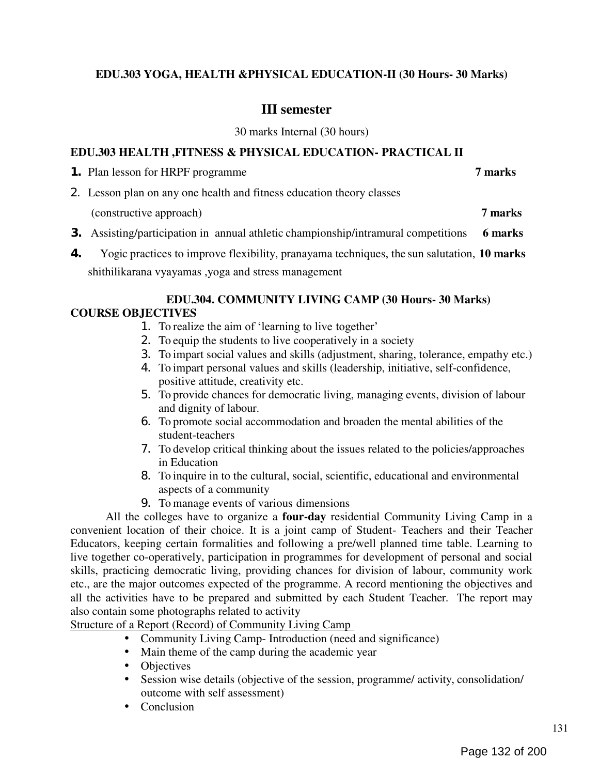## EDU.303 YOGA, HEALTH &PHYSICAL EDUCATION-II (30 Hours- 30 Marks)

## III semester

30 marks Internal (30 hours)

#### EDU.303 HEALTH ,FITNESS & PHYSICAL EDUCATION- PRACTICAL II

**1.** Plan lesson for HRPF programme 7 marks

2. Lesson plan on any one health and fitness education theory classes

(constructive approach) 7 marks

- **3.** Assisting/participation in annual athletic championship/intramural competitions 6 marks
- 4. Yogic practices to improve flexibility, pranayama techniques, the sun salutation, 10 marks shithilikarana vyayamas ,yoga and stress management

## EDU.304. COMMUNITY LIVING CAMP (30 Hours- 30 Marks) COURSE OBJECTIVES

- 1. To realize the aim of 'learning to live together'
- 2. To equip the students to live cooperatively in a society
- 3. To impart social values and skills (adjustment, sharing, tolerance, empathy etc.)
- 4. To impart personal values and skills (leadership, initiative, self-confidence, positive attitude, creativity etc.
- 5. To provide chances for democratic living, managing events, division of labour and dignity of labour.
- 6. To promote social accommodation and broaden the mental abilities of the student-teachers
- 7. To develop critical thinking about the issues related to the policies/approaches in Education
- 8. To inquire in to the cultural, social, scientific, educational and environmental aspects of a community
- 9. To manage events of various dimensions

All the colleges have to organize a **four-day** residential Community Living Camp in a convenient location of their choice. It is a joint camp of Student- Teachers and their Teacher Educators, keeping certain formalities and following a pre/well planned time table. Learning to live together co-operatively, participation in programmes for development of personal and social skills, practicing democratic living, providing chances for division of labour, community work etc., are the major outcomes expected of the programme. A record mentioning the objectives and all the activities have to be prepared and submitted by each Student Teacher. The report may also contain some photographs related to activity

Structure of a Report (Record) of Community Living Camp

- Community Living Camp- Introduction (need and significance)
- Main theme of the camp during the academic year
- Objectives
- Session wise details (objective of the session, programme/ activity, consolidation/ outcome with self assessment)
- Conclusion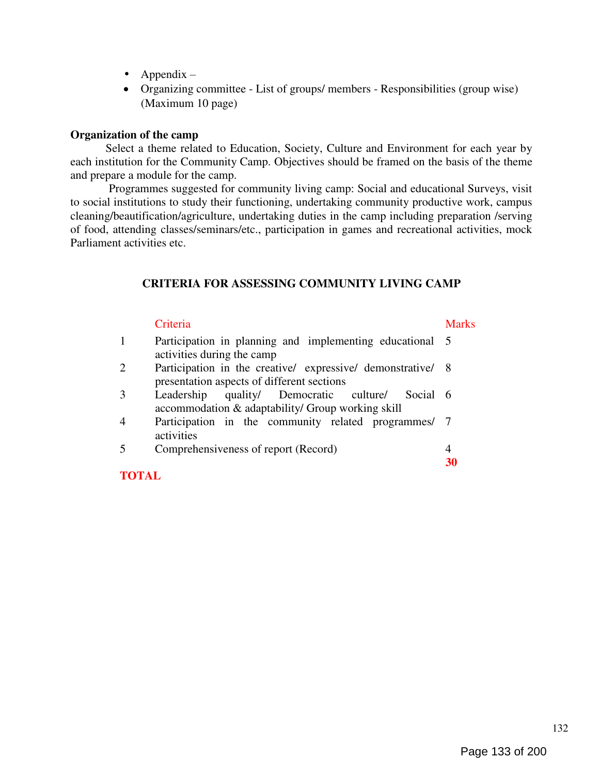- Appendix  $-$
- Organizing committee List of groups/ members Responsibilities (group wise) (Maximum 10 page)

#### Organization of the camp

Select a theme related to Education, Society, Culture and Environment for each year by each institution for the Community Camp. Objectives should be framed on the basis of the theme and prepare a module for the camp.

Programmes suggested for community living camp: Social and educational Surveys, visit to social institutions to study their functioning, undertaking community productive work, campus cleaning/beautification/agriculture, undertaking duties in the camp including preparation /serving of food, attending classes/seminars/etc., participation in games and recreational activities, mock Parliament activities etc.

#### CRITERIA FOR ASSESSING COMMUNITY LIVING CAMP

# Criteria Marks 1 Participation in planning and implementing educational 5 activities during the camp 2 Participation in the creative/ expressive/ demonstrative/ 8 presentation aspects of different sections 3 Leadership quality/ Democratic culture/ Social 6 accommodation & adaptability/ Group working skill 4 Participation in the community related programmes/ 7 activities 5 Comprehensiveness of report (Record) 4 30

#### TOTAL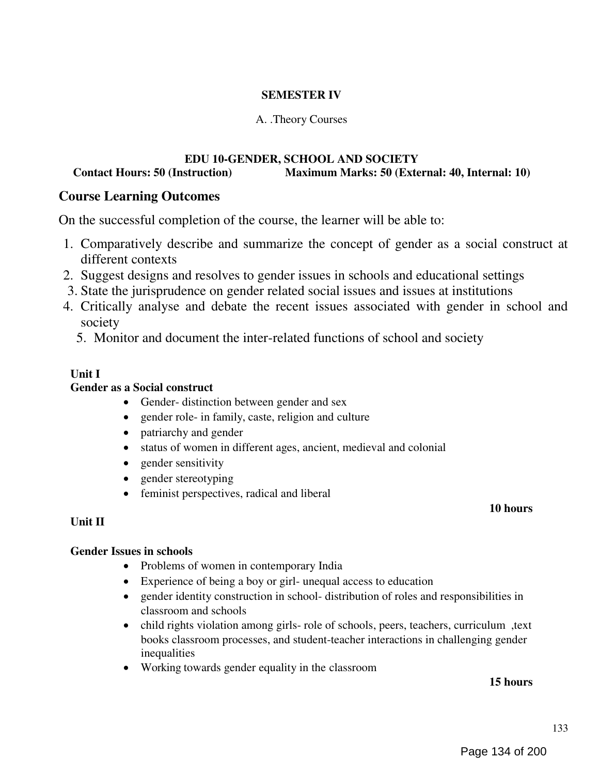## SEMESTER IV

### A. .Theory Courses

## EDU 10-GENDER, SCHOOL AND SOCIETY Contact Hours: 50 (Instruction) Maximum Marks: 50 (External: 40, Internal: 10)

## Course Learning Outcomes

On the successful completion of the course, the learner will be able to:

- 1. Comparatively describe and summarize the concept of gender as a social construct at different contexts
- 2. Suggest designs and resolves to gender issues in schools and educational settings
- 3. State the jurisprudence on gender related social issues and issues at institutions
- 4. Critically analyse and debate the recent issues associated with gender in school and society
	- 5. Monitor and document the inter-related functions of school and society

### Unit I

#### Gender as a Social construct

- Gender- distinction between gender and sex
- gender role- in family, caste, religion and culture
- patriarchy and gender
- status of women in different ages, ancient, medieval and colonial
- gender sensitivity
- gender stereotyping
- feminist perspectives, radical and liberal

#### Unit II

#### 10 hours

## Gender Issues in schools

- Problems of women in contemporary India
- Experience of being a boy or girl- unequal access to education
- gender identity construction in school- distribution of roles and responsibilities in classroom and schools
- child rights violation among girls- role of schools, peers, teachers, curriculum, text books classroom processes, and student-teacher interactions in challenging gender inequalities
- Working towards gender equality in the classroom

#### 15 hours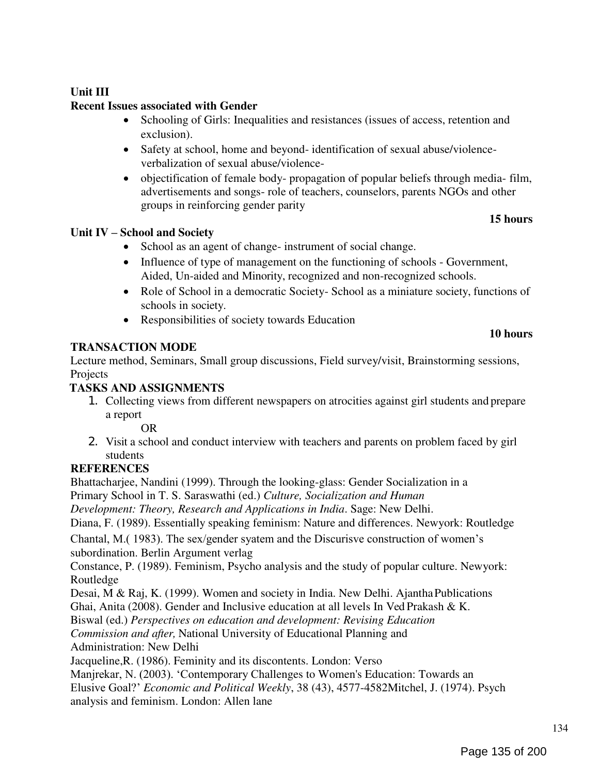## Unit III

# Recent Issues associated with Gender

- Schooling of Girls: Inequalities and resistances (issues of access, retention and exclusion).
- Safety at school, home and beyond- identification of sexual abuse/violenceverbalization of sexual abuse/violence-
- objectification of female body- propagation of popular beliefs through media- film, advertisements and songs- role of teachers, counselors, parents NGOs and other groups in reinforcing gender parity

## 15 hours

10 hours

## Unit IV – School and Society

- School as an agent of change- instrument of social change.
- Influence of type of management on the functioning of schools Government, Aided, Un-aided and Minority, recognized and non-recognized schools.
- Role of School in a democratic Society- School as a miniature society, functions of schools in society.
- Responsibilities of society towards Education

## TRANSACTION MODE

Lecture method, Seminars, Small group discussions, Field survey/visit, Brainstorming sessions, Projects

## TASKS AND ASSIGNMENTS

1. Collecting views from different newspapers on atrocities against girl students and prepare a report

OR

2. Visit a school and conduct interview with teachers and parents on problem faced by girl students

# **REFERENCES**

Bhattacharjee, Nandini (1999). Through the looking-glass: Gender Socialization in a Primary School in T. S. Saraswathi (ed.) Culture, Socialization and Human

Development: Theory, Research and Applications in India. Sage: New Delhi.

Diana, F. (1989). Essentially speaking feminism: Nature and differences. Newyork: Routledge

Chantal, M.( 1983). The sex/gender syatem and the Discurisve construction of women's subordination. Berlin Argument verlag

Constance, P. (1989). Feminism, Psycho analysis and the study of popular culture. Newyork: Routledge

Desai, M & Raj, K. (1999). Women and society in India. New Delhi. Ajantha Publications Ghai, Anita (2008). Gender and Inclusive education at all levels In Ved Prakash & K.

Biswal (ed.) Perspectives on education and development: Revising Education

Commission and after, National University of Educational Planning and

Administration: New Delhi

Jacqueline,R. (1986). Feminity and its discontents. London: Verso

Manjrekar, N. (2003). 'Contemporary Challenges to Women's Education: Towards an

Elusive Goal?' Economic and Political Weekly, 38 (43), 4577-4582Mitchel, J. (1974). Psych analysis and feminism. London: Allen lane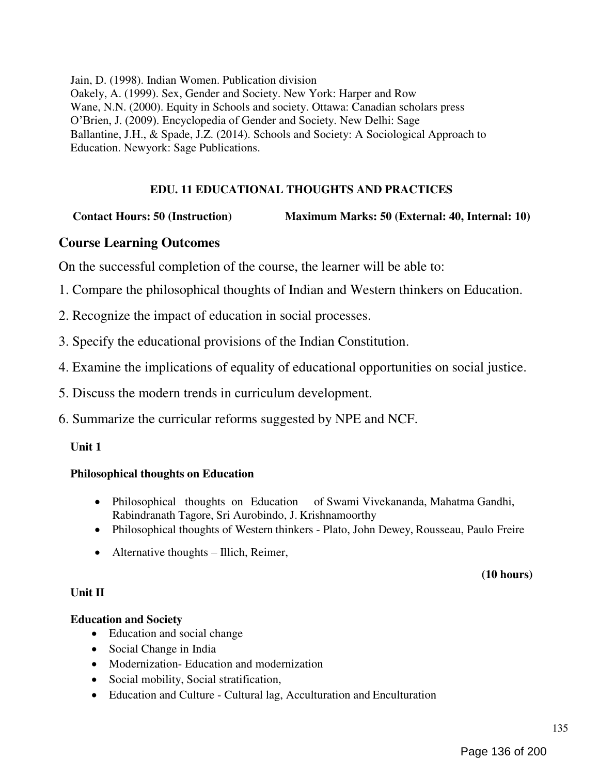Jain, D. (1998). Indian Women. Publication division Oakely, A. (1999). Sex, Gender and Society. New York: Harper and Row Wane, N.N. (2000). Equity in Schools and society. Ottawa: Canadian scholars press O'Brien, J. (2009). Encyclopedia of Gender and Society. New Delhi: Sage Ballantine, J.H., & Spade, J.Z. (2014). Schools and Society: A Sociological Approach to Education. Newyork: Sage Publications.

## EDU. 11 EDUCATIONAL THOUGHTS AND PRACTICES

## Contact Hours: 50 (Instruction) Maximum Marks: 50 (External: 40, Internal: 10)

## Course Learning Outcomes

On the successful completion of the course, the learner will be able to:

- 1. Compare the philosophical thoughts of Indian and Western thinkers on Education.
- 2. Recognize the impact of education in social processes.
- 3. Specify the educational provisions of the Indian Constitution.
- 4. Examine the implications of equality of educational opportunities on social justice.
- 5. Discuss the modern trends in curriculum development.
- 6. Summarize the curricular reforms suggested by NPE and NCF.

#### Unit 1

#### Philosophical thoughts on Education

- Philosophical thoughts on Education of Swami Vivekananda, Mahatma Gandhi, Rabindranath Tagore, Sri Aurobindo, J. Krishnamoorthy
- Philosophical thoughts of Western thinkers Plato, John Dewey, Rousseau, Paulo Freire
- Alternative thoughts Illich, Reimer,

#### (10 hours)

#### Unit II

## Education and Society

- Education and social change
- Social Change in India
- Modernization- Education and modernization
- Social mobility, Social stratification,
- Education and Culture Cultural lag, Acculturation and Enculturation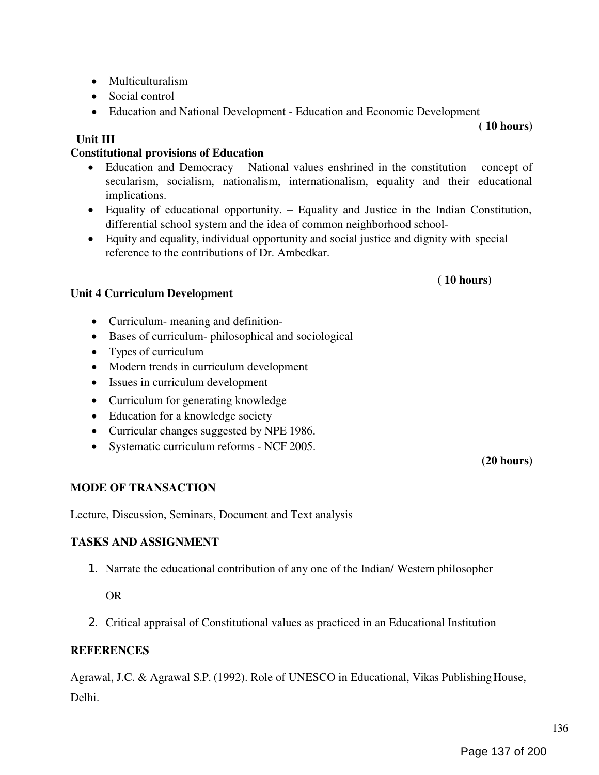- Multiculturalism
- Social control
- Education and National Development Education and Economic Development

## Unit III

# Constitutional provisions of Education

- Education and Democracy National values enshrined in the constitution concept of secularism, socialism, nationalism, internationalism, equality and their educational implications.
- Equality of educational opportunity. Equality and Justice in the Indian Constitution, differential school system and the idea of common neighborhood school-
- Equity and equality, individual opportunity and social justice and dignity with special reference to the contributions of Dr. Ambedkar.

## Unit 4 Curriculum Development

- Curriculum- meaning and definition-
- Bases of curriculum- philosophical and sociological
- Types of curriculum
- Modern trends in curriculum development
- Issues in curriculum development
- Curriculum for generating knowledge
- Education for a knowledge society
- Curricular changes suggested by NPE 1986.
- Systematic curriculum reforms NCF 2005.

# MODE OF TRANSACTION

Lecture, Discussion, Seminars, Document and Text analysis

## TASKS AND ASSIGNMENT

1. Narrate the educational contribution of any one of the Indian/ Western philosopher

OR

2. Critical appraisal of Constitutional values as practiced in an Educational Institution

## REFERENCES

Agrawal, J.C. & Agrawal S.P. (1992). Role of UNESCO in Educational, Vikas Publishing House, Delhi.

( 10 hours)

( 10 hours)

(20 hours)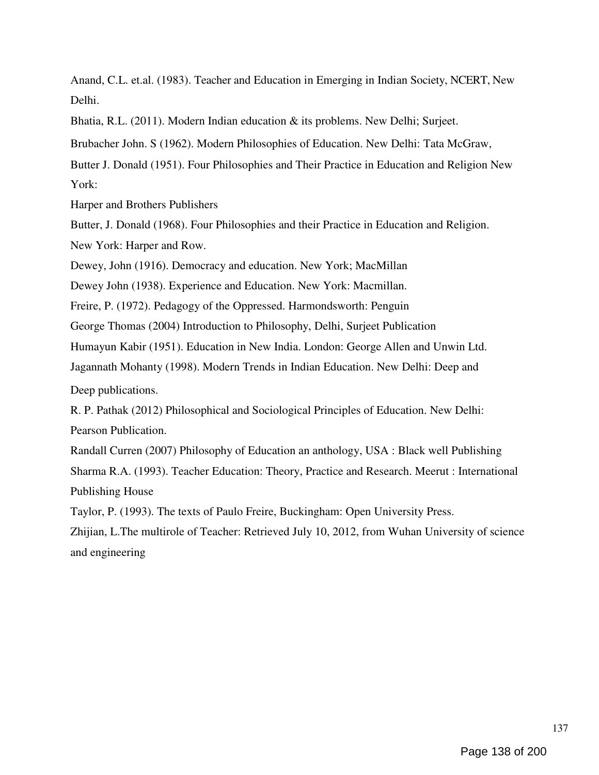Anand, C.L. et.al. (1983). Teacher and Education in Emerging in Indian Society, NCERT, New Delhi.

Bhatia, R.L. (2011). Modern Indian education & its problems. New Delhi; Surjeet.

Brubacher John. S (1962). Modern Philosophies of Education. New Delhi: Tata McGraw,

Butter J. Donald (1951). Four Philosophies and Their Practice in Education and Religion New York:

Harper and Brothers Publishers

Butter, J. Donald (1968). Four Philosophies and their Practice in Education and Religion. New York: Harper and Row.

Dewey, John (1916). Democracy and education. New York; MacMillan

Dewey John (1938). Experience and Education. New York: Macmillan.

Freire, P. (1972). Pedagogy of the Oppressed. Harmondsworth: Penguin

George Thomas (2004) Introduction to Philosophy, Delhi, Surjeet Publication

Humayun Kabir (1951). Education in New India. London: George Allen and Unwin Ltd.

Jagannath Mohanty (1998). Modern Trends in Indian Education. New Delhi: Deep and

Deep publications.

R. P. Pathak (2012) Philosophical and Sociological Principles of Education. New Delhi: Pearson Publication.

Randall Curren (2007) Philosophy of Education an anthology, USA : Black well Publishing Sharma R.A. (1993). Teacher Education: Theory, Practice and Research. Meerut : International Publishing House

Taylor, P. (1993). The texts of Paulo Freire, Buckingham: Open University Press.

Zhijian, L.The multirole of Teacher: Retrieved July 10, 2012, from Wuhan University of science and engineering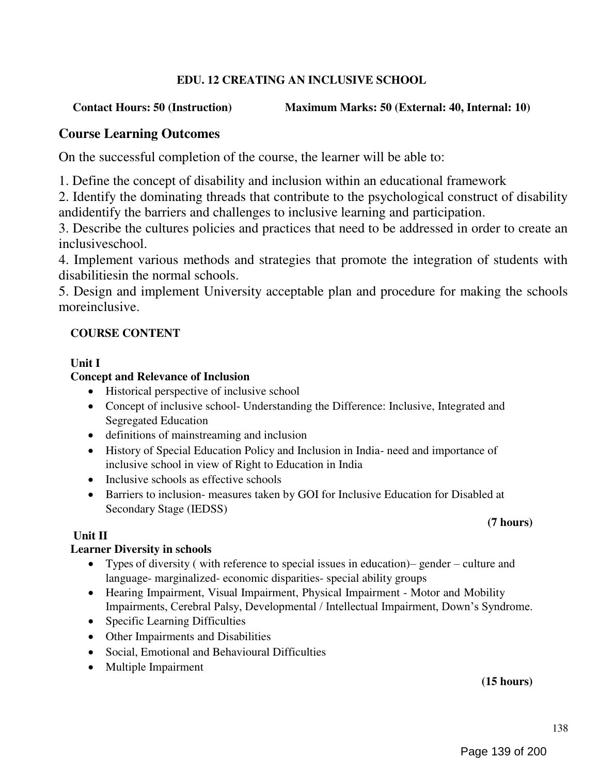## EDU. 12 CREATING AN INCLUSIVE SCHOOL

## Contact Hours: 50 (Instruction) Maximum Marks: 50 (External: 40, Internal: 10)

## Course Learning Outcomes

On the successful completion of the course, the learner will be able to:

1. Define the concept of disability and inclusion within an educational framework

2. Identify the dominating threads that contribute to the psychological construct of disability andidentify the barriers and challenges to inclusive learning and participation.

3. Describe the cultures policies and practices that need to be addressed in order to create an inclusiveschool.

4. Implement various methods and strategies that promote the integration of students with disabilitiesin the normal schools.

5. Design and implement University acceptable plan and procedure for making the schools moreinclusive.

## COURSE CONTENT

## Unit I

## Concept and Relevance of Inclusion

- Historical perspective of inclusive school
- Concept of inclusive school- Understanding the Difference: Inclusive, Integrated and Segregated Education
- definitions of mainstreaming and inclusion
- History of Special Education Policy and Inclusion in India- need and importance of inclusive school in view of Right to Education in India
- Inclusive schools as effective schools
- Barriers to inclusion- measures taken by GOI for Inclusive Education for Disabled at Secondary Stage (IEDSS)

#### (7 hours)

## Unit II

## Learner Diversity in schools

- Types of diversity ( with reference to special issues in education)– gender culture and language- marginalized- economic disparities- special ability groups
- Hearing Impairment, Visual Impairment, Physical Impairment Motor and Mobility Impairments, Cerebral Palsy, Developmental / Intellectual Impairment, Down's Syndrome.
- Specific Learning Difficulties
- Other Impairments and Disabilities
- Social, Emotional and Behavioural Difficulties
- Multiple Impairment

## (15 hours)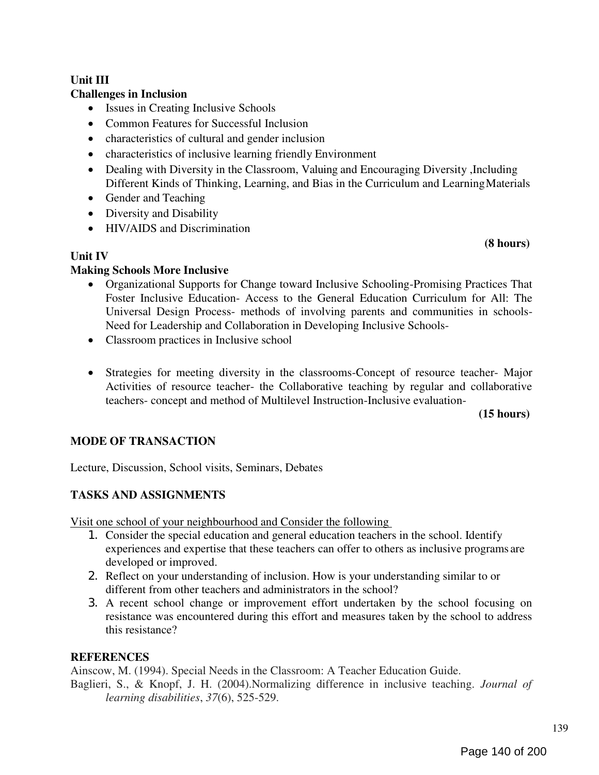#### Unit III Challenges in Inclusion

- Issues in Creating Inclusive Schools
- Common Features for Successful Inclusion
- characteristics of cultural and gender inclusion
- characteristics of inclusive learning friendly Environment
- Dealing with Diversity in the Classroom, Valuing and Encouraging Diversity , Including Different Kinds of Thinking, Learning, and Bias in the Curriculum and Learning Materials
- Gender and Teaching
- Diversity and Disability
- HIV/AIDS and Discrimination

#### (8 hours)

### Unit IV

### Making Schools More Inclusive

- Organizational Supports for Change toward Inclusive Schooling-Promising Practices That Foster Inclusive Education- Access to the General Education Curriculum for All: The Universal Design Process- methods of involving parents and communities in schools-Need for Leadership and Collaboration in Developing Inclusive Schools-
- Classroom practices in Inclusive school
- Strategies for meeting diversity in the classrooms-Concept of resource teacher- Major Activities of resource teacher- the Collaborative teaching by regular and collaborative teachers- concept and method of Multilevel Instruction-Inclusive evaluation-

(15 hours)

## MODE OF TRANSACTION

Lecture, Discussion, School visits, Seminars, Debates

## TASKS AND ASSIGNMENTS

Visit one school of your neighbourhood and Consider the following

- 1. Consider the special education and general education teachers in the school. Identify experiences and expertise that these teachers can offer to others as inclusive programs are developed or improved.
- 2. Reflect on your understanding of inclusion. How is your understanding similar to or different from other teachers and administrators in the school?
- 3. A recent school change or improvement effort undertaken by the school focusing on resistance was encountered during this effort and measures taken by the school to address this resistance?

## **REFERENCES**

Ainscow, M. (1994). Special Needs in the Classroom: A Teacher Education Guide.

Baglieri, S., & Knopf, J. H. (2004).Normalizing difference in inclusive teaching. Journal of learning disabilities, 37(6), 525-529.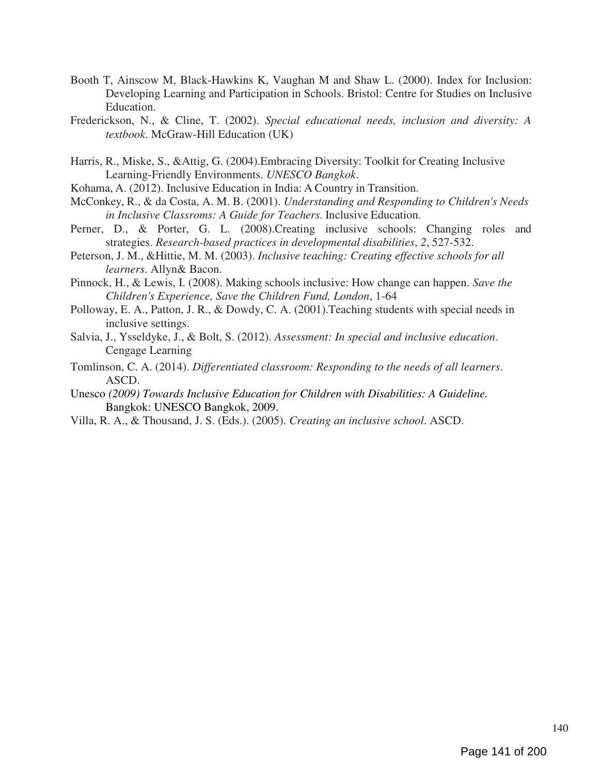- Booth T, Ainscow M, Black-Hawkins K, Vaughan M and Shaw L. (2000). Index for Inclusion: Developing Learning and Participation in Schools. Bristol: Centre for Studies on Inclusive Education.
- Frederickson, N., & Cline, T. (2002). Special educational needs, inclusion and diversity: A textbook. McGraw-Hill Education (UK)
- Harris, R., Miske, S., &Attig, G. (2004).Embracing Diversity: Toolkit for Creating Inclusive Learning-Friendly Environments. UNESCO Bangkok.
- Kohama, A. (2012). Inclusive Education in India: A Country in Transition.
- McConkey, R., & da Costa, A. M. B. (2001). Understanding and Responding to Children's Needs in Inclusive Classroms: A Guide for Teachers. Inclusive Education.
- Perner, D., & Porter, G. L. (2008).Creating inclusive schools: Changing roles and strategies. Research-based practices in developmental disabilities, 2, 527-532.
- Peterson, J. M., &Hittie, M. M. (2003). Inclusive teaching: Creating effective schools for all learners. Allyn& Bacon.
- Pinnock, H., & Lewis, I. (2008). Making schools inclusive: How change can happen. Save the Children's Experience, Save the Children Fund, London, 1-64
- Polloway, E. A., Patton, J. R., & Dowdy, C. A. (2001).Teaching students with special needs in inclusive settings.
- Salvia, J., Ysseldyke, J., & Bolt, S. (2012). Assessment: In special and inclusive education. Cengage Learning
- Tomlinson, C. A. (2014). Differentiated classroom: Responding to the needs of all learners. ASCD.
- Unesco (2009) Towards Inclusive Education for Children with Disabilities: A Guideline. Bangkok: UNESCO Bangkok, 2009.
- Villa, R. A., & Thousand, J. S. (Eds.). (2005). Creating an inclusive school. ASCD.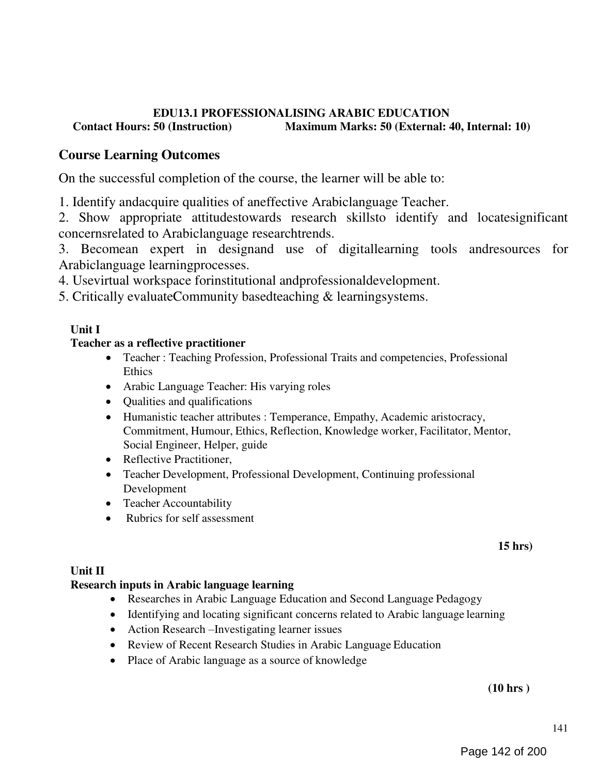## EDU13.1 PROFESSIONALISING ARABIC EDUCATION<br>Contact Hours: 50 (Instruction) Maximum Marks: 50 (External: 4 Maximum Marks: 50 (External: 40, Internal: 10)

# Course Learning Outcomes

On the successful completion of the course, the learner will be able to:

1. Identify andacquire qualities of aneffective Arabiclanguage Teacher.

2. Show appropriate attitudestowards research skillsto identify and locatesignificant concernsrelated to Arabiclanguage researchtrends.

3. Becomean expert in designand use of digitallearning tools andresources for Arabiclanguage learningprocesses.

4. Usevirtual workspace forinstitutional andprofessionaldevelopment.

5. Critically evaluateCommunity basedteaching & learningsystems.

## Unit I

## Teacher as a reflective practitioner

- Teacher : Teaching Profession, Professional Traits and competencies, Professional Ethics
- Arabic Language Teacher: His varying roles
- Oualities and qualifications
- Humanistic teacher attributes : Temperance, Empathy, Academic aristocracy, Commitment, Humour, Ethics, Reflection, Knowledge worker, Facilitator, Mentor, Social Engineer, Helper, guide
- Reflective Practitioner,
- Teacher Development, Professional Development, Continuing professional Development
- Teacher Accountability
- Rubrics for self assessment

15 hrs)

## Unit II

## Research inputs in Arabic language learning

- Researches in Arabic Language Education and Second Language Pedagogy
- Identifying and locating significant concerns related to Arabic language learning
- Action Research –Investigating learner issues
- Review of Recent Research Studies in Arabic Language Education
- Place of Arabic language as a source of knowledge

(10 hrs )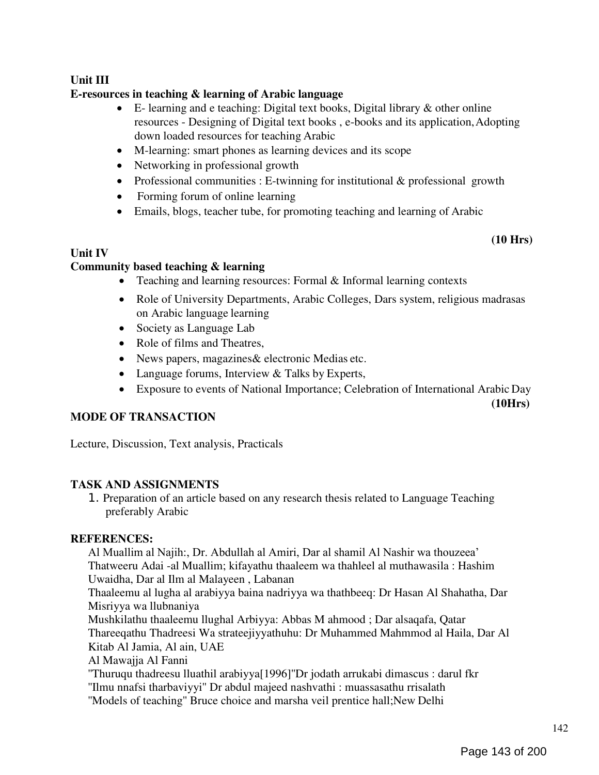## Unit III

## E-resources in teaching & learning of Arabic language

- E- learning and e teaching: Digital text books, Digital library & other online resources - Designing of Digital text books , e-books and its application, Adopting down loaded resources for teaching Arabic
- M-learning: smart phones as learning devices and its scope
- Networking in professional growth
- Professional communities : E-twinning for institutional & professional growth
- Forming forum of online learning
- Emails, blogs, teacher tube, for promoting teaching and learning of Arabic

(10 Hrs)

## Unit IV

## Community based teaching & learning

- Teaching and learning resources: Formal & Informal learning contexts
- Role of University Departments, Arabic Colleges, Dars system, religious madrasas on Arabic language learning
- Society as Language Lab
- Role of films and Theatres,
- News papers, magazines& electronic Medias etc.
- Language forums, Interview & Talks by Experts,
- Exposure to events of National Importance; Celebration of International Arabic Day

(10Hrs)

## MODE OF TRANSACTION

Lecture, Discussion, Text analysis, Practicals

## TASK AND ASSIGNMENTS

1. Preparation of an article based on any research thesis related to Language Teaching preferably Arabic

## REFERENCES:

Al Muallim al Najih:, Dr. Abdullah al Amiri, Dar al shamil Al Nashir wa thouzeea' Thatweeru Adai -al Muallim; kifayathu thaaleem wa thahleel al muthawasila : Hashim Uwaidha, Dar al Ilm al Malayeen , Labanan

Thaaleemu al lugha al arabiyya baina nadriyya wa thathbeeq: Dr Hasan Al Shahatha, Dar Misriyya wa llubnaniya

Mushkilathu thaaleemu llughal Arbiyya: Abbas M ahmood ; Dar alsaqafa, Qatar Thareeqathu Thadreesi Wa strateejiyyathuhu: Dr Muhammed Mahmmod al Haila, Dar Al Kitab Al Jamia, Al ain, UAE

## Al Mawajja Al Fanni

''Thuruqu thadreesu lluathil arabiyya[1996]''Dr jodath arrukabi dimascus : darul fkr ''Ilmu nnafsi tharbaviyyi'' Dr abdul majeed nashvathi : muassasathu rrisalath ''Models of teaching'' Bruce choice and marsha veil prentice hall;New Delhi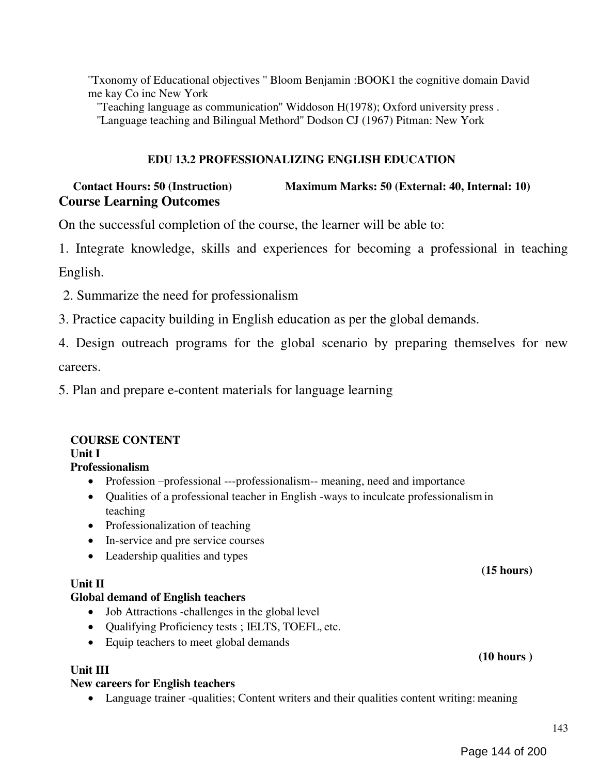''Txonomy of Educational objectives '' Bloom Benjamin :BOOK1 the cognitive domain David me kay Co inc New York

''Teaching language as communication'' Widdoson H(1978); Oxford university press . ''Language teaching and Bilingual Methord'' Dodson CJ (1967) Pitman: New York

### EDU 13.2 PROFESSIONALIZING ENGLISH EDUCATION

## Contact Hours: 50 (Instruction) Maximum Marks: 50 (External: 40, Internal: 10) Course Learning Outcomes

On the successful completion of the course, the learner will be able to:

1. Integrate knowledge, skills and experiences for becoming a professional in teaching

English.

- 2. Summarize the need for professionalism
- 3. Practice capacity building in English education as per the global demands.

4. Design outreach programs for the global scenario by preparing themselves for new careers.

5. Plan and prepare e-content materials for language learning

# COURSE CONTENT

## Unit I

## Professionalism

- Profession –professional ---professionalism-- meaning, need and importance
- Qualities of a professional teacher in English -ways to inculcate professionalism in teaching
- Professionalization of teaching
- In-service and pre service courses
- Leadership qualities and types

#### Unit II

#### Global demand of English teachers

- Job Attractions -challenges in the global level
- Qualifying Proficiency tests ; IELTS, TOEFL, etc.
- Equip teachers to meet global demands

#### Unit III

## New careers for English teachers

Language trainer -qualities; Content writers and their qualities content writing: meaning

(15 hours)

(10 hours )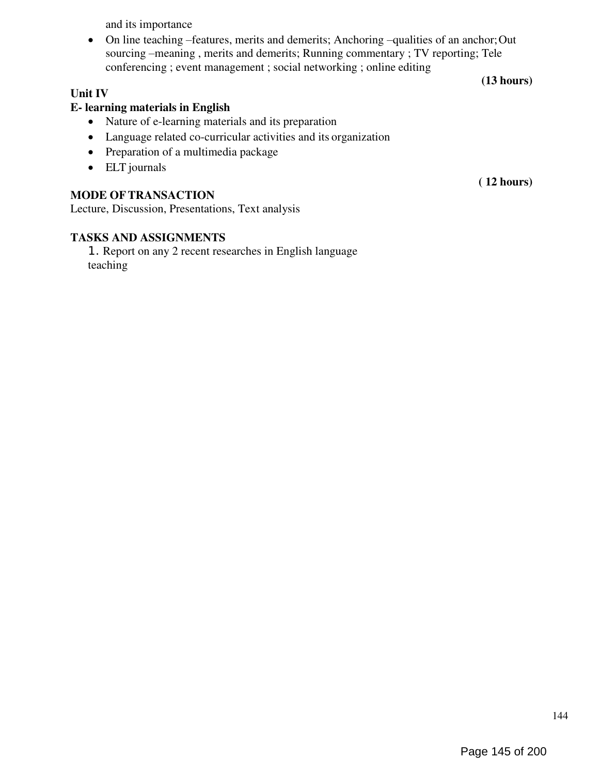and its importance

 On line teaching –features, merits and demerits; Anchoring –qualities of an anchor; Out sourcing –meaning , merits and demerits; Running commentary ; TV reporting; Tele conferencing ; event management ; social networking ; online editing (13 hours)

## Unit IV

# E- learning materials in English

- Nature of e-learning materials and its preparation
- Language related co-curricular activities and its organization
- Preparation of a multimedia package
- ELT journals

# MODE OF TRANSACTION

Lecture, Discussion, Presentations, Text analysis

# TASKS AND ASSIGNMENTS

1. Report on any 2 recent researches in English language teaching

( 12 hours)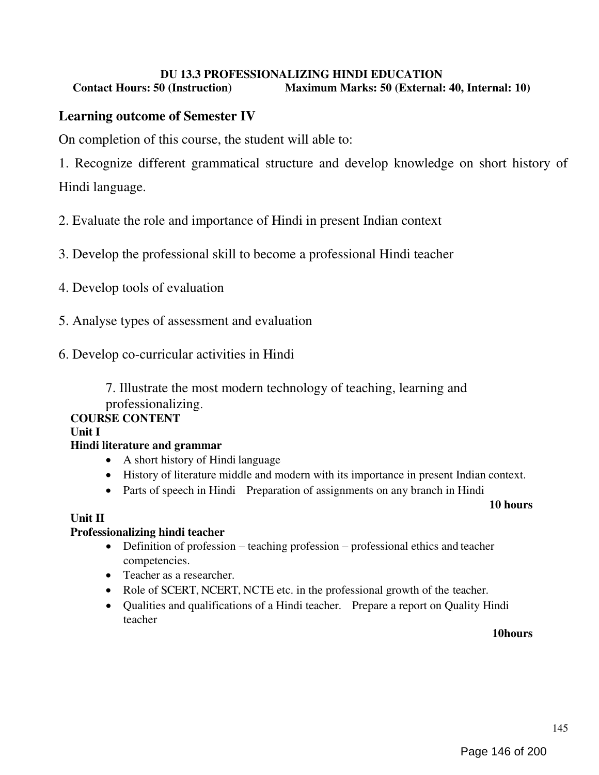# DU 13.3 PROFESSIONALIZING HINDI EDUCATION

Contact Hours: 50 (Instruction) Maximum Marks: 50 (External: 40, Internal: 10)

# Learning outcome of Semester IV

On completion of this course, the student will able to:

1. Recognize different grammatical structure and develop knowledge on short history of Hindi language.

2. Evaluate the role and importance of Hindi in present Indian context

3. Develop the professional skill to become a professional Hindi teacher

- 4. Develop tools of evaluation
- 5. Analyse types of assessment and evaluation
- 6. Develop co-curricular activities in Hindi

7. Illustrate the most modern technology of teaching, learning and professionalizing.

## COURSE CONTENT

Unit I

## Hindi literature and grammar

- A short history of Hindi language
- History of literature middle and modern with its importance in present Indian context.
- Parts of speech in Hindi Preparation of assignments on any branch in Hindi

#### 10 hours

## Unit II

## Professionalizing hindi teacher

- Definition of profession teaching profession professional ethics and teacher competencies.
- Teacher as a researcher.
- Role of SCERT, NCERT, NCTE etc. in the professional growth of the teacher.
- Qualities and qualifications of a Hindi teacher. Prepare a report on Quality Hindi teacher

10hours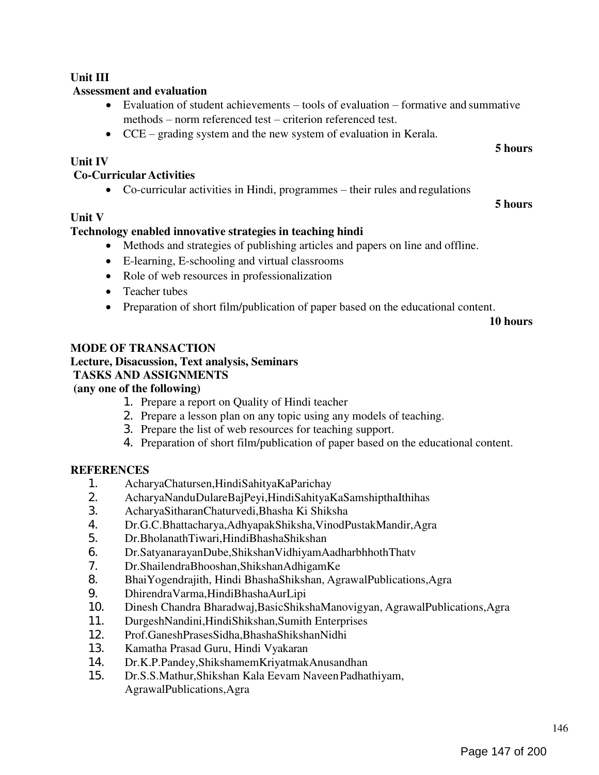# 146

## Unit III

# Assessment and evaluation

- Evaluation of student achievements tools of evaluation formative and summative methods – norm referenced test – criterion referenced test.
- CCE grading system and the new system of evaluation in Kerala.

# Unit IV

# Co-Curricular Activities

Co-curricular activities in Hindi, programmes – their rules and regulations

# Unit V

# Technology enabled innovative strategies in teaching hindi

- Methods and strategies of publishing articles and papers on line and offline.
- E-learning, E-schooling and virtual classrooms
- Role of web resources in professionalization
- Teacher tubes
- Preparation of short film/publication of paper based on the educational content.

10 hours

5 hours

5 hours

# MODE OF TRANSACTION

# Lecture, Disacussion, Text analysis, Seminars

# TASKS AND ASSIGNMENTS

# (any one of the following)

- 1. Prepare a report on Quality of Hindi teacher
- 2. Prepare a lesson plan on any topic using any models of teaching.
- 3. Prepare the list of web resources for teaching support.
- 4. Preparation of short film/publication of paper based on the educational content.

# **REFERENCES**

- 1. AcharyaChatursen,HindiSahityaKaParichay
- 2. AcharyaNanduDulareBajPeyi,HindiSahityaKaSamshipthaIthihas
- 3. AcharyaSitharanChaturvedi,Bhasha Ki Shiksha
- 4. Dr.G.C.Bhattacharya,AdhyapakShiksha,VinodPustakMandir,Agra
- 5. Dr.BholanathTiwari,HindiBhashaShikshan
- 6. Dr.SatyanarayanDube,ShikshanVidhiyamAadharbhhothThatv
- 7. Dr.ShailendraBhooshan,ShikshanAdhigamKe
- 8. BhaiYogendrajith, Hindi BhashaShikshan, AgrawalPublications, Agra<br>9. Dhirendra Varma. Hindi Bhasha Aur Lipi
- 9. DhirendraVarma,HindiBhashaAurLipi
- 10. Dinesh Chandra Bharadwaj,BasicShikshaManovigyan, AgrawalPublications,Agra
- 11. DurgeshNandini,HindiShikshan,Sumith Enterprises
- 12. Prof.GaneshPrasesSidha,BhashaShikshanNidhi
- 13. Kamatha Prasad Guru, Hindi Vyakaran
- 14. Dr.K.P.Pandey,ShikshamemKriyatmakAnusandhan
- 15. Dr.S.S.Mathur,Shikshan Kala Eevam Naveen Padhathiyam, AgrawalPublications,Agra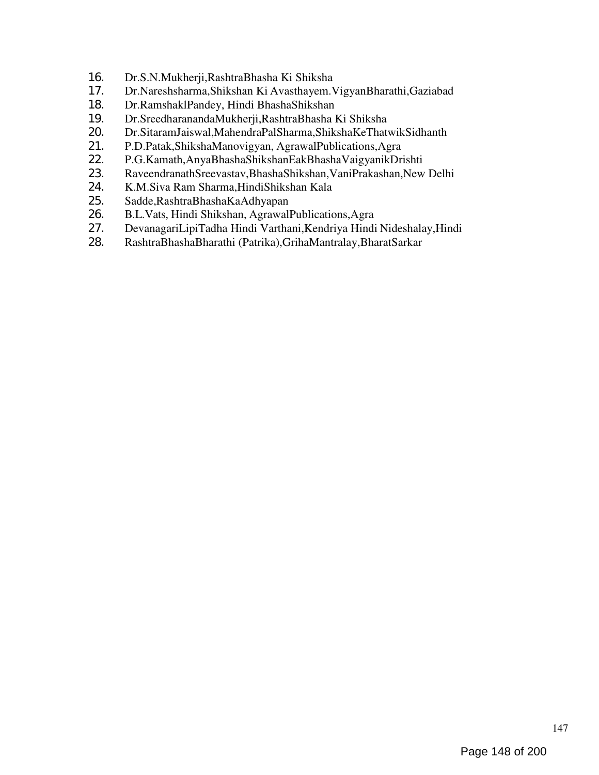- 16. Dr.S.N.Mukherji,RashtraBhasha Ki Shiksha
- 17. Dr.Nareshsharma,Shikshan Ki Avasthayem.VigyanBharathi,Gaziabad
- 18. Dr.RamshaklPandey, Hindi BhashaShikshan
- 19. Dr.SreedharanandaMukherji,RashtraBhasha Ki Shiksha<br>20. Dr.SitaramJaiswal.MahendraPalSharma.ShikshaKeThaty
- 20. Dr.SitaramJaiswal,MahendraPalSharma,ShikshaKeThatwikSidhanth<br>21. P.D.Patak,ShikshaManovigyan, AgrawalPublications,Agra
- 21. P.D.Patak,ShikshaManovigyan, AgrawalPublications,Agra
- 22. P.G.Kamath,AnyaBhashaShikshanEakBhashaVaigyanikDrishti
- 23. RaveendranathSreevastav,BhashaShikshan,VaniPrakashan,New Delhi
- 24. K.M.Siva Ram Sharma, HindiShikshan Kala<br>25. Sadde, Rashtra Bhasha Ka Adhyapan
- 25. Sadde,RashtraBhashaKaAdhyapan
- 26. B.L.Vats, Hindi Shikshan, AgrawalPublications,Agra
- 27. DevanagariLipiTadha Hindi Varthani,Kendriya Hindi Nideshalay,Hindi
- 28. RashtraBhashaBharathi (Patrika),GrihaMantralay,BharatSarkar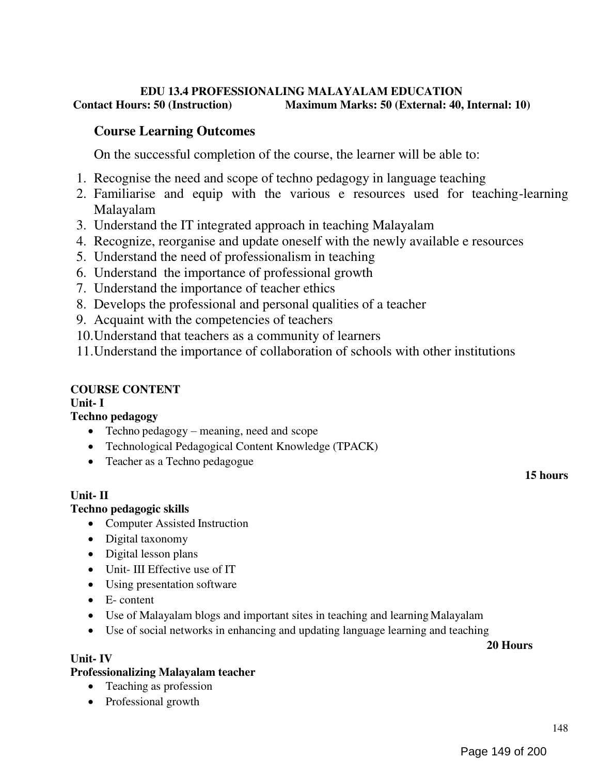## EDU 13.4 PROFESSIONALING MALAYALAM EDUCATION<br>Contact Hours: 50 (Instruction) Maximum Marks: 50 (External: 40, Maximum Marks: 50 (External: 40, Internal: 10)

# Course Learning Outcomes

On the successful completion of the course, the learner will be able to:

- 1. Recognise the need and scope of techno pedagogy in language teaching
- 2. Familiarise and equip with the various e resources used for teaching-learning Malayalam
- 3. Understand the IT integrated approach in teaching Malayalam
- 4. Recognize, reorganise and update oneself with the newly available e resources
- 5. Understand the need of professionalism in teaching
- 6. Understand the importance of professional growth
- 7. Understand the importance of teacher ethics
- 8. Develops the professional and personal qualities of a teacher
- 9. Acquaint with the competencies of teachers
- 10.Understand that teachers as a community of learners

11.Understand the importance of collaboration of schools with other institutions

# COURSE CONTENT

Unit- I

# Techno pedagogy

- Techno pedagogy meaning, need and scope
- Technological Pedagogical Content Knowledge (TPACK)
- Teacher as a Techno pedagogue

## Unit- II

Unit- IV

## Techno pedagogic skills

- Computer Assisted Instruction
- Digital taxonomy
- Digital lesson plans
- Unit- III Effective use of IT
- Using presentation software
- E- content
- Use of Malayalam blogs and important sites in teaching and learning Malayalam
- Use of social networks in enhancing and updating language learning and teaching

## 20 Hours

# Professionalizing Malayalam teacher

- Teaching as profession
- Professional growth

15 hours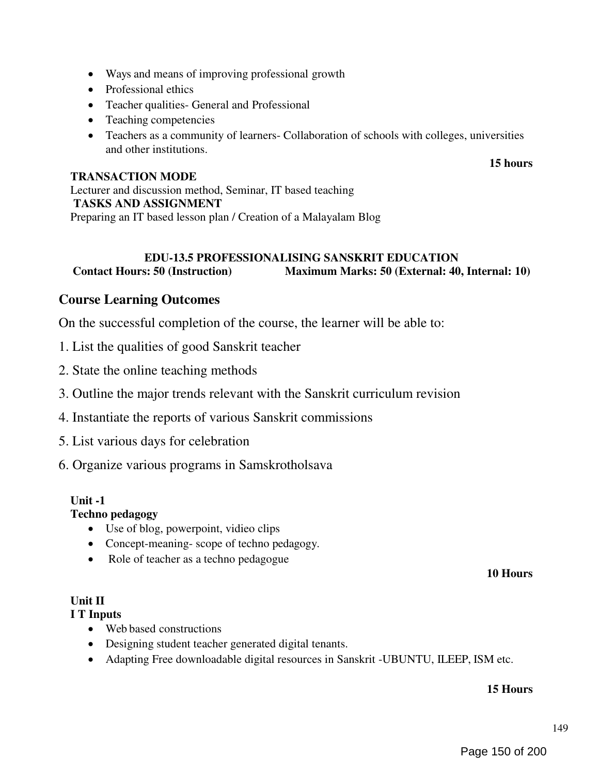- Ways and means of improving professional growth
- Professional ethics
- Teacher qualities- General and Professional
- Teaching competencies
- Teachers as a community of learners- Collaboration of schools with colleges, universities and other institutions.

## TRANSACTION MODE

## 15 hours

Lecturer and discussion method, Seminar, IT based teaching TASKS AND ASSIGNMENT Preparing an IT based lesson plan / Creation of a Malayalam Blog

# EDU-13.5 PROFESSIONALISING SANSKRIT EDUCATION Contact Hours: 50 (Instruction) Maximum Marks: 50 (External: 40, Internal: 10)

# Course Learning Outcomes

On the successful completion of the course, the learner will be able to:

- 1. List the qualities of good Sanskrit teacher
- 2. State the online teaching methods
- 3. Outline the major trends relevant with the Sanskrit curriculum revision
- 4. Instantiate the reports of various Sanskrit commissions
- 5. List various days for celebration
- 6. Organize various programs in Samskrotholsava

## Unit -1

## Techno pedagogy

- Use of blog, powerpoint, vidieo clips
- Concept-meaning- scope of techno pedagogy.
- Role of teacher as a techno pedagogue

#### 10 Hours

## Unit II

## I T Inputs

- Web based constructions
- Designing student teacher generated digital tenants.
- Adapting Free downloadable digital resources in Sanskrit -UBUNTU, ILEEP, ISM etc.

## 15 Hours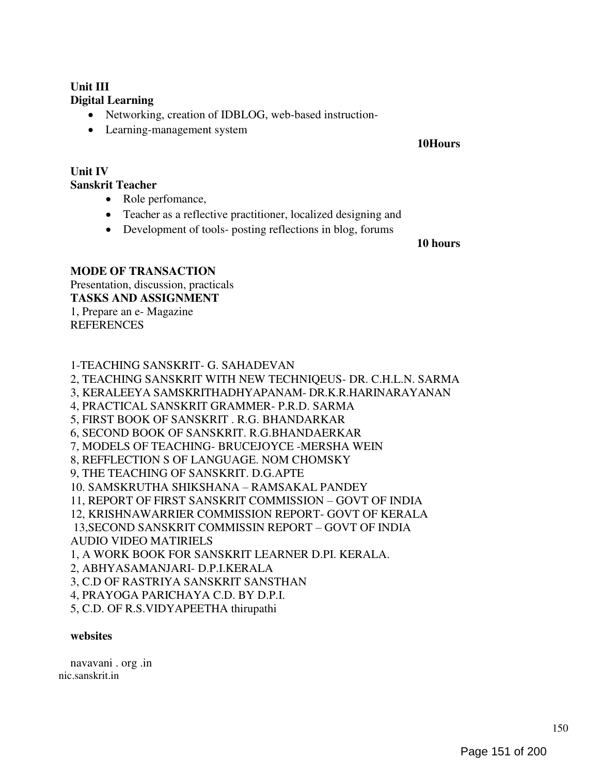# Unit III Digital Learning

- Networking, creation of IDBLOG, web-based instruction-
- Learning-management system

#### 10Hours

#### Unit IV Sanskrit Teacher

- Role perfomance,
- Teacher as a reflective practitioner, localized designing and
- Development of tools- posting reflections in blog, forums

#### 10 hours

## MODE OF TRANSACTION

Presentation, discussion, practicals TASKS AND ASSIGNMENT 1, Prepare an e- Magazine **REFERENCES** 

# 1-TEACHING SANSKRIT- G. SAHADEVAN

2, TEACHING SANSKRIT WITH NEW TECHNIQEUS- DR. C.H.L.N. SARMA 3, KERALEEYA SAMSKRITHADHYAPANAM- DR.K.R.HARINARAYANAN 4, PRACTICAL SANSKRIT GRAMMER- P.R.D. SARMA 5, FIRST BOOK OF SANSKRIT . R.G. BHANDARKAR 6, SECOND BOOK OF SANSKRIT. R.G.BHANDAERKAR 7, MODELS OF TEACHING- BRUCEJOYCE -MERSHA WEIN 8, REFFLECTION S OF LANGUAGE. NOM CHOMSKY 9, THE TEACHING OF SANSKRIT. D.G.APTE 10. SAMSKRUTHA SHIKSHANA – RAMSAKAL PANDEY 11, REPORT OF FIRST SANSKRIT COMMISSION – GOVT OF INDIA 12, KRISHNAWARRIER COMMISSION REPORT- GOVT OF KERALA 13,SECOND SANSKRIT COMMISSIN REPORT – GOVT OF INDIA AUDIO VIDEO MATIRIELS 1, A WORK BOOK FOR SANSKRIT LEARNER D.PI. KERALA. 2, ABHYASAMANJARI- D.P.I.KERALA 3, C.D OF RASTRIYA SANSKRIT SANSTHAN 4, PRAYOGA PARICHAYA C.D. BY D.P.I. 5, C.D. OF R.S.VIDYAPEETHA thirupathi

## websites

navavani . org .in nic.sanskrit.in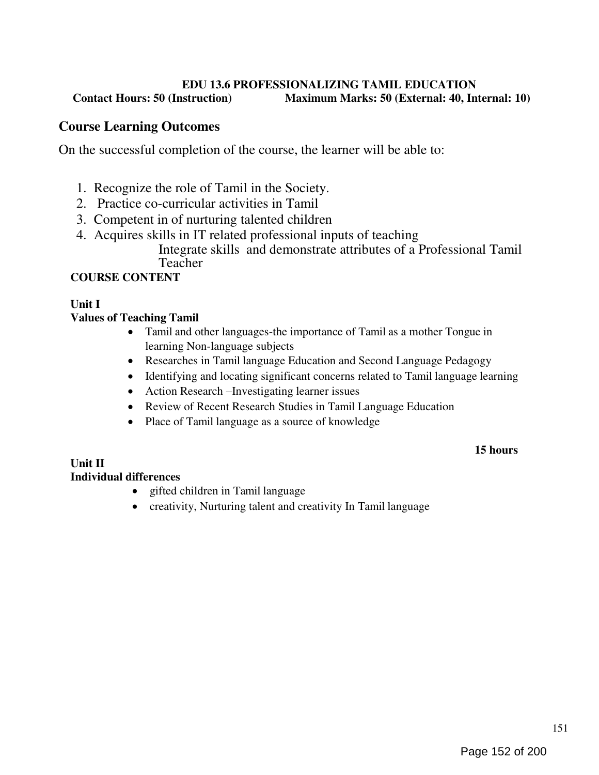## EDU 13.6 PROFESSIONALIZING TAMIL EDUCATION Contact Hours: 50 (Instruction) Maximum Marks: 50 (External: 40, Internal: 10)

# Course Learning Outcomes

On the successful completion of the course, the learner will be able to:

- 1. Recognize the role of Tamil in the Society.
- 2. Practice co-curricular activities in Tamil
- 3. Competent in of nurturing talented children
- 4. Acquires skills in IT related professional inputs of teaching Integrate skills and demonstrate attributes of a Professional Tamil Teacher

# COURSE CONTENT

# Unit I

## Values of Teaching Tamil

- Tamil and other languages-the importance of Tamil as a mother Tongue in learning Non-language subjects
- Researches in Tamil language Education and Second Language Pedagogy
- Identifying and locating significant concerns related to Tamil language learning
- Action Research –Investigating learner issues
- Review of Recent Research Studies in Tamil Language Education
- Place of Tamil language as a source of knowledge

## 15 hours

## Unit II Individual differences

- gifted children in Tamil language
- creativity, Nurturing talent and creativity In Tamil language

151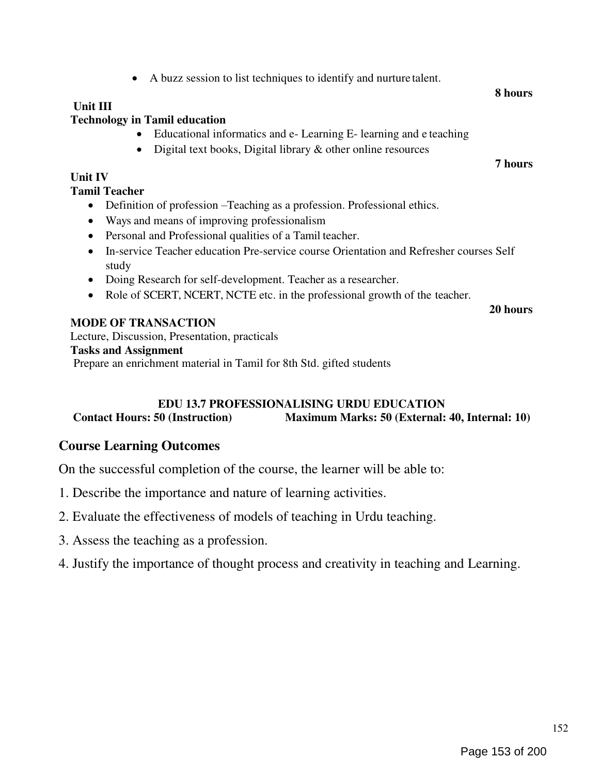# Unit III

# Technology in Tamil education

- Educational informatics and e- Learning E- learning and e teaching
- Digital text books, Digital library & other online resources

A buzz session to list techniques to identify and nurture talent.

# Unit IV

Tamil Teacher

- Definition of profession –Teaching as a profession. Professional ethics.
- Ways and means of improving professionalism
- Personal and Professional qualities of a Tamil teacher.
- In-service Teacher education Pre-service course Orientation and Refresher courses Self study
- Doing Research for self-development. Teacher as a researcher.
- Role of SCERT, NCERT, NCTE etc. in the professional growth of the teacher.

20 hours

# MODE OF TRANSACTION

Lecture, Discussion, Presentation, practicals Tasks and Assignment Prepare an enrichment material in Tamil for 8th Std. gifted students

# EDU 13.7 PROFESSIONALISING URDU EDUCATION<br>Contact Hours: 50 (Instruction) Maximum Marks: 50 (External: Maximum Marks: 50 (External: 40, Internal: 10)

# Course Learning Outcomes

On the successful completion of the course, the learner will be able to:

- 1. Describe the importance and nature of learning activities.
- 2. Evaluate the effectiveness of models of teaching in Urdu teaching.
- 3. Assess the teaching as a profession.
- 4. Justify the importance of thought process and creativity in teaching and Learning.

#### 8 hours

7 hours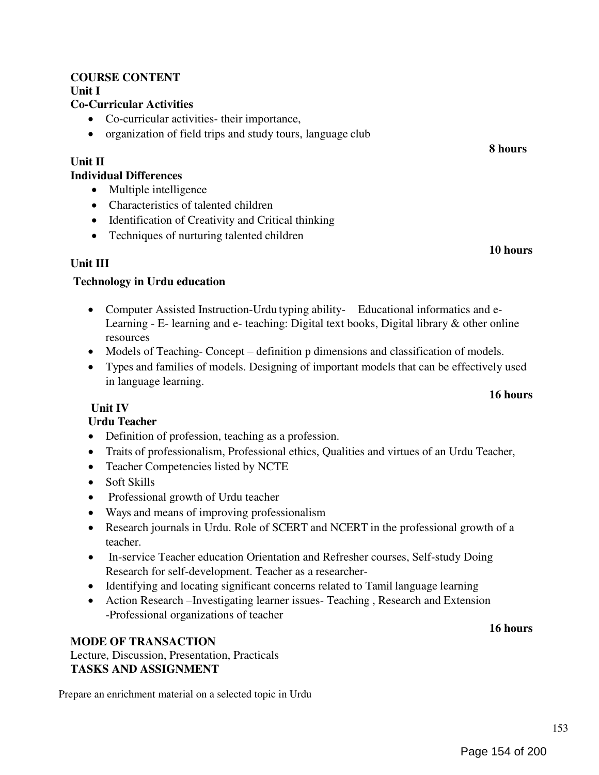## COURSE CONTENT Unit I

## Co-Curricular Activities

- Co-curricular activities- their importance,
- organization of field trips and study tours, language club

# Unit II

## Individual Differences

- Multiple intelligence
- Characteristics of talented children
- Identification of Creativity and Critical thinking
- Techniques of nurturing talented children

## Unit III

## Technology in Urdu education

- Computer Assisted Instruction-Urdu typing ability- Educational informatics and e-Learning - E- learning and e- teaching: Digital text books, Digital library & other online resources
- Models of Teaching- Concept definition p dimensions and classification of models.
- Types and families of models. Designing of important models that can be effectively used in language learning.

## Unit IV

## Urdu Teacher

- Definition of profession, teaching as a profession.
- Traits of professionalism, Professional ethics, Qualities and virtues of an Urdu Teacher,
- Teacher Competencies listed by NCTE
- Soft Skills
- Professional growth of Urdu teacher
- Ways and means of improving professionalism
- Research journals in Urdu. Role of SCERT and NCERT in the professional growth of a teacher.
- In-service Teacher education Orientation and Refresher courses, Self-study Doing Research for self-development. Teacher as a researcher-
- Identifying and locating significant concerns related to Tamil language learning
- Action Research –Investigating learner issues- Teaching , Research and Extension -Professional organizations of teacher

## MODE OF TRANSACTION

Lecture, Discussion, Presentation, Practicals TASKS AND ASSIGNMENT

Prepare an enrichment material on a selected topic in Urdu

# 16 hours

8 hours

10 hours

16 hours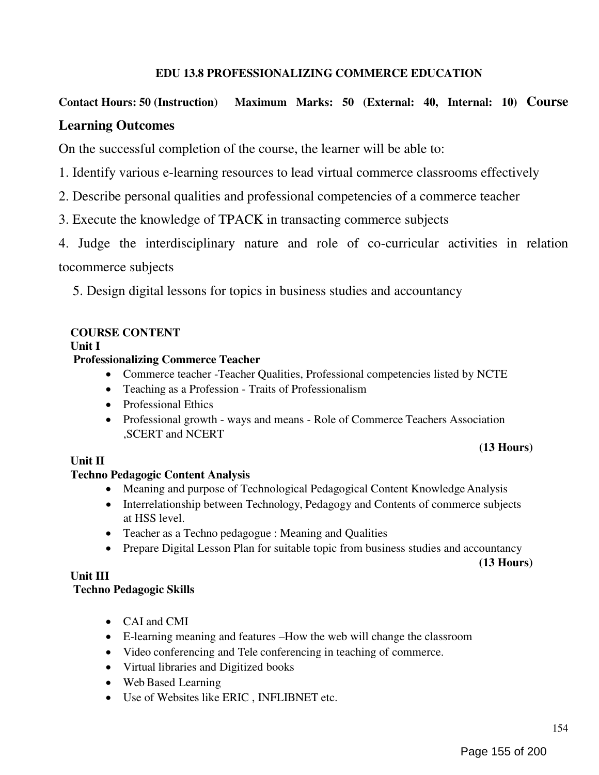# EDU 13.8 PROFESSIONALIZING COMMERCE EDUCATION

# Contact Hours: 50 (Instruction) Maximum Marks: 50 (External: 40, Internal: 10) Course Learning Outcomes

On the successful completion of the course, the learner will be able to:

- 1. Identify various e-learning resources to lead virtual commerce classrooms effectively
- 2. Describe personal qualities and professional competencies of a commerce teacher
- 3. Execute the knowledge of TPACK in transacting commerce subjects

4. Judge the interdisciplinary nature and role of co-curricular activities in relation tocommerce subjects

5. Design digital lessons for topics in business studies and accountancy

## COURSE CONTENT

Unit I

## Professionalizing Commerce Teacher

- Commerce teacher -Teacher Qualities, Professional competencies listed by NCTE
- Teaching as a Profession Traits of Professionalism
- Professional Ethics
- Professional growth ways and means Role of Commerce Teachers Association ,SCERT and NCERT

## (13 Hours)

## Unit II

## Techno Pedagogic Content Analysis

- Meaning and purpose of Technological Pedagogical Content Knowledge Analysis
- Interrelationship between Technology, Pedagogy and Contents of commerce subjects at HSS level.
- Teacher as a Techno pedagogue : Meaning and Qualities
- Prepare Digital Lesson Plan for suitable topic from business studies and accountancy

(13 Hours)

## Unit III

## Techno Pedagogic Skills

- CAI and CMI
- E-learning meaning and features –How the web will change the classroom
- Video conferencing and Tele conferencing in teaching of commerce.
- Virtual libraries and Digitized books
- Web Based Learning
- Use of Websites like ERIC , INFLIBNET etc.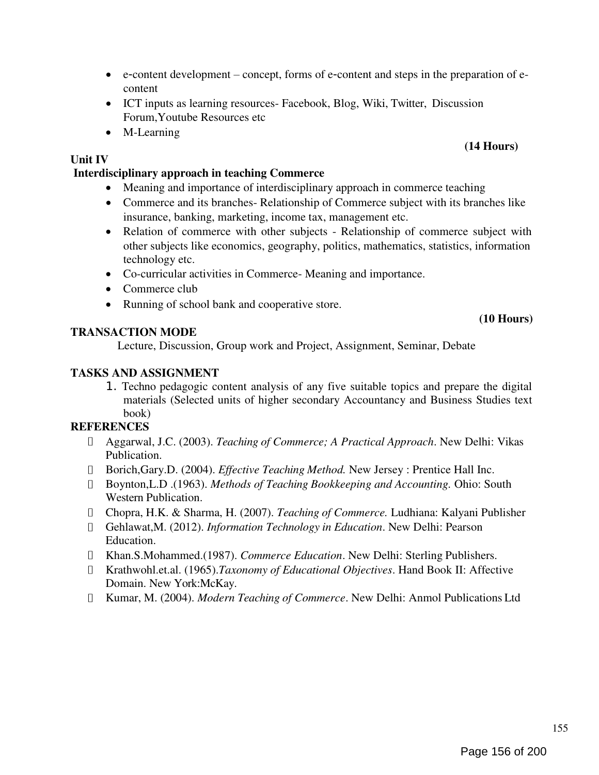155

## Interdisciplinary approach in teaching Commerce

Forum,Youtube Resources etc

• Meaning and importance of interdisciplinary approach in commerce teaching

ICT inputs as learning resources- Facebook, Blog, Wiki, Twitter, Discussion

 Commerce and its branches- Relationship of Commerce subject with its branches like insurance, banking, marketing, income tax, management etc.

e‐content development – concept, forms of e‐content and steps in the preparation of e-

- Relation of commerce with other subjects Relationship of commerce subject with other subjects like economics, geography, politics, mathematics, statistics, information technology etc.
- Co-curricular activities in Commerce- Meaning and importance.
- Commerce club

content

• M-Learning

Unit IV

• Running of school bank and cooperative store.

## TRANSACTION MODE

Lecture, Discussion, Group work and Project, Assignment, Seminar, Debate

## TASKS AND ASSIGNMENT

1. Techno pedagogic content analysis of any five suitable topics and prepare the digital materials (Selected units of higher secondary Accountancy and Business Studies text book)

## **REFERENCES**

- Aggarwal, J.C. (2003). Teaching of Commerce; A Practical Approach. New Delhi: Vikas Publication.
- Borich,Gary.D. (2004). Effective Teaching Method. New Jersey : Prentice Hall Inc.
- Boynton,L.D .(1963). Methods of Teaching Bookkeeping and Accounting. Ohio: South Western Publication.
- Chopra, H.K. & Sharma, H. (2007). Teaching of Commerce. Ludhiana: Kalyani Publisher
- Gehlawat,M. (2012). Information Technology in Education. New Delhi: Pearson Education.
- Khan.S.Mohammed.(1987). Commerce Education. New Delhi: Sterling Publishers.
- Krathwohl.et.al. (1965).Taxonomy of Educational Objectives. Hand Book II: Affective Domain. New York:McKay.
- I Kumar, M. (2004). *Modern Teaching of Commerce*. New Delhi: Anmol Publications Ltd

# (14 Hours)

(10 Hours)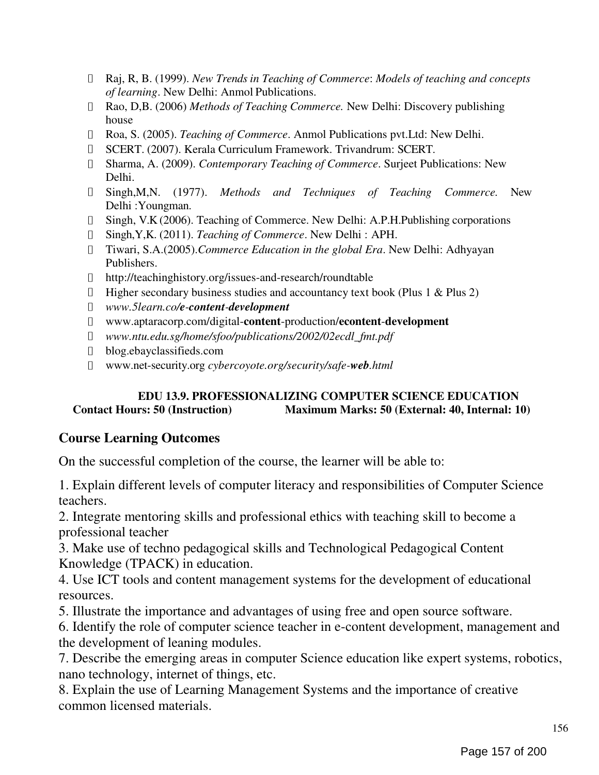- Raj, R, B. (1999). New Trends in Teaching of Commerce: Models of teaching and concepts of learning. New Delhi: Anmol Publications.
- Rao, D,B. (2006) Methods of Teaching Commerce. New Delhi: Discovery publishing house
- Roa, S. (2005). Teaching of Commerce. Anmol Publications pvt.Ltd: New Delhi.
- SCERT. (2007). Kerala Curriculum Framework. Trivandrum: SCERT.
- Sharma, A. (2009). Contemporary Teaching of Commerce. Surjeet Publications: New Delhi.
- Singh,M,N. (1977). Methods and Techniques of Teaching Commerce. New Delhi :Youngman.
- Singh, V.K (2006). Teaching of Commerce. New Delhi: A.P.H.Publishing corporations
- Singh,Y,K. (2011). Teaching of Commerce. New Delhi : APH.
- Tiwari, S.A.(2005).Commerce Education in the global Era. New Delhi: Adhyayan Publishers.
- http://teachinghistory.org/issues-and-research/roundtable
- $\Box$  Higher secondary business studies and accountancy text book (Plus 1 & Plus 2)
- www.5learn.co/e-content-development  $\Box$
- www.aptaracorp.com/digital-content-production/econtent-development
- www.ntu.edu.sg/home/sfoo/publications/2002/02ecdl\_fmt.pdf
- blog.ebayclassifieds.com
- www.net-security.org cybercoyote.org/security/safe-web.html

# EDU 13.9. PROFESSIONALIZING COMPUTER SCIENCE EDUCATION Contact Hours: 50 (Instruction) Maximum Marks: 50 (External: 40, Internal: 10)

# Course Learning Outcomes

On the successful completion of the course, the learner will be able to:

1. Explain different levels of computer literacy and responsibilities of Computer Science teachers.

2. Integrate mentoring skills and professional ethics with teaching skill to become a professional teacher

3. Make use of techno pedagogical skills and Technological Pedagogical Content Knowledge (TPACK) in education.

4. Use ICT tools and content management systems for the development of educational resources.

5. Illustrate the importance and advantages of using free and open source software.

6. Identify the role of computer science teacher in e-content development, management and the development of leaning modules.

7. Describe the emerging areas in computer Science education like expert systems, robotics, nano technology, internet of things, etc.

8. Explain the use of Learning Management Systems and the importance of creative common licensed materials.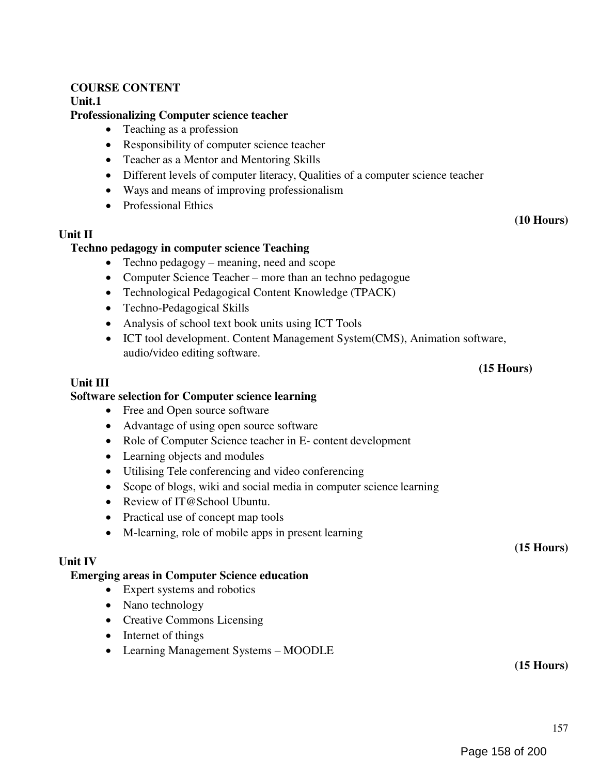## COURSE CONTENT

Unit.1

## Professionalizing Computer science teacher

- Teaching as a profession
- Responsibility of computer science teacher
- Teacher as a Mentor and Mentoring Skills
- Different levels of computer literacy, Qualities of a computer science teacher
- Ways and means of improving professionalism
- Professional Ethics

# Unit II

## Techno pedagogy in computer science Teaching

- Techno pedagogy meaning, need and scope
- Computer Science Teacher more than an techno pedagogue
- Technological Pedagogical Content Knowledge (TPACK)
- Techno-Pedagogical Skills
- Analysis of school text book units using ICT Tools
- ICT tool development. Content Management System(CMS), Animation software, audio/video editing software.

## (15 Hours)

(10 Hours)

## Unit III

## Software selection for Computer science learning

- Free and Open source software
- Advantage of using open source software
- Role of Computer Science teacher in E- content development
- Learning objects and modules
- Utilising Tele conferencing and video conferencing
- Scope of blogs, wiki and social media in computer science learning
- Review of IT@School Ubuntu.
- Practical use of concept map tools
- M-learning, role of mobile apps in present learning

## Unit IV

## Emerging areas in Computer Science education

- Expert systems and robotics
- Nano technology
- Creative Commons Licensing
- Internet of things
- Learning Management Systems MOODLE

(15 Hours)

(15 Hours)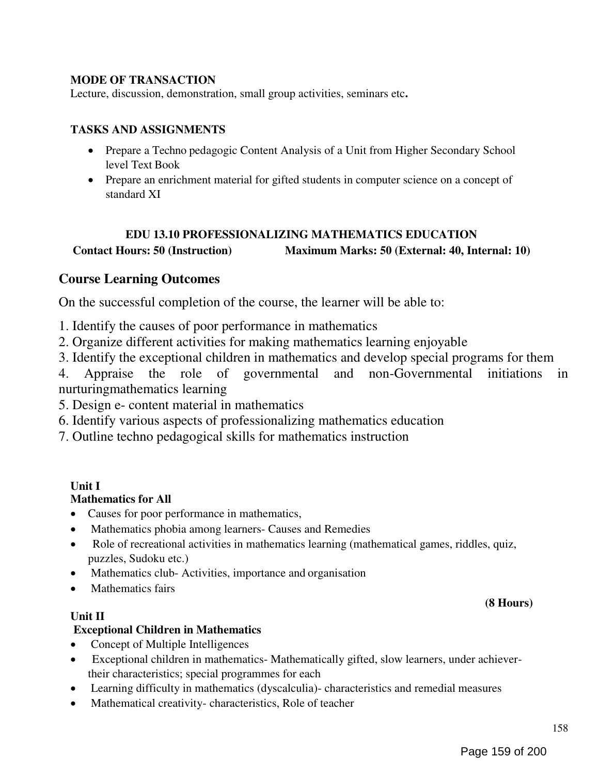# MODE OF TRANSACTION

Lecture, discussion, demonstration, small group activities, seminars etc.

## TASKS AND ASSIGNMENTS

- Prepare a Techno pedagogic Content Analysis of a Unit from Higher Secondary School level Text Book
- Prepare an enrichment material for gifted students in computer science on a concept of standard XI

# EDU 13.10 PROFESSIONALIZING MATHEMATICS EDUCATION Contact Hours: 50 (Instruction) Maximum Marks: 50 (External: 40, Internal: 10)

# Course Learning Outcomes

On the successful completion of the course, the learner will be able to:

1. Identify the causes of poor performance in mathematics

2. Organize different activities for making mathematics learning enjoyable

3. Identify the exceptional children in mathematics and develop special programs for them

4. Appraise the role of governmental and non-Governmental initiations in nurturingmathematics learning

5. Design e- content material in mathematics

6. Identify various aspects of professionalizing mathematics education

7. Outline techno pedagogical skills for mathematics instruction

# Unit I

# Mathematics for All

- Causes for poor performance in mathematics,
- Mathematics phobia among learners- Causes and Remedies
- Role of recreational activities in mathematics learning (mathematical games, riddles, quiz, puzzles, Sudoku etc.)
- Mathematics club-Activities, importance and organisation
- Mathematics fairs

## Unit II

# Exceptional Children in Mathematics

- Concept of Multiple Intelligences
- Exceptional children in mathematics- Mathematically gifted, slow learners, under achievertheir characteristics; special programmes for each
- Learning difficulty in mathematics (dyscalculia)- characteristics and remedial measures
- Mathematical creativity- characteristics, Role of teacher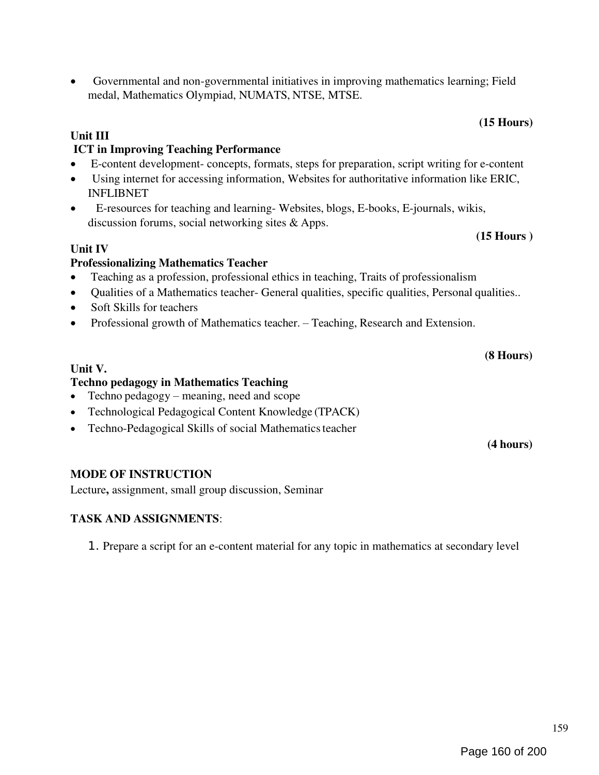## Governmental and non-governmental initiatives in improving mathematics learning; Field medal, Mathematics Olympiad, NUMATS, NTSE, MTSE.

# Unit III

# ICT in Improving Teaching Performance

- E-content development- concepts, formats, steps for preparation, script writing for e-content
- Using internet for accessing information, Websites for authoritative information like ERIC, INFLIBNET
- E-resources for teaching and learning- Websites, blogs, E-books, E-journals, wikis, discussion forums, social networking sites & Apps.

## Unit IV

# Professionalizing Mathematics Teacher

- Teaching as a profession, professional ethics in teaching, Traits of professionalism
- Qualities of a Mathematics teacher- General qualities, specific qualities, Personal qualities..
- Soft Skills for teachers
- Professional growth of Mathematics teacher. Teaching, Research and Extension.

# Unit V.

# Techno pedagogy in Mathematics Teaching

- Techno pedagogy meaning, need and scope
- Technological Pedagogical Content Knowledge (TPACK)
- Techno-Pedagogical Skills of social Mathematics teacher

# MODE OF INSTRUCTION

Lecture, assignment, small group discussion, Seminar

# TASK AND ASSIGNMENTS:

1. Prepare a script for an e-content material for any topic in mathematics at secondary level

# (15 Hours)

(15 Hours )

(4 hours)

(8 Hours)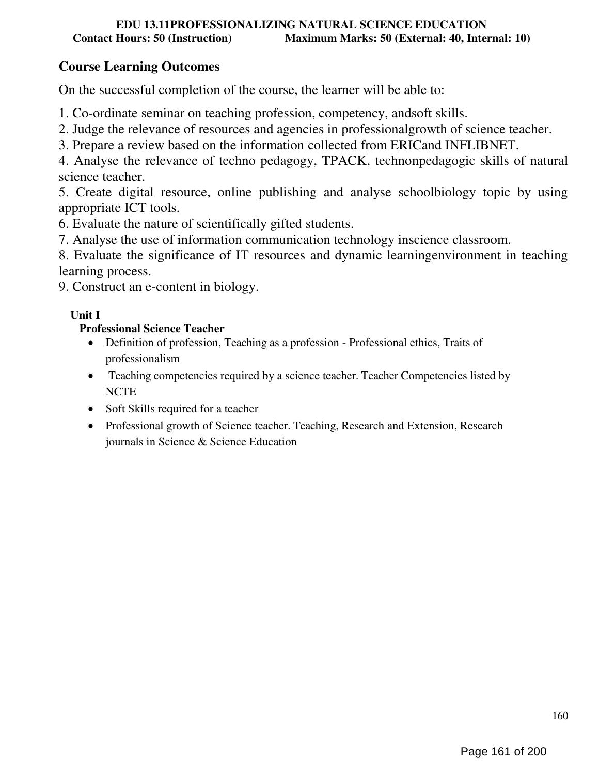# Course Learning Outcomes

On the successful completion of the course, the learner will be able to:

1. Co-ordinate seminar on teaching profession, competency, andsoft skills.

2. Judge the relevance of resources and agencies in professionalgrowth of science teacher.

3. Prepare a review based on the information collected from ERICand INFLIBNET.

4. Analyse the relevance of techno pedagogy, TPACK, technonpedagogic skills of natural science teacher.

5. Create digital resource, online publishing and analyse schoolbiology topic by using appropriate ICT tools.

6. Evaluate the nature of scientifically gifted students.

7. Analyse the use of information communication technology inscience classroom.

8. Evaluate the significance of IT resources and dynamic learningenvironment in teaching learning process.

9. Construct an e-content in biology.

# Unit I

# Professional Science Teacher

- Definition of profession, Teaching as a profession Professional ethics, Traits of professionalism
- Teaching competencies required by a science teacher. Teacher Competencies listed by **NCTE**
- Soft Skills required for a teacher
- Professional growth of Science teacher. Teaching, Research and Extension, Research journals in Science & Science Education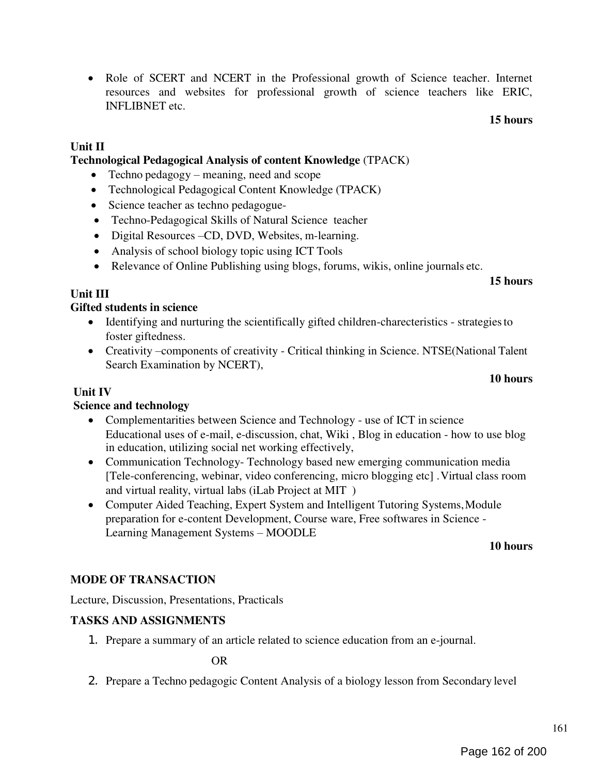Page 162 of 200

# • Role of SCERT and NCERT in the Professional growth of Science teacher. Internet resources and websites for professional growth of science teachers like ERIC, INFLIBNET etc.

# Unit II

# Technological Pedagogical Analysis of content Knowledge (TPACK)

- Techno pedagogy meaning, need and scope
- Technological Pedagogical Content Knowledge (TPACK)
- Science teacher as techno pedagogue-
- Techno-Pedagogical Skills of Natural Science teacher
- Digital Resources –CD, DVD, Websites, m-learning.
- Analysis of school biology topic using ICT Tools
- Relevance of Online Publishing using blogs, forums, wikis, online journals etc.

## 15 hours

15 hours

# Unit III

# Gifted students in science

- Identifying and nurturing the scientifically gifted children-charecteristics strategies to foster giftedness.
- Creativity –components of creativity Critical thinking in Science. NTSE(National Talent Search Examination by NCERT),

## 10 hours

# Unit IV

# Science and technology

- Complementarities between Science and Technology use of ICT in science Educational uses of e-mail, e-discussion, chat, Wiki , Blog in education - how to use blog in education, utilizing social net working effectively,
- Communication Technology- Technology based new emerging communication media [Tele-conferencing, webinar, video conferencing, micro blogging etc] . Virtual class room and virtual reality, virtual labs (iLab Project at MIT )
- Computer Aided Teaching, Expert System and Intelligent Tutoring Systems, Module preparation for e-content Development, Course ware, Free softwares in Science - Learning Management Systems – MOODLE

## 10 hours

# MODE OF TRANSACTION

Lecture, Discussion, Presentations, Practicals

# TASKS AND ASSIGNMENTS

1. Prepare a summary of an article related to science education from an e-journal.

OR

2. Prepare a Techno pedagogic Content Analysis of a biology lesson from Secondary level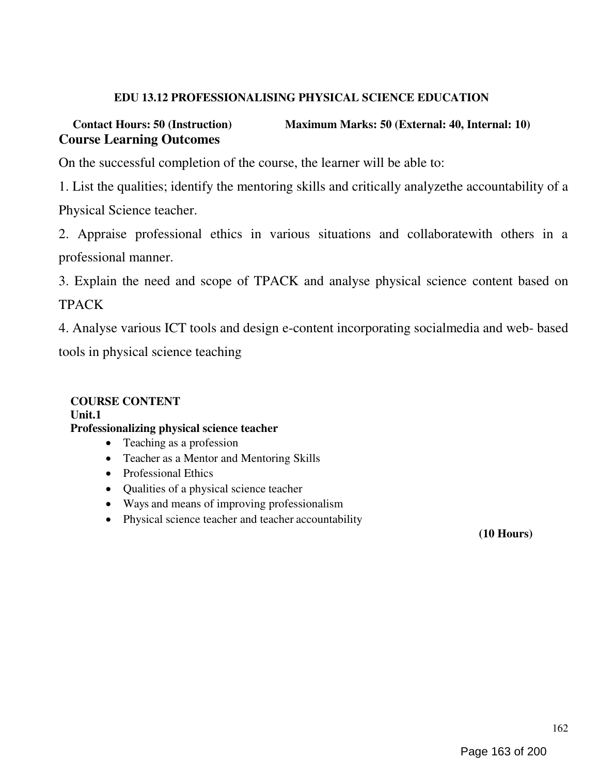# EDU 13.12 PROFESSIONALISING PHYSICAL SCIENCE EDUCATION

# Contact Hours: 50 (Instruction) Maximum Marks: 50 (External: 40, Internal: 10) Course Learning Outcomes

On the successful completion of the course, the learner will be able to:

1. List the qualities; identify the mentoring skills and critically analyzethe accountability of a Physical Science teacher.

2. Appraise professional ethics in various situations and collaboratewith others in a professional manner.

3. Explain the need and scope of TPACK and analyse physical science content based on TPACK

4. Analyse various ICT tools and design e-content incorporating socialmedia and web- based tools in physical science teaching

## COURSE CONTENT Unit.1 Professionalizing physical science teacher • Teaching as a profession

- Teacher as a Mentor and Mentoring Skills
- Professional Ethics
- Qualities of a physical science teacher
- Ways and means of improving professionalism
- Physical science teacher and teacher accountability

(10 Hours)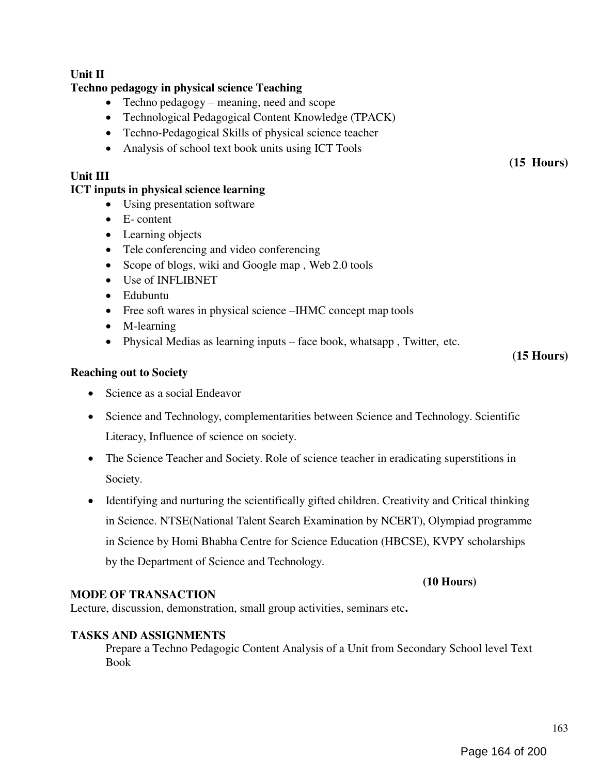# Unit II

## Techno pedagogy in physical science Teaching

- Techno pedagogy meaning, need and scope
- Technological Pedagogical Content Knowledge (TPACK)
- Techno-Pedagogical Skills of physical science teacher
- Analysis of school text book units using ICT Tools

## Unit III

## ICT inputs in physical science learning

- Using presentation software
- E- content
- Learning objects
- Tele conferencing and video conferencing
- Scope of blogs, wiki and Google map, Web 2.0 tools
- Use of INFLIBNET
- Edubuntu
- Free soft wares in physical science –IHMC concept map tools
- M-learning
- Physical Medias as learning inputs face book, whatsapp , Twitter, etc.

## (15 Hours)

(15 Hours)

## Reaching out to Society

- Science as a social Endeavor
- Science and Technology, complementarities between Science and Technology. Scientific Literacy, Influence of science on society.
- The Science Teacher and Society. Role of science teacher in eradicating superstitions in Society.
- Identifying and nurturing the scientifically gifted children. Creativity and Critical thinking in Science. NTSE(National Talent Search Examination by NCERT), Olympiad programme in Science by Homi Bhabha Centre for Science Education (HBCSE), KVPY scholarships by the Department of Science and Technology.

## MODE OF TRANSACTION

Lecture, discussion, demonstration, small group activities, seminars etc.

## TASKS AND ASSIGNMENTS

Prepare a Techno Pedagogic Content Analysis of a Unit from Secondary School level Text Book

(10 Hours)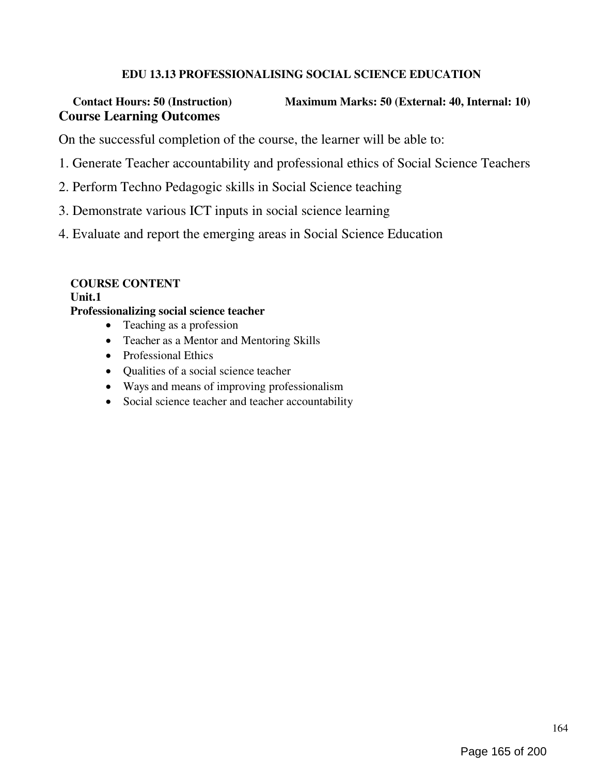# EDU 13.13 PROFESSIONALISING SOCIAL SCIENCE EDUCATION

# Contact Hours: 50 (Instruction) Maximum Marks: 50 (External: 40, Internal: 10) Course Learning Outcomes

On the successful completion of the course, the learner will be able to:

- 1. Generate Teacher accountability and professional ethics of Social Science Teachers
- 2. Perform Techno Pedagogic skills in Social Science teaching
- 3. Demonstrate various ICT inputs in social science learning
- 4. Evaluate and report the emerging areas in Social Science Education

# COURSE CONTENT

## Unit.1

## Professionalizing social science teacher

- Teaching as a profession
- Teacher as a Mentor and Mentoring Skills
- Professional Ethics
- Qualities of a social science teacher
- Ways and means of improving professionalism
- Social science teacher and teacher accountability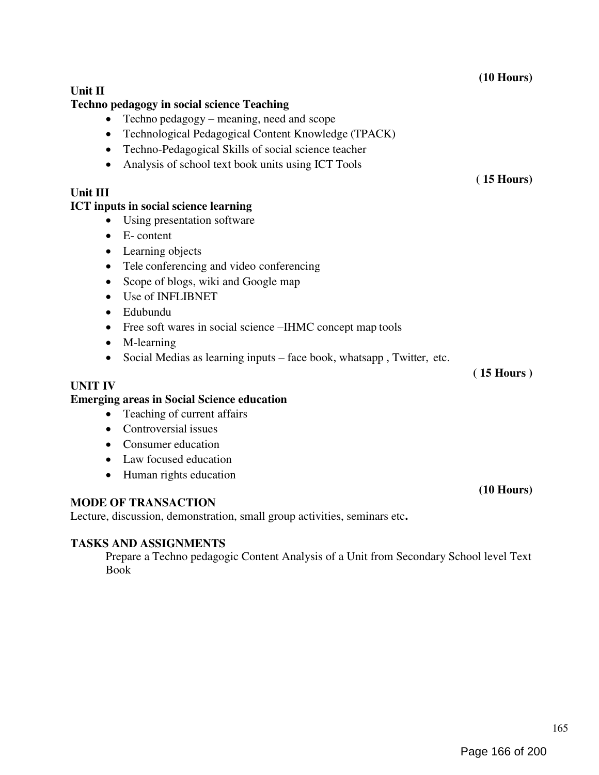Unit II Techno pedagogy in social science Teaching • Techno pedagogy – meaning, need and scope Technological Pedagogical Content Knowledge (TPACK) Techno-Pedagogical Skills of social science teacher • Analysis of school text book units using ICT Tools Unit III ICT inputs in social science learning Using presentation software • E- content • Learning objects • Tele conferencing and video conferencing • Scope of blogs, wiki and Google map Use of INFLIBNET Edubundu • Free soft wares in social science –IHMC concept map tools • M-learning Social Medias as learning inputs – face book, whatsapp , Twitter, etc. UNIT IV Emerging areas in Social Science education • Teaching of current affairs • Controversial issues • Consumer education • Law focused education • Human rights education ( 15 Hours) ( 15 Hours )

# MODE OF TRANSACTION

Lecture, discussion, demonstration, small group activities, seminars etc.

## TASKS AND ASSIGNMENTS

Prepare a Techno pedagogic Content Analysis of a Unit from Secondary School level Text Book

(10 Hours)

(10 Hours)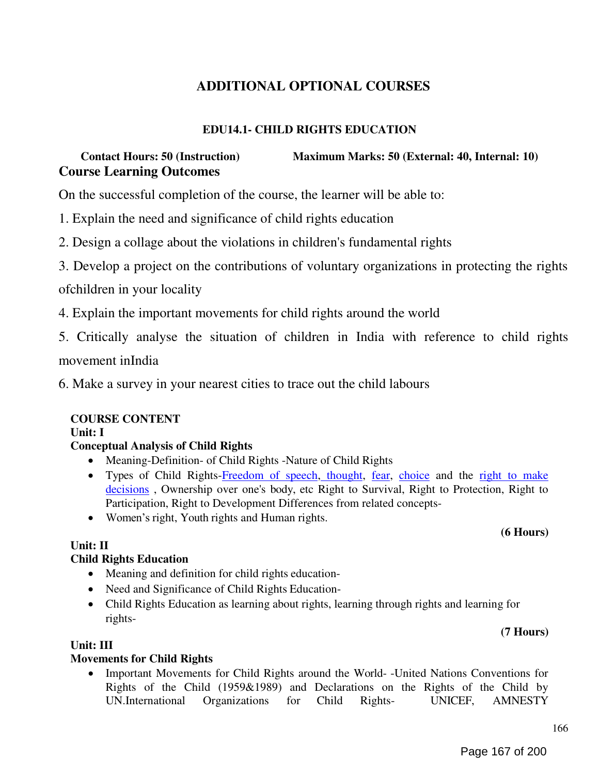# ADDITIONAL OPTIONAL COURSES

# EDU14.1- CHILD RIGHTS EDUCATION

# Contact Hours: 50 (Instruction) Maximum Marks: 50 (External: 40, Internal: 10) Course Learning Outcomes

On the successful completion of the course, the learner will be able to:

- 1. Explain the need and significance of child rights education
- 2. Design a collage about the violations in children's fundamental rights
- 3. Develop a project on the contributions of voluntary organizations in protecting the rights

ofchildren in your locality

4. Explain the important movements for child rights around the world

5. Critically analyse the situation of children in India with reference to child rights

movement inIndia

6. Make a survey in your nearest cities to trace out the child labours

## COURSE CONTENT

Unit: I

## Conceptual Analysis of Child Rights

- Meaning-Definition- of Child Rights -Nature of Child Rights
- Types of Child Rights-Freedom of speech, thought, fear, choice and the right to make decisions , Ownership over one's body, etc Right to Survival, Right to Protection, Right to Participation, Right to Development Differences from related concepts-
- Women's right, Youth rights and Human rights.

## Unit: II

## Child Rights Education

- Meaning and definition for child rights education-
- Need and Significance of Child Rights Education-
- Child Rights Education as learning about rights, learning through rights and learning for rights-

(7 Hours)

(6 Hours)

## Unit: III

## Movements for Child Rights

• Important Movements for Child Rights around the World- -United Nations Conventions for Rights of the Child (1959&1989) and Declarations on the Rights of the Child by UN.International Organizations for Child Rights- UNICEF, AMNESTY

166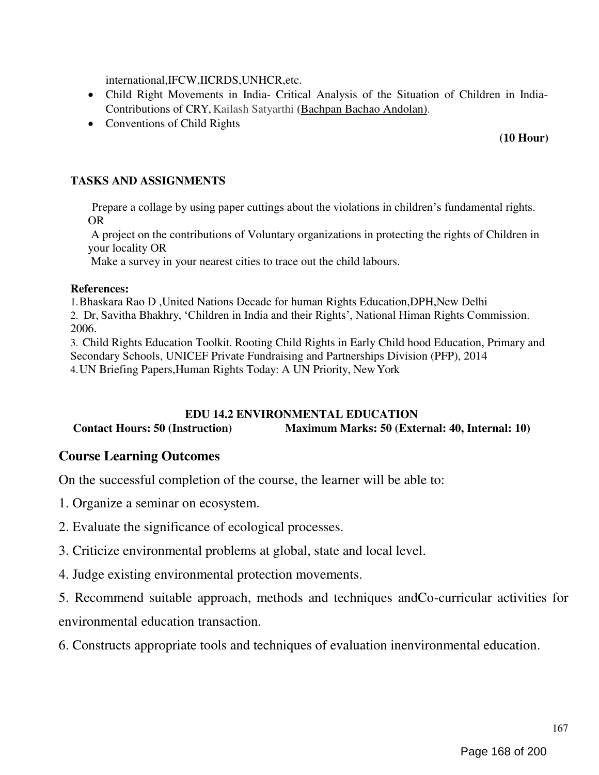international,IFCW,IICRDS,UNHCR,etc.

- Child Right Movements in India- Critical Analysis of the Situation of Children in India-Contributions of CRY, Kailash Satyarthi (Bachpan Bachao Andolan).
- Conventions of Child Rights

# (10 Hour)

# TASKS AND ASSIGNMENTS

Prepare a collage by using paper cuttings about the violations in children's fundamental rights. OR

A project on the contributions of Voluntary organizations in protecting the rights of Children in your locality OR

Make a survey in your nearest cities to trace out the child labours.

# References:

1.Bhaskara Rao D ,United Nations Decade for human Rights Education,DPH,New Delhi 2. Dr, Savitha Bhakhry, ‗Children in India and their Rights', National Himan Rights Commission. 2006.

3. Child Rights Education Toolkit. Rooting Child Rights in Early Child hood Education, Primary and Secondary Schools, UNICEF Private Fundraising and Partnerships Division (PFP), 2014 4.UN Briefing Papers,Human Rights Today: A UN Priority, New York

# EDU 14.2 ENVIRONMENTAL EDUCATION Contact Hours: 50 (Instruction) Maximum Marks: 50 (External: 40, Internal: 10)

# Course Learning Outcomes

On the successful completion of the course, the learner will be able to:

- 1. Organize a seminar on ecosystem.
- 2. Evaluate the significance of ecological processes.
- 3. Criticize environmental problems at global, state and local level.
- 4. Judge existing environmental protection movements.

5. Recommend suitable approach, methods and techniques andCo-curricular activities for environmental education transaction.

6. Constructs appropriate tools and techniques of evaluation inenvironmental education.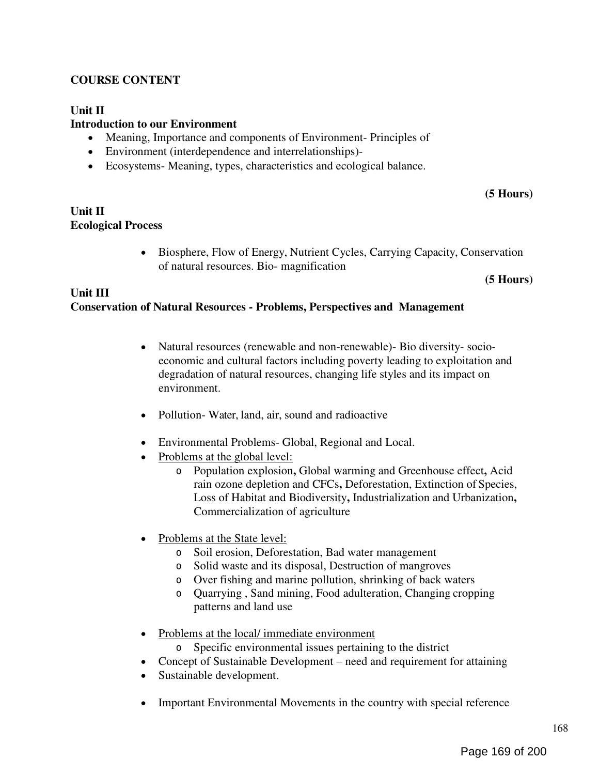# COURSE CONTENT

## Unit II

## Introduction to our Environment

- Meaning, Importance and components of Environment- Principles of
- Environment (interdependence and interrelationships)-
- Ecosystems- Meaning, types, characteristics and ecological balance.

## (5 Hours)

## Unit II Ecological Process

 Biosphere, Flow of Energy, Nutrient Cycles, Carrying Capacity, Conservation of natural resources. Bio- magnification

#### (5 Hours)

## Unit III Conservation of Natural Resources - Problems, Perspectives and Management

- Natural resources (renewable and non-renewable) Bio diversity-socioeconomic and cultural factors including poverty leading to exploitation and degradation of natural resources, changing life styles and its impact on environment.
- Pollution- Water, land, air, sound and radioactive
- Environmental Problems- Global, Regional and Local.
- Problems at the global level:
	- o Population explosion, Global warming and Greenhouse effect, Acid rain ozone depletion and CFCs, Deforestation, Extinction of Species, Loss of Habitat and Biodiversity, Industrialization and Urbanization, Commercialization of agriculture
- Problems at the State level:
	- o Soil erosion, Deforestation, Bad water management
	- o Solid waste and its disposal, Destruction of mangroves
	- o Over fishing and marine pollution, shrinking of back waters
	- o Quarrying , Sand mining, Food adulteration, Changing cropping patterns and land use
- Problems at the local/ immediate environment
	- o Specific environmental issues pertaining to the district
- Concept of Sustainable Development need and requirement for attaining
- Sustainable development.
- Important Environmental Movements in the country with special reference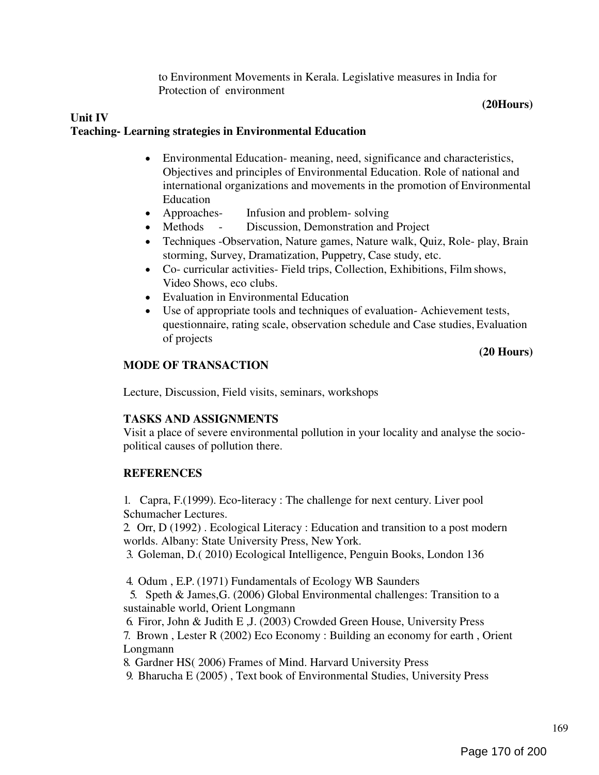to Environment Movements in Kerala. Legislative measures in India for Protection of environment

#### (20Hours)

## Unit IV Teaching- Learning strategies in Environmental Education

- Environmental Education- meaning, need, significance and characteristics, Objectives and principles of Environmental Education. Role of national and international organizations and movements in the promotion of Environmental Education
- Approaches- Infusion and problem-solving
- Methods Discussion, Demonstration and Project
- Techniques -Observation, Nature games, Nature walk, Quiz, Role- play, Brain storming, Survey, Dramatization, Puppetry, Case study, etc.
- Co- curricular activities- Field trips, Collection, Exhibitions, Film shows, Video Shows, eco clubs.
- Evaluation in Environmental Education
- Use of appropriate tools and techniques of evaluation- Achievement tests, questionnaire, rating scale, observation schedule and Case studies, Evaluation of projects

## (20 Hours)

## MODE OF TRANSACTION

Lecture, Discussion, Field visits, seminars, workshops

# TASKS AND ASSIGNMENTS

Visit a place of severe environmental pollution in your locality and analyse the sociopolitical causes of pollution there.

# **REFERENCES**

1. Capra, F.(1999). Eco‐literacy : The challenge for next century. Liver pool Schumacher Lectures.

2. Orr, D (1992) . Ecological Literacy : Education and transition to a post modern worlds. Albany: State University Press, New York.

3. Goleman, D.( 2010) Ecological Intelligence, Penguin Books, London 136

4. Odum , E.P. (1971) Fundamentals of Ecology WB Saunders

5. Speth & James,G. (2006) Global Environmental challenges: Transition to a sustainable world, Orient Longmann

6. Firor, John & Judith E ,J. (2003) Crowded Green House, University Press 7. Brown , Lester R (2002) Eco Economy : Building an economy for earth , Orient Longmann

8. Gardner HS( 2006) Frames of Mind. Harvard University Press

9. Bharucha E (2005) , Text book of Environmental Studies, University Press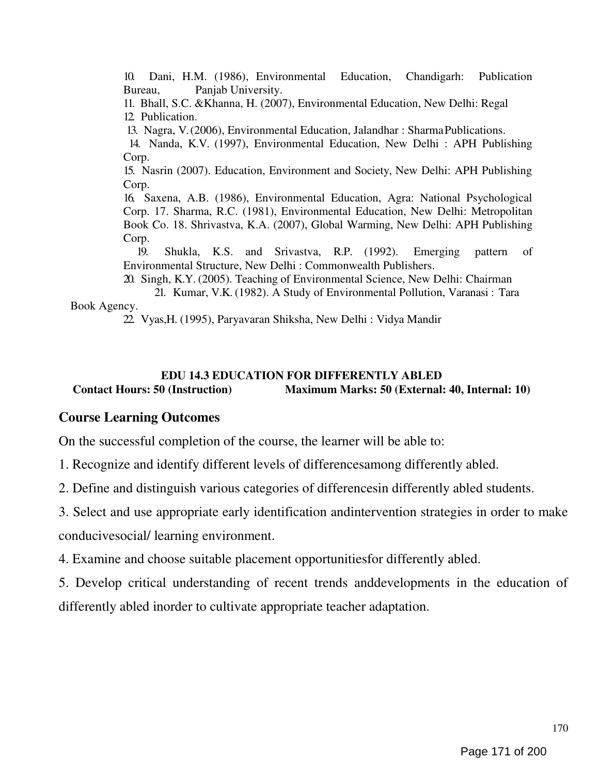10. Dani, H.M. (1986), Environmental Education, Chandigarh: Publication Bureau, Panjab University.

11. Bhall, S.C. &Khanna, H. (2007), Environmental Education, New Delhi: Regal 12. Publication.

13. Nagra, V. (2006), Environmental Education, Jalandhar : Sharma Publications.

14. Nanda, K.V. (1997), Environmental Education, New Delhi : APH Publishing Corp.

15. Nasrin (2007). Education, Environment and Society, New Delhi: APH Publishing Corp.

16. Saxena, A.B. (1986), Environmental Education, Agra: National Psychological Corp. 17. Sharma, R.C. (1981), Environmental Education, New Delhi: Metropolitan Book Co. 18. Shrivastva, K.A. (2007), Global Warming, New Delhi: APH Publishing Corp.

19. Shukla, K.S. and Srivastva, R.P. (1992). Emerging pattern of Environmental Structure, New Delhi : Commonwealth Publishers.

20. Singh, K.Y. (2005). Teaching of Environmental Science, New Delhi: Chairman

21. Kumar, V.K. (1982). A Study of Environmental Pollution, Varanasi : Tara Book Agency.

22. Vyas,H. (1995), Paryavaran Shiksha, New Delhi : Vidya Mandir

## EDU 14.3 EDUCATION FOR DIFFERENTLY ABLED Contact Hours: 50 (Instruction) Maximum Marks: 50 (External: 40, Internal: 10)

# Course Learning Outcomes

On the successful completion of the course, the learner will be able to:

1. Recognize and identify different levels of differencesamong differently abled.

2. Define and distinguish various categories of differencesin differently abled students.

3. Select and use appropriate early identification andintervention strategies in order to make conducivesocial/ learning environment.

4. Examine and choose suitable placement opportunitiesfor differently abled.

5. Develop critical understanding of recent trends anddevelopments in the education of differently abled inorder to cultivate appropriate teacher adaptation.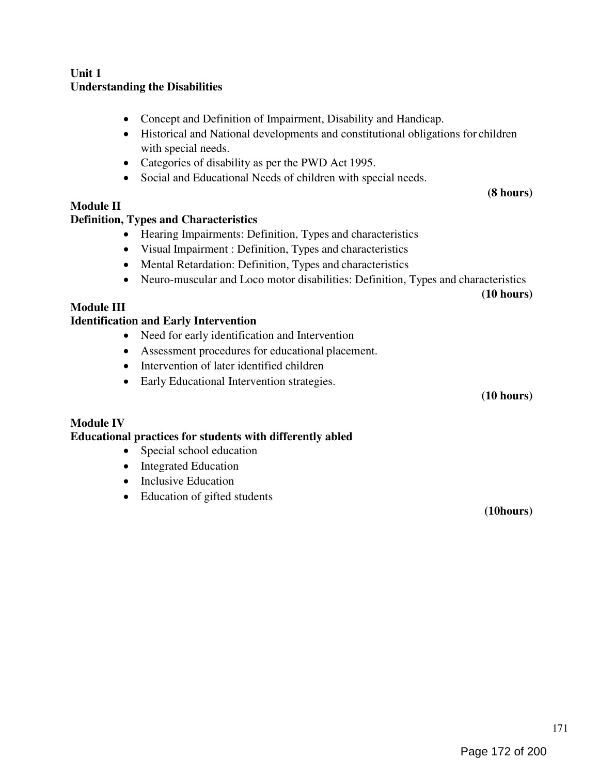## Unit 1 Understanding the Disabilities

- Concept and Definition of Impairment, Disability and Handicap.
- Historical and National developments and constitutional obligations for children with special needs.
- Categories of disability as per the PWD Act 1995.
- Social and Educational Needs of children with special needs.

# Module II

# Definition, Types and Characteristics

- Hearing Impairments: Definition, Types and characteristics
- Visual Impairment : Definition, Types and characteristics
- Mental Retardation: Definition, Types and characteristics
- Neuro-muscular and Loco motor disabilities: Definition, Types and characteristics

(10 hours)

(8 hours)

## Module III

# Identification and Early Intervention

- Need for early identification and Intervention
- Assessment procedures for educational placement.
- Intervention of later identified children
- Early Educational Intervention strategies.

(10 hours)

# Module IV

## Educational practices for students with differently abled

- Special school education
- Integrated Education
- Inclusive Education
- Education of gifted students

(10hours)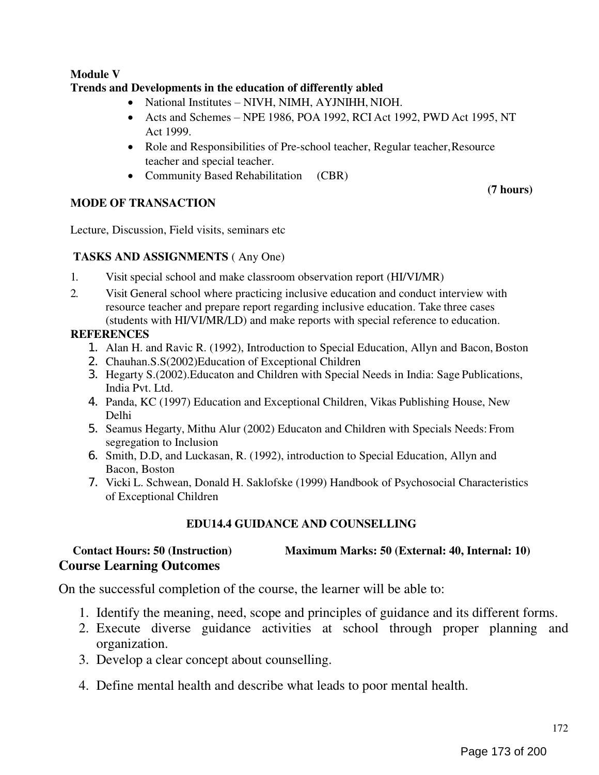## Module V Trends and Developments in the education of differently abled

- National Institutes NIVH, NIMH, AYJNIHH, NIOH.
- Acts and Schemes NPE 1986, POA 1992, RCI Act 1992, PWD Act 1995, NT Act 1999.
- Role and Responsibilities of Pre-school teacher, Regular teacher, Resource teacher and special teacher.
- Community Based Rehabilitation (CBR)

# MODE OF TRANSACTION

(7 hours)

Lecture, Discussion, Field visits, seminars etc

## TASKS AND ASSIGNMENTS ( Any One)

- 1. Visit special school and make classroom observation report (HI/VI/MR)
- 2. Visit General school where practicing inclusive education and conduct interview with resource teacher and prepare report regarding inclusive education. Take three cases (students with HI/VI/MR/LD) and make reports with special reference to education.

# **REFERENCES**

- 1. Alan H. and Ravic R. (1992), Introduction to Special Education, Allyn and Bacon, Boston
- 2. Chauhan.S.S(2002)Education of Exceptional Children
- 3. Hegarty S.(2002).Educaton and Children with Special Needs in India: Sage Publications, India Pvt. Ltd.
- 4. Panda, KC (1997) Education and Exceptional Children, Vikas Publishing House, New Delhi
- 5. Seamus Hegarty, Mithu Alur (2002) Educaton and Children with Specials Needs: From segregation to Inclusion
- 6. Smith, D.D, and Luckasan, R. (1992), introduction to Special Education, Allyn and Bacon, Boston
- 7. Vicki L. Schwean, Donald H. Saklofske (1999) Handbook of Psychosocial Characteristics of Exceptional Children

# EDU14.4 GUIDANCE AND COUNSELLING

# Contact Hours: 50 (Instruction) Maximum Marks: 50 (External: 40, Internal: 10) Course Learning Outcomes

On the successful completion of the course, the learner will be able to:

- 1. Identify the meaning, need, scope and principles of guidance and its different forms.
- 2. Execute diverse guidance activities at school through proper planning and organization.
- 3. Develop a clear concept about counselling.
- 4. Define mental health and describe what leads to poor mental health.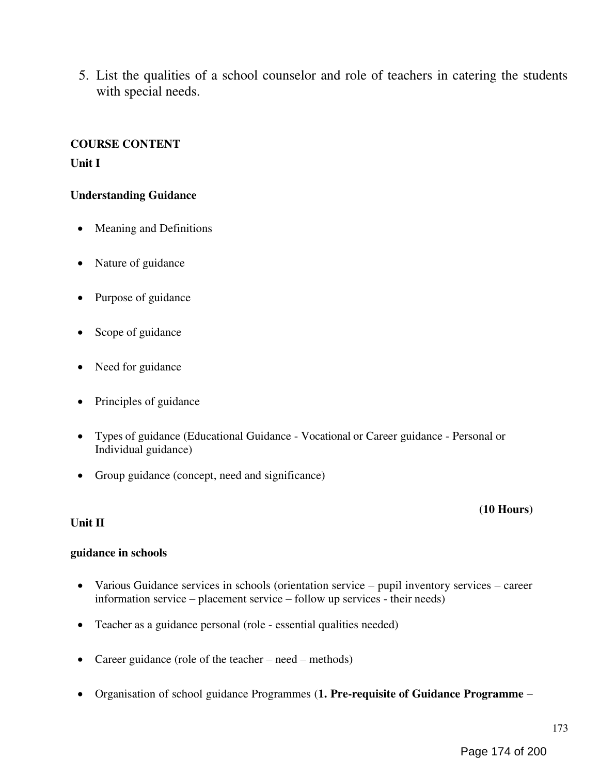5. List the qualities of a school counselor and role of teachers in catering the students with special needs.

## COURSE CONTENT

Unit I

## Understanding Guidance

- Meaning and Definitions
- Nature of guidance
- Purpose of guidance
- Scope of guidance
- Need for guidance
- Principles of guidance
- Types of guidance (Educational Guidance Vocational or Career guidance Personal or Individual guidance)
- Group guidance (concept, need and significance)

## Unit II

## (10 Hours)

## guidance in schools

- Various Guidance services in schools (orientation service pupil inventory services career information service – placement service – follow up services - their needs)
- Teacher as a guidance personal (role essential qualities needed)
- Career guidance (role of the teacher need methods)
- Organisation of school guidance Programmes (1. Pre-requisite of Guidance Programme –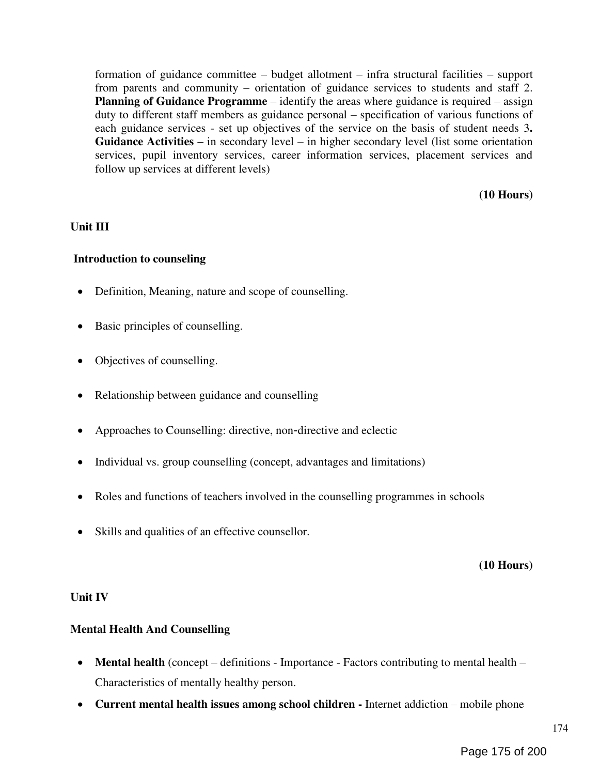formation of guidance committee – budget allotment – infra structural facilities – support from parents and community – orientation of guidance services to students and staff 2. Planning of Guidance Programme – identify the areas where guidance is required – assign duty to different staff members as guidance personal – specification of various functions of each guidance services - set up objectives of the service on the basis of student needs 3. Guidance Activities – in secondary level – in higher secondary level (list some orientation services, pupil inventory services, career information services, placement services and follow up services at different levels)

(10 Hours)

## Unit III

## Introduction to counseling

- Definition, Meaning, nature and scope of counselling.
- Basic principles of counselling.
- Objectives of counselling.
- Relationship between guidance and counselling
- Approaches to Counselling: directive, non‐directive and eclectic
- Individual vs. group counselling (concept, advantages and limitations)
- Roles and functions of teachers involved in the counselling programmes in schools
- Skills and qualities of an effective counsellor.

## (10 Hours)

## Unit IV

## Mental Health And Counselling

- Mental health (concept definitions Importance Factors contributing to mental health Characteristics of mentally healthy person.
- Current mental health issues among school children Internet addiction mobile phone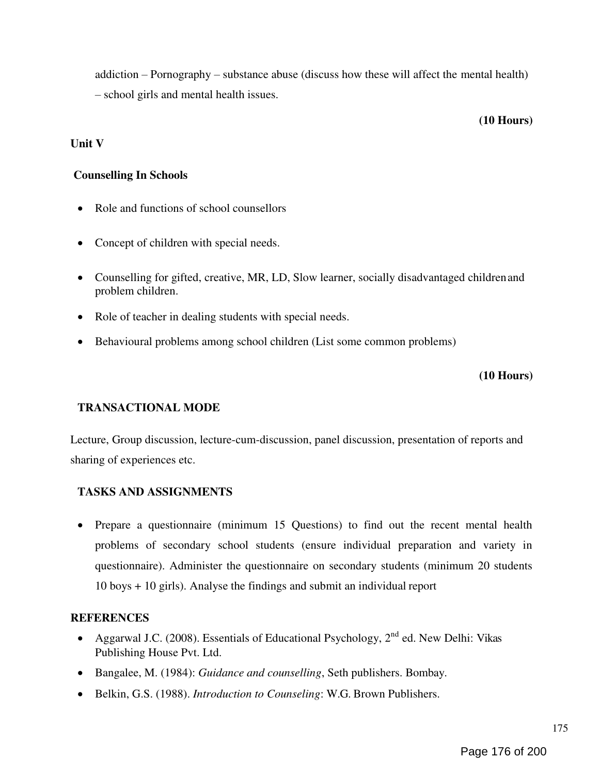addiction – Pornography – substance abuse (discuss how these will affect the mental health) – school girls and mental health issues.

#### (10 Hours)

## Unit V

## Counselling In Schools

- Role and functions of school counsellors
- Concept of children with special needs.
- Counselling for gifted, creative, MR, LD, Slow learner, socially disadvantaged children and problem children.
- Role of teacher in dealing students with special needs.
- Behavioural problems among school children (List some common problems)

## (10 Hours)

## TRANSACTIONAL MODE

Lecture, Group discussion, lecture-cum-discussion, panel discussion, presentation of reports and sharing of experiences etc.

# TASKS AND ASSIGNMENTS

• Prepare a questionnaire (minimum 15 Questions) to find out the recent mental health problems of secondary school students (ensure individual preparation and variety in questionnaire). Administer the questionnaire on secondary students (minimum 20 students 10 boys + 10 girls). Analyse the findings and submit an individual report

## **REFERENCES**

- Aggarwal J.C. (2008). Essentials of Educational Psychology,  $2<sup>nd</sup>$  ed. New Delhi: Vikas Publishing House Pvt. Ltd.
- Bangalee, M. (1984): Guidance and counselling, Seth publishers. Bombay.
- Belkin, G.S. (1988). *Introduction to Counseling*: W.G. Brown Publishers.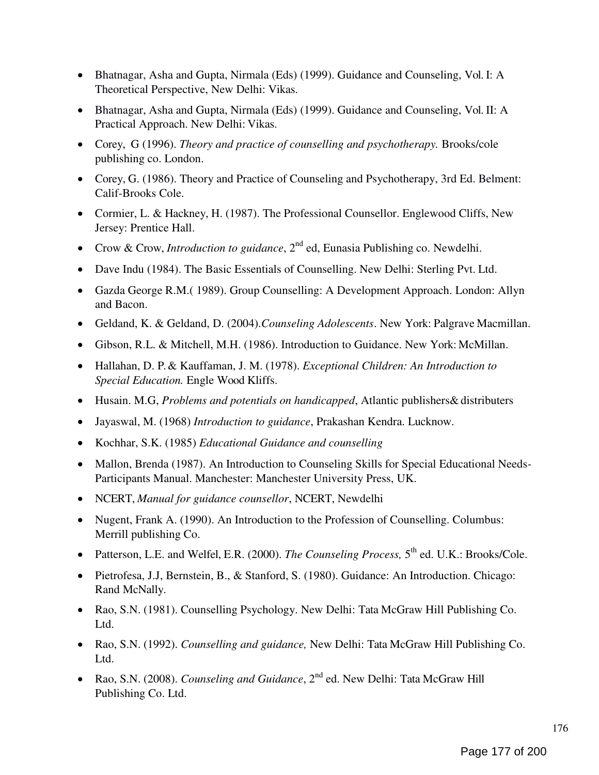- Bhatnagar, Asha and Gupta, Nirmala (Eds) (1999). Guidance and Counseling, Vol. I: A Theoretical Perspective, New Delhi: Vikas.
- Bhatnagar, Asha and Gupta, Nirmala (Eds) (1999). Guidance and Counseling, Vol. II: A Practical Approach. New Delhi: Vikas.
- Corey, G (1996). Theory and practice of counselling and psychotherapy. Brooks/cole publishing co. London.
- Corey, G. (1986). Theory and Practice of Counseling and Psychotherapy, 3rd Ed. Belment: Calif-Brooks Cole.
- Cormier, L. & Hackney, H. (1987). The Professional Counsellor. Englewood Cliffs, New Jersey: Prentice Hall.
- Crow & Crow, *Introduction to guidance*,  $2<sup>nd</sup>$  ed, Eunasia Publishing co. Newdelhi.
- Dave Indu (1984). The Basic Essentials of Counselling. New Delhi: Sterling Pvt. Ltd.
- Gazda George R.M.( 1989). Group Counselling: A Development Approach. London: Allyn and Bacon.
- Geldand, K. & Geldand, D. (2004).Counseling Adolescents. New York: Palgrave Macmillan.
- Gibson, R.L. & Mitchell, M.H. (1986). Introduction to Guidance. New York: McMillan.
- Hallahan, D. P. & Kauffaman, J. M. (1978). Exceptional Children: An Introduction to Special Education. Engle Wood Kliffs.
- Husain. M.G, Problems and potentials on handicapped, Atlantic publishers& distributers
- Jayaswal, M. (1968) Introduction to guidance, Prakashan Kendra. Lucknow.
- Kochhar, S.K. (1985) Educational Guidance and counselling
- Mallon, Brenda (1987). An Introduction to Counseling Skills for Special Educational Needs-Participants Manual. Manchester: Manchester University Press, UK.
- NCERT, Manual for guidance counsellor, NCERT, Newdelhi
- Nugent, Frank A. (1990). An Introduction to the Profession of Counselling. Columbus: Merrill publishing Co.
- Patterson, L.E. and Welfel, E.R. (2000). The Counseling Process, 5<sup>th</sup> ed. U.K.: Brooks/Cole.
- Pietrofesa, J.J, Bernstein, B., & Stanford, S. (1980). Guidance: An Introduction. Chicago: Rand McNally.
- Rao, S.N. (1981). Counselling Psychology. New Delhi: Tata McGraw Hill Publishing Co. Ltd.
- Rao, S.N. (1992). *Counselling and guidance*, New Delhi: Tata McGraw Hill Publishing Co. Ltd.
- Rao, S.N. (2008). Counseling and Guidance,  $2^{nd}$  ed. New Delhi: Tata McGraw Hill Publishing Co. Ltd.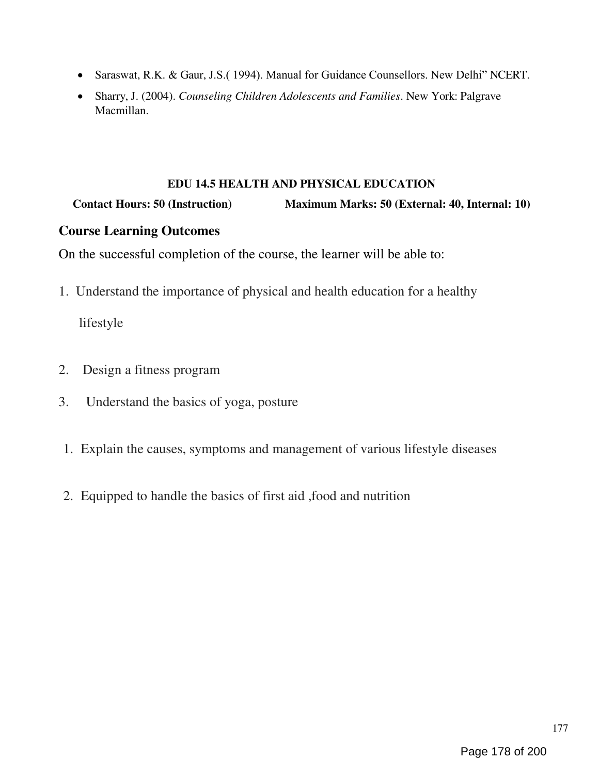- Saraswat, R.K. & Gaur, J.S. (1994). Manual for Guidance Counsellors. New Delhi" NCERT.
- Sharry, J. (2004). Counseling Children Adolescents and Families. New York: Palgrave Macmillan.

## EDU 14.5 HEALTH AND PHYSICAL EDUCATION

Contact Hours: 50 (Instruction) Maximum Marks: 50 (External: 40, Internal: 10)

# Course Learning Outcomes

On the successful completion of the course, the learner will be able to:

1. Understand the importance of physical and health education for a healthy

lifestyle

- 2. Design a fitness program
- 3. Understand the basics of yoga, posture
- 1. Explain the causes, symptoms and management of various lifestyle diseases
- 2. Equipped to handle the basics of first aid ,food and nutrition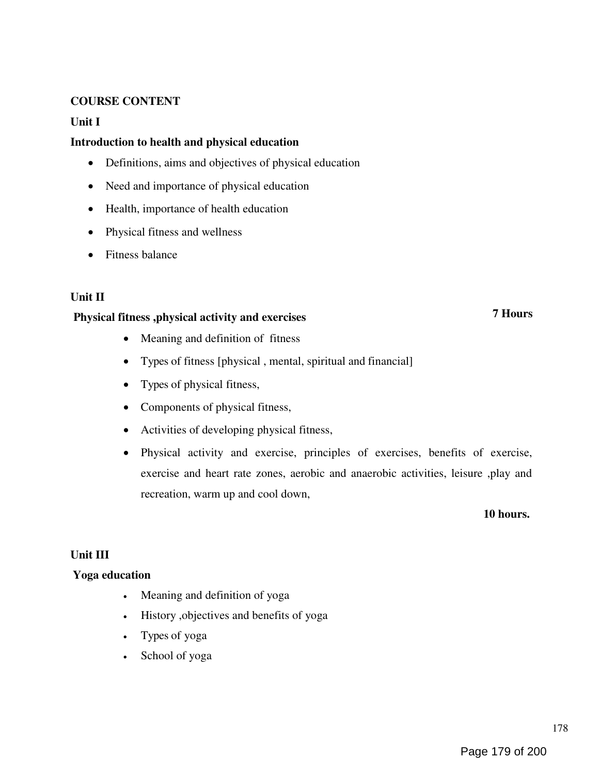## COURSE CONTENT

## Unit I

## Introduction to health and physical education

- Definitions, aims and objectives of physical education
- Need and importance of physical education
- Health, importance of health education
- Physical fitness and wellness
- Fitness balance

## Unit II

## Physical fitness ,physical activity and exercises

- Meaning and definition of fitness
- Types of fitness [physical , mental, spiritual and financial]
- Types of physical fitness,
- Components of physical fitness,
- Activities of developing physical fitness,
- Physical activity and exercise, principles of exercises, benefits of exercise, exercise and heart rate zones, aerobic and anaerobic activities, leisure ,play and recreation, warm up and cool down,

10 hours.

7 Hours

## Unit III

## Yoga education

- Meaning and definition of yoga
- History ,objectives and benefits of yoga
- Types of yoga
- School of yoga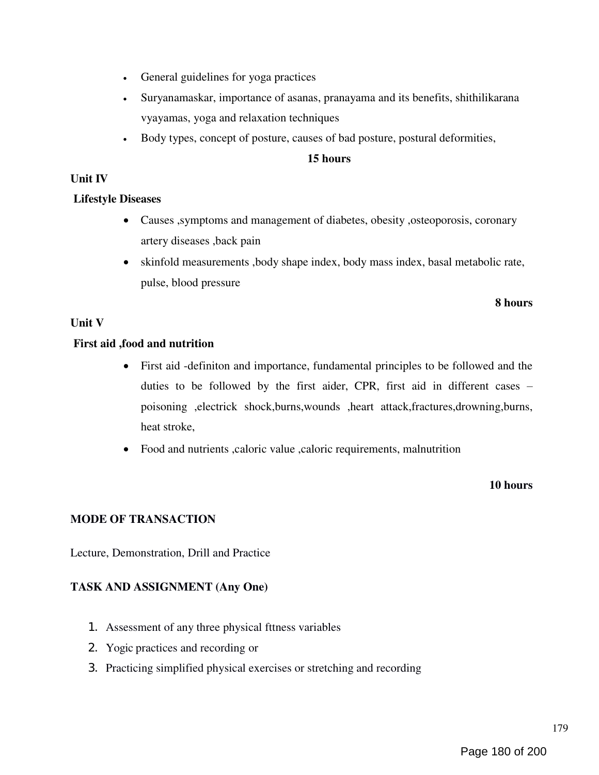- General guidelines for yoga practices
- Suryanamaskar, importance of asanas, pranayama and its benefits, shithilikarana vyayamas, yoga and relaxation techniques
- Body types, concept of posture, causes of bad posture, postural deformities,

#### 15 hours

## Unit IV

## Lifestyle Diseases

- Causes ,symptoms and management of diabetes, obesity ,osteoporosis, coronary artery diseases ,back pain
- skinfold measurements ,body shape index, body mass index, basal metabolic rate, pulse, blood pressure

#### 8 hours

## Unit V

## First aid ,food and nutrition

- First aid -definiton and importance, fundamental principles to be followed and the duties to be followed by the first aider, CPR, first aid in different cases – poisoning ,electrick shock,burns,wounds ,heart attack,fractures,drowning,burns, heat stroke,
- Food and nutrients , caloric value , caloric requirements, malnutrition

## 10 hours

## MODE OF TRANSACTION

Lecture, Demonstration, Drill and Practice

## TASK AND ASSIGNMENT (Any One)

- 1. Assessment of any three physical fttness variables
- 2. Yogic practices and recording or
- 3. Practicing simplified physical exercises or stretching and recording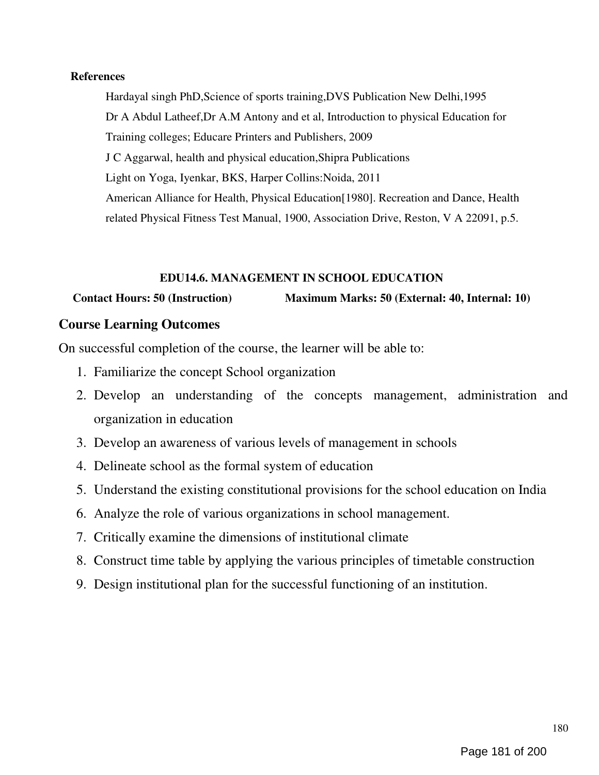### **References**

Hardayal singh PhD,Science of sports training,DVS Publication New Delhi,1995 Dr A Abdul Latheef,Dr A.M Antony and et al, Introduction to physical Education for Training colleges; Educare Printers and Publishers, 2009 J C Aggarwal, health and physical education,Shipra Publications Light on Yoga, Iyenkar, BKS, Harper Collins:Noida, 2011 American Alliance for Health, Physical Education[1980]. Recreation and Dance, Health related Physical Fitness Test Manual, 1900, Association Drive, Reston, V A 22091, p.5.

# EDU14.6. MANAGEMENT IN SCHOOL EDUCATION

# Contact Hours: 50 (Instruction) Maximum Marks: 50 (External: 40, Internal: 10)

# Course Learning Outcomes

On successful completion of the course, the learner will be able to:

- 1. Familiarize the concept School organization
- 2. Develop an understanding of the concepts management, administration and organization in education
- 3. Develop an awareness of various levels of management in schools
- 4. Delineate school as the formal system of education
- 5. Understand the existing constitutional provisions for the school education on India
- 6. Analyze the role of various organizations in school management.
- 7. Critically examine the dimensions of institutional climate
- 8. Construct time table by applying the various principles of timetable construction
- 9. Design institutional plan for the successful functioning of an institution.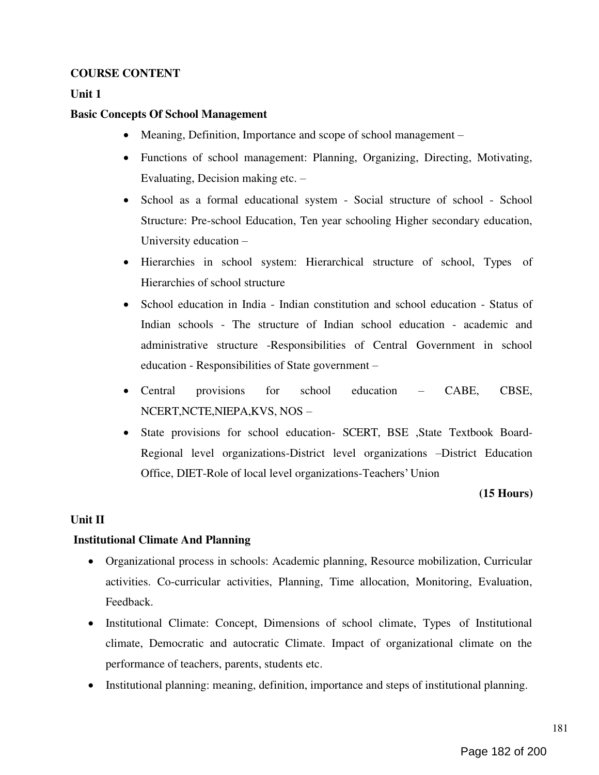# COURSE CONTENT

### Unit 1

#### Basic Concepts Of School Management

- Meaning, Definition, Importance and scope of school management –
- Functions of school management: Planning, Organizing, Directing, Motivating, Evaluating, Decision making etc. –
- School as a formal educational system Social structure of school School Structure: Pre-school Education, Ten year schooling Higher secondary education, University education –
- Hierarchies in school system: Hierarchical structure of school, Types of Hierarchies of school structure
- School education in India Indian constitution and school education Status of Indian schools - The structure of Indian school education - academic and administrative structure -Responsibilities of Central Government in school education - Responsibilities of State government –
- Central provisions for school education CABE, CBSE, NCERT,NCTE,NIEPA,KVS, NOS –
- State provisions for school education- SCERT, BSE ,State Textbook Board-Regional level organizations-District level organizations –District Education Office, DIET-Role of local level organizations-Teachers' Union

#### (15 Hours)

#### Unit II

#### Institutional Climate And Planning

- Organizational process in schools: Academic planning, Resource mobilization, Curricular activities. Co-curricular activities, Planning, Time allocation, Monitoring, Evaluation, Feedback.
- Institutional Climate: Concept, Dimensions of school climate, Types of Institutional climate, Democratic and autocratic Climate. Impact of organizational climate on the performance of teachers, parents, students etc.
- Institutional planning: meaning, definition, importance and steps of institutional planning.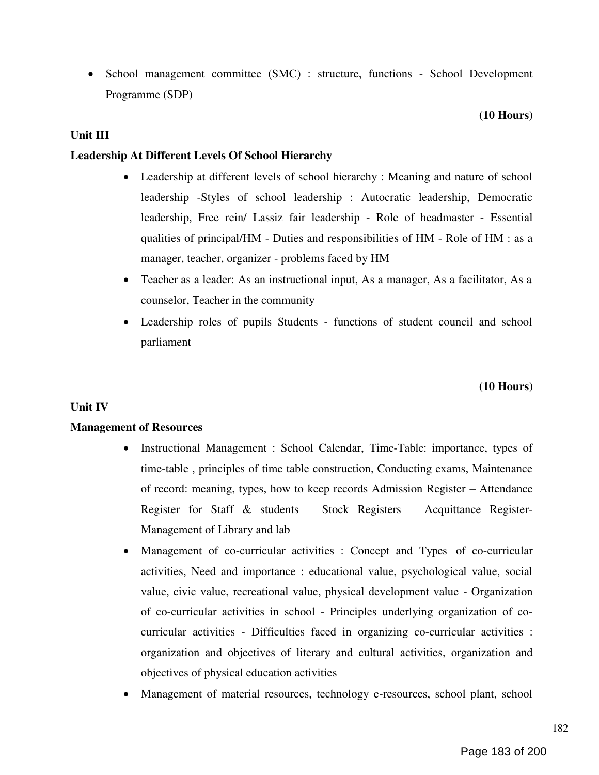• School management committee (SMC) : structure, functions - School Development Programme (SDP)

#### (10 Hours)

#### Unit III

#### Leadership At Different Levels Of School Hierarchy

- Leadership at different levels of school hierarchy : Meaning and nature of school leadership -Styles of school leadership : Autocratic leadership, Democratic leadership, Free rein/ Lassiz fair leadership - Role of headmaster - Essential qualities of principal/HM - Duties and responsibilities of HM - Role of HM : as a manager, teacher, organizer - problems faced by HM
- Teacher as a leader: As an instructional input, As a manager, As a facilitator, As a counselor, Teacher in the community
- Leadership roles of pupils Students functions of student council and school parliament

#### (10 Hours)

#### Unit IV

#### Management of Resources

- Instructional Management : School Calendar, Time-Table: importance, types of time-table , principles of time table construction, Conducting exams, Maintenance of record: meaning, types, how to keep records Admission Register – Attendance Register for Staff & students – Stock Registers – Acquittance Register-Management of Library and lab
- Management of co-curricular activities : Concept and Types of co-curricular activities, Need and importance : educational value, psychological value, social value, civic value, recreational value, physical development value - Organization of co-curricular activities in school - Principles underlying organization of cocurricular activities - Difficulties faced in organizing co-curricular activities : organization and objectives of literary and cultural activities, organization and objectives of physical education activities
- Management of material resources, technology e-resources, school plant, school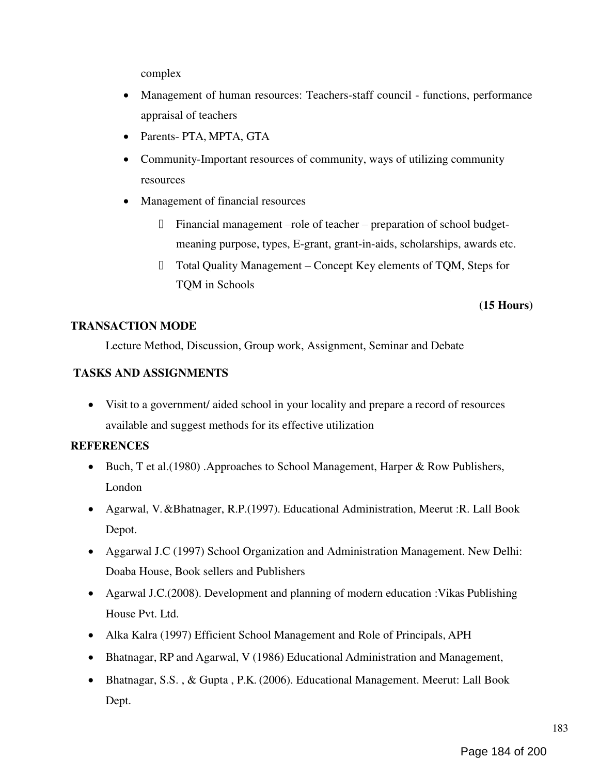complex

- Management of human resources: Teachers-staff council functions, performance appraisal of teachers
- Parents- PTA, MPTA, GTA
- Community-Important resources of community, ways of utilizing community resources
- Management of financial resources
	- Financial management –role of teacher preparation of school budget- $\Box$ meaning purpose, types, E-grant, grant-in-aids, scholarships, awards etc.
	- $\Box$ Total Quality Management – Concept Key elements of TQM, Steps for TQM in Schools

# (15 Hours)

# TRANSACTION MODE

Lecture Method, Discussion, Group work, Assignment, Seminar and Debate

# TASKS AND ASSIGNMENTS

 Visit to a government/ aided school in your locality and prepare a record of resources available and suggest methods for its effective utilization

# **REFERENCES**

- Buch, T et al. (1980) .Approaches to School Management, Harper & Row Publishers, London
- Agarwal, V. &Bhatnager, R.P.(1997). Educational Administration, Meerut :R. Lall Book Depot.
- Aggarwal J.C (1997) School Organization and Administration Management. New Delhi: Doaba House, Book sellers and Publishers
- Agarwal J.C.(2008). Development and planning of modern education :Vikas Publishing House Pvt. Ltd.
- Alka Kalra (1997) Efficient School Management and Role of Principals, APH
- Bhatnagar, RP and Agarwal, V (1986) Educational Administration and Management,
- Bhatnagar, S.S., & Gupta, P.K. (2006). Educational Management. Meerut: Lall Book Dept.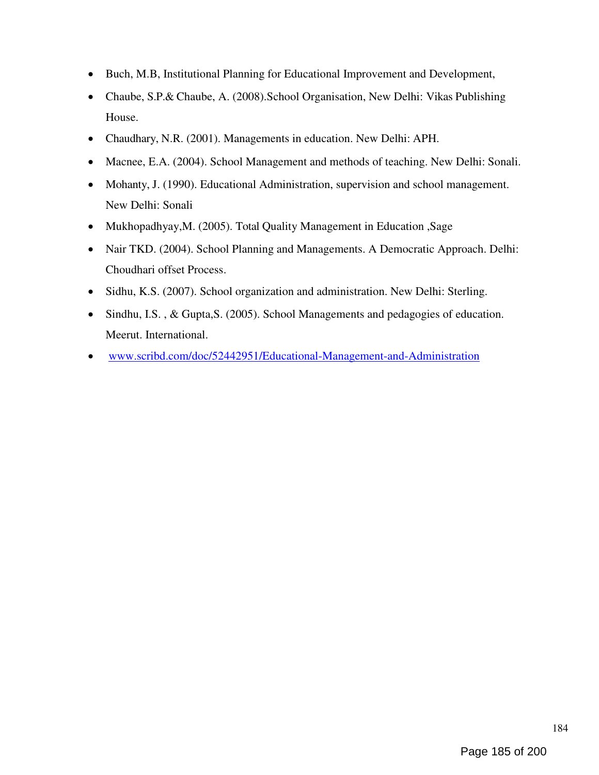- Buch, M.B, Institutional Planning for Educational Improvement and Development,
- Chaube, S.P.& Chaube, A. (2008).School Organisation, New Delhi: Vikas Publishing House.
- Chaudhary, N.R. (2001). Managements in education. New Delhi: APH.
- Macnee, E.A. (2004). School Management and methods of teaching. New Delhi: Sonali.
- Mohanty, J. (1990). Educational Administration, supervision and school management. New Delhi: Sonali
- Mukhopadhyay, M. (2005). Total Quality Management in Education, Sage
- Nair TKD. (2004). School Planning and Managements. A Democratic Approach. Delhi: Choudhari offset Process.
- Sidhu, K.S. (2007). School organization and administration. New Delhi: Sterling.
- Sindhu, I.S., & Gupta, S. (2005). School Managements and pedagogies of education. Meerut. International.
- www.scribd.com/doc/52442951/Educational-Management-and-Administration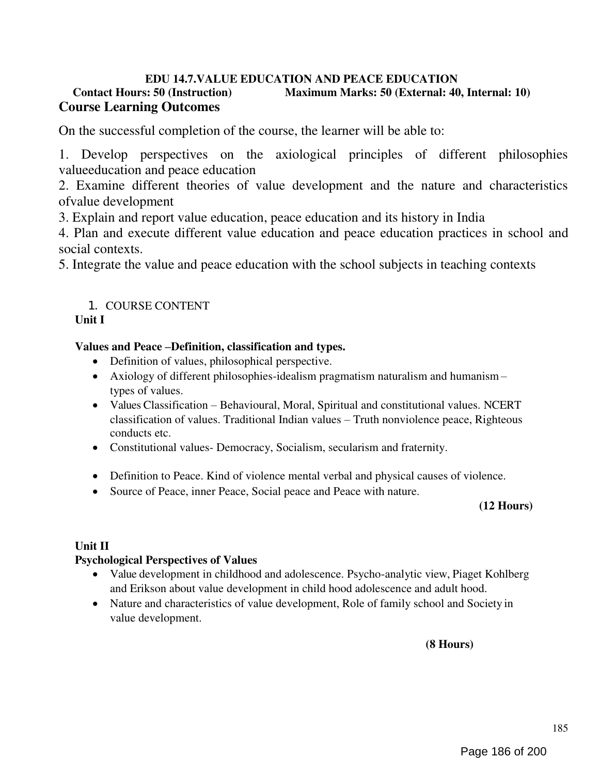# EDU 14.7. VALUE EDUCATION AND PEACE EDUCATION<br>Contact Hours: 50 (Instruction) Maximum Marks: 50 (External: 40 Maximum Marks: 50 (External: 40, Internal: 10) Course Learning Outcomes

On the successful completion of the course, the learner will be able to:

1. Develop perspectives on the axiological principles of different philosophies valueeducation and peace education

2. Examine different theories of value development and the nature and characteristics ofvalue development

3. Explain and report value education, peace education and its history in India

4. Plan and execute different value education and peace education practices in school and social contexts.

5. Integrate the value and peace education with the school subjects in teaching contexts

# 1. COURSE CONTENT

# Unit I

# Values and Peace –Definition, classification and types.

- Definition of values, philosophical perspective.
- Axiology of different philosophies-idealism pragmatism naturalism and humanism types of values.
- Values Classification Behavioural, Moral, Spiritual and constitutional values. NCERT classification of values. Traditional Indian values – Truth nonviolence peace, Righteous conducts etc.
- Constitutional values- Democracy, Socialism, secularism and fraternity.
- Definition to Peace. Kind of violence mental verbal and physical causes of violence.
- Source of Peace, inner Peace, Social peace and Peace with nature.

# (12 Hours)

# Unit II

# Psychological Perspectives of Values

- Value development in childhood and adolescence. Psycho-analytic view, Piaget Kohlberg and Erikson about value development in child hood adolescence and adult hood.
- Nature and characteristics of value development, Role of family school and Society in value development.

(8 Hours)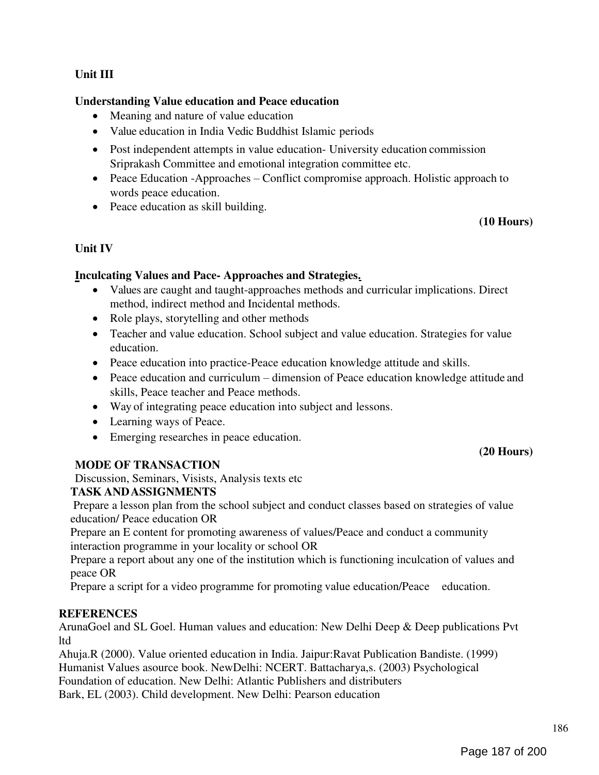# Unit III

# Understanding Value education and Peace education

- Meaning and nature of value education
- Value education in India Vedic Buddhist Islamic periods
- Post independent attempts in value education- University education commission Sriprakash Committee and emotional integration committee etc.
- Peace Education -Approaches Conflict compromise approach. Holistic approach to words peace education.
- Peace education as skill building.

# (10 Hours)

# Unit IV

# Inculcating Values and Pace- Approaches and Strategies.

- Values are caught and taught-approaches methods and curricular implications. Direct method, indirect method and Incidental methods.
- Role plays, storytelling and other methods
- Teacher and value education. School subject and value education. Strategies for value education.
- Peace education into practice-Peace education knowledge attitude and skills.
- Peace education and curriculum dimension of Peace education knowledge attitude and skills, Peace teacher and Peace methods.
- Way of integrating peace education into subject and lessons.
- Learning ways of Peace.
- Emerging researches in peace education.

# MODE OF TRANSACTION

Discussion, Seminars, Visists, Analysis texts etc

# TASK AND ASSIGNMENTS

Prepare a lesson plan from the school subject and conduct classes based on strategies of value education/ Peace education OR

Prepare an E content for promoting awareness of values/Peace and conduct a community interaction programme in your locality or school OR

Prepare a report about any one of the institution which is functioning inculcation of values and peace OR

Prepare a script for a video programme for promoting value education/Peace education.

# **REFERENCES**

ArunaGoel and SL Goel. Human values and education: New Delhi Deep & Deep publications Pvt ltd

Ahuja.R (2000). Value oriented education in India. Jaipur:Ravat Publication Bandiste. (1999) Humanist Values asource book. NewDelhi: NCERT. Battacharya,s. (2003) Psychological Foundation of education. New Delhi: Atlantic Publishers and distributers Bark, EL (2003). Child development. New Delhi: Pearson education

(20 Hours)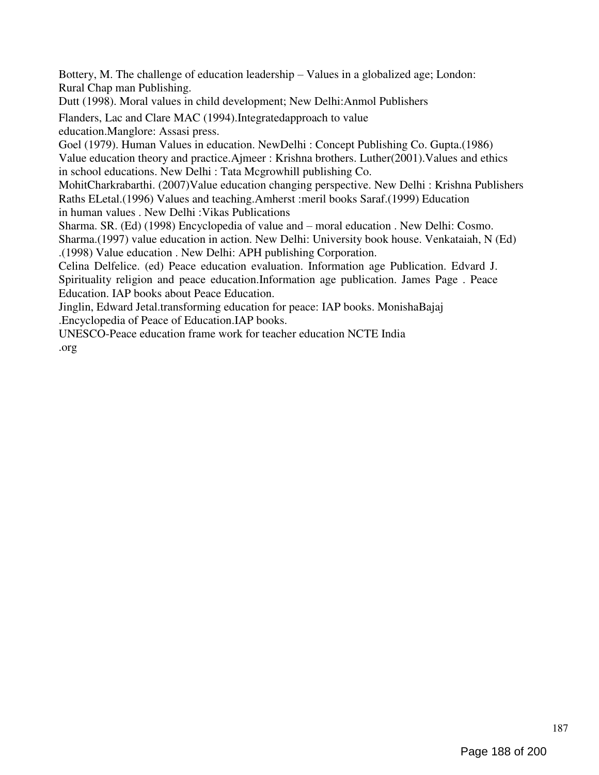Bottery, M. The challenge of education leadership – Values in a globalized age; London: Rural Chap man Publishing.

Dutt (1998). Moral values in child development; New Delhi:Anmol Publishers

Flanders, Lac and Clare MAC (1994).Integratedapproach to value education.Manglore: Assasi press.

Goel (1979). Human Values in education. NewDelhi : Concept Publishing Co. Gupta.(1986) Value education theory and practice.Ajmeer : Krishna brothers. Luther(2001).Values and ethics in school educations. New Delhi : Tata Mcgrowhill publishing Co.

MohitCharkrabarthi. (2007)Value education changing perspective. New Delhi : Krishna Publishers Raths ELetal.(1996) Values and teaching.Amherst :meril books Saraf.(1999) Education in human values . New Delhi :Vikas Publications

Sharma. SR. (Ed) (1998) Encyclopedia of value and – moral education . New Delhi: Cosmo. Sharma.(1997) value education in action. New Delhi: University book house. Venkataiah, N (Ed) .(1998) Value education . New Delhi: APH publishing Corporation.

Celina Delfelice. (ed) Peace education evaluation. Information age Publication. Edvard J. Spirituality religion and peace education.Information age publication. James Page . Peace Education. IAP books about Peace Education.

Jinglin, Edward Jetal.transforming education for peace: IAP books. MonishaBajaj .Encyclopedia of Peace of Education.IAP books.

UNESCO-Peace education frame work for teacher education NCTE India .org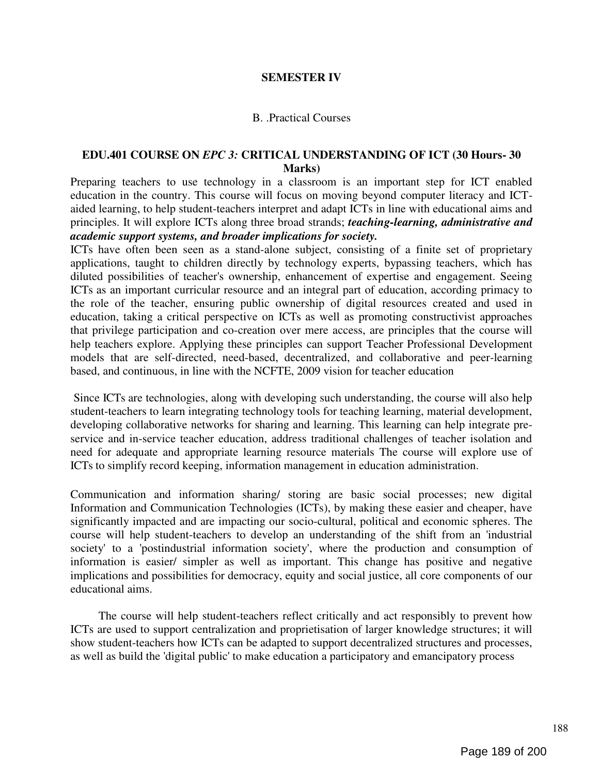#### SEMESTER IV

#### B. .Practical Courses

#### EDU.401 COURSE ON EPC 3: CRITICAL UNDERSTANDING OF ICT (30 Hours- 30 Marks)

Preparing teachers to use technology in a classroom is an important step for ICT enabled education in the country. This course will focus on moving beyond computer literacy and ICTaided learning, to help student-teachers interpret and adapt ICTs in line with educational aims and principles. It will explore ICTs along three broad strands; teaching-learning, administrative and academic support systems, and broader implications for society.

ICTs have often been seen as a stand-alone subject, consisting of a finite set of proprietary applications, taught to children directly by technology experts, bypassing teachers, which has diluted possibilities of teacher's ownership, enhancement of expertise and engagement. Seeing ICTs as an important curricular resource and an integral part of education, according primacy to the role of the teacher, ensuring public ownership of digital resources created and used in education, taking a critical perspective on ICTs as well as promoting constructivist approaches that privilege participation and co-creation over mere access, are principles that the course will help teachers explore. Applying these principles can support Teacher Professional Development models that are self-directed, need-based, decentralized, and collaborative and peer-learning based, and continuous, in line with the NCFTE, 2009 vision for teacher education

Since ICTs are technologies, along with developing such understanding, the course will also help student-teachers to learn integrating technology tools for teaching learning, material development, developing collaborative networks for sharing and learning. This learning can help integrate preservice and in-service teacher education, address traditional challenges of teacher isolation and need for adequate and appropriate learning resource materials The course will explore use of ICTs to simplify record keeping, information management in education administration.

Communication and information sharing/ storing are basic social processes; new digital Information and Communication Technologies (ICTs), by making these easier and cheaper, have significantly impacted and are impacting our socio-cultural, political and economic spheres. The course will help student-teachers to develop an understanding of the shift from an 'industrial society' to a 'postindustrial information society', where the production and consumption of information is easier/ simpler as well as important. This change has positive and negative implications and possibilities for democracy, equity and social justice, all core components of our educational aims.

The course will help student-teachers reflect critically and act responsibly to prevent how ICTs are used to support centralization and proprietisation of larger knowledge structures; it will show student-teachers how ICTs can be adapted to support decentralized structures and processes, as well as build the 'digital public' to make education a participatory and emancipatory process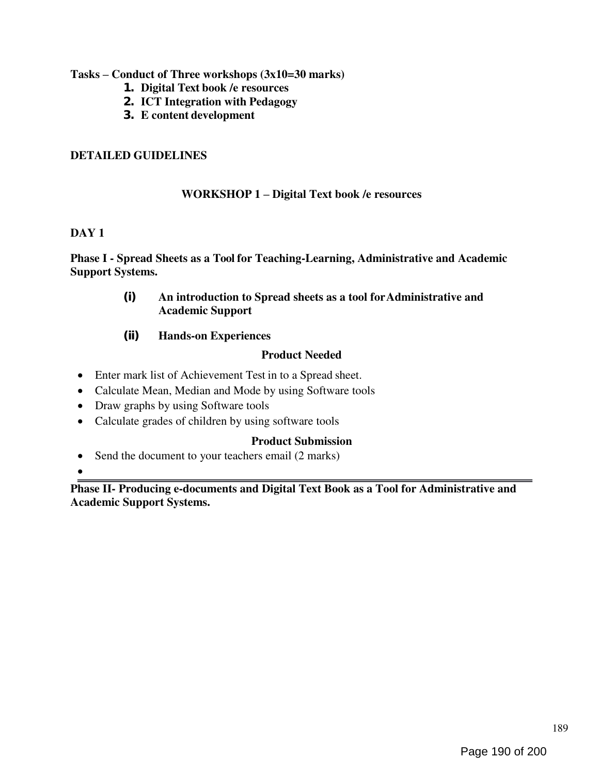# Tasks – Conduct of Three workshops (3x10=30 marks)

- 1. Digital Text book /e resources
- 2. ICT Integration with Pedagogy
- 3. E content development

# DETAILED GUIDELINES

# WORKSHOP 1 – Digital Text book /e resources

# DAY<sub>1</sub>

Phase I - Spread Sheets as a Tool for Teaching-Learning, Administrative and Academic Support Systems.

- (i) An introduction to Spread sheets as a tool for Administrative and Academic Support
- (ii) Hands-on Experiences

# Product Needed

- Enter mark list of Achievement Test in to a Spread sheet.
- Calculate Mean, Median and Mode by using Software tools
- Draw graphs by using Software tools
- Calculate grades of children by using software tools

# Product Submission

• Send the document to your teachers email (2 marks)

 $\bullet$ 

Phase II- Producing e-documents and Digital Text Book as a Tool for Administrative and Academic Support Systems.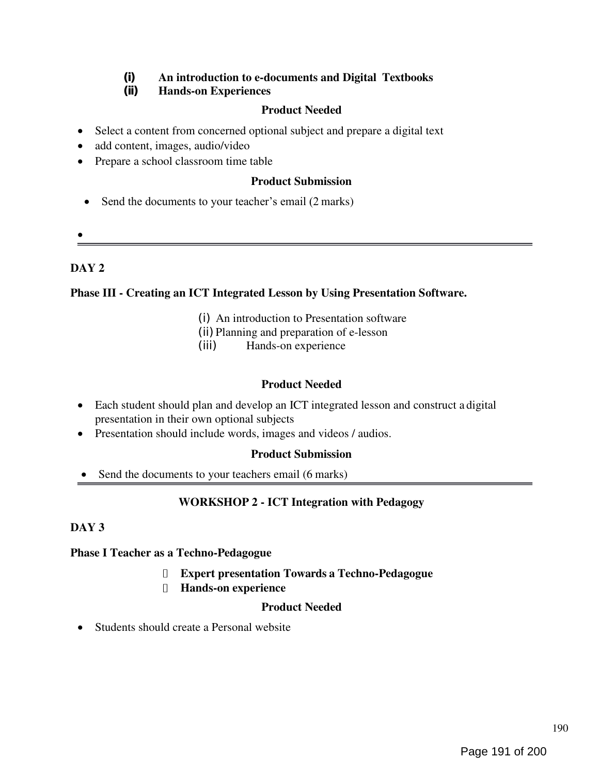# (i) An introduction to e-documents and Digital Textbooks<br>(ii) Hands-on Experiences

# **Hands-on Experiences**

# Product Needed

- Select a content from concerned optional subject and prepare a digital text
- add content, images, audio/video
- Prepare a school classroom time table

# Product Submission

- Send the documents to your teacher's email (2 marks)
- $\bullet$

# DAY<sub>2</sub>

# Phase III - Creating an ICT Integrated Lesson by Using Presentation Software.

- (i) An introduction to Presentation software
- (ii) Planning and preparation of e-lesson
- (iii) Hands-on experience

# Product Needed

- Each student should plan and develop an ICT integrated lesson and construct a digital presentation in their own optional subjects
- Presentation should include words, images and videos / audios.

# Product Submission

Send the documents to your teachers email (6 marks)

# WORKSHOP 2 - ICT Integration with Pedagogy

# DAY<sub>3</sub>

# Phase I Teacher as a Techno-Pedagogue

- Expert presentation Towards a Techno-Pedagogue  $\Box$
- Hands-on experience

# Product Needed

• Students should create a Personal website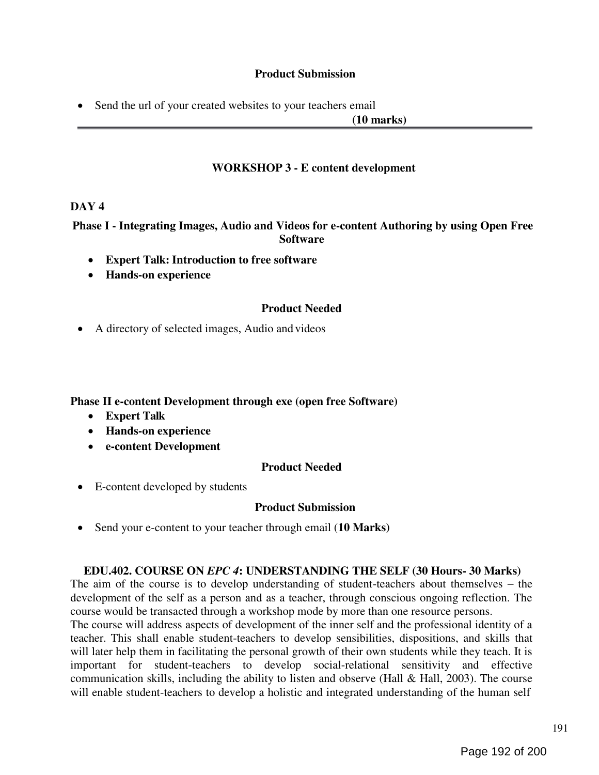# Product Submission

• Send the url of your created websites to your teachers email

(10 marks)

# WORKSHOP 3 - E content development

#### DAY<sub>4</sub>

Phase I - Integrating Images, Audio and Videos for e-content Authoring by using Open Free **Software** 

- Expert Talk: Introduction to free software
- Hands-on experience

#### Product Needed

A directory of selected images, Audio and videos

Phase II e-content Development through exe (open free Software)

- Expert Talk
- Hands-on experience
- e-content Development

#### Product Needed

E-content developed by students

#### Product Submission

• Send your e-content to your teacher through email (10 Marks)

#### EDU.402. COURSE ON EPC 4: UNDERSTANDING THE SELF (30 Hours- 30 Marks)

The aim of the course is to develop understanding of student-teachers about themselves – the development of the self as a person and as a teacher, through conscious ongoing reflection. The course would be transacted through a workshop mode by more than one resource persons. The course will address aspects of development of the inner self and the professional identity of a teacher. This shall enable student-teachers to develop sensibilities, dispositions, and skills that will later help them in facilitating the personal growth of their own students while they teach. It is important for student-teachers to develop social-relational sensitivity and effective communication skills, including the ability to listen and observe (Hall & Hall, 2003). The course will enable student-teachers to develop a holistic and integrated understanding of the human self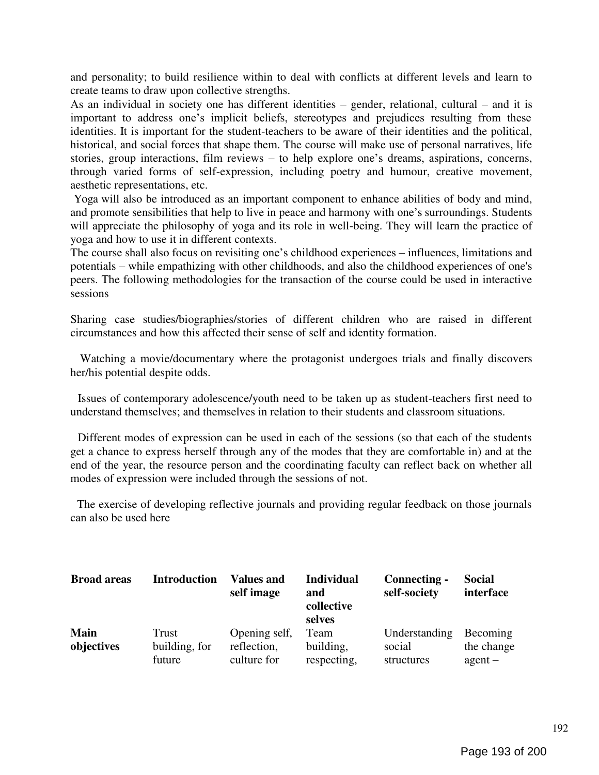and personality; to build resilience within to deal with conflicts at different levels and learn to create teams to draw upon collective strengths.

As an individual in society one has different identities – gender, relational, cultural – and it is important to address one's implicit beliefs, stereotypes and prejudices resulting from these identities. It is important for the student-teachers to be aware of their identities and the political, historical, and social forces that shape them. The course will make use of personal narratives, life stories, group interactions, film reviews – to help explore one's dreams, aspirations, concerns, through varied forms of self-expression, including poetry and humour, creative movement, aesthetic representations, etc.

Yoga will also be introduced as an important component to enhance abilities of body and mind, and promote sensibilities that help to live in peace and harmony with one's surroundings. Students will appreciate the philosophy of yoga and its role in well-being. They will learn the practice of yoga and how to use it in different contexts.

The course shall also focus on revisiting one's childhood experiences – influences, limitations and potentials – while empathizing with other childhoods, and also the childhood experiences of one's peers. The following methodologies for the transaction of the course could be used in interactive sessions

Sharing case studies/biographies/stories of different children who are raised in different circumstances and how this affected their sense of self and identity formation.

Watching a movie/documentary where the protagonist undergoes trials and finally discovers her/his potential despite odds.

Issues of contemporary adolescence/youth need to be taken up as student-teachers first need to understand themselves; and themselves in relation to their students and classroom situations.

Different modes of expression can be used in each of the sessions (so that each of the students get a chance to express herself through any of the modes that they are comfortable in) and at the end of the year, the resource person and the coordinating faculty can reflect back on whether all modes of expression were included through the sessions of not.

The exercise of developing reflective journals and providing regular feedback on those journals can also be used here

| <b>Broad areas</b> | <b>Introduction</b> | <b>Values and</b><br>self image | <b>Individual</b><br>and<br>collective<br>selves | Connecting -<br>self-society | <b>Social</b><br>interface |
|--------------------|---------------------|---------------------------------|--------------------------------------------------|------------------------------|----------------------------|
| <b>Main</b>        | <b>Trust</b>        | Opening self,                   | Team                                             | Understanding                | Becoming                   |
| objectives         | building, for       | reflection,                     | building,                                        | social                       | the change                 |
|                    | future              | culture for                     | respecting,                                      | structures                   | $agent -$                  |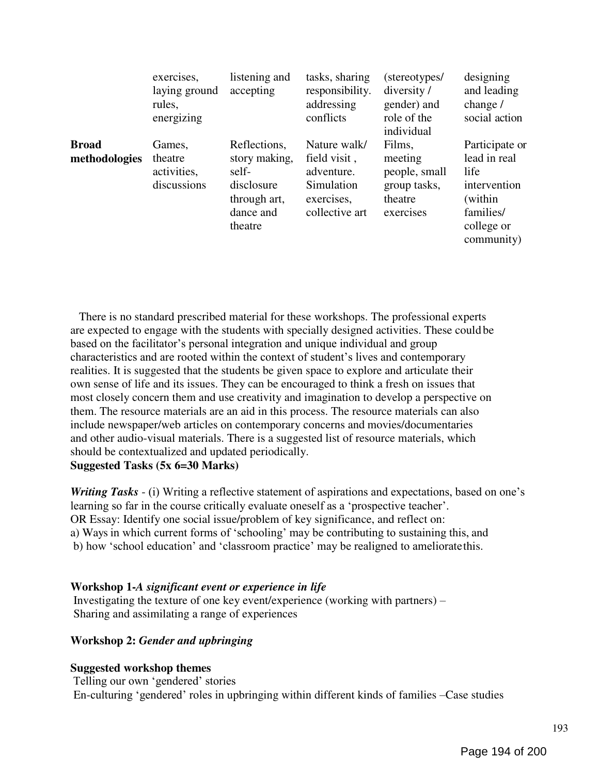|                               | exercises,<br>laying ground<br>rules,<br>energizing | listening and<br>accepting                                                                   | tasks, sharing<br>responsibility.<br>addressing<br>conflicts                             | (stereotypes/<br>diversity /<br>gender) and<br>role of the<br>individual   | designing<br>and leading<br>change $/$<br>social action                                                    |
|-------------------------------|-----------------------------------------------------|----------------------------------------------------------------------------------------------|------------------------------------------------------------------------------------------|----------------------------------------------------------------------------|------------------------------------------------------------------------------------------------------------|
| <b>Broad</b><br>methodologies | Games,<br>theatre<br>activities,<br>discussions     | Reflections,<br>story making,<br>self-<br>disclosure<br>through art,<br>dance and<br>theatre | Nature walk/<br>field visit,<br>adventure.<br>Simulation<br>exercises,<br>collective art | Films,<br>meeting<br>people, small<br>group tasks,<br>theatre<br>exercises | Participate or<br>lead in real<br>life<br>intervention<br>(within<br>families/<br>college or<br>community) |

There is no standard prescribed material for these workshops. The professional experts are expected to engage with the students with specially designed activities. These could be based on the facilitator's personal integration and unique individual and group characteristics and are rooted within the context of student's lives and contemporary realities. It is suggested that the students be given space to explore and articulate their own sense of life and its issues. They can be encouraged to think a fresh on issues that most closely concern them and use creativity and imagination to develop a perspective on them. The resource materials are an aid in this process. The resource materials can also include newspaper/web articles on contemporary concerns and movies/documentaries and other audio-visual materials. There is a suggested list of resource materials, which should be contextualized and updated periodically.

Suggested Tasks (5x 6=30 Marks)

Writing Tasks - (i) Writing a reflective statement of aspirations and expectations, based on one's learning so far in the course critically evaluate oneself as a 'prospective teacher'. OR Essay: Identify one social issue/problem of key significance, and reflect on: a) Ways in which current forms of 'schooling' may be contributing to sustaining this, and b) how 'school education' and 'classroom practice' may be realigned to ameliorate this.

#### Workshop 1-A significant event or experience in life

Investigating the texture of one key event/experience (working with partners) – Sharing and assimilating a range of experiences

# Workshop 2: Gender and upbringing

#### Suggested workshop themes

Telling our own 'gendered' stories En-culturing ‗gendered' roles in upbringing within different kinds of families –Case studies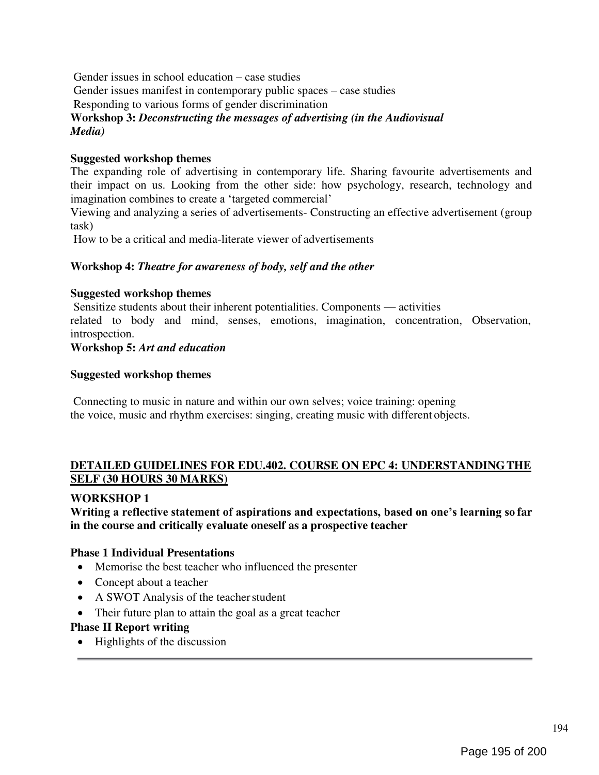Gender issues in school education – case studies Gender issues manifest in contemporary public spaces – case studies Responding to various forms of gender discrimination Workshop 3: Deconstructing the messages of advertising (in the Audiovisual Media)

# Suggested workshop themes

The expanding role of advertising in contemporary life. Sharing favourite advertisements and their impact on us. Looking from the other side: how psychology, research, technology and imagination combines to create a 'targeted commercial'

Viewing and analyzing a series of advertisements- Constructing an effective advertisement (group task)

How to be a critical and media-literate viewer of advertisements

#### Workshop 4: Theatre for awareness of body, self and the other

#### Suggested workshop themes

Sensitize students about their inherent potentialities. Components — activities related to body and mind, senses, emotions, imagination, concentration, Observation, introspection.

#### Workshop 5: Art and education

#### Suggested workshop themes

Connecting to music in nature and within our own selves; voice training: opening the voice, music and rhythm exercises: singing, creating music with different objects.

# DETAILED GUIDELINES FOR EDU.402. COURSE ON EPC 4: UNDERSTANDING THE SELF (30 HOURS 30 MARKS)

#### WORKSHOP 1

Writing a reflective statement of aspirations and expectations, based on one's learning so far in the course and critically evaluate oneself as a prospective teacher

#### Phase 1 Individual Presentations

- Memorise the best teacher who influenced the presenter
- Concept about a teacher
- A SWOT Analysis of the teacher student
- Their future plan to attain the goal as a great teacher

# Phase II Report writing

• Highlights of the discussion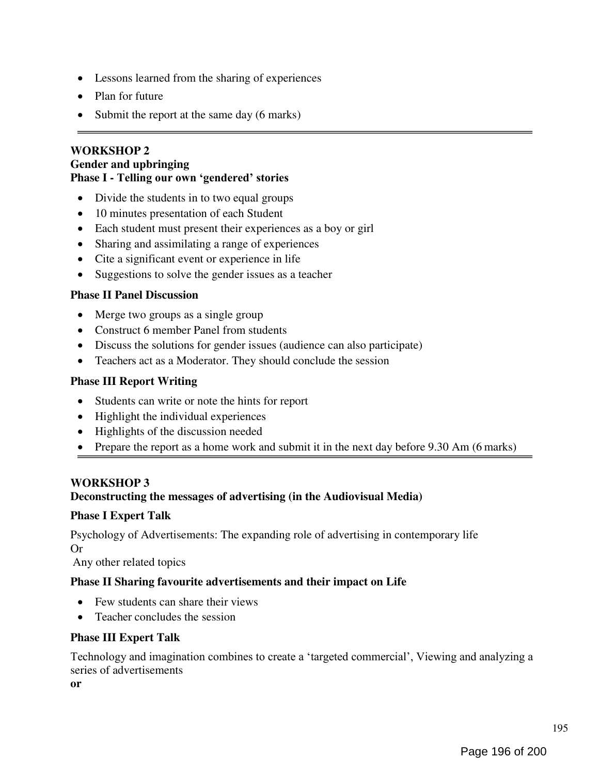- Lessons learned from the sharing of experiences
- Plan for future
- Submit the report at the same day (6 marks)

### WORKSHOP 2 Gender and upbringing Phase I - Telling our own 'gendered' stories

- Divide the students in to two equal groups
- 10 minutes presentation of each Student
- Each student must present their experiences as a boy or girl
- Sharing and assimilating a range of experiences
- Cite a significant event or experience in life
- Suggestions to solve the gender issues as a teacher

#### Phase II Panel Discussion

- Merge two groups as a single group
- Construct 6 member Panel from students
- Discuss the solutions for gender issues (audience can also participate)
- Teachers act as a Moderator. They should conclude the session

# Phase III Report Writing

- Students can write or note the hints for report
- Highlight the individual experiences
- Highlights of the discussion needed
- Prepare the report as a home work and submit it in the next day before 9.30 Am (6 marks)

#### WORKSHOP 3

#### Deconstructing the messages of advertising (in the Audiovisual Media)

#### Phase I Expert Talk

Psychology of Advertisements: The expanding role of advertising in contemporary life Or

Any other related topics

#### Phase II Sharing favourite advertisements and their impact on Life

- Few students can share their views
- Teacher concludes the session

# Phase III Expert Talk

Technology and imagination combines to create a 'targeted commercial', Viewing and analyzing a series of advertisements

or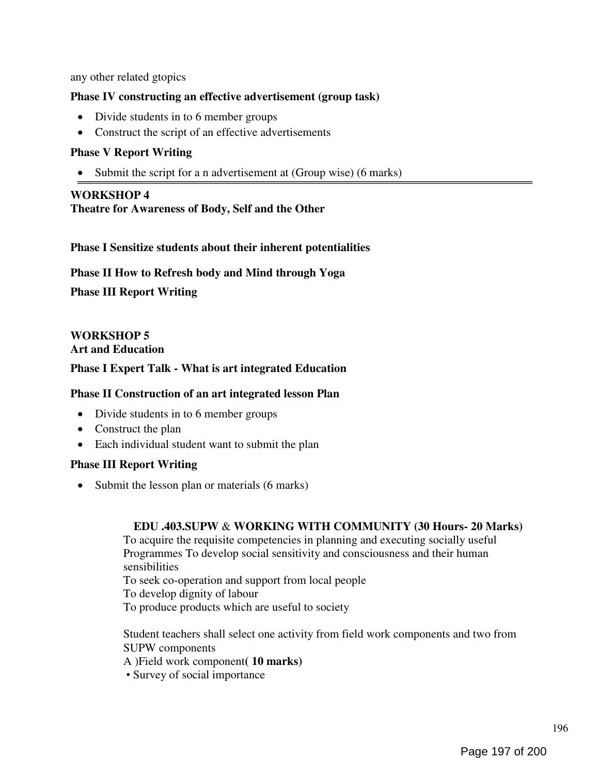any other related gtopics

### Phase IV constructing an effective advertisement (group task)

- Divide students in to 6 member groups
- Construct the script of an effective advertisements

### Phase V Report Writing

• Submit the script for a n advertisement at (Group wise) (6 marks)

#### WORKSHOP 4

Theatre for Awareness of Body, Self and the Other

Phase I Sensitize students about their inherent potentialities

Phase II How to Refresh body and Mind through Yoga

Phase III Report Writing

WORKSHOP 5 Art and Education

#### Phase I Expert Talk - What is art integrated Education

#### Phase II Construction of an art integrated lesson Plan

- Divide students in to 6 member groups
- Construct the plan
- Each individual student want to submit the plan

# Phase III Report Writing

• Submit the lesson plan or materials (6 marks)

#### EDU .403.SUPW & WORKING WITH COMMUNITY (30 Hours- 20 Marks)

To acquire the requisite competencies in planning and executing socially useful Programmes To develop social sensitivity and consciousness and their human sensibilities

To seek co-operation and support from local people

To develop dignity of labour

To produce products which are useful to society

Student teachers shall select one activity from field work components and two from SUPW components

A )Field work component( 10 marks)

• Survey of social importance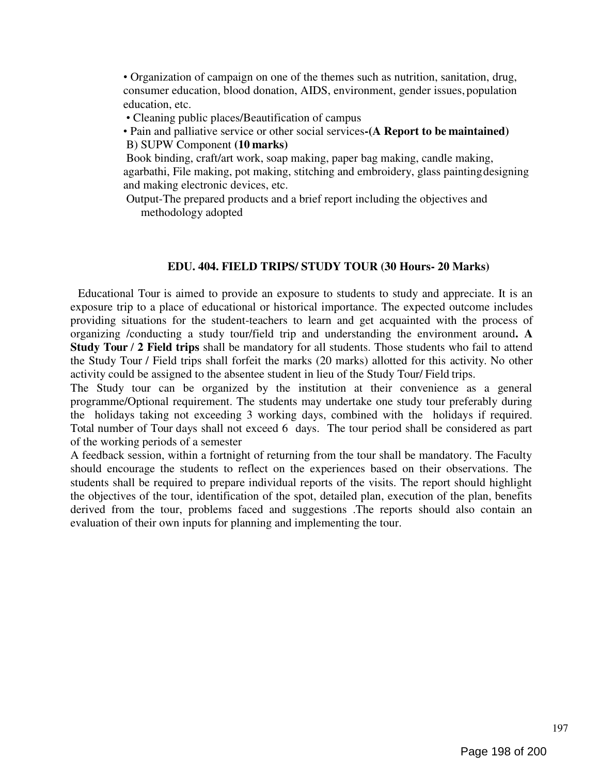• Organization of campaign on one of the themes such as nutrition, sanitation, drug, consumer education, blood donation, AIDS, environment, gender issues, population education, etc.

- Cleaning public places/Beautification of campus
- Pain and palliative service or other social services-(A Report to be maintained) B) SUPW Component (10 marks)

Book binding, craft/art work, soap making, paper bag making, candle making, agarbathi, File making, pot making, stitching and embroidery, glass painting designing and making electronic devices, etc.

Output-The prepared products and a brief report including the objectives and methodology adopted

#### EDU. 404. FIELD TRIPS/ STUDY TOUR (30 Hours- 20 Marks)

Educational Tour is aimed to provide an exposure to students to study and appreciate. It is an exposure trip to a place of educational or historical importance. The expected outcome includes providing situations for the student-teachers to learn and get acquainted with the process of organizing /conducting a study tour/field trip and understanding the environment around. A Study Tour / 2 Field trips shall be mandatory for all students. Those students who fail to attend the Study Tour / Field trips shall forfeit the marks (20 marks) allotted for this activity. No other activity could be assigned to the absentee student in lieu of the Study Tour/ Field trips.

The Study tour can be organized by the institution at their convenience as a general programme/Optional requirement. The students may undertake one study tour preferably during the holidays taking not exceeding 3 working days, combined with the holidays if required. Total number of Tour days shall not exceed 6 days. The tour period shall be considered as part of the working periods of a semester

A feedback session, within a fortnight of returning from the tour shall be mandatory. The Faculty should encourage the students to reflect on the experiences based on their observations. The students shall be required to prepare individual reports of the visits. The report should highlight the objectives of the tour, identification of the spot, detailed plan, execution of the plan, benefits derived from the tour, problems faced and suggestions .The reports should also contain an evaluation of their own inputs for planning and implementing the tour.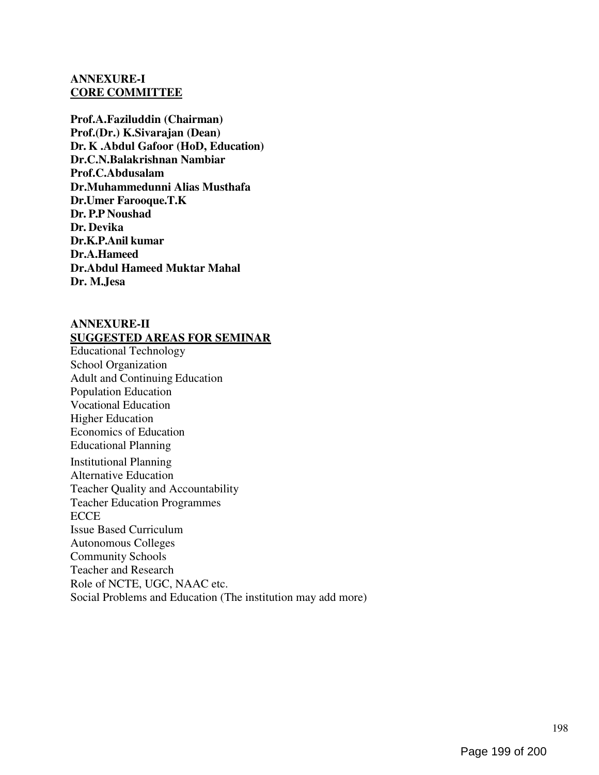#### ANNEXURE-I CORE COMMITTEE

Prof.A.Faziluddin (Chairman) Prof.(Dr.) K.Sivarajan (Dean) Dr. K .Abdul Gafoor (HoD, Education) Dr.C.N.Balakrishnan Nambiar Prof.C.Abdusalam Dr.Muhammedunni Alias Musthafa Dr.Umer Farooque.T.K Dr. P.P Noushad Dr. Devika Dr.K.P.Anil kumar Dr.A.Hameed Dr.Abdul Hameed Muktar Mahal Dr. M.Jesa

# ANNEXURE-II SUGGESTED AREAS FOR SEMINAR

Educational Technology School Organization Adult and Continuing Education Population Education Vocational Education Higher Education Economics of Education Educational Planning Institutional Planning

Alternative Education Teacher Quality and Accountability Teacher Education Programmes **ECCE** Issue Based Curriculum Autonomous Colleges Community Schools Teacher and Research Role of NCTE, UGC, NAAC etc. Social Problems and Education (The institution may add more)